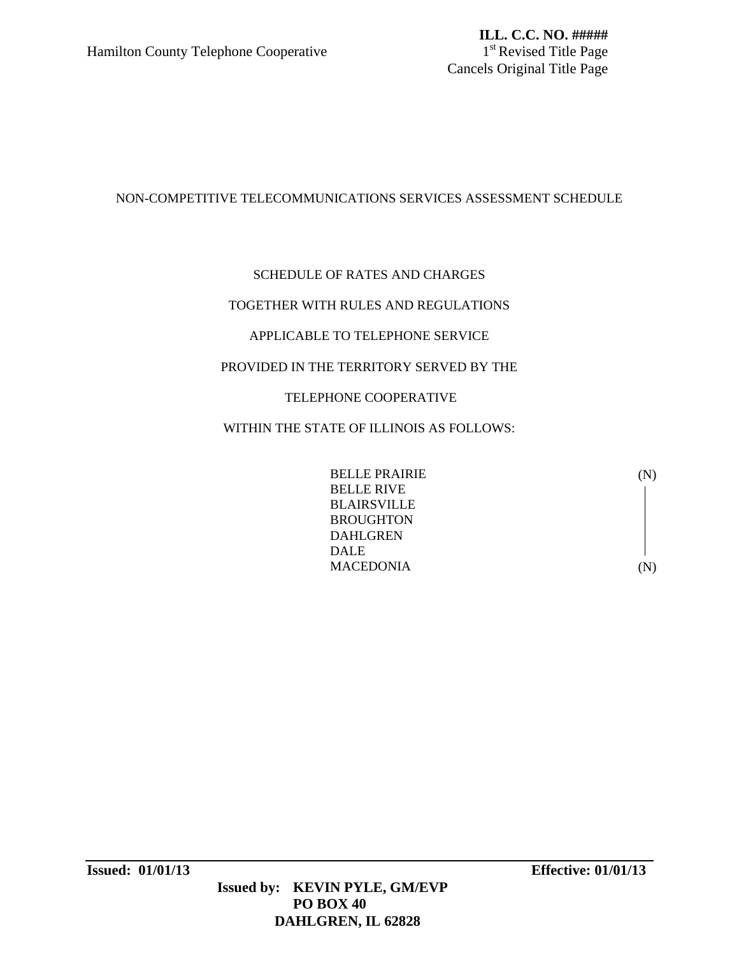# NON-COMPETITIVE TELECOMMUNICATIONS SERVICES ASSESSMENT SCHEDULE

# SCHEDULE OF RATES AND CHARGES

# TOGETHER WITH RULES AND REGULATIONS

# APPLICABLE TO TELEPHONE SERVICE

# PROVIDED IN THE TERRITORY SERVED BY THE

# TELEPHONE COOPERATIVE

# WITHIN THE STATE OF ILLINOIS AS FOLLOWS:

| <b>BELLE PRAIRIE</b> | (N)         |
|----------------------|-------------|
| <b>BELLE RIVE</b>    |             |
| <b>BLAIRSVILLE</b>   |             |
| <b>BROUGHTON</b>     |             |
| <b>DAHLGREN</b>      |             |
| <b>DALE</b>          |             |
| <b>MACEDONIA</b>     | $({\bf N})$ |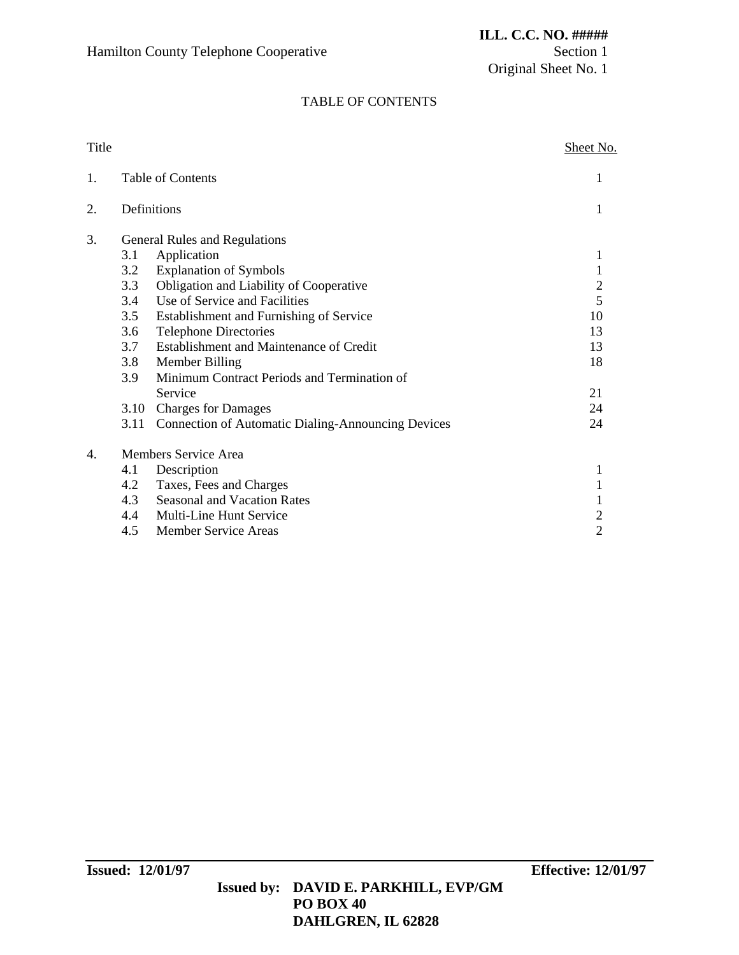Original Sheet No. 1

### TABLE OF CONTENTS

| Title |      |                                                           | <b>Sheet No.</b> |
|-------|------|-----------------------------------------------------------|------------------|
| 1.    |      | Table of Contents                                         |                  |
| 2.    |      | Definitions                                               | 1                |
| 3.    |      | General Rules and Regulations                             |                  |
|       | 3.1  | Application                                               | 1                |
|       | 3.2  | <b>Explanation of Symbols</b>                             | $\mathbf{1}$     |
|       | 3.3  | Obligation and Liability of Cooperative                   | $\overline{c}$   |
|       | 3.4  | Use of Service and Facilities                             | $\overline{5}$   |
|       | 3.5  | Establishment and Furnishing of Service                   | 10               |
|       | 3.6  | <b>Telephone Directories</b>                              | 13               |
|       | 3.7  | Establishment and Maintenance of Credit                   | 13               |
|       | 3.8  | Member Billing                                            | 18               |
|       | 3.9  | Minimum Contract Periods and Termination of               |                  |
|       |      | Service                                                   | 21               |
|       | 3.10 | <b>Charges for Damages</b>                                | 24               |
|       | 3.11 | <b>Connection of Automatic Dialing-Announcing Devices</b> | 24               |
| 4.    |      | Members Service Area                                      |                  |
|       | 4.1  | Description                                               | 1                |
|       | 4.2  | Taxes, Fees and Charges                                   |                  |
|       | 4.3  | <b>Seasonal and Vacation Rates</b>                        | 1                |
|       | 4.4  | Multi-Line Hunt Service                                   | $\overline{c}$   |
|       | 4.5  | <b>Member Service Areas</b>                               | $\overline{2}$   |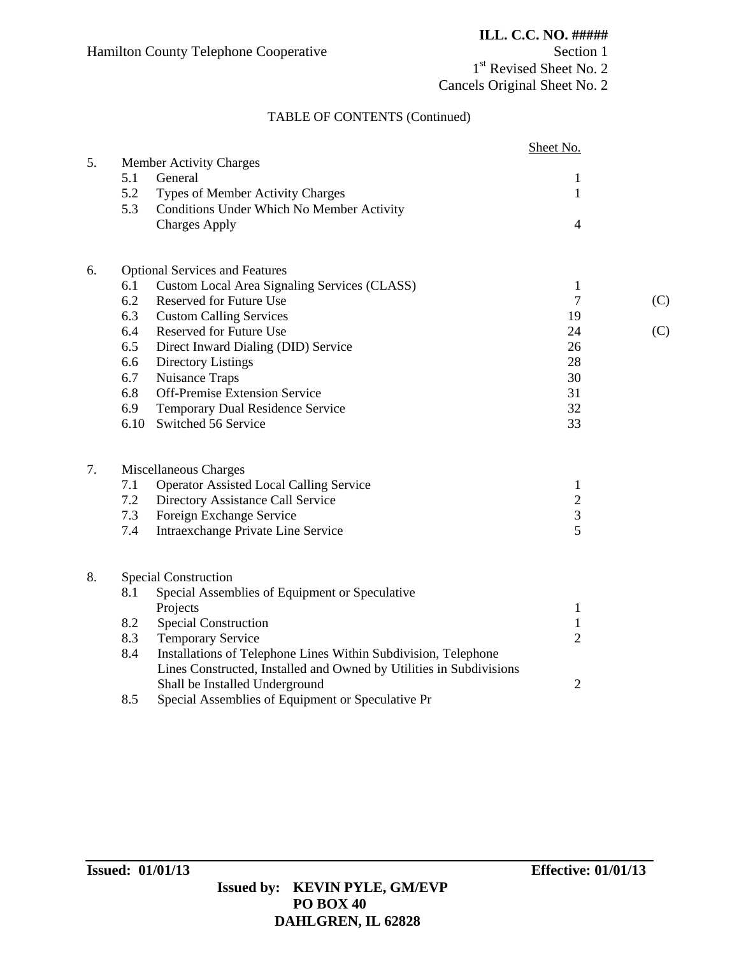1<sup>st</sup> Revised Sheet No. 2 Cancels Original Sheet No. 2

# TABLE OF CONTENTS (Continued)

|    |      |                                                                     | Sheet No.      |     |
|----|------|---------------------------------------------------------------------|----------------|-----|
| 5. |      | <b>Member Activity Charges</b>                                      |                |     |
|    | 5.1  | General                                                             | $\mathbf{1}$   |     |
|    | 5.2  | Types of Member Activity Charges                                    | $\mathbf{1}$   |     |
|    | 5.3  | Conditions Under Which No Member Activity                           |                |     |
|    |      | <b>Charges Apply</b>                                                | $\overline{4}$ |     |
| 6. |      | <b>Optional Services and Features</b>                               |                |     |
|    | 6.1  | Custom Local Area Signaling Services (CLASS)                        | $\mathbf{1}$   |     |
|    | 6.2  | Reserved for Future Use                                             | 7              | (C) |
|    | 6.3  | <b>Custom Calling Services</b>                                      | 19             |     |
|    | 6.4  | Reserved for Future Use                                             | 24             | (C) |
|    | 6.5  | Direct Inward Dialing (DID) Service                                 | 26             |     |
|    | 6.6  | Directory Listings                                                  | 28             |     |
|    | 6.7  | Nuisance Traps                                                      | 30             |     |
|    | 6.8  | Off-Premise Extension Service                                       | 31             |     |
|    | 6.9  | Temporary Dual Residence Service                                    | 32             |     |
|    | 6.10 | Switched 56 Service                                                 | 33             |     |
| 7. |      | Miscellaneous Charges                                               |                |     |
|    | 7.1  | <b>Operator Assisted Local Calling Service</b>                      | $\mathbf{1}$   |     |
|    | 7.2  | Directory Assistance Call Service                                   | $\sqrt{2}$     |     |
|    | 7.3  | Foreign Exchange Service                                            | $\sqrt{3}$     |     |
|    | 7.4  | Intraexchange Private Line Service                                  | 5              |     |
| 8. |      | <b>Special Construction</b>                                         |                |     |
|    | 8.1  | Special Assemblies of Equipment or Speculative                      |                |     |
|    |      | Projects                                                            | $\mathbf{1}$   |     |
|    | 8.2  | <b>Special Construction</b>                                         | $\mathbf{1}$   |     |
|    | 8.3  | <b>Temporary Service</b>                                            | $\overline{2}$ |     |
|    | 8.4  | Installations of Telephone Lines Within Subdivision, Telephone      |                |     |
|    |      | Lines Constructed, Installed and Owned by Utilities in Subdivisions |                |     |
|    |      | Shall be Installed Underground                                      | $\overline{2}$ |     |
|    | 8.5  | Special Assemblies of Equipment or Speculative Pr                   |                |     |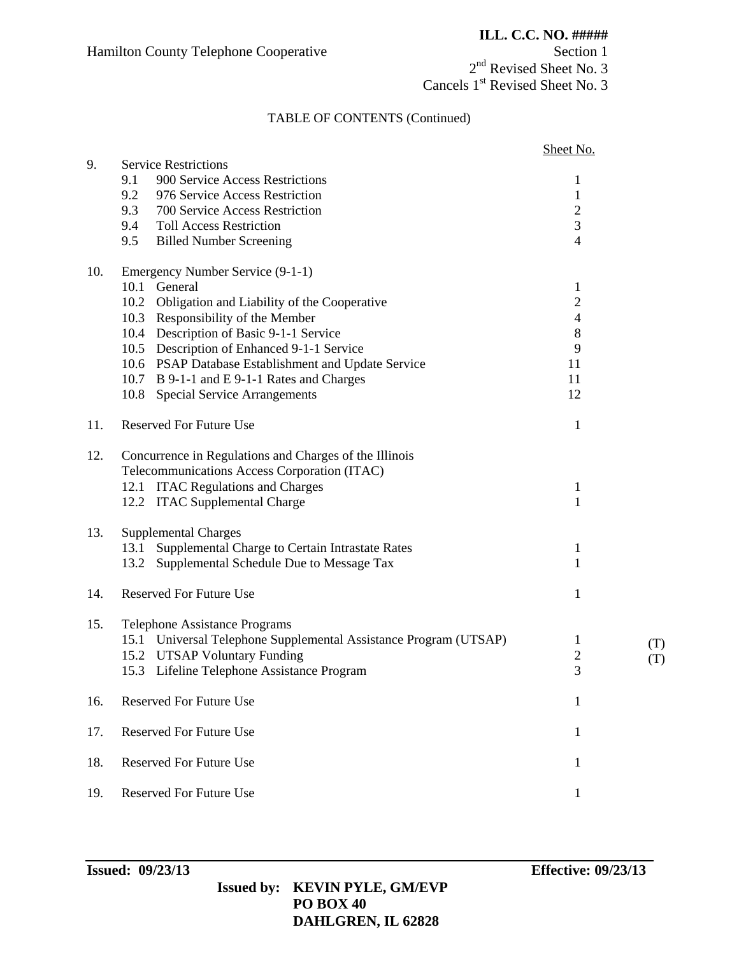2<sup>nd</sup> Revised Sheet No. 3 Cancels 1<sup>st</sup> Revised Sheet No. 3

### TABLE OF CONTENTS (Continued)

|     |                                                                                                        | Sheet No.      |     |
|-----|--------------------------------------------------------------------------------------------------------|----------------|-----|
| 9.  | <b>Service Restrictions</b>                                                                            |                |     |
|     | 9.1<br>900 Service Access Restrictions                                                                 | 1              |     |
|     | 9.2<br>976 Service Access Restriction                                                                  | $\mathbf{1}$   |     |
|     | 9.3<br>700 Service Access Restriction                                                                  | $\mathbf{2}$   |     |
|     | 9.4<br><b>Toll Access Restriction</b>                                                                  | 3              |     |
|     | 9.5<br><b>Billed Number Screening</b>                                                                  | $\overline{4}$ |     |
| 10. | Emergency Number Service (9-1-1)                                                                       |                |     |
|     | 10.1 General                                                                                           | $\mathbf{1}$   |     |
|     | 10.2 Obligation and Liability of the Cooperative                                                       | $\mathbf{2}$   |     |
|     | 10.3 Responsibility of the Member                                                                      | $\overline{4}$ |     |
|     | 10.4 Description of Basic 9-1-1 Service                                                                | $8\phantom{1}$ |     |
|     | 10.5 Description of Enhanced 9-1-1 Service                                                             | 9              |     |
|     | 10.6 PSAP Database Establishment and Update Service                                                    | 11             |     |
|     | 10.7 B 9-1-1 and E 9-1-1 Rates and Charges                                                             | 11             |     |
|     | 10.8 Special Service Arrangements                                                                      | 12             |     |
| 11. | <b>Reserved For Future Use</b>                                                                         | $\mathbf{1}$   |     |
| 12. | Concurrence in Regulations and Charges of the Illinois<br>Telecommunications Access Corporation (ITAC) |                |     |
|     | 12.1 ITAC Regulations and Charges                                                                      | $\mathbf{1}$   |     |
|     | 12.2 ITAC Supplemental Charge                                                                          | $\mathbf{1}$   |     |
| 13. | <b>Supplemental Charges</b>                                                                            |                |     |
|     | Supplemental Charge to Certain Intrastate Rates<br>13.1                                                | $\mathbf{1}$   |     |
|     | Supplemental Schedule Due to Message Tax<br>13.2                                                       | 1              |     |
| 14. | <b>Reserved For Future Use</b>                                                                         | 1              |     |
| 15. | Telephone Assistance Programs                                                                          |                |     |
|     | 15.1 Universal Telephone Supplemental Assistance Program (UTSAP)                                       | 1              | (T) |
|     | 15.2 UTSAP Voluntary Funding                                                                           | $\mathbf{2}$   | (T) |
|     | 15.3 Lifeline Telephone Assistance Program                                                             | 3              |     |
| 16. | <b>Reserved For Future Use</b>                                                                         | 1              |     |
| 17. | <b>Reserved For Future Use</b>                                                                         | 1              |     |
| 18. | <b>Reserved For Future Use</b>                                                                         | 1              |     |
|     |                                                                                                        |                |     |
| 19. | <b>Reserved For Future Use</b>                                                                         | $\mathbf{1}$   |     |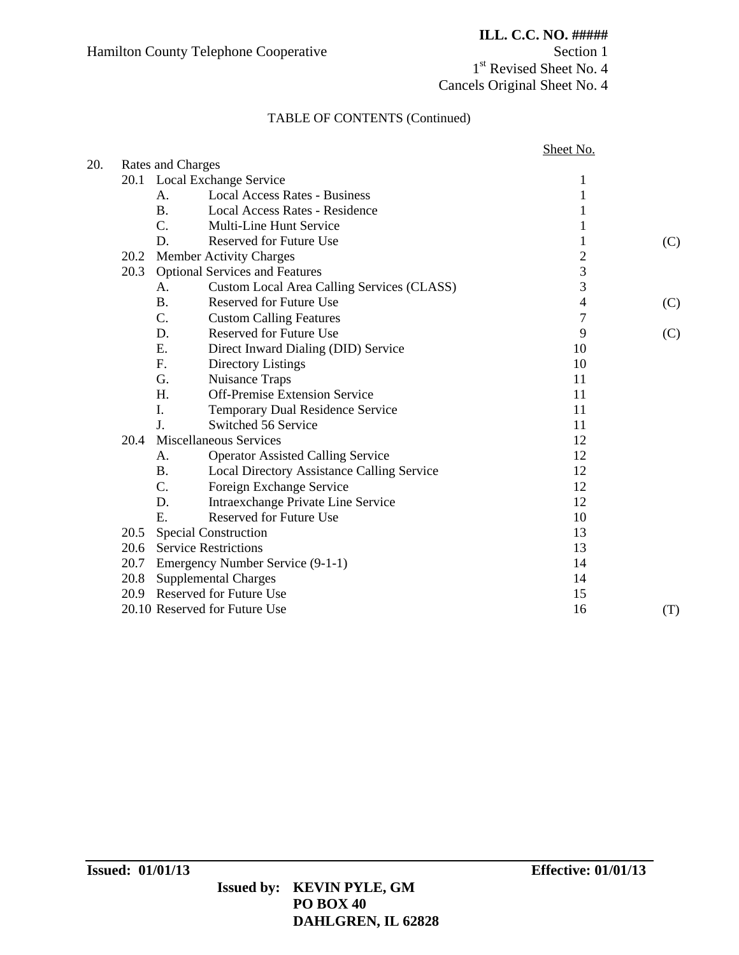1<sup>st</sup> Revised Sheet No. 4 Cancels Original Sheet No. 4

### TABLE OF CONTENTS (Continued)

|      |                                                         | Sheet No.      |     |
|------|---------------------------------------------------------|----------------|-----|
|      | Rates and Charges                                       |                |     |
|      | 20.1 Local Exchange Service                             | 1              |     |
|      | <b>Local Access Rates - Business</b><br>А.              | 1              |     |
|      | <b>B.</b><br><b>Local Access Rates - Residence</b>      |                |     |
|      | $\overline{C}$ .<br>Multi-Line Hunt Service             |                |     |
|      | D.<br><b>Reserved for Future Use</b>                    |                | (C) |
| 20.2 | <b>Member Activity Charges</b>                          | $\overline{c}$ |     |
| 20.3 | <b>Optional Services and Features</b>                   | 3              |     |
|      | Custom Local Area Calling Services (CLASS)<br>A.        | 3              |     |
|      | <b>B.</b><br><b>Reserved for Future Use</b>             | $\overline{4}$ | (C) |
|      | C.<br><b>Custom Calling Features</b>                    | $\overline{7}$ |     |
|      | D.<br><b>Reserved for Future Use</b>                    | 9              | (C) |
|      | E.<br>Direct Inward Dialing (DID) Service               | 10             |     |
|      | F.<br>Directory Listings                                | 10             |     |
|      | Nuisance Traps<br>G.                                    | 11             |     |
|      | <b>Off-Premise Extension Service</b><br>H.              | 11             |     |
|      | I.<br>Temporary Dual Residence Service                  | 11             |     |
|      | J.<br>Switched 56 Service                               | 11             |     |
| 20.4 | Miscellaneous Services                                  | 12             |     |
|      | <b>Operator Assisted Calling Service</b><br>Α.          | 12             |     |
|      | <b>B.</b><br>Local Directory Assistance Calling Service | 12             |     |
|      | $C_{\cdot}$<br>Foreign Exchange Service                 | 12             |     |
|      | Intraexchange Private Line Service<br>D.                | 12             |     |
|      | E.<br><b>Reserved for Future Use</b>                    | 10             |     |
|      | 20.5 Special Construction                               | 13             |     |
|      | 20.6 Service Restrictions                               | 13             |     |
| 20.7 | Emergency Number Service (9-1-1)                        | 14             |     |
|      | 20.8 Supplemental Charges                               | 14             |     |
|      | 20.9 Reserved for Future Use                            | 15             |     |
|      | 20.10 Reserved for Future Use                           | 16             | (T) |
|      |                                                         |                |     |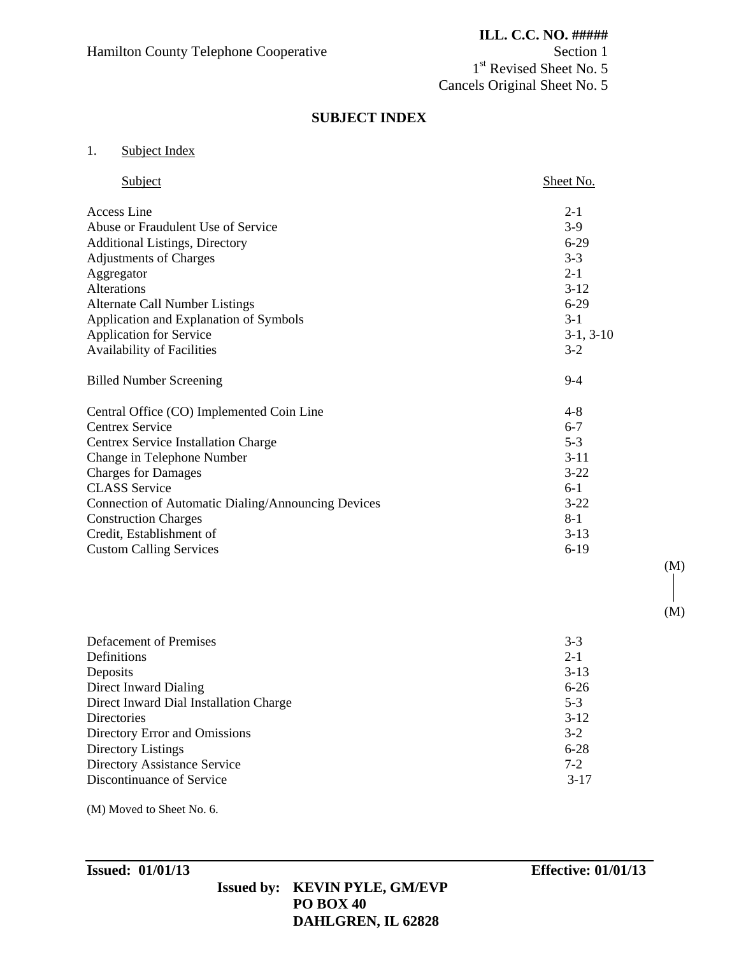1<sup>st</sup> Revised Sheet No. 5 Cancels Original Sheet No. 5

### **SUBJECT INDEX**

# 1. Subject Index

| Subject                                            | Sheet No.   |
|----------------------------------------------------|-------------|
| Access Line                                        | $2 - 1$     |
| Abuse or Fraudulent Use of Service                 | $3-9$       |
| <b>Additional Listings, Directory</b>              | $6-29$      |
| <b>Adjustments of Charges</b>                      | $3 - 3$     |
| Aggregator                                         | $2 - 1$     |
| Alterations                                        | $3-12$      |
| <b>Alternate Call Number Listings</b>              | $6 - 29$    |
| Application and Explanation of Symbols             | $3-1$       |
| <b>Application for Service</b>                     | $3-1, 3-10$ |
| Availability of Facilities                         | $3-2$       |
| <b>Billed Number Screening</b>                     | $9 - 4$     |
| Central Office (CO) Implemented Coin Line          | $4 - 8$     |
| <b>Centrex Service</b>                             | $6 - 7$     |
| Centrex Service Installation Charge                | $5 - 3$     |
| Change in Telephone Number                         | $3 - 11$    |
| <b>Charges for Damages</b>                         | $3-22$      |
| <b>CLASS</b> Service                               | $6-1$       |
| Connection of Automatic Dialing/Announcing Devices | $3 - 22$    |
| <b>Construction Charges</b>                        | $8 - 1$     |
| Credit, Establishment of                           | $3 - 13$    |
| <b>Custom Calling Services</b>                     | $6-19$      |

| Defacement of Premises                 | $3-3$    |
|----------------------------------------|----------|
| Definitions                            | $2 - 1$  |
| Deposits                               | $3-13$   |
| Direct Inward Dialing                  | $6 - 26$ |
| Direct Inward Dial Installation Charge | $5 - 3$  |
| <b>Directories</b>                     | $3-12$   |
| Directory Error and Omissions          | $3-2$    |
| Directory Listings                     | $6 - 28$ |
| <b>Directory Assistance Service</b>    | $7 - 2$  |
| Discontinuance of Service              | $3-17$   |

(M) Moved to Sheet No. 6.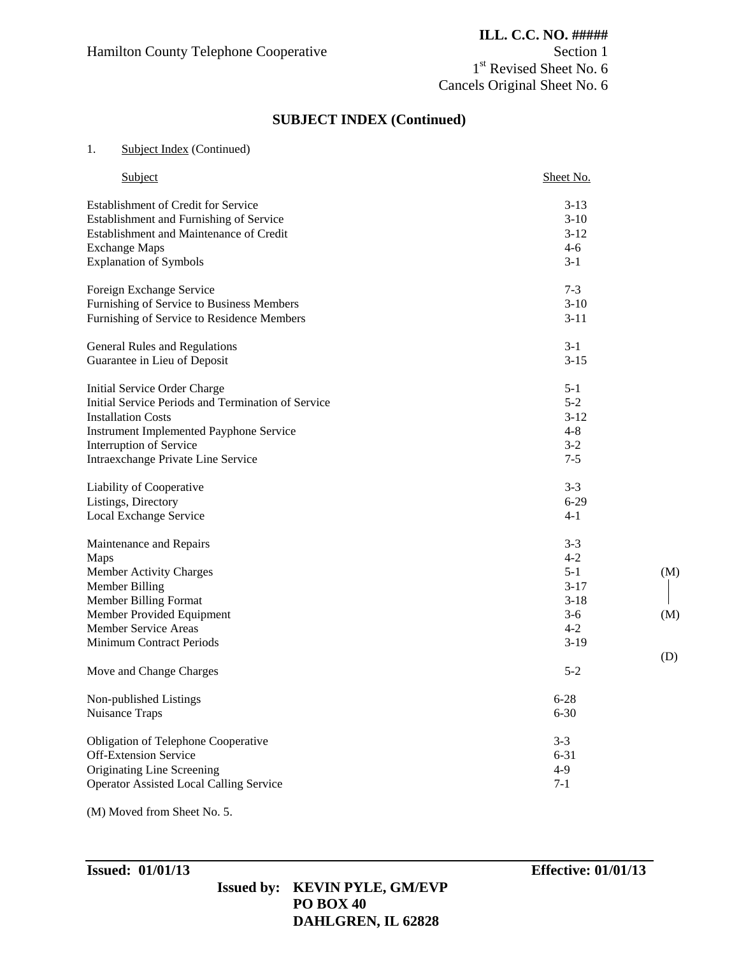1<sup>st</sup> Revised Sheet No. 6 Cancels Original Sheet No. 6

# **SUBJECT INDEX (Continued)**

#### 1. Subject Index (Continued)

| Subject                                            | Sheet No. |
|----------------------------------------------------|-----------|
| <b>Establishment of Credit for Service</b>         | $3-13$    |
| Establishment and Furnishing of Service            | $3-10$    |
| Establishment and Maintenance of Credit            | $3-12$    |
| <b>Exchange Maps</b>                               | $4-6$     |
| <b>Explanation of Symbols</b>                      | $3 - 1$   |
| Foreign Exchange Service                           | $7 - 3$   |
| Furnishing of Service to Business Members          | $3-10$    |
| Furnishing of Service to Residence Members         | $3 - 11$  |
| General Rules and Regulations                      | $3-1$     |
| Guarantee in Lieu of Deposit                       | $3 - 15$  |
| Initial Service Order Charge                       | $5 - 1$   |
| Initial Service Periods and Termination of Service | $5 - 2$   |
| <b>Installation Costs</b>                          | $3 - 12$  |
| <b>Instrument Implemented Payphone Service</b>     | $4 - 8$   |
| Interruption of Service                            | $3 - 2$   |
| Intraexchange Private Line Service                 | $7 - 5$   |
| Liability of Cooperative                           | $3 - 3$   |
| Listings, Directory                                | $6 - 29$  |
| Local Exchange Service                             | $4 - 1$   |
| Maintenance and Repairs                            | $3 - 3$   |
| Maps                                               | $4 - 2$   |
| Member Activity Charges                            | $5 - 1$   |
| Member Billing                                     | $3 - 17$  |
| Member Billing Format                              | $3 - 18$  |
| Member Provided Equipment                          | $3-6$     |
| Member Service Areas                               | $4 - 2$   |
| <b>Minimum Contract Periods</b>                    | $3-19$    |
| Move and Change Charges                            | $5 - 2$   |
| Non-published Listings                             | $6 - 28$  |
| Nuisance Traps                                     | $6 - 30$  |
| Obligation of Telephone Cooperative                | $3 - 3$   |
| <b>Off-Extension Service</b>                       | $6 - 31$  |
| Originating Line Screening                         | $4-9$     |
| <b>Operator Assisted Local Calling Service</b>     | $7-1$     |

(M) Moved from Sheet No. 5.

(M)

(M)

(D)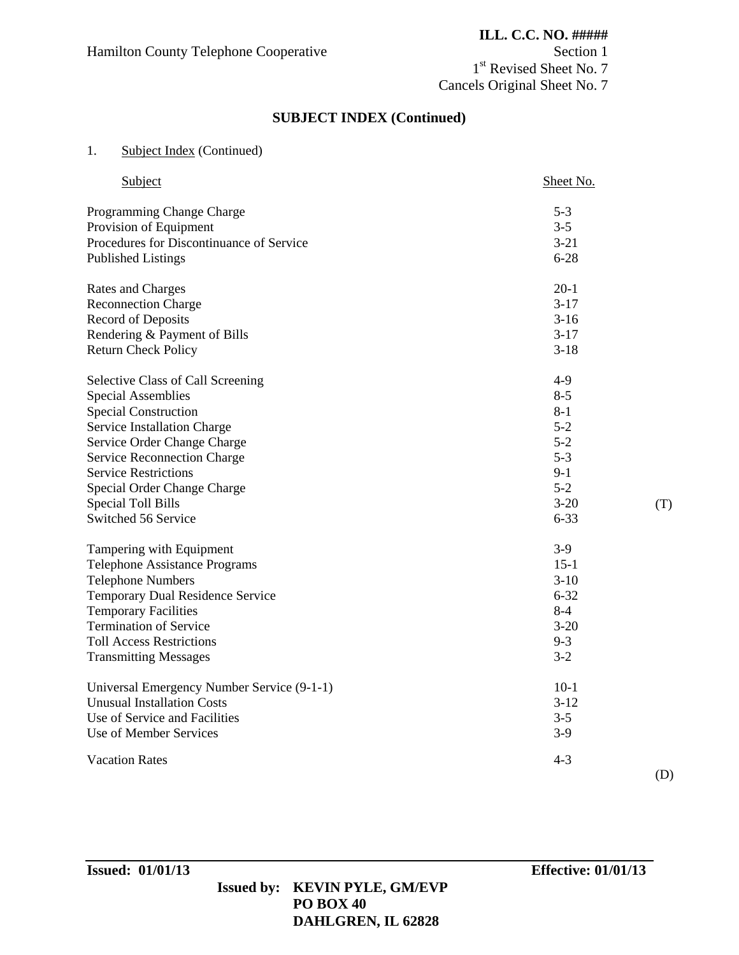1<sup>st</sup> Revised Sheet No. 7 Cancels Original Sheet No. 7

# **SUBJECT INDEX (Continued)**

### 1. Subject Index (Continued)

| Subject                                    | Sheet No. |
|--------------------------------------------|-----------|
| Programming Change Charge                  | $5 - 3$   |
| Provision of Equipment                     | $3 - 5$   |
| Procedures for Discontinuance of Service   | $3 - 21$  |
| <b>Published Listings</b>                  | $6 - 28$  |
| Rates and Charges                          | $20-1$    |
| <b>Reconnection Charge</b>                 | $3-17$    |
| Record of Deposits                         | $3-16$    |
| Rendering & Payment of Bills               | $3-17$    |
| <b>Return Check Policy</b>                 | $3-18$    |
| Selective Class of Call Screening          | $4-9$     |
| <b>Special Assemblies</b>                  | $8 - 5$   |
| <b>Special Construction</b>                | $8 - 1$   |
| Service Installation Charge                | $5-2$     |
| Service Order Change Charge                | $5 - 2$   |
| <b>Service Reconnection Charge</b>         | $5 - 3$   |
| <b>Service Restrictions</b>                | $9-1$     |
| Special Order Change Charge                | $5 - 2$   |
| <b>Special Toll Bills</b>                  | $3 - 20$  |
| Switched 56 Service                        | $6 - 33$  |
| Tampering with Equipment                   | $3-9$     |
| <b>Telephone Assistance Programs</b>       | $15-1$    |
| <b>Telephone Numbers</b>                   | $3-10$    |
| Temporary Dual Residence Service           | $6 - 32$  |
| <b>Temporary Facilities</b>                | $8 - 4$   |
| <b>Termination of Service</b>              | $3 - 20$  |
| <b>Toll Access Restrictions</b>            | $9 - 3$   |
| <b>Transmitting Messages</b>               | $3 - 2$   |
| Universal Emergency Number Service (9-1-1) | $10-1$    |
| <b>Unusual Installation Costs</b>          | $3 - 12$  |
| Use of Service and Facilities              | $3 - 5$   |
| Use of Member Services                     | $3-9$     |
| <b>Vacation Rates</b>                      | $4 - 3$   |

(T)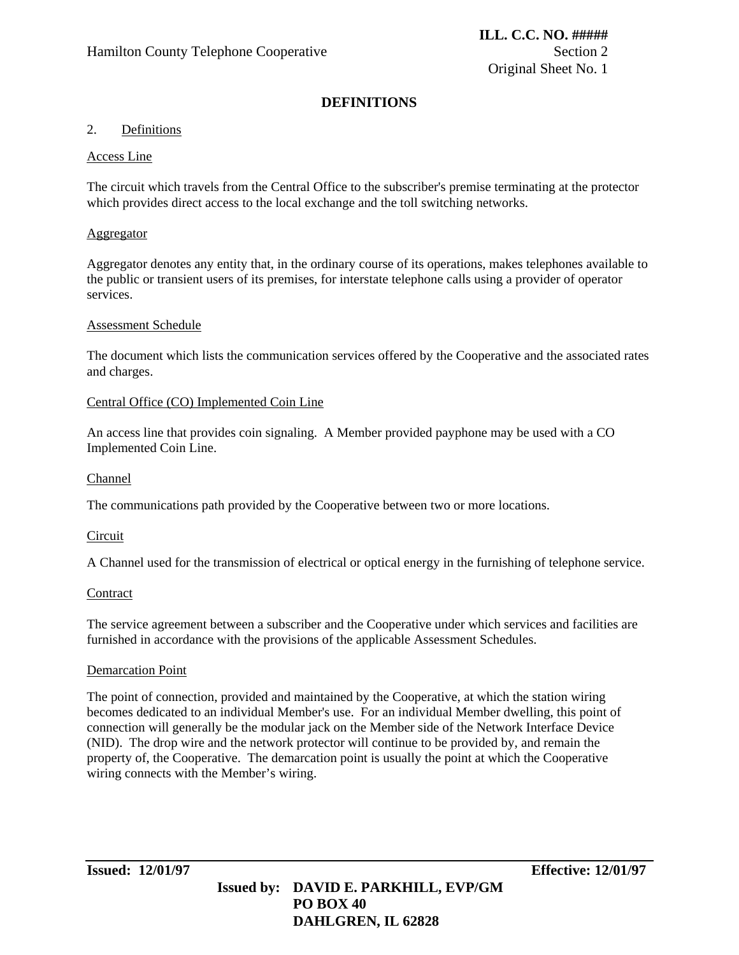# **DEFINITIONS**

### 2. Definitions

### Access Line

The circuit which travels from the Central Office to the subscriber's premise terminating at the protector which provides direct access to the local exchange and the toll switching networks.

### Aggregator

Aggregator denotes any entity that, in the ordinary course of its operations, makes telephones available to the public or transient users of its premises, for interstate telephone calls using a provider of operator services.

### Assessment Schedule

The document which lists the communication services offered by the Cooperative and the associated rates and charges.

### Central Office (CO) Implemented Coin Line

An access line that provides coin signaling. A Member provided payphone may be used with a CO Implemented Coin Line.

### Channel

The communications path provided by the Cooperative between two or more locations.

### **Circuit**

A Channel used for the transmission of electrical or optical energy in the furnishing of telephone service.

#### **Contract**

The service agreement between a subscriber and the Cooperative under which services and facilities are furnished in accordance with the provisions of the applicable Assessment Schedules.

#### Demarcation Point

The point of connection, provided and maintained by the Cooperative, at which the station wiring becomes dedicated to an individual Member's use. For an individual Member dwelling, this point of connection will generally be the modular jack on the Member side of the Network Interface Device (NID). The drop wire and the network protector will continue to be provided by, and remain the property of, the Cooperative. The demarcation point is usually the point at which the Cooperative wiring connects with the Member's wiring.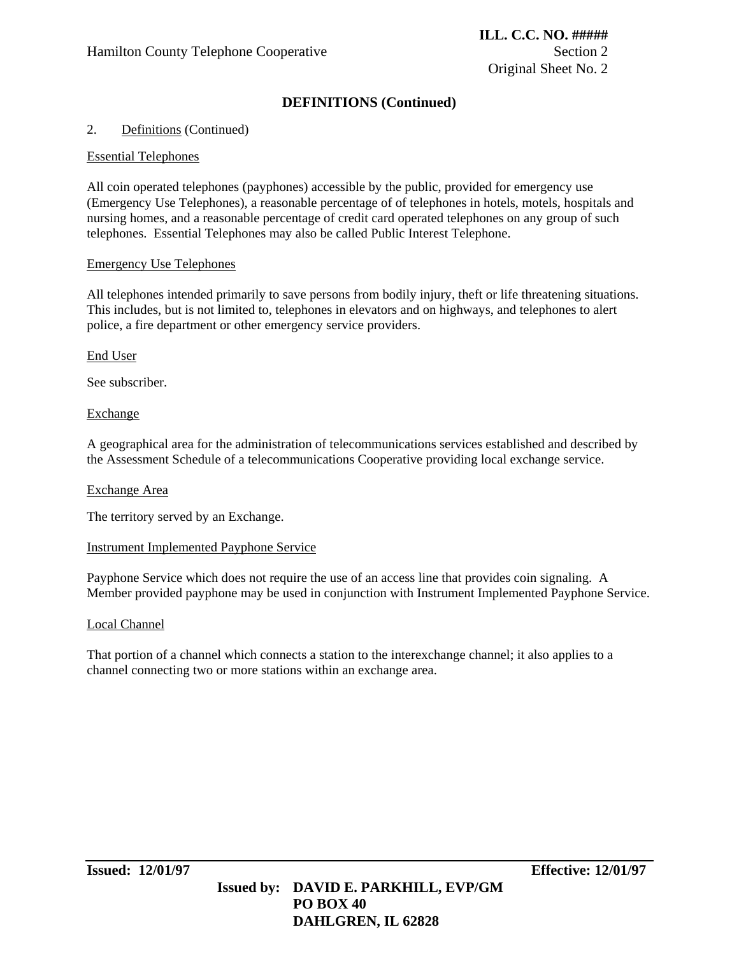# **DEFINITIONS (Continued)**

### 2. Definitions (Continued)

#### Essential Telephones

All coin operated telephones (payphones) accessible by the public, provided for emergency use (Emergency Use Telephones), a reasonable percentage of of telephones in hotels, motels, hospitals and nursing homes, and a reasonable percentage of credit card operated telephones on any group of such telephones. Essential Telephones may also be called Public Interest Telephone.

#### Emergency Use Telephones

All telephones intended primarily to save persons from bodily injury, theft or life threatening situations. This includes, but is not limited to, telephones in elevators and on highways, and telephones to alert police, a fire department or other emergency service providers.

#### End User

See subscriber.

#### Exchange

A geographical area for the administration of telecommunications services established and described by the Assessment Schedule of a telecommunications Cooperative providing local exchange service.

#### Exchange Area

The territory served by an Exchange.

#### Instrument Implemented Payphone Service

Payphone Service which does not require the use of an access line that provides coin signaling. A Member provided payphone may be used in conjunction with Instrument Implemented Payphone Service.

#### Local Channel

That portion of a channel which connects a station to the interexchange channel; it also applies to a channel connecting two or more stations within an exchange area.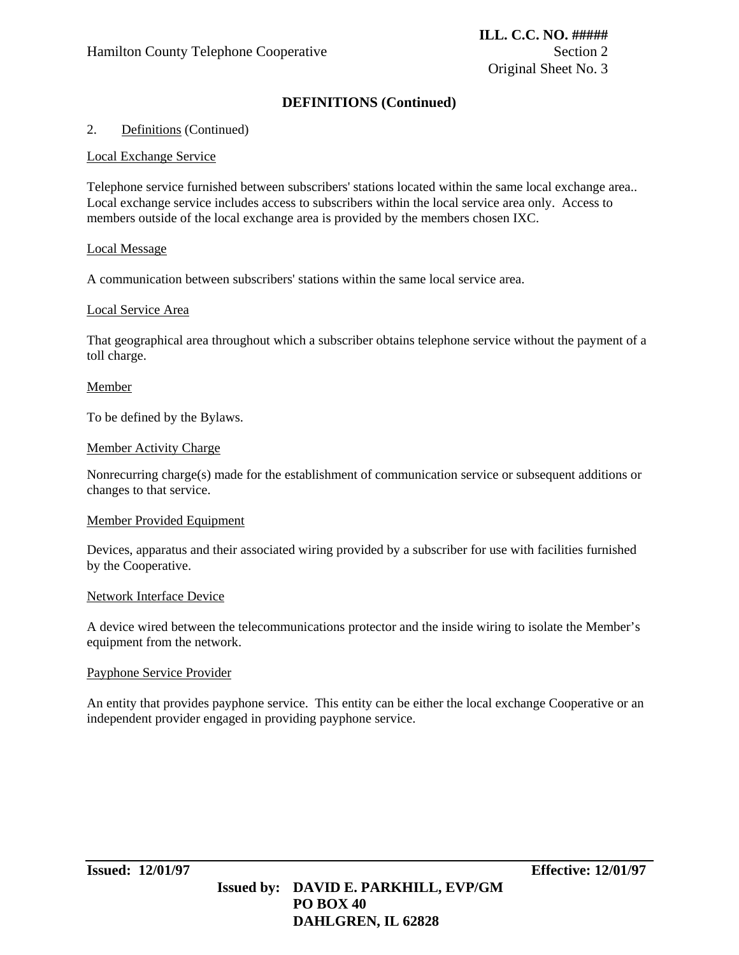# **DEFINITIONS (Continued)**

### 2. Definitions (Continued)

#### Local Exchange Service

Telephone service furnished between subscribers' stations located within the same local exchange area.. Local exchange service includes access to subscribers within the local service area only. Access to members outside of the local exchange area is provided by the members chosen IXC.

#### Local Message

A communication between subscribers' stations within the same local service area.

#### Local Service Area

That geographical area throughout which a subscriber obtains telephone service without the payment of a toll charge.

#### Member

To be defined by the Bylaws.

#### Member Activity Charge

Nonrecurring charge(s) made for the establishment of communication service or subsequent additions or changes to that service.

#### Member Provided Equipment

Devices, apparatus and their associated wiring provided by a subscriber for use with facilities furnished by the Cooperative.

#### Network Interface Device

A device wired between the telecommunications protector and the inside wiring to isolate the Member's equipment from the network.

#### Payphone Service Provider

An entity that provides payphone service. This entity can be either the local exchange Cooperative or an independent provider engaged in providing payphone service.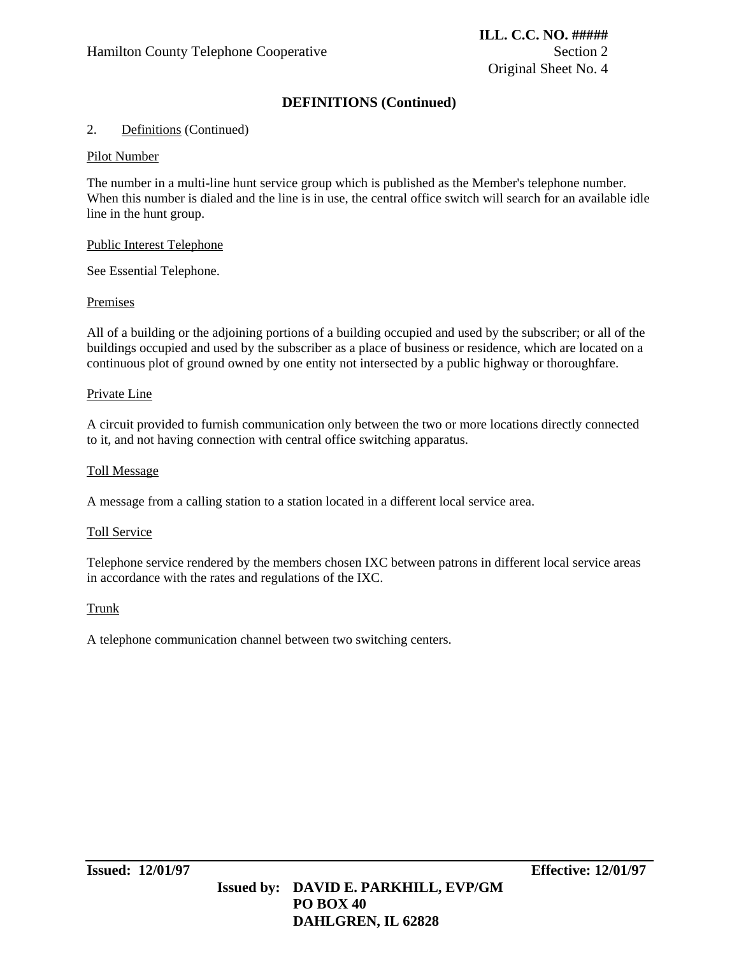# **DEFINITIONS (Continued)**

### 2. Definitions (Continued)

#### Pilot Number

The number in a multi-line hunt service group which is published as the Member's telephone number. When this number is dialed and the line is in use, the central office switch will search for an available idle line in the hunt group.

#### Public Interest Telephone

See Essential Telephone.

#### Premises

All of a building or the adjoining portions of a building occupied and used by the subscriber; or all of the buildings occupied and used by the subscriber as a place of business or residence, which are located on a continuous plot of ground owned by one entity not intersected by a public highway or thoroughfare.

#### Private Line

A circuit provided to furnish communication only between the two or more locations directly connected to it, and not having connection with central office switching apparatus.

#### Toll Message

A message from a calling station to a station located in a different local service area.

#### Toll Service

Telephone service rendered by the members chosen IXC between patrons in different local service areas in accordance with the rates and regulations of the IXC.

#### **Trunk**

A telephone communication channel between two switching centers.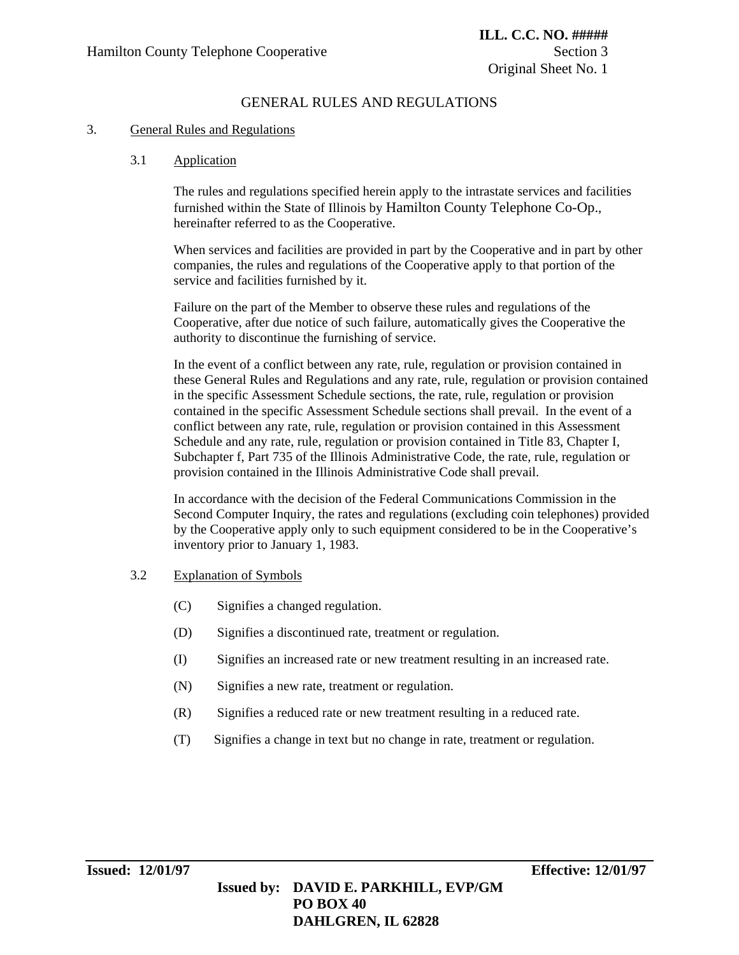### 3. General Rules and Regulations

### 3.1 Application

The rules and regulations specified herein apply to the intrastate services and facilities furnished within the State of Illinois by Hamilton County Telephone Co-Op., hereinafter referred to as the Cooperative.

When services and facilities are provided in part by the Cooperative and in part by other companies, the rules and regulations of the Cooperative apply to that portion of the service and facilities furnished by it.

Failure on the part of the Member to observe these rules and regulations of the Cooperative, after due notice of such failure, automatically gives the Cooperative the authority to discontinue the furnishing of service.

In the event of a conflict between any rate, rule, regulation or provision contained in these General Rules and Regulations and any rate, rule, regulation or provision contained in the specific Assessment Schedule sections, the rate, rule, regulation or provision contained in the specific Assessment Schedule sections shall prevail. In the event of a conflict between any rate, rule, regulation or provision contained in this Assessment Schedule and any rate, rule, regulation or provision contained in Title 83, Chapter I, Subchapter f, Part 735 of the Illinois Administrative Code, the rate, rule, regulation or provision contained in the Illinois Administrative Code shall prevail.

In accordance with the decision of the Federal Communications Commission in the Second Computer Inquiry, the rates and regulations (excluding coin telephones) provided by the Cooperative apply only to such equipment considered to be in the Cooperative's inventory prior to January 1, 1983.

#### 3.2 Explanation of Symbols

- (C) Signifies a changed regulation.
- (D) Signifies a discontinued rate, treatment or regulation.
- (I) Signifies an increased rate or new treatment resulting in an increased rate.
- (N) Signifies a new rate, treatment or regulation.
- (R) Signifies a reduced rate or new treatment resulting in a reduced rate.
- (T) Signifies a change in text but no change in rate, treatment or regulation.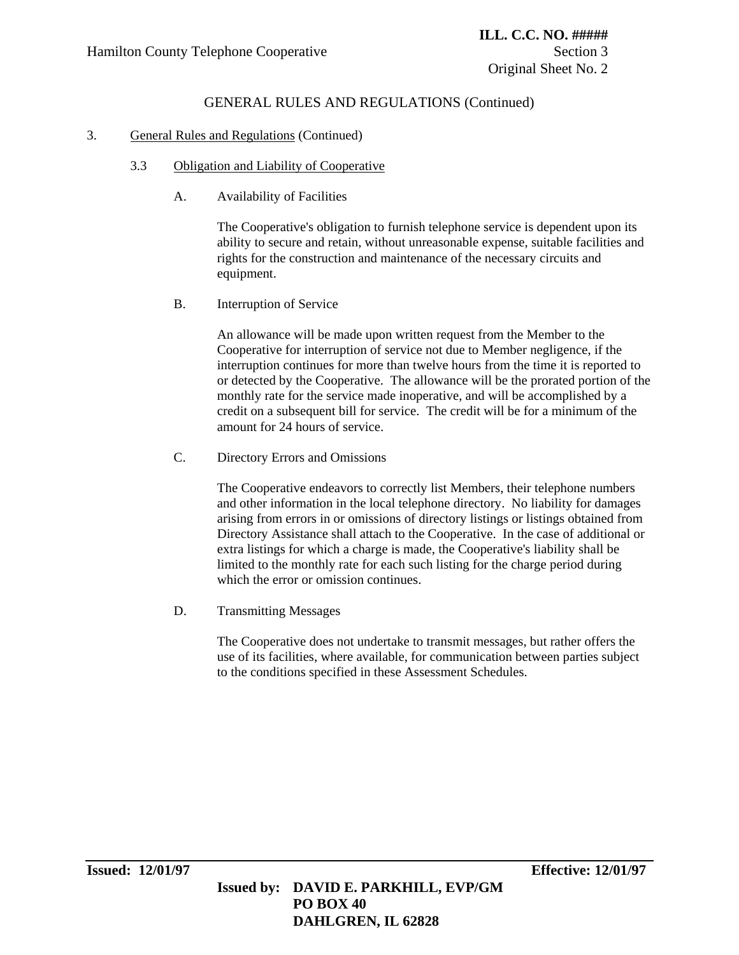### 3. General Rules and Regulations (Continued)

### 3.3 Obligation and Liability of Cooperative

A. Availability of Facilities

The Cooperative's obligation to furnish telephone service is dependent upon its ability to secure and retain, without unreasonable expense, suitable facilities and rights for the construction and maintenance of the necessary circuits and equipment.

B. Interruption of Service

An allowance will be made upon written request from the Member to the Cooperative for interruption of service not due to Member negligence, if the interruption continues for more than twelve hours from the time it is reported to or detected by the Cooperative. The allowance will be the prorated portion of the monthly rate for the service made inoperative, and will be accomplished by a credit on a subsequent bill for service. The credit will be for a minimum of the amount for 24 hours of service.

C. Directory Errors and Omissions

The Cooperative endeavors to correctly list Members, their telephone numbers and other information in the local telephone directory. No liability for damages arising from errors in or omissions of directory listings or listings obtained from Directory Assistance shall attach to the Cooperative. In the case of additional or extra listings for which a charge is made, the Cooperative's liability shall be limited to the monthly rate for each such listing for the charge period during which the error or omission continues.

D. Transmitting Messages

The Cooperative does not undertake to transmit messages, but rather offers the use of its facilities, where available, for communication between parties subject to the conditions specified in these Assessment Schedules.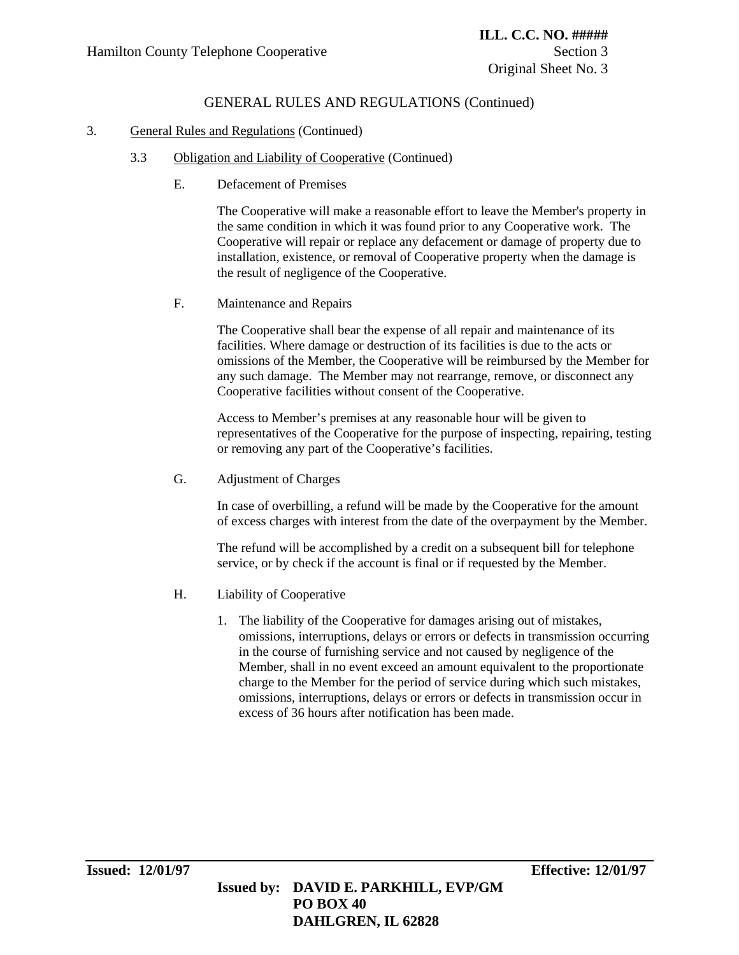### 3. General Rules and Regulations (Continued)

- 3.3 Obligation and Liability of Cooperative (Continued)
	- E. Defacement of Premises

The Cooperative will make a reasonable effort to leave the Member's property in the same condition in which it was found prior to any Cooperative work. The Cooperative will repair or replace any defacement or damage of property due to installation, existence, or removal of Cooperative property when the damage is the result of negligence of the Cooperative.

F. Maintenance and Repairs

The Cooperative shall bear the expense of all repair and maintenance of its facilities. Where damage or destruction of its facilities is due to the acts or omissions of the Member, the Cooperative will be reimbursed by the Member for any such damage. The Member may not rearrange, remove, or disconnect any Cooperative facilities without consent of the Cooperative.

Access to Member's premises at any reasonable hour will be given to representatives of the Cooperative for the purpose of inspecting, repairing, testing or removing any part of the Cooperative's facilities.

G. Adjustment of Charges

In case of overbilling, a refund will be made by the Cooperative for the amount of excess charges with interest from the date of the overpayment by the Member.

The refund will be accomplished by a credit on a subsequent bill for telephone service, or by check if the account is final or if requested by the Member.

- H. Liability of Cooperative
	- 1. The liability of the Cooperative for damages arising out of mistakes, omissions, interruptions, delays or errors or defects in transmission occurring in the course of furnishing service and not caused by negligence of the Member, shall in no event exceed an amount equivalent to the proportionate charge to the Member for the period of service during which such mistakes, omissions, interruptions, delays or errors or defects in transmission occur in excess of 36 hours after notification has been made.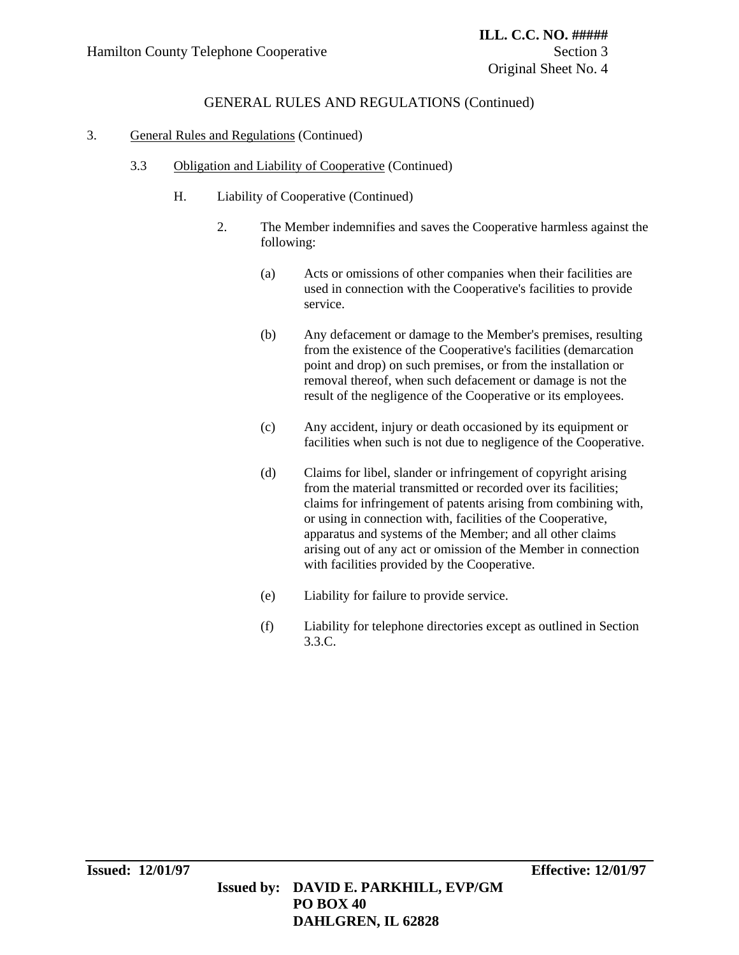### 3. General Rules and Regulations (Continued)

### 3.3 Obligation and Liability of Cooperative (Continued)

- H. Liability of Cooperative (Continued)
	- 2. The Member indemnifies and saves the Cooperative harmless against the following:
		- (a) Acts or omissions of other companies when their facilities are used in connection with the Cooperative's facilities to provide service.
		- (b) Any defacement or damage to the Member's premises, resulting from the existence of the Cooperative's facilities (demarcation point and drop) on such premises, or from the installation or removal thereof, when such defacement or damage is not the result of the negligence of the Cooperative or its employees.
		- (c) Any accident, injury or death occasioned by its equipment or facilities when such is not due to negligence of the Cooperative.
		- (d) Claims for libel, slander or infringement of copyright arising from the material transmitted or recorded over its facilities; claims for infringement of patents arising from combining with, or using in connection with, facilities of the Cooperative, apparatus and systems of the Member; and all other claims arising out of any act or omission of the Member in connection with facilities provided by the Cooperative.
		- (e) Liability for failure to provide service.

 **DAHLGREN, IL 62828**

(f) Liability for telephone directories except as outlined in Section 3.3.C.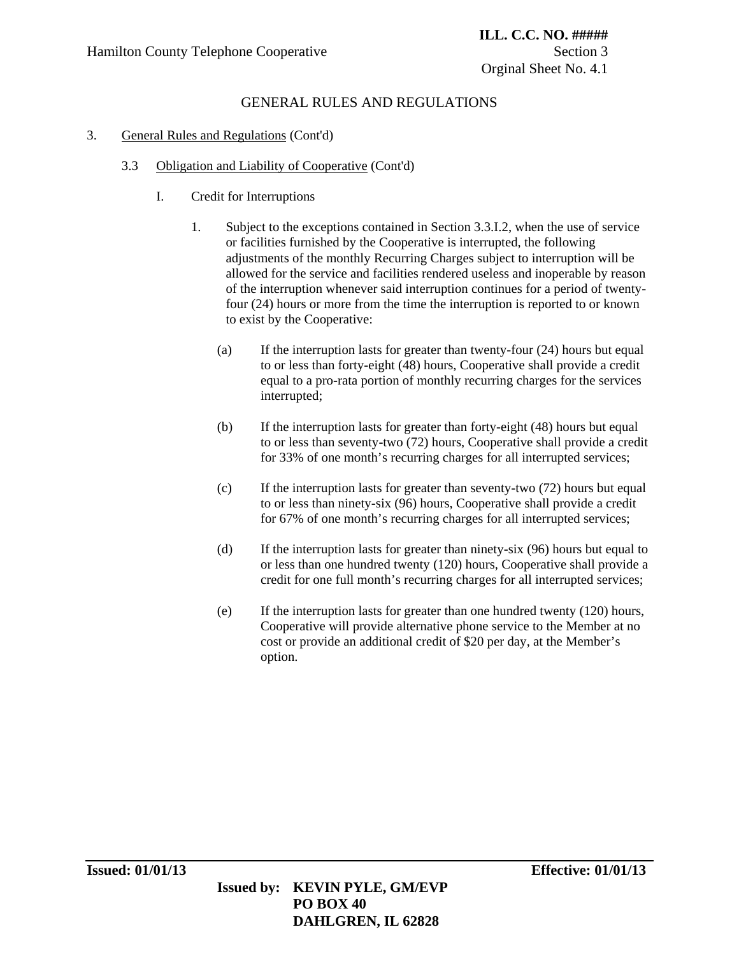### 3. General Rules and Regulations (Cont'd)

### 3.3 Obligation and Liability of Cooperative (Cont'd)

- I. Credit for Interruptions
	- 1. Subject to the exceptions contained in Section 3.3.I.2, when the use of service or facilities furnished by the Cooperative is interrupted, the following adjustments of the monthly Recurring Charges subject to interruption will be allowed for the service and facilities rendered useless and inoperable by reason of the interruption whenever said interruption continues for a period of twentyfour (24) hours or more from the time the interruption is reported to or known to exist by the Cooperative:
		- (a) If the interruption lasts for greater than twenty-four (24) hours but equal to or less than forty-eight (48) hours, Cooperative shall provide a credit equal to a pro-rata portion of monthly recurring charges for the services interrupted;
		- (b) If the interruption lasts for greater than forty-eight (48) hours but equal to or less than seventy-two (72) hours, Cooperative shall provide a credit for 33% of one month's recurring charges for all interrupted services;
		- (c) If the interruption lasts for greater than seventy-two (72) hours but equal to or less than ninety-six (96) hours, Cooperative shall provide a credit for 67% of one month's recurring charges for all interrupted services;
		- (d) If the interruption lasts for greater than ninety-six (96) hours but equal to or less than one hundred twenty (120) hours, Cooperative shall provide a credit for one full month's recurring charges for all interrupted services;
		- (e) If the interruption lasts for greater than one hundred twenty (120) hours, Cooperative will provide alternative phone service to the Member at no cost or provide an additional credit of \$20 per day, at the Member's option.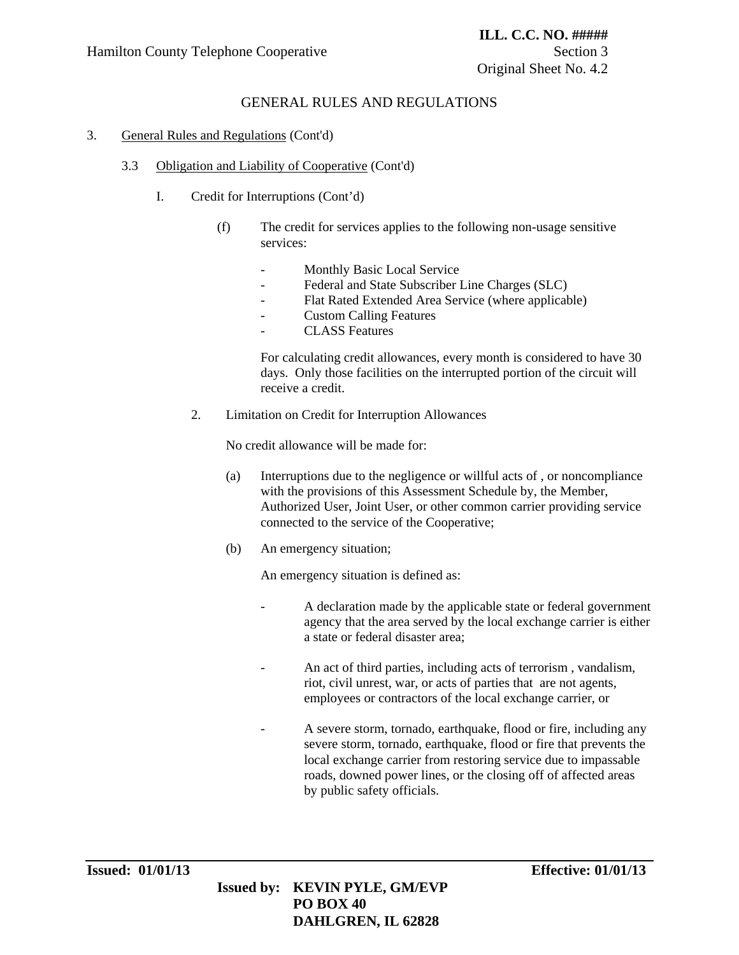### 3. General Rules and Regulations (Cont'd)

### 3.3 Obligation and Liability of Cooperative (Cont'd)

- I. Credit for Interruptions (Cont'd)
	- (f) The credit for services applies to the following non-usage sensitive services:
		- Monthly Basic Local Service
		- Federal and State Subscriber Line Charges (SLC)
		- Flat Rated Extended Area Service (where applicable)
		- **Custom Calling Features**
		- CLASS Features

 For calculating credit allowances, every month is considered to have 30 days. Only those facilities on the interrupted portion of the circuit will receive a credit.

2. Limitation on Credit for Interruption Allowances

No credit allowance will be made for:

- (a) Interruptions due to the negligence or willful acts of , or noncompliance with the provisions of this Assessment Schedule by, the Member, Authorized User, Joint User, or other common carrier providing service connected to the service of the Cooperative;
- (b) An emergency situation;

An emergency situation is defined as:

- A declaration made by the applicable state or federal government agency that the area served by the local exchange carrier is either a state or federal disaster area;
- An act of third parties, including acts of terrorism , vandalism, riot, civil unrest, war, or acts of parties that are not agents, employees or contractors of the local exchange carrier, or
- A severe storm, tornado, earthquake, flood or fire, including any severe storm, tornado, earthquake, flood or fire that prevents the local exchange carrier from restoring service due to impassable roads, downed power lines, or the closing off of affected areas by public safety officials.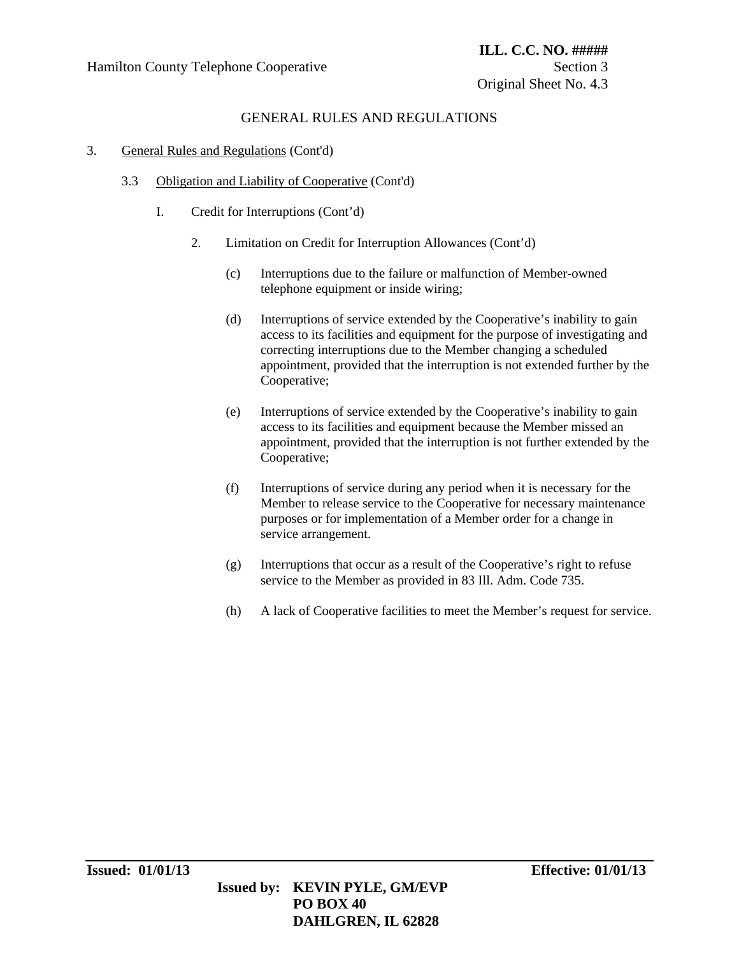### 3. General Rules and Regulations (Cont'd)

- 3.3 Obligation and Liability of Cooperative (Cont'd)
	- I. Credit for Interruptions (Cont'd)
		- 2. Limitation on Credit for Interruption Allowances (Cont'd)
			- (c) Interruptions due to the failure or malfunction of Member-owned telephone equipment or inside wiring;
			- (d) Interruptions of service extended by the Cooperative's inability to gain access to its facilities and equipment for the purpose of investigating and correcting interruptions due to the Member changing a scheduled appointment, provided that the interruption is not extended further by the Cooperative;
			- (e) Interruptions of service extended by the Cooperative's inability to gain access to its facilities and equipment because the Member missed an appointment, provided that the interruption is not further extended by the Cooperative;
			- (f) Interruptions of service during any period when it is necessary for the Member to release service to the Cooperative for necessary maintenance purposes or for implementation of a Member order for a change in service arrangement.
			- (g) Interruptions that occur as a result of the Cooperative's right to refuse service to the Member as provided in 83 Ill. Adm. Code 735.
			- (h) A lack of Cooperative facilities to meet the Member's request for service.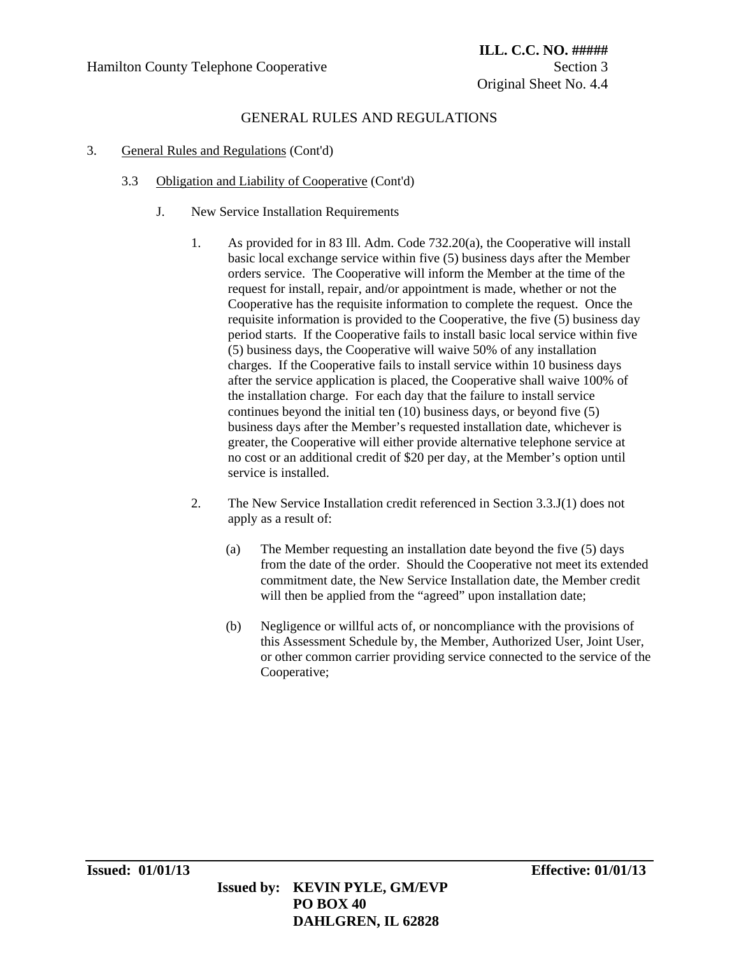- 3. General Rules and Regulations (Cont'd)
	- 3.3 Obligation and Liability of Cooperative (Cont'd)
		- J. New Service Installation Requirements
			- 1. As provided for in 83 Ill. Adm. Code 732.20(a), the Cooperative will install basic local exchange service within five (5) business days after the Member orders service. The Cooperative will inform the Member at the time of the request for install, repair, and/or appointment is made, whether or not the Cooperative has the requisite information to complete the request. Once the requisite information is provided to the Cooperative, the five (5) business day period starts. If the Cooperative fails to install basic local service within five (5) business days, the Cooperative will waive 50% of any installation charges. If the Cooperative fails to install service within 10 business days after the service application is placed, the Cooperative shall waive 100% of the installation charge. For each day that the failure to install service continues beyond the initial ten (10) business days, or beyond five (5) business days after the Member's requested installation date, whichever is greater, the Cooperative will either provide alternative telephone service at no cost or an additional credit of \$20 per day, at the Member's option until service is installed.
			- 2. The New Service Installation credit referenced in Section 3.3.J(1) does not apply as a result of:
				- (a) The Member requesting an installation date beyond the five (5) days from the date of the order. Should the Cooperative not meet its extended commitment date, the New Service Installation date, the Member credit will then be applied from the "agreed" upon installation date;
				- (b) Negligence or willful acts of, or noncompliance with the provisions of this Assessment Schedule by, the Member, Authorized User, Joint User, or other common carrier providing service connected to the service of the Cooperative;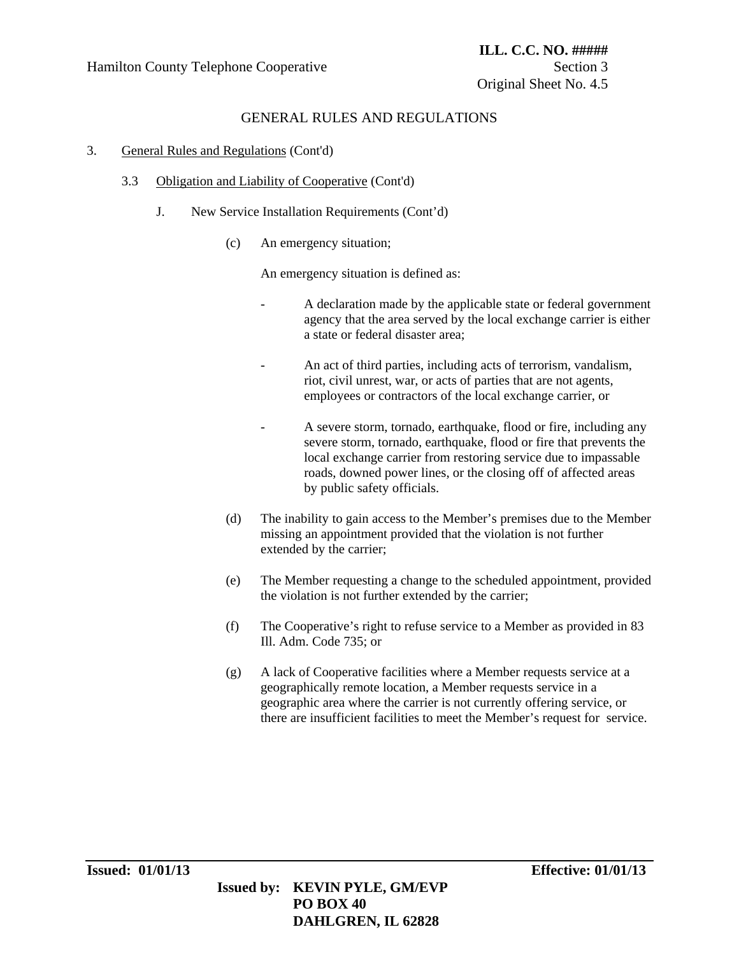### 3. General Rules and Regulations (Cont'd)

- 3.3 Obligation and Liability of Cooperative (Cont'd)
	- J. New Service Installation Requirements (Cont'd)
		- (c) An emergency situation;

An emergency situation is defined as:

- A declaration made by the applicable state or federal government agency that the area served by the local exchange carrier is either a state or federal disaster area;
- An act of third parties, including acts of terrorism, vandalism, riot, civil unrest, war, or acts of parties that are not agents, employees or contractors of the local exchange carrier, or
- A severe storm, tornado, earthquake, flood or fire, including any severe storm, tornado, earthquake, flood or fire that prevents the local exchange carrier from restoring service due to impassable roads, downed power lines, or the closing off of affected areas by public safety officials.
- (d) The inability to gain access to the Member's premises due to the Member missing an appointment provided that the violation is not further extended by the carrier;
- (e) The Member requesting a change to the scheduled appointment, provided the violation is not further extended by the carrier;
- (f) The Cooperative's right to refuse service to a Member as provided in 83 Ill. Adm. Code 735; or
- (g) A lack of Cooperative facilities where a Member requests service at a geographically remote location, a Member requests service in a geographic area where the carrier is not currently offering service, or there are insufficient facilities to meet the Member's request for service.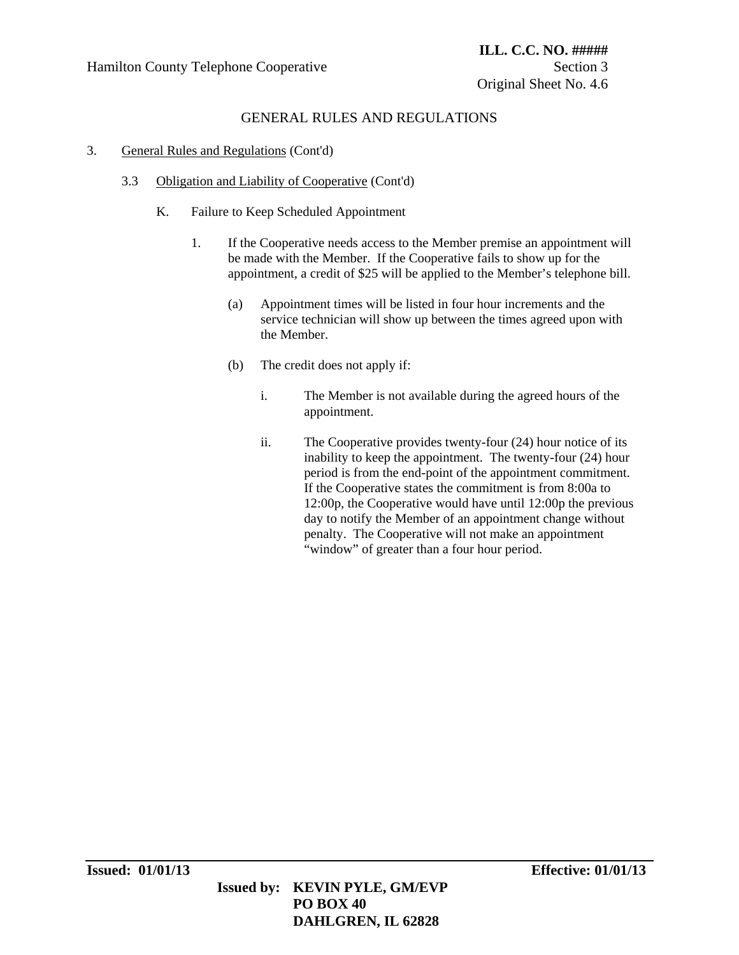- 3. General Rules and Regulations (Cont'd)
	- 3.3 Obligation and Liability of Cooperative (Cont'd)
		- K. Failure to Keep Scheduled Appointment
			- 1. If the Cooperative needs access to the Member premise an appointment will be made with the Member. If the Cooperative fails to show up for the appointment, a credit of \$25 will be applied to the Member's telephone bill.
				- (a) Appointment times will be listed in four hour increments and the service technician will show up between the times agreed upon with the Member.
				- (b) The credit does not apply if:
					- i. The Member is not available during the agreed hours of the appointment.
					- ii. The Cooperative provides twenty-four (24) hour notice of its inability to keep the appointment. The twenty-four (24) hour period is from the end-point of the appointment commitment. If the Cooperative states the commitment is from 8:00a to 12:00p, the Cooperative would have until 12:00p the previous day to notify the Member of an appointment change without penalty. The Cooperative will not make an appointment "window" of greater than a four hour period.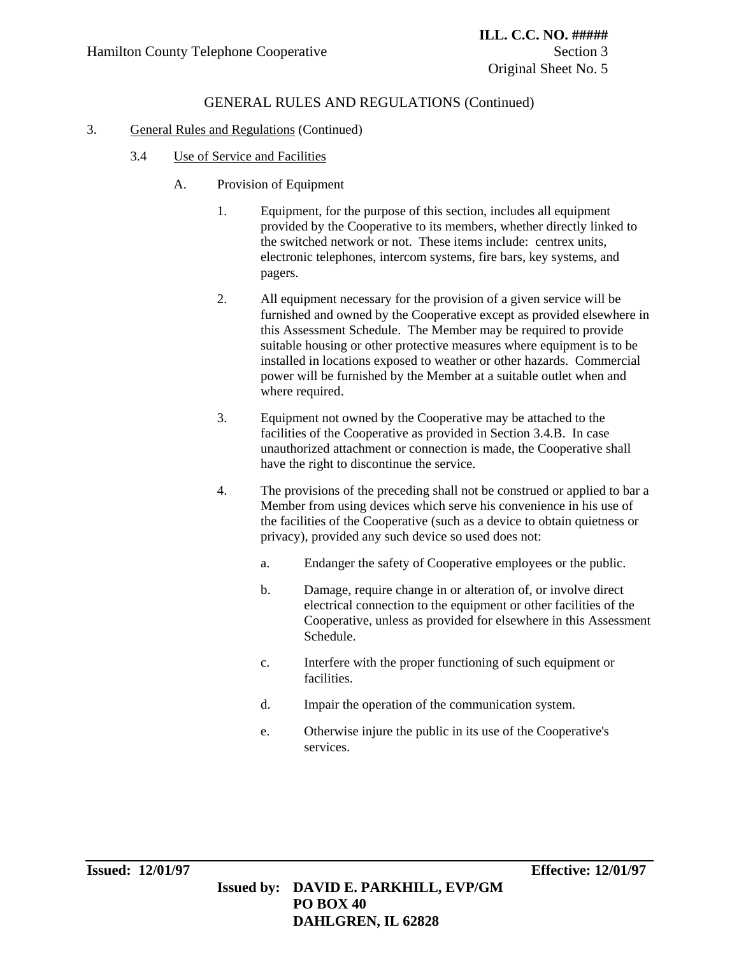### 3. General Rules and Regulations (Continued)

- 3.4 Use of Service and Facilities
	- A. Provision of Equipment
		- 1. Equipment, for the purpose of this section, includes all equipment provided by the Cooperative to its members, whether directly linked to the switched network or not. These items include: centrex units, electronic telephones, intercom systems, fire bars, key systems, and pagers.
		- 2. All equipment necessary for the provision of a given service will be furnished and owned by the Cooperative except as provided elsewhere in this Assessment Schedule. The Member may be required to provide suitable housing or other protective measures where equipment is to be installed in locations exposed to weather or other hazards. Commercial power will be furnished by the Member at a suitable outlet when and where required.
		- 3. Equipment not owned by the Cooperative may be attached to the facilities of the Cooperative as provided in Section 3.4.B. In case unauthorized attachment or connection is made, the Cooperative shall have the right to discontinue the service.
		- 4. The provisions of the preceding shall not be construed or applied to bar a Member from using devices which serve his convenience in his use of the facilities of the Cooperative (such as a device to obtain quietness or privacy), provided any such device so used does not:
			- a. Endanger the safety of Cooperative employees or the public.
			- b. Damage, require change in or alteration of, or involve direct electrical connection to the equipment or other facilities of the Cooperative, unless as provided for elsewhere in this Assessment Schedule.
			- c. Interfere with the proper functioning of such equipment or facilities.
			- d. Impair the operation of the communication system.
			- e. Otherwise injure the public in its use of the Cooperative's services.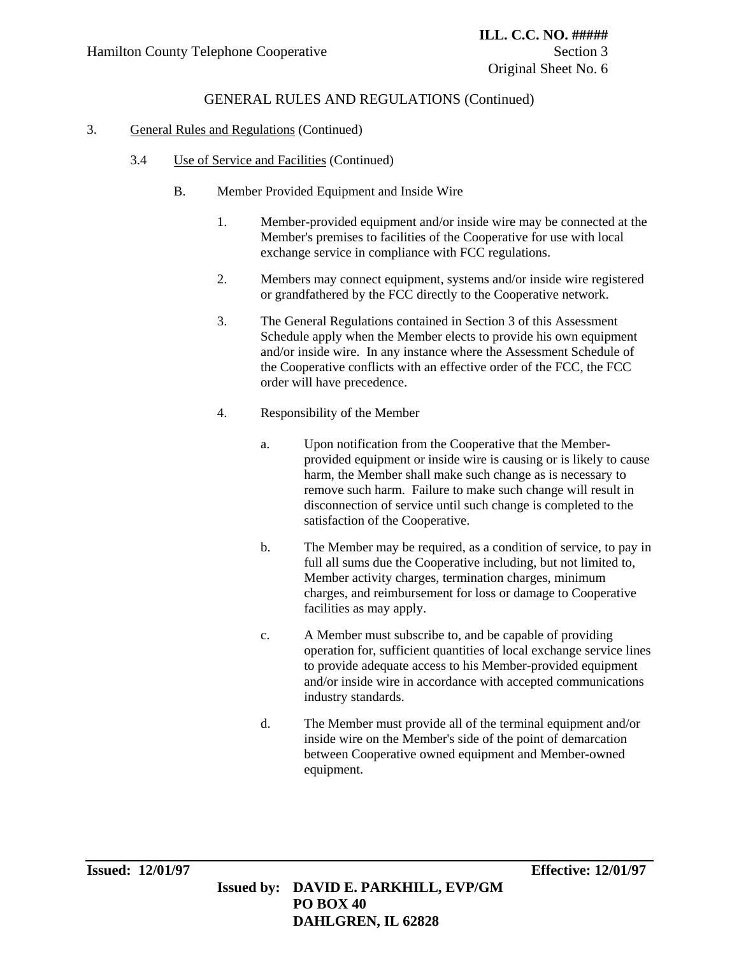### 3. General Rules and Regulations (Continued)

- 3.4 Use of Service and Facilities (Continued)
	- B. Member Provided Equipment and Inside Wire
		- 1. Member-provided equipment and/or inside wire may be connected at the Member's premises to facilities of the Cooperative for use with local exchange service in compliance with FCC regulations.
		- 2. Members may connect equipment, systems and/or inside wire registered or grandfathered by the FCC directly to the Cooperative network.
		- 3. The General Regulations contained in Section 3 of this Assessment Schedule apply when the Member elects to provide his own equipment and/or inside wire. In any instance where the Assessment Schedule of the Cooperative conflicts with an effective order of the FCC, the FCC order will have precedence.
		- 4. Responsibility of the Member
			- a. Upon notification from the Cooperative that the Memberprovided equipment or inside wire is causing or is likely to cause harm, the Member shall make such change as is necessary to remove such harm. Failure to make such change will result in disconnection of service until such change is completed to the satisfaction of the Cooperative.
			- b. The Member may be required, as a condition of service, to pay in full all sums due the Cooperative including, but not limited to, Member activity charges, termination charges, minimum charges, and reimbursement for loss or damage to Cooperative facilities as may apply.
			- c. A Member must subscribe to, and be capable of providing operation for, sufficient quantities of local exchange service lines to provide adequate access to his Member-provided equipment and/or inside wire in accordance with accepted communications industry standards.
			- d. The Member must provide all of the terminal equipment and/or inside wire on the Member's side of the point of demarcation between Cooperative owned equipment and Member-owned equipment.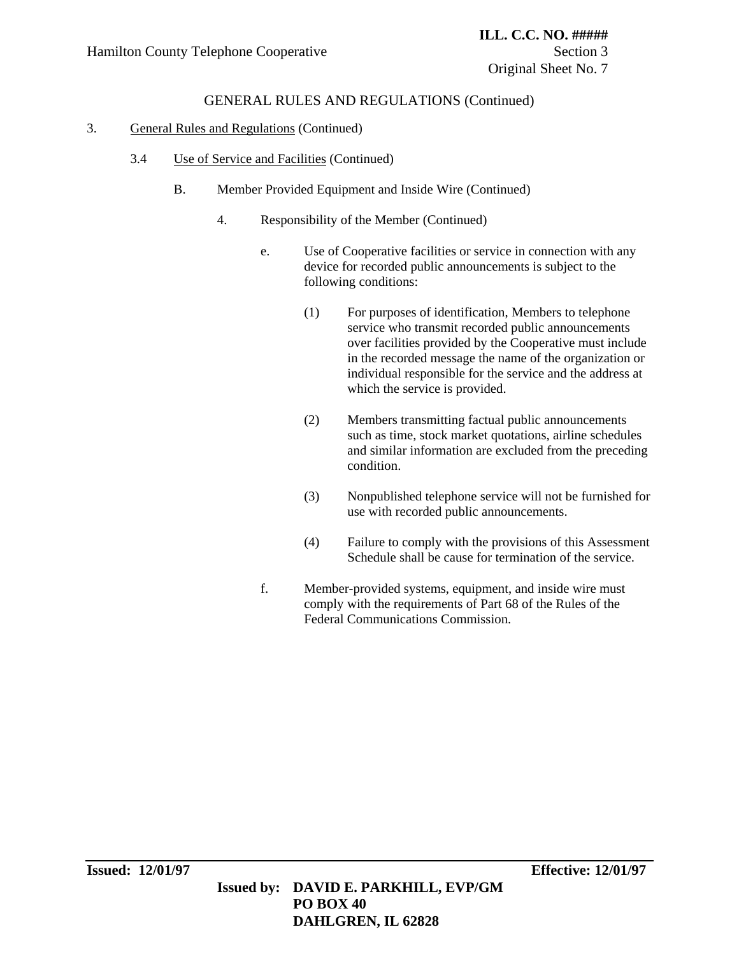### 3. General Rules and Regulations (Continued)

- 3.4 Use of Service and Facilities (Continued)
	- B. Member Provided Equipment and Inside Wire (Continued)
		- 4. Responsibility of the Member (Continued)
			- e. Use of Cooperative facilities or service in connection with any device for recorded public announcements is subject to the following conditions:
				- (1) For purposes of identification, Members to telephone service who transmit recorded public announcements over facilities provided by the Cooperative must include in the recorded message the name of the organization or individual responsible for the service and the address at which the service is provided.
				- (2) Members transmitting factual public announcements such as time, stock market quotations, airline schedules and similar information are excluded from the preceding condition.
				- (3) Nonpublished telephone service will not be furnished for use with recorded public announcements.
				- (4) Failure to comply with the provisions of this Assessment Schedule shall be cause for termination of the service.
			- f. Member-provided systems, equipment, and inside wire must comply with the requirements of Part 68 of the Rules of the Federal Communications Commission.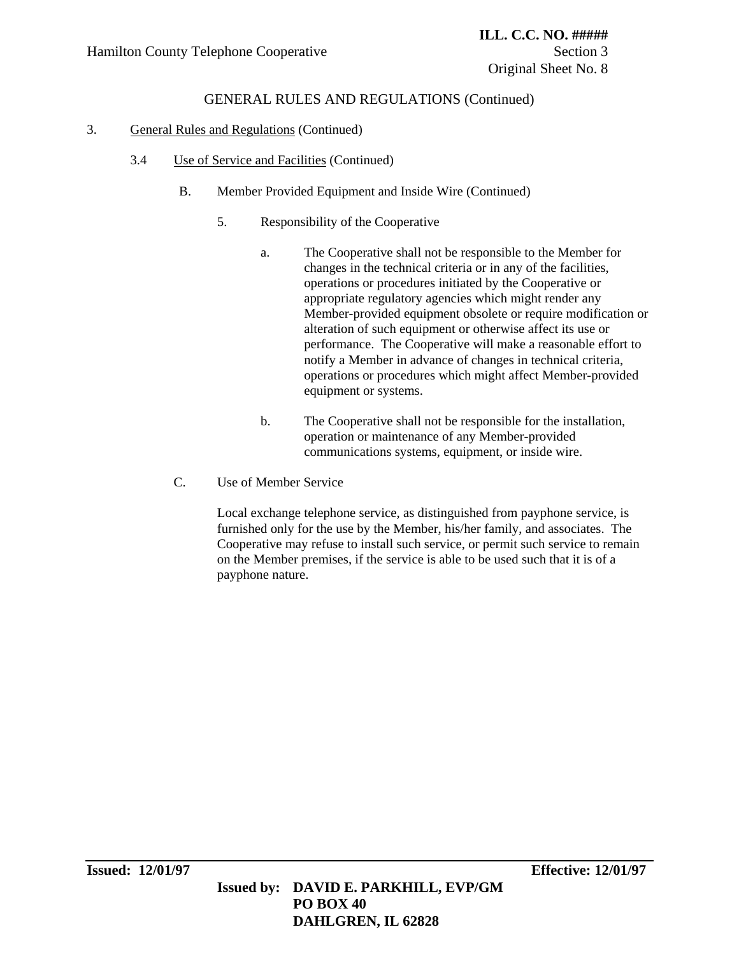### 3. General Rules and Regulations (Continued)

- 3.4 Use of Service and Facilities (Continued)
	- B. Member Provided Equipment and Inside Wire (Continued)
		- 5. Responsibility of the Cooperative
			- a. The Cooperative shall not be responsible to the Member for changes in the technical criteria or in any of the facilities, operations or procedures initiated by the Cooperative or appropriate regulatory agencies which might render any Member-provided equipment obsolete or require modification or alteration of such equipment or otherwise affect its use or performance. The Cooperative will make a reasonable effort to notify a Member in advance of changes in technical criteria, operations or procedures which might affect Member-provided equipment or systems.
			- b. The Cooperative shall not be responsible for the installation, operation or maintenance of any Member-provided communications systems, equipment, or inside wire.
	- C. Use of Member Service

Local exchange telephone service, as distinguished from payphone service, is furnished only for the use by the Member, his/her family, and associates. The Cooperative may refuse to install such service, or permit such service to remain on the Member premises, if the service is able to be used such that it is of a payphone nature.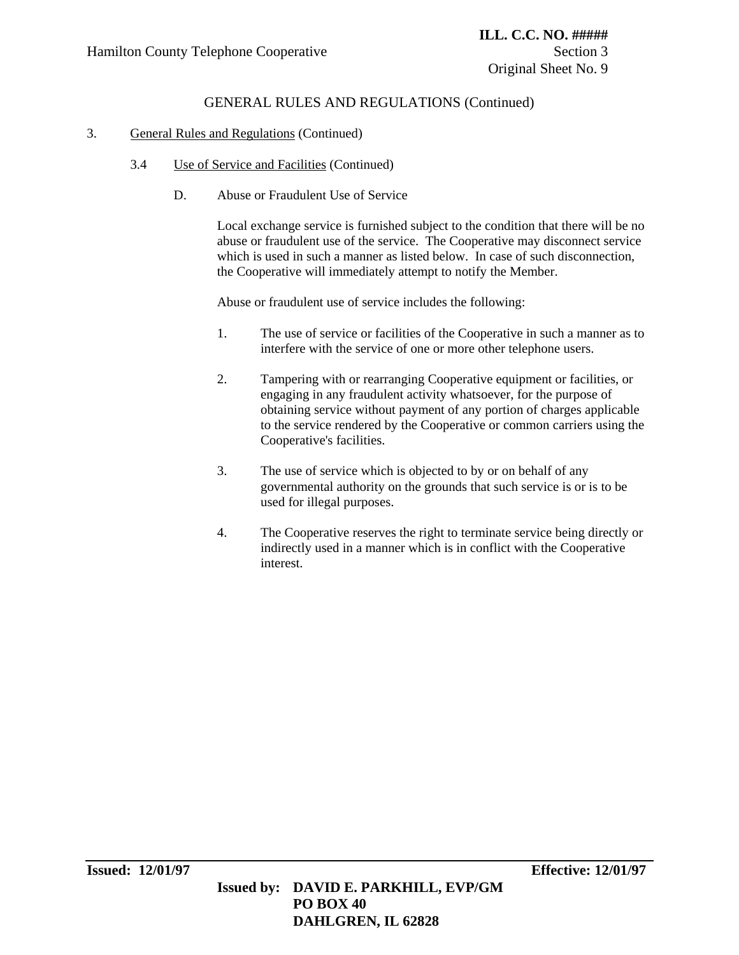### 3. General Rules and Regulations (Continued)

- 3.4 Use of Service and Facilities (Continued)
	- D. Abuse or Fraudulent Use of Service

Local exchange service is furnished subject to the condition that there will be no abuse or fraudulent use of the service. The Cooperative may disconnect service which is used in such a manner as listed below. In case of such disconnection, the Cooperative will immediately attempt to notify the Member.

Abuse or fraudulent use of service includes the following:

- 1. The use of service or facilities of the Cooperative in such a manner as to interfere with the service of one or more other telephone users.
- 2. Tampering with or rearranging Cooperative equipment or facilities, or engaging in any fraudulent activity whatsoever, for the purpose of obtaining service without payment of any portion of charges applicable to the service rendered by the Cooperative or common carriers using the Cooperative's facilities.
- 3. The use of service which is objected to by or on behalf of any governmental authority on the grounds that such service is or is to be used for illegal purposes.
- 4. The Cooperative reserves the right to terminate service being directly or indirectly used in a manner which is in conflict with the Cooperative interest.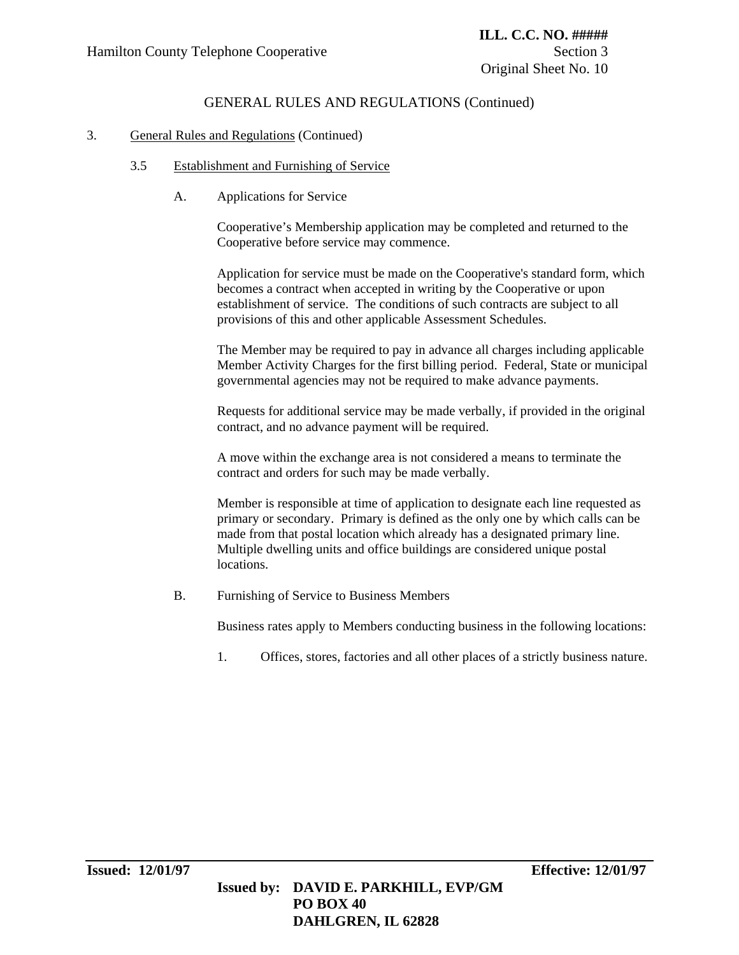### 3. General Rules and Regulations (Continued)

### 3.5 Establishment and Furnishing of Service

A. Applications for Service

Cooperative's Membership application may be completed and returned to the Cooperative before service may commence.

Application for service must be made on the Cooperative's standard form, which becomes a contract when accepted in writing by the Cooperative or upon establishment of service. The conditions of such contracts are subject to all provisions of this and other applicable Assessment Schedules.

The Member may be required to pay in advance all charges including applicable Member Activity Charges for the first billing period. Federal, State or municipal governmental agencies may not be required to make advance payments.

Requests for additional service may be made verbally, if provided in the original contract, and no advance payment will be required.

A move within the exchange area is not considered a means to terminate the contract and orders for such may be made verbally.

Member is responsible at time of application to designate each line requested as primary or secondary. Primary is defined as the only one by which calls can be made from that postal location which already has a designated primary line. Multiple dwelling units and office buildings are considered unique postal locations.

B. Furnishing of Service to Business Members

Business rates apply to Members conducting business in the following locations:

1. Offices, stores, factories and all other places of a strictly business nature.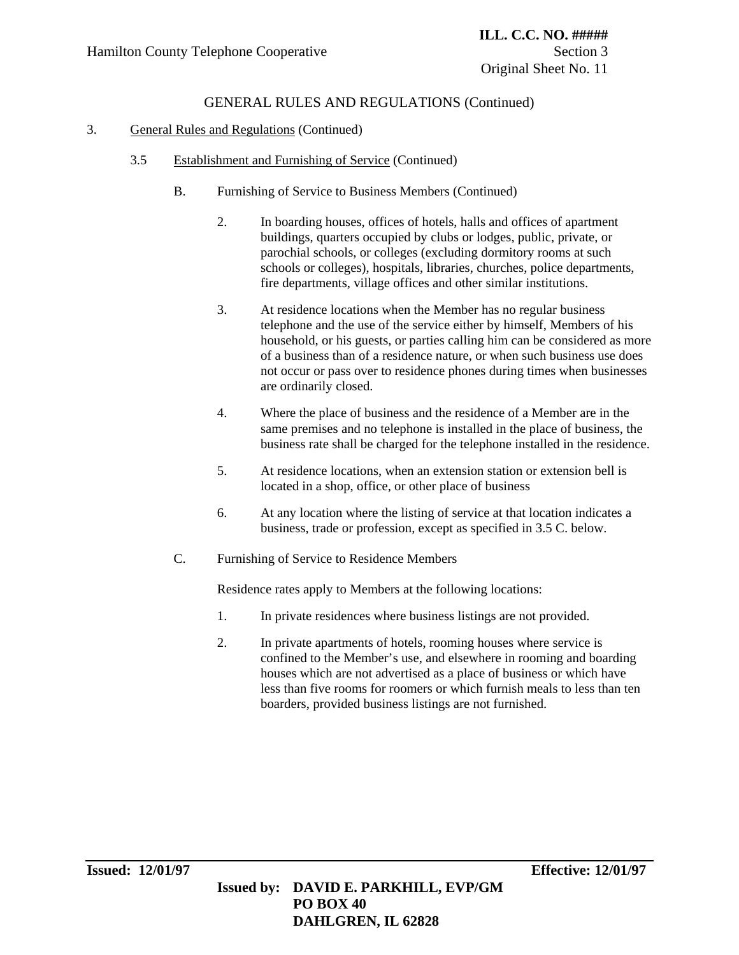### 3. General Rules and Regulations (Continued)

- 3.5 Establishment and Furnishing of Service (Continued)
	- B. Furnishing of Service to Business Members (Continued)
		- 2. In boarding houses, offices of hotels, halls and offices of apartment buildings, quarters occupied by clubs or lodges, public, private, or parochial schools, or colleges (excluding dormitory rooms at such schools or colleges), hospitals, libraries, churches, police departments, fire departments, village offices and other similar institutions.
		- 3. At residence locations when the Member has no regular business telephone and the use of the service either by himself, Members of his household, or his guests, or parties calling him can be considered as more of a business than of a residence nature, or when such business use does not occur or pass over to residence phones during times when businesses are ordinarily closed.
		- 4. Where the place of business and the residence of a Member are in the same premises and no telephone is installed in the place of business, the business rate shall be charged for the telephone installed in the residence.
		- 5. At residence locations, when an extension station or extension bell is located in a shop, office, or other place of business
		- 6. At any location where the listing of service at that location indicates a business, trade or profession, except as specified in 3.5 C. below.
	- C. Furnishing of Service to Residence Members

Residence rates apply to Members at the following locations:

- 1. In private residences where business listings are not provided.
- 2. In private apartments of hotels, rooming houses where service is confined to the Member's use, and elsewhere in rooming and boarding houses which are not advertised as a place of business or which have less than five rooms for roomers or which furnish meals to less than ten boarders, provided business listings are not furnished.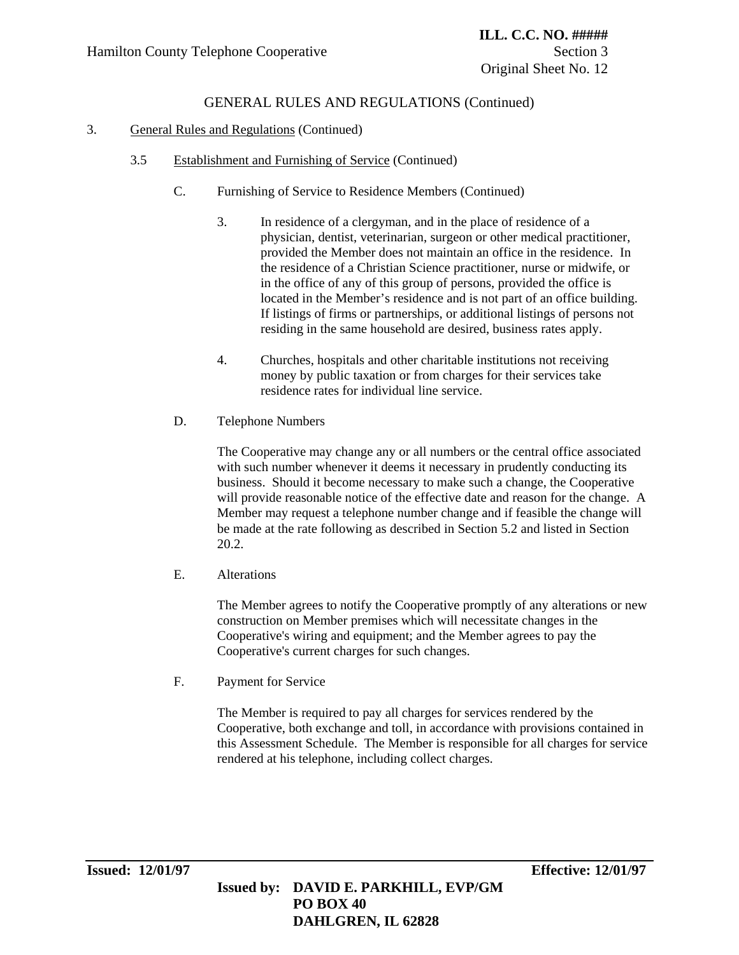### 3. General Rules and Regulations (Continued)

- 3.5 Establishment and Furnishing of Service (Continued)
	- C. Furnishing of Service to Residence Members (Continued)
		- 3. In residence of a clergyman, and in the place of residence of a physician, dentist, veterinarian, surgeon or other medical practitioner, provided the Member does not maintain an office in the residence. In the residence of a Christian Science practitioner, nurse or midwife, or in the office of any of this group of persons, provided the office is located in the Member's residence and is not part of an office building. If listings of firms or partnerships, or additional listings of persons not residing in the same household are desired, business rates apply.
		- 4. Churches, hospitals and other charitable institutions not receiving money by public taxation or from charges for their services take residence rates for individual line service.
	- D. Telephone Numbers

The Cooperative may change any or all numbers or the central office associated with such number whenever it deems it necessary in prudently conducting its business. Should it become necessary to make such a change, the Cooperative will provide reasonable notice of the effective date and reason for the change. A Member may request a telephone number change and if feasible the change will be made at the rate following as described in Section 5.2 and listed in Section 20.2.

E. Alterations

The Member agrees to notify the Cooperative promptly of any alterations or new construction on Member premises which will necessitate changes in the Cooperative's wiring and equipment; and the Member agrees to pay the Cooperative's current charges for such changes.

F. Payment for Service

The Member is required to pay all charges for services rendered by the Cooperative, both exchange and toll, in accordance with provisions contained in this Assessment Schedule. The Member is responsible for all charges for service rendered at his telephone, including collect charges.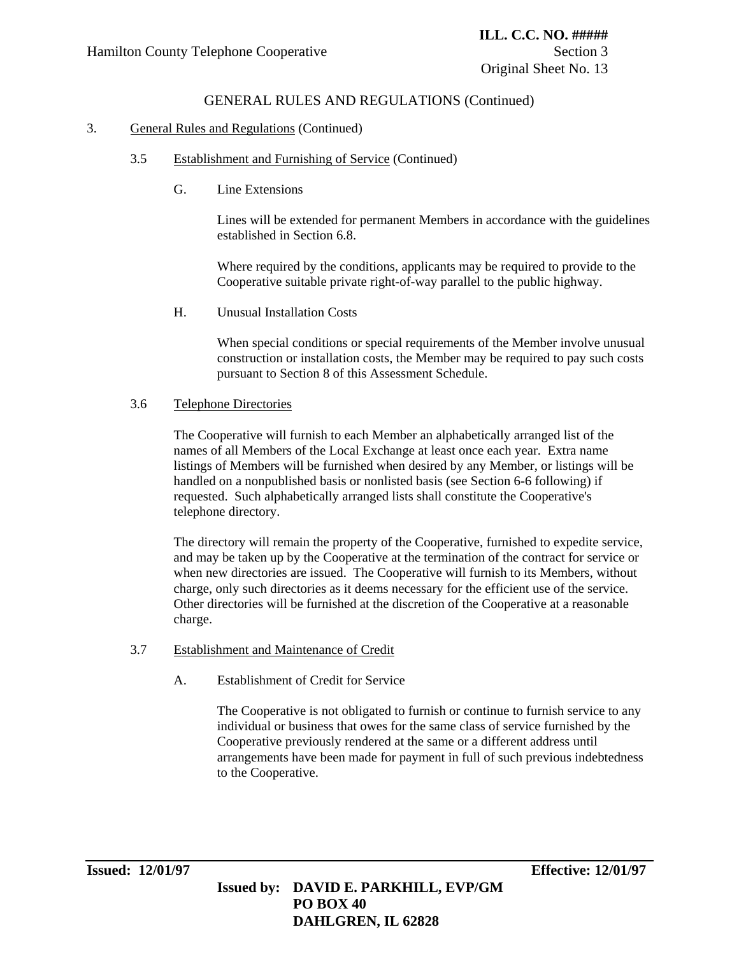### 3. General Rules and Regulations (Continued)

- 3.5 Establishment and Furnishing of Service (Continued)
	- G. Line Extensions

Lines will be extended for permanent Members in accordance with the guidelines established in Section 6.8.

Where required by the conditions, applicants may be required to provide to the Cooperative suitable private right-of-way parallel to the public highway.

H. Unusual Installation Costs

When special conditions or special requirements of the Member involve unusual construction or installation costs, the Member may be required to pay such costs pursuant to Section 8 of this Assessment Schedule.

#### 3.6 Telephone Directories

The Cooperative will furnish to each Member an alphabetically arranged list of the names of all Members of the Local Exchange at least once each year. Extra name listings of Members will be furnished when desired by any Member, or listings will be handled on a nonpublished basis or nonlisted basis (see Section 6-6 following) if requested. Such alphabetically arranged lists shall constitute the Cooperative's telephone directory.

The directory will remain the property of the Cooperative, furnished to expedite service, and may be taken up by the Cooperative at the termination of the contract for service or when new directories are issued. The Cooperative will furnish to its Members, without charge, only such directories as it deems necessary for the efficient use of the service. Other directories will be furnished at the discretion of the Cooperative at a reasonable charge.

- 3.7 Establishment and Maintenance of Credit
	- A. Establishment of Credit for Service

The Cooperative is not obligated to furnish or continue to furnish service to any individual or business that owes for the same class of service furnished by the Cooperative previously rendered at the same or a different address until arrangements have been made for payment in full of such previous indebtedness to the Cooperative.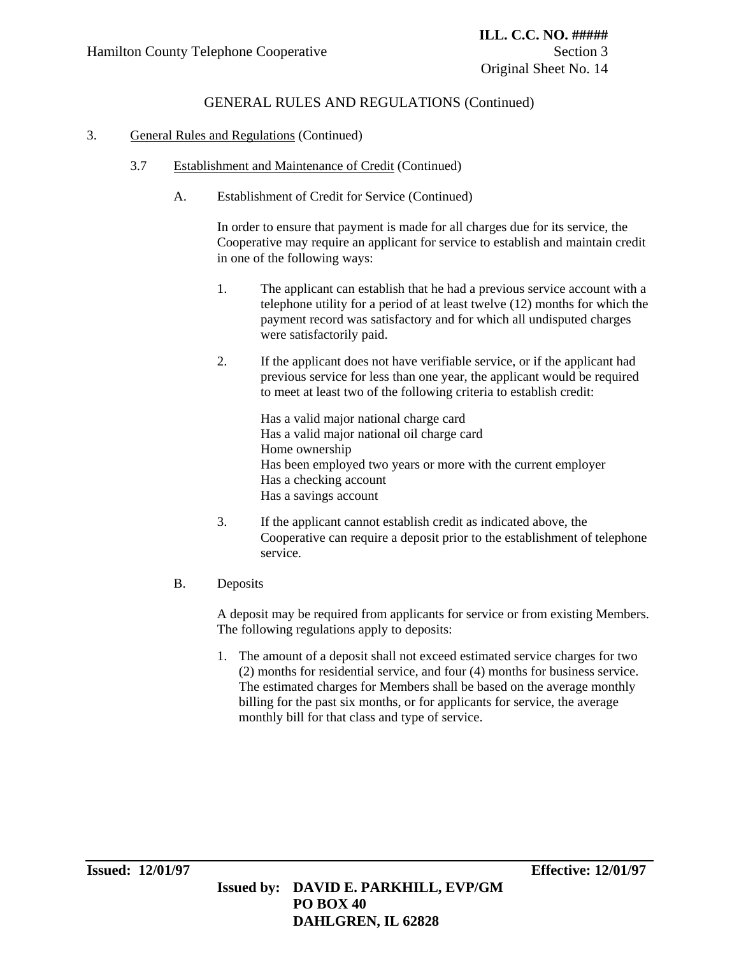### 3. General Rules and Regulations (Continued)

- 3.7 Establishment and Maintenance of Credit (Continued)
	- A. Establishment of Credit for Service (Continued)

In order to ensure that payment is made for all charges due for its service, the Cooperative may require an applicant for service to establish and maintain credit in one of the following ways:

- 1. The applicant can establish that he had a previous service account with a telephone utility for a period of at least twelve (12) months for which the payment record was satisfactory and for which all undisputed charges were satisfactorily paid.
- 2. If the applicant does not have verifiable service, or if the applicant had previous service for less than one year, the applicant would be required to meet at least two of the following criteria to establish credit:

Has a valid major national charge card Has a valid major national oil charge card Home ownership Has been employed two years or more with the current employer Has a checking account Has a savings account

- 3. If the applicant cannot establish credit as indicated above, the Cooperative can require a deposit prior to the establishment of telephone service.
- B. Deposits

A deposit may be required from applicants for service or from existing Members. The following regulations apply to deposits:

1. The amount of a deposit shall not exceed estimated service charges for two (2) months for residential service, and four (4) months for business service. The estimated charges for Members shall be based on the average monthly billing for the past six months, or for applicants for service, the average monthly bill for that class and type of service.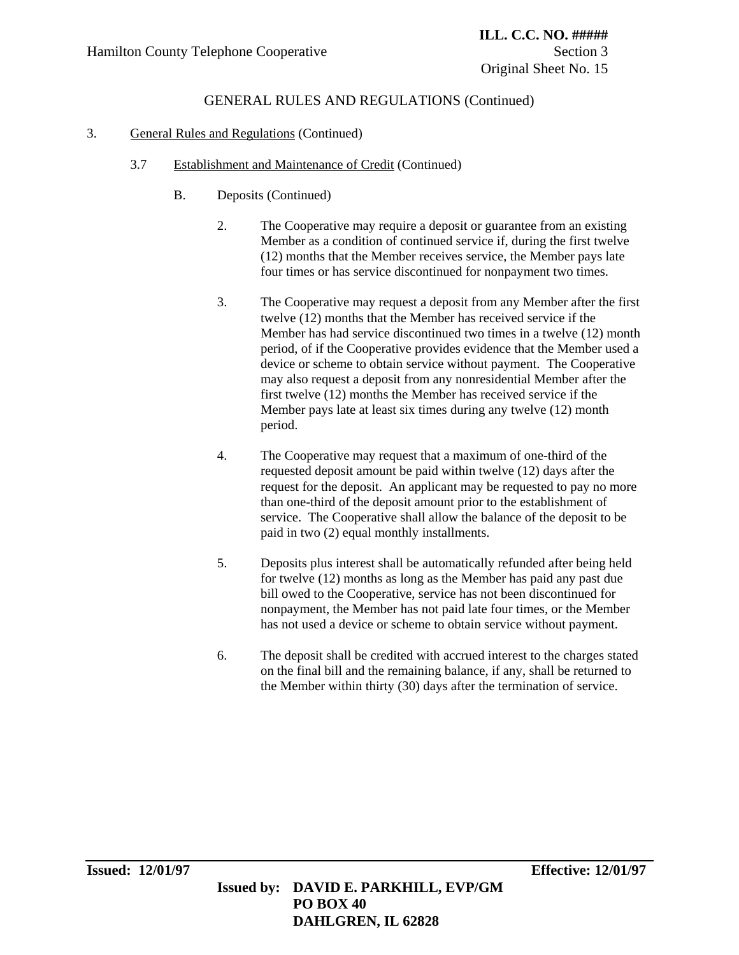### 3. General Rules and Regulations (Continued)

### 3.7 Establishment and Maintenance of Credit (Continued)

- B. Deposits (Continued)
	- 2. The Cooperative may require a deposit or guarantee from an existing Member as a condition of continued service if, during the first twelve (12) months that the Member receives service, the Member pays late four times or has service discontinued for nonpayment two times.
	- 3. The Cooperative may request a deposit from any Member after the first twelve (12) months that the Member has received service if the Member has had service discontinued two times in a twelve (12) month period, of if the Cooperative provides evidence that the Member used a device or scheme to obtain service without payment. The Cooperative may also request a deposit from any nonresidential Member after the first twelve (12) months the Member has received service if the Member pays late at least six times during any twelve (12) month period.
	- 4. The Cooperative may request that a maximum of one-third of the requested deposit amount be paid within twelve (12) days after the request for the deposit. An applicant may be requested to pay no more than one-third of the deposit amount prior to the establishment of service. The Cooperative shall allow the balance of the deposit to be paid in two (2) equal monthly installments.
	- 5. Deposits plus interest shall be automatically refunded after being held for twelve (12) months as long as the Member has paid any past due bill owed to the Cooperative, service has not been discontinued for nonpayment, the Member has not paid late four times, or the Member has not used a device or scheme to obtain service without payment.
	- 6. The deposit shall be credited with accrued interest to the charges stated on the final bill and the remaining balance, if any, shall be returned to the Member within thirty (30) days after the termination of service.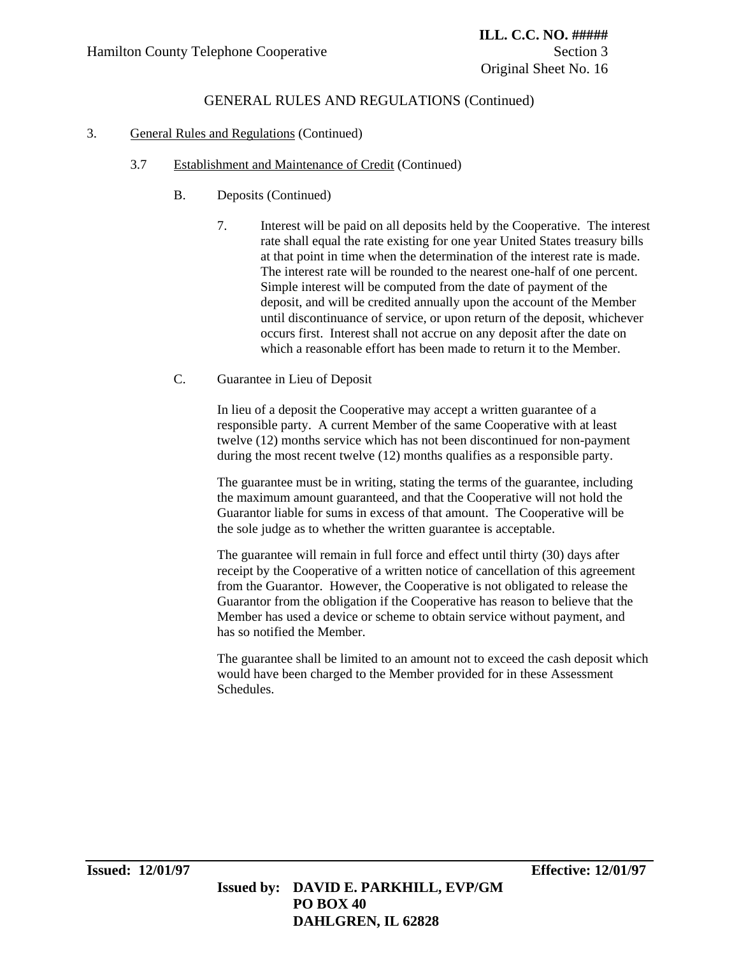### 3. General Rules and Regulations (Continued)

### 3.7 Establishment and Maintenance of Credit (Continued)

- B. Deposits (Continued)
	- 7. Interest will be paid on all deposits held by the Cooperative. The interest rate shall equal the rate existing for one year United States treasury bills at that point in time when the determination of the interest rate is made. The interest rate will be rounded to the nearest one-half of one percent. Simple interest will be computed from the date of payment of the deposit, and will be credited annually upon the account of the Member until discontinuance of service, or upon return of the deposit, whichever occurs first. Interest shall not accrue on any deposit after the date on which a reasonable effort has been made to return it to the Member.
- C. Guarantee in Lieu of Deposit

In lieu of a deposit the Cooperative may accept a written guarantee of a responsible party. A current Member of the same Cooperative with at least twelve (12) months service which has not been discontinued for non-payment during the most recent twelve (12) months qualifies as a responsible party.

The guarantee must be in writing, stating the terms of the guarantee, including the maximum amount guaranteed, and that the Cooperative will not hold the Guarantor liable for sums in excess of that amount. The Cooperative will be the sole judge as to whether the written guarantee is acceptable.

The guarantee will remain in full force and effect until thirty (30) days after receipt by the Cooperative of a written notice of cancellation of this agreement from the Guarantor. However, the Cooperative is not obligated to release the Guarantor from the obligation if the Cooperative has reason to believe that the Member has used a device or scheme to obtain service without payment, and has so notified the Member.

The guarantee shall be limited to an amount not to exceed the cash deposit which would have been charged to the Member provided for in these Assessment Schedules.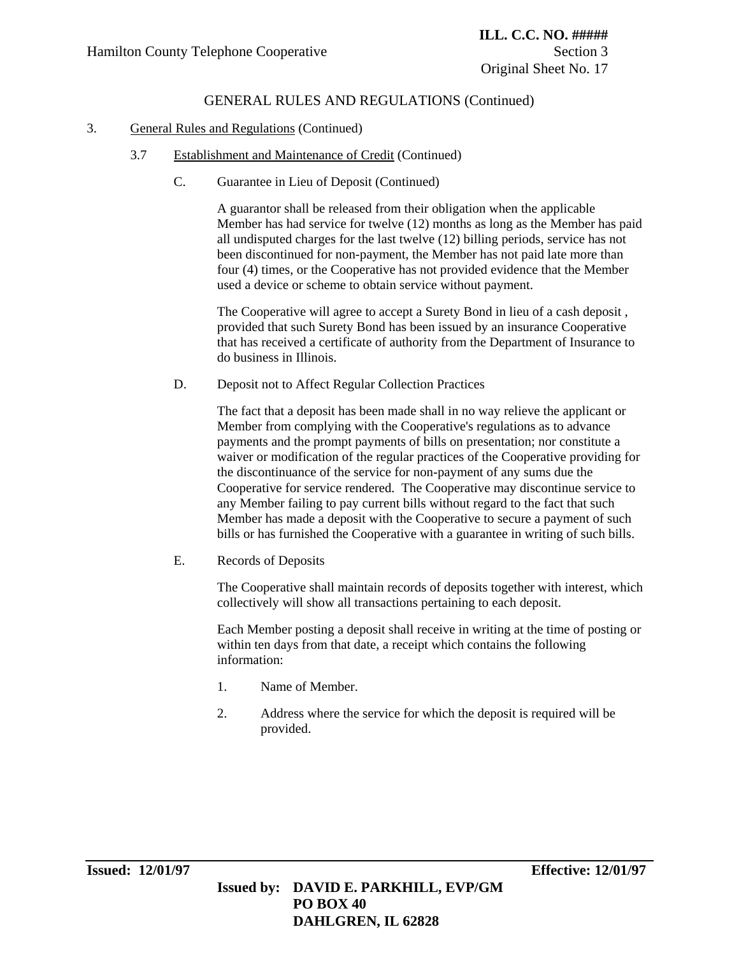### 3. General Rules and Regulations (Continued)

- 3.7 Establishment and Maintenance of Credit (Continued)
	- C. Guarantee in Lieu of Deposit (Continued)

A guarantor shall be released from their obligation when the applicable Member has had service for twelve (12) months as long as the Member has paid all undisputed charges for the last twelve (12) billing periods, service has not been discontinued for non-payment, the Member has not paid late more than four (4) times, or the Cooperative has not provided evidence that the Member used a device or scheme to obtain service without payment.

The Cooperative will agree to accept a Surety Bond in lieu of a cash deposit , provided that such Surety Bond has been issued by an insurance Cooperative that has received a certificate of authority from the Department of Insurance to do business in Illinois.

D. Deposit not to Affect Regular Collection Practices

The fact that a deposit has been made shall in no way relieve the applicant or Member from complying with the Cooperative's regulations as to advance payments and the prompt payments of bills on presentation; nor constitute a waiver or modification of the regular practices of the Cooperative providing for the discontinuance of the service for non-payment of any sums due the Cooperative for service rendered. The Cooperative may discontinue service to any Member failing to pay current bills without regard to the fact that such Member has made a deposit with the Cooperative to secure a payment of such bills or has furnished the Cooperative with a guarantee in writing of such bills.

E. Records of Deposits

The Cooperative shall maintain records of deposits together with interest, which collectively will show all transactions pertaining to each deposit.

Each Member posting a deposit shall receive in writing at the time of posting or within ten days from that date, a receipt which contains the following information:

- 1. Name of Member.
- 2. Address where the service for which the deposit is required will be provided.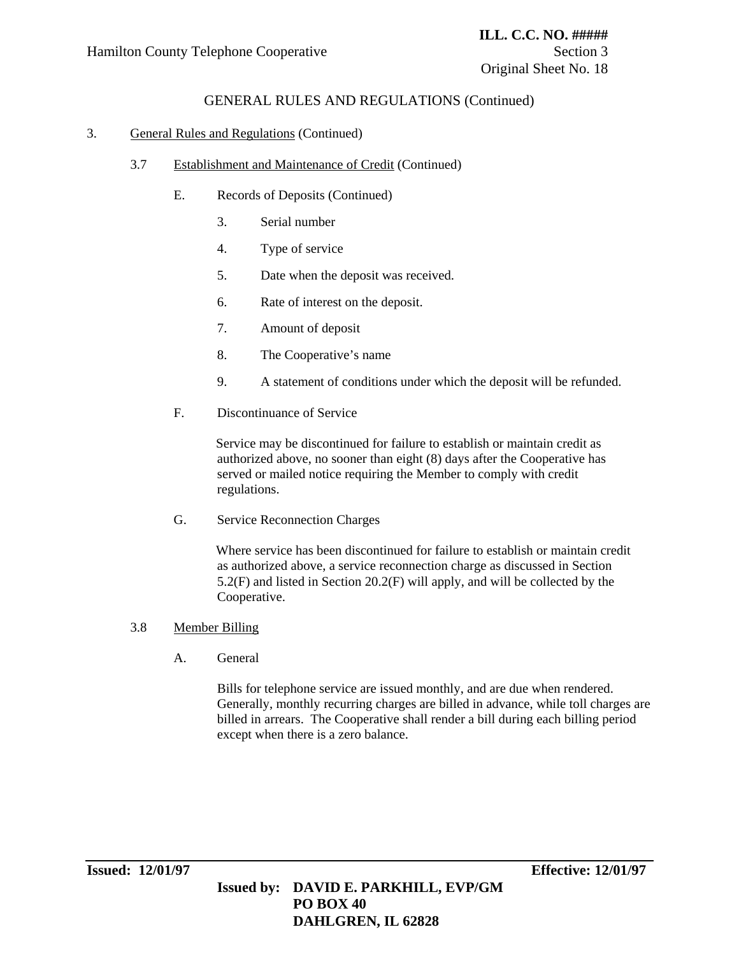### 3. General Rules and Regulations (Continued)

- 3.7 Establishment and Maintenance of Credit (Continued)
	- E. Records of Deposits (Continued)
		- 3. Serial number
		- 4. Type of service
		- 5. Date when the deposit was received.
		- 6. Rate of interest on the deposit.
		- 7. Amount of deposit
		- 8. The Cooperative's name
		- 9. A statement of conditions under which the deposit will be refunded.
	- F. Discontinuance of Service

Service may be discontinued for failure to establish or maintain credit as authorized above, no sooner than eight (8) days after the Cooperative has served or mailed notice requiring the Member to comply with credit regulations.

G. Service Reconnection Charges

Where service has been discontinued for failure to establish or maintain credit as authorized above, a service reconnection charge as discussed in Section 5.2(F) and listed in Section 20.2(F) will apply, and will be collected by the Cooperative.

#### 3.8 Member Billing

A. General

Bills for telephone service are issued monthly, and are due when rendered. Generally, monthly recurring charges are billed in advance, while toll charges are billed in arrears. The Cooperative shall render a bill during each billing period except when there is a zero balance.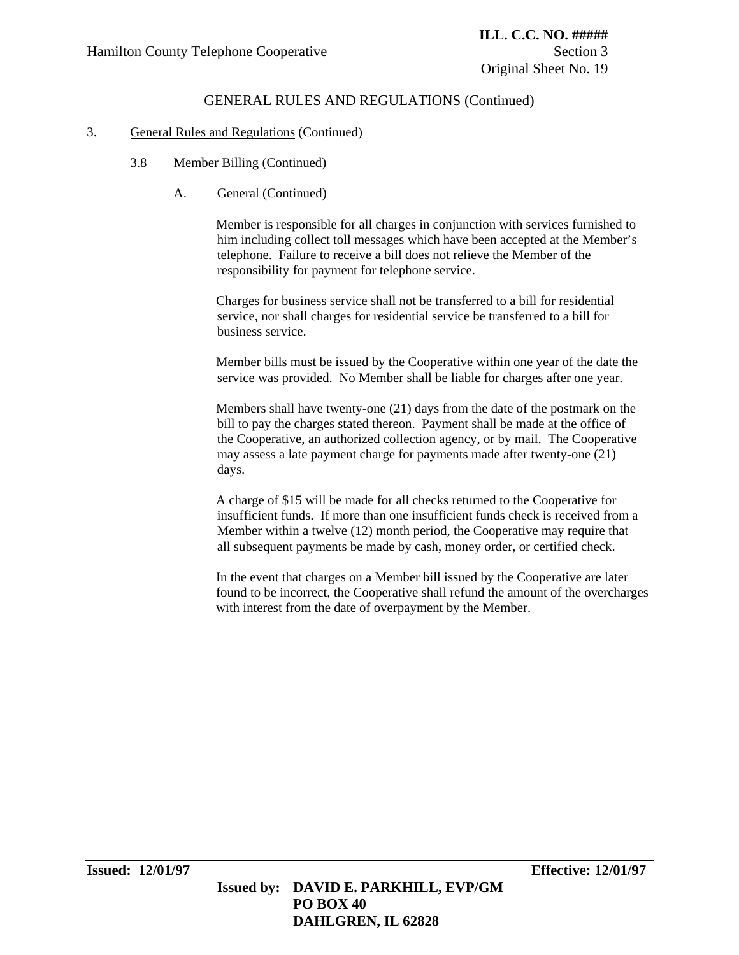### 3. General Rules and Regulations (Continued)

- 3.8 Member Billing (Continued)
	- A. General (Continued)

Member is responsible for all charges in conjunction with services furnished to him including collect toll messages which have been accepted at the Member's telephone. Failure to receive a bill does not relieve the Member of the responsibility for payment for telephone service.

Charges for business service shall not be transferred to a bill for residential service, nor shall charges for residential service be transferred to a bill for business service.

Member bills must be issued by the Cooperative within one year of the date the service was provided. No Member shall be liable for charges after one year.

Members shall have twenty-one (21) days from the date of the postmark on the bill to pay the charges stated thereon. Payment shall be made at the office of the Cooperative, an authorized collection agency, or by mail. The Cooperative may assess a late payment charge for payments made after twenty-one (21) days.

A charge of \$15 will be made for all checks returned to the Cooperative for insufficient funds. If more than one insufficient funds check is received from a Member within a twelve (12) month period, the Cooperative may require that all subsequent payments be made by cash, money order, or certified check.

In the event that charges on a Member bill issued by the Cooperative are later found to be incorrect, the Cooperative shall refund the amount of the overcharges with interest from the date of overpayment by the Member.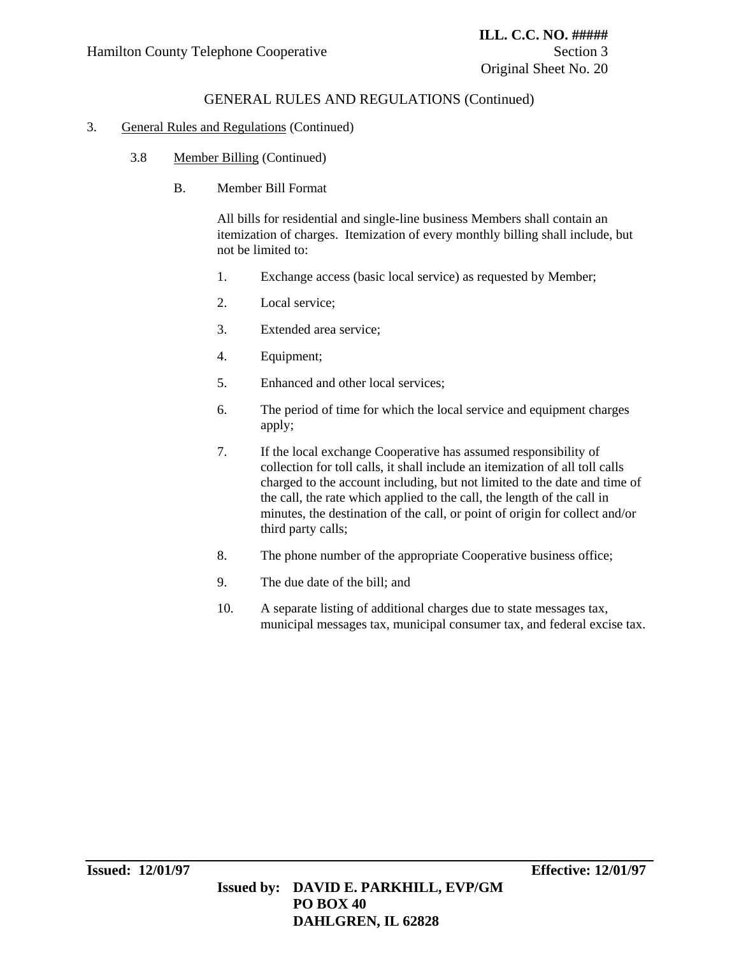#### 3. General Rules and Regulations (Continued)

- 3.8 Member Billing (Continued)
	- B. Member Bill Format

All bills for residential and single-line business Members shall contain an itemization of charges. Itemization of every monthly billing shall include, but not be limited to:

- 1. Exchange access (basic local service) as requested by Member;
- 2. Local service;
- 3. Extended area service;
- 4. Equipment;
- 5. Enhanced and other local services;
- 6. The period of time for which the local service and equipment charges apply;
- 7. If the local exchange Cooperative has assumed responsibility of collection for toll calls, it shall include an itemization of all toll calls charged to the account including, but not limited to the date and time of the call, the rate which applied to the call, the length of the call in minutes, the destination of the call, or point of origin for collect and/or third party calls;
- 8. The phone number of the appropriate Cooperative business office;
- 9. The due date of the bill; and
- 10. A separate listing of additional charges due to state messages tax, municipal messages tax, municipal consumer tax, and federal excise tax.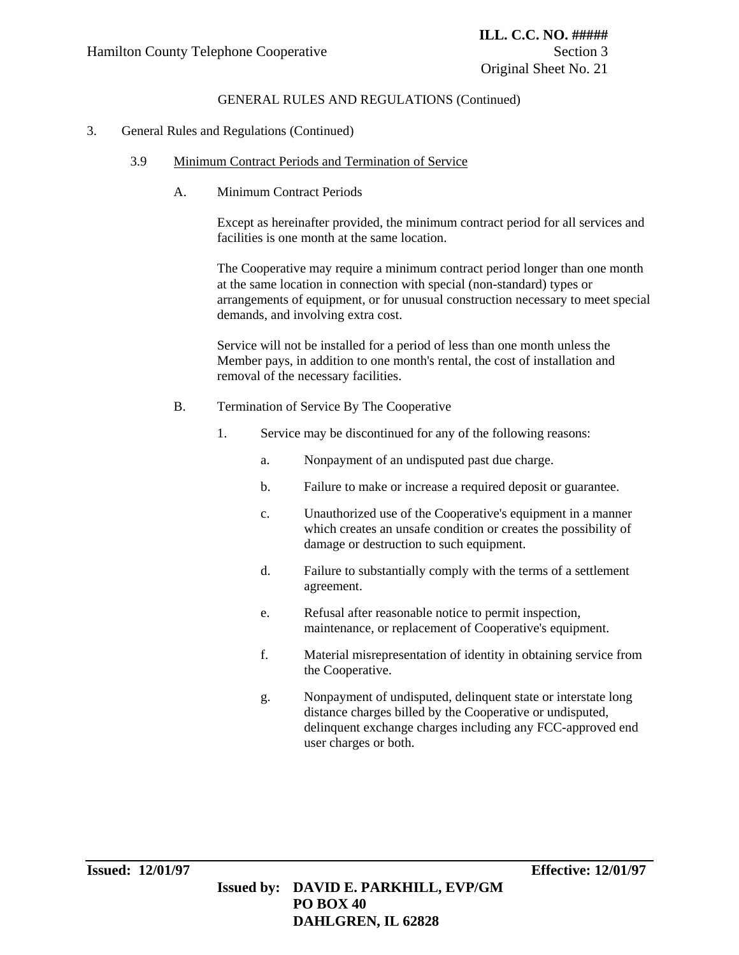#### 3. General Rules and Regulations (Continued)

- 3.9 Minimum Contract Periods and Termination of Service
	- A. Minimum Contract Periods

Except as hereinafter provided, the minimum contract period for all services and facilities is one month at the same location.

The Cooperative may require a minimum contract period longer than one month at the same location in connection with special (non-standard) types or arrangements of equipment, or for unusual construction necessary to meet special demands, and involving extra cost.

Service will not be installed for a period of less than one month unless the Member pays, in addition to one month's rental, the cost of installation and removal of the necessary facilities.

- B. Termination of Service By The Cooperative
	- 1. Service may be discontinued for any of the following reasons:
		- a. Nonpayment of an undisputed past due charge.
		- b. Failure to make or increase a required deposit or guarantee.
		- c. Unauthorized use of the Cooperative's equipment in a manner which creates an unsafe condition or creates the possibility of damage or destruction to such equipment.
		- d. Failure to substantially comply with the terms of a settlement agreement.
		- e. Refusal after reasonable notice to permit inspection, maintenance, or replacement of Cooperative's equipment.
		- f. Material misrepresentation of identity in obtaining service from the Cooperative.
		- g. Nonpayment of undisputed, delinquent state or interstate long distance charges billed by the Cooperative or undisputed, delinquent exchange charges including any FCC-approved end user charges or both.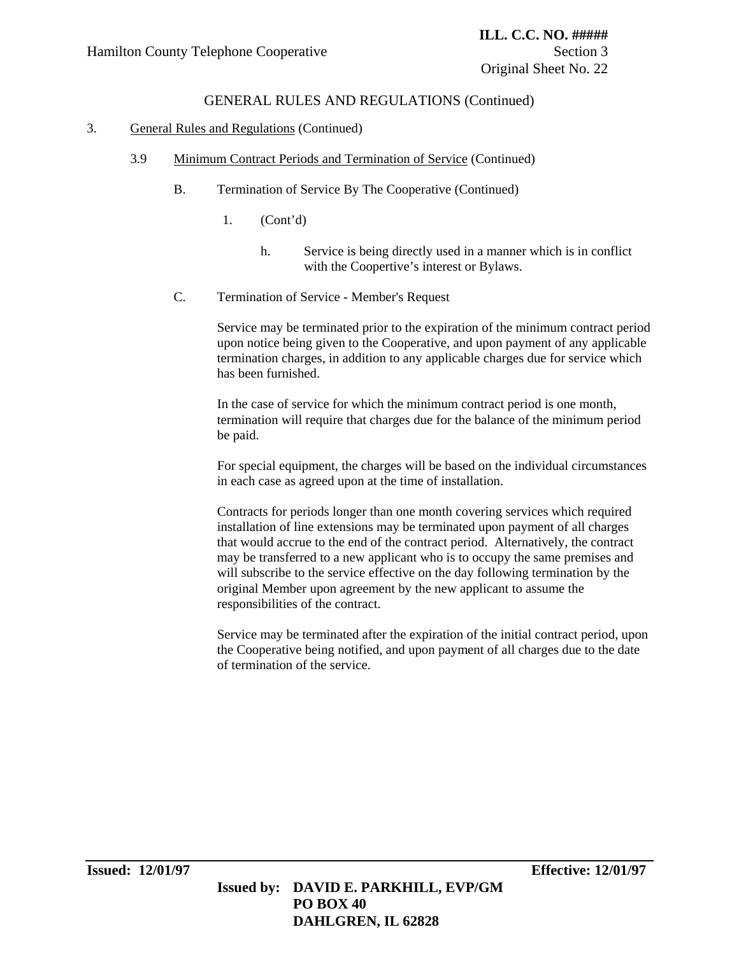### 3. General Rules and Regulations (Continued)

- 3.9 Minimum Contract Periods and Termination of Service (Continued)
	- B. Termination of Service By The Cooperative (Continued)
		- 1. (Cont'd)
			- h. Service is being directly used in a manner which is in conflict with the Coopertive's interest or Bylaws.
	- C. Termination of Service Member's Request

Service may be terminated prior to the expiration of the minimum contract period upon notice being given to the Cooperative, and upon payment of any applicable termination charges, in addition to any applicable charges due for service which has been furnished.

In the case of service for which the minimum contract period is one month, termination will require that charges due for the balance of the minimum period be paid.

For special equipment, the charges will be based on the individual circumstances in each case as agreed upon at the time of installation.

Contracts for periods longer than one month covering services which required installation of line extensions may be terminated upon payment of all charges that would accrue to the end of the contract period. Alternatively, the contract may be transferred to a new applicant who is to occupy the same premises and will subscribe to the service effective on the day following termination by the original Member upon agreement by the new applicant to assume the responsibilities of the contract.

Service may be terminated after the expiration of the initial contract period, upon the Cooperative being notified, and upon payment of all charges due to the date of termination of the service.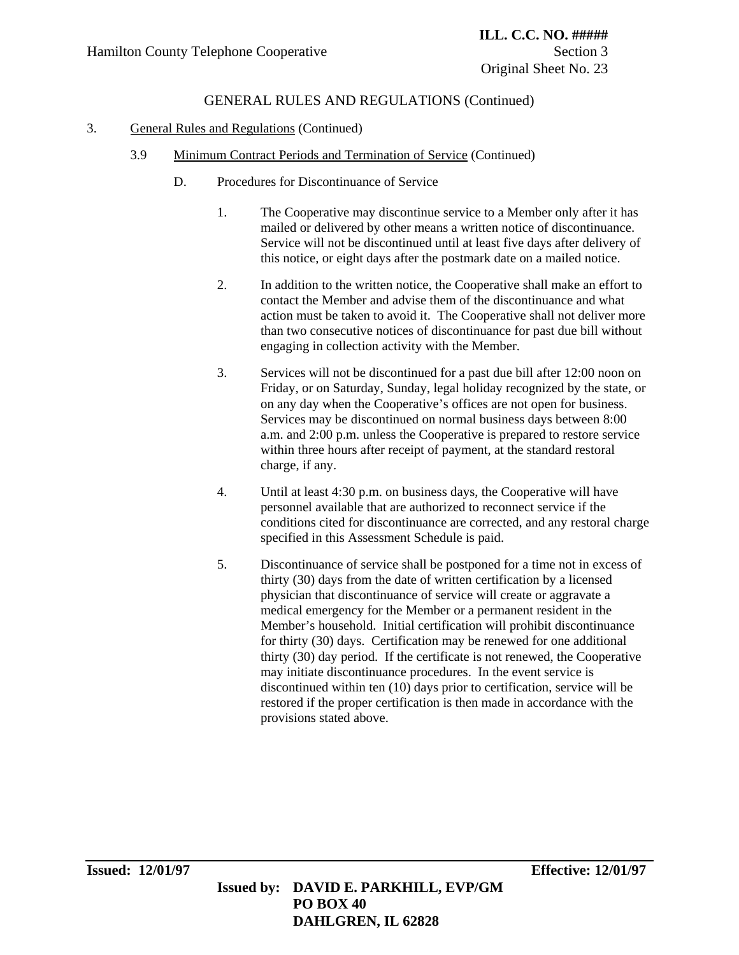### 3. General Rules and Regulations (Continued)

- 3.9 Minimum Contract Periods and Termination of Service (Continued)
	- D. Procedures for Discontinuance of Service
		- 1. The Cooperative may discontinue service to a Member only after it has mailed or delivered by other means a written notice of discontinuance. Service will not be discontinued until at least five days after delivery of this notice, or eight days after the postmark date on a mailed notice.
		- 2. In addition to the written notice, the Cooperative shall make an effort to contact the Member and advise them of the discontinuance and what action must be taken to avoid it. The Cooperative shall not deliver more than two consecutive notices of discontinuance for past due bill without engaging in collection activity with the Member.
		- 3. Services will not be discontinued for a past due bill after 12:00 noon on Friday, or on Saturday, Sunday, legal holiday recognized by the state, or on any day when the Cooperative's offices are not open for business. Services may be discontinued on normal business days between 8:00 a.m. and 2:00 p.m. unless the Cooperative is prepared to restore service within three hours after receipt of payment, at the standard restoral charge, if any.
		- 4. Until at least 4:30 p.m. on business days, the Cooperative will have personnel available that are authorized to reconnect service if the conditions cited for discontinuance are corrected, and any restoral charge specified in this Assessment Schedule is paid.
		- 5. Discontinuance of service shall be postponed for a time not in excess of thirty (30) days from the date of written certification by a licensed physician that discontinuance of service will create or aggravate a medical emergency for the Member or a permanent resident in the Member's household. Initial certification will prohibit discontinuance for thirty (30) days. Certification may be renewed for one additional thirty (30) day period. If the certificate is not renewed, the Cooperative may initiate discontinuance procedures. In the event service is discontinued within ten (10) days prior to certification, service will be restored if the proper certification is then made in accordance with the provisions stated above.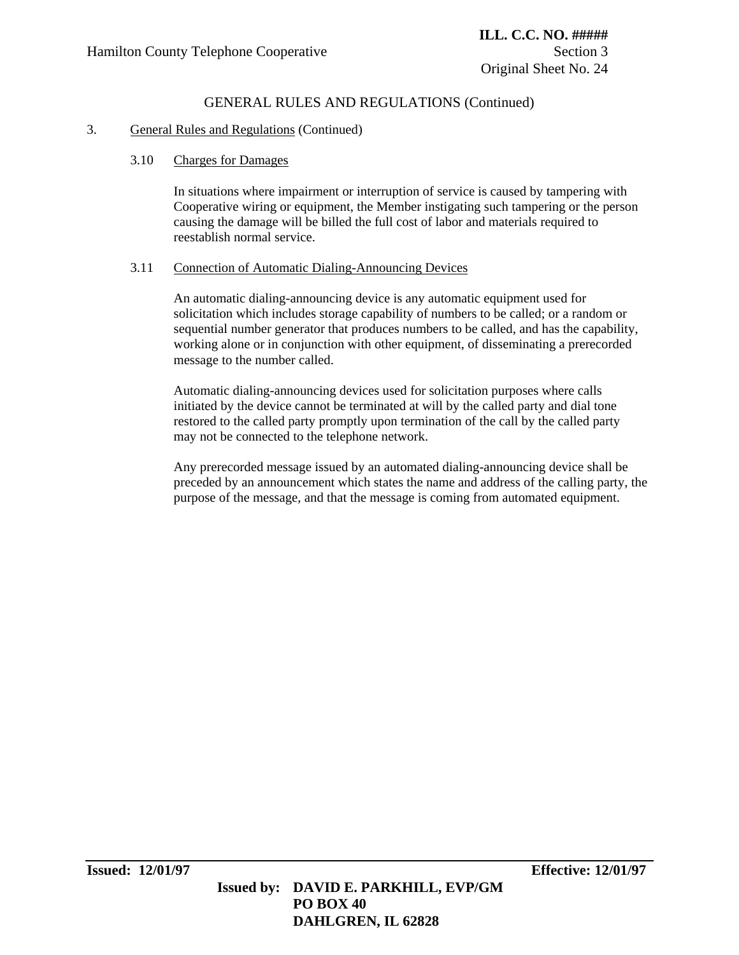### 3. General Rules and Regulations (Continued)

### 3.10 Charges for Damages

In situations where impairment or interruption of service is caused by tampering with Cooperative wiring or equipment, the Member instigating such tampering or the person causing the damage will be billed the full cost of labor and materials required to reestablish normal service.

#### 3.11 Connection of Automatic Dialing-Announcing Devices

An automatic dialing-announcing device is any automatic equipment used for solicitation which includes storage capability of numbers to be called; or a random or sequential number generator that produces numbers to be called, and has the capability, working alone or in conjunction with other equipment, of disseminating a prerecorded message to the number called.

Automatic dialing-announcing devices used for solicitation purposes where calls initiated by the device cannot be terminated at will by the called party and dial tone restored to the called party promptly upon termination of the call by the called party may not be connected to the telephone network.

Any prerecorded message issued by an automated dialing-announcing device shall be preceded by an announcement which states the name and address of the calling party, the purpose of the message, and that the message is coming from automated equipment.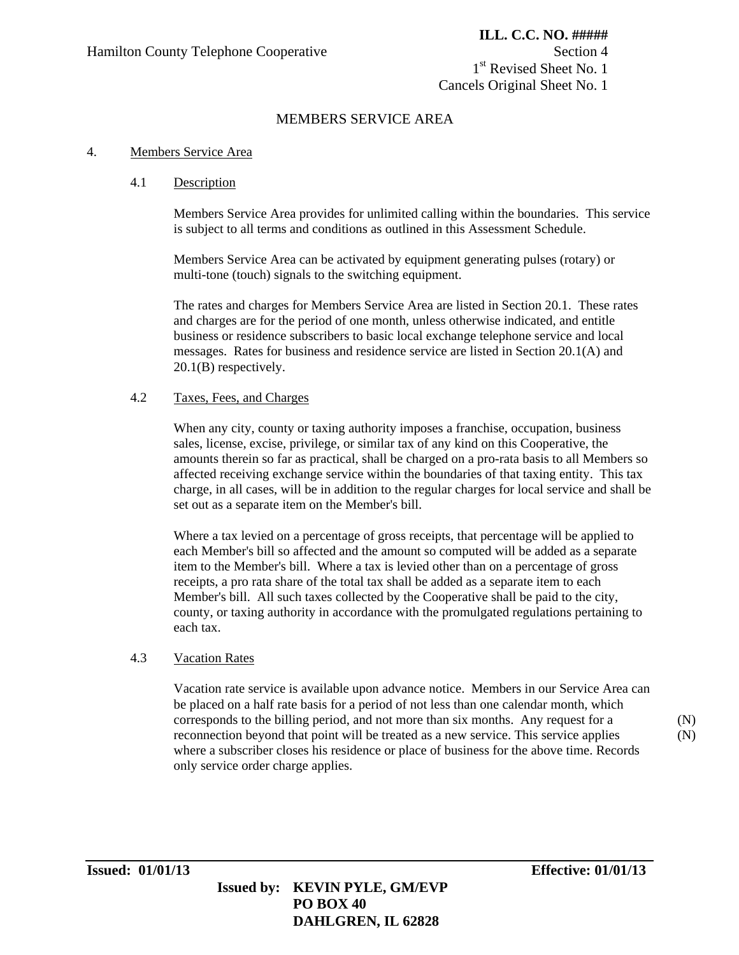## MEMBERS SERVICE AREA

#### 4. Members Service Area

#### 4.1 Description

Members Service Area provides for unlimited calling within the boundaries. This service is subject to all terms and conditions as outlined in this Assessment Schedule.

Members Service Area can be activated by equipment generating pulses (rotary) or multi-tone (touch) signals to the switching equipment.

The rates and charges for Members Service Area are listed in Section 20.1. These rates and charges are for the period of one month, unless otherwise indicated, and entitle business or residence subscribers to basic local exchange telephone service and local messages. Rates for business and residence service are listed in Section 20.1(A) and 20.1(B) respectively.

### 4.2 Taxes, Fees, and Charges

When any city, county or taxing authority imposes a franchise, occupation, business sales, license, excise, privilege, or similar tax of any kind on this Cooperative, the amounts therein so far as practical, shall be charged on a pro-rata basis to all Members so affected receiving exchange service within the boundaries of that taxing entity. This tax charge, in all cases, will be in addition to the regular charges for local service and shall be set out as a separate item on the Member's bill.

Where a tax levied on a percentage of gross receipts, that percentage will be applied to each Member's bill so affected and the amount so computed will be added as a separate item to the Member's bill. Where a tax is levied other than on a percentage of gross receipts, a pro rata share of the total tax shall be added as a separate item to each Member's bill. All such taxes collected by the Cooperative shall be paid to the city, county, or taxing authority in accordance with the promulgated regulations pertaining to each tax.

#### 4.3 Vacation Rates

Vacation rate service is available upon advance notice. Members in our Service Area can be placed on a half rate basis for a period of not less than one calendar month, which corresponds to the billing period, and not more than six months. Any request for a reconnection beyond that point will be treated as a new service. This service applies where a subscriber closes his residence or place of business for the above time. Records only service order charge applies.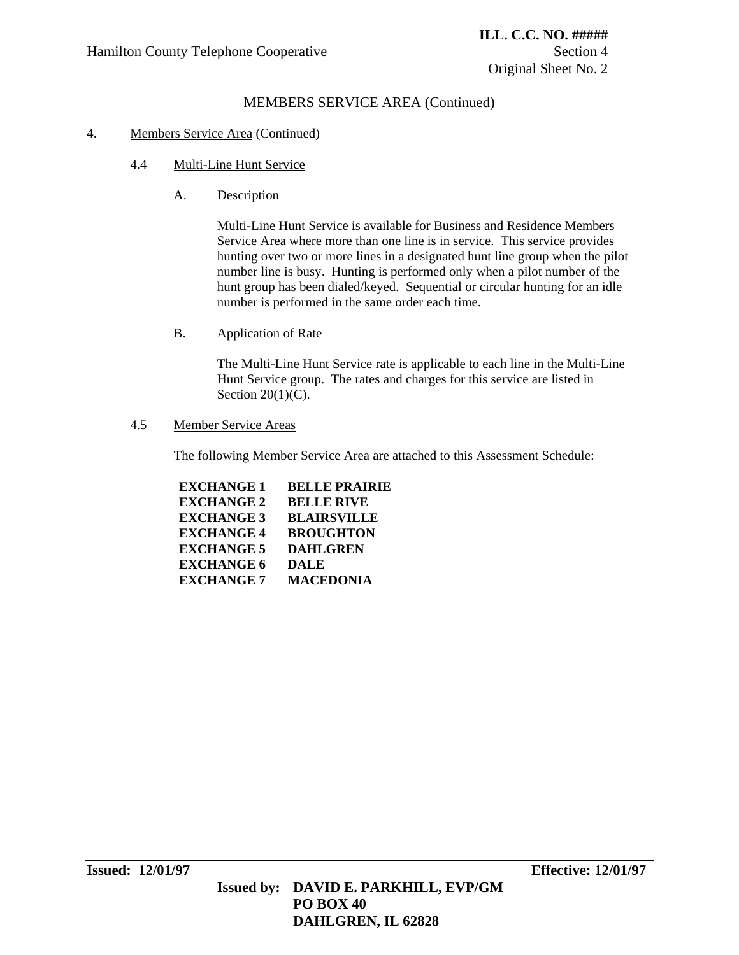## MEMBERS SERVICE AREA (Continued)

### 4. Members Service Area (Continued)

- 4.4 Multi-Line Hunt Service
	- A. Description

Multi-Line Hunt Service is available for Business and Residence Members Service Area where more than one line is in service. This service provides hunting over two or more lines in a designated hunt line group when the pilot number line is busy. Hunting is performed only when a pilot number of the hunt group has been dialed/keyed. Sequential or circular hunting for an idle number is performed in the same order each time.

B. Application of Rate

The Multi-Line Hunt Service rate is applicable to each line in the Multi-Line Hunt Service group. The rates and charges for this service are listed in Section  $20(1)(C)$ .

### 4.5 Member Service Areas

The following Member Service Area are attached to this Assessment Schedule:

| <b>EXCHANGE 1</b> | <b>BELLE PRAIRIE</b> |
|-------------------|----------------------|
| <b>EXCHANGE 2</b> | <b>BELLE RIVE</b>    |
| <b>EXCHANGE 3</b> | <b>BLAIRSVILLE</b>   |
| <b>EXCHANGE 4</b> | <b>BROUGHTON</b>     |
| <b>EXCHANGE 5</b> | <b>DAHLGREN</b>      |
| <b>EXCHANGE 6</b> | <b>DALE</b>          |
| <b>EXCHANGE 7</b> | <b>MACEDONIA</b>     |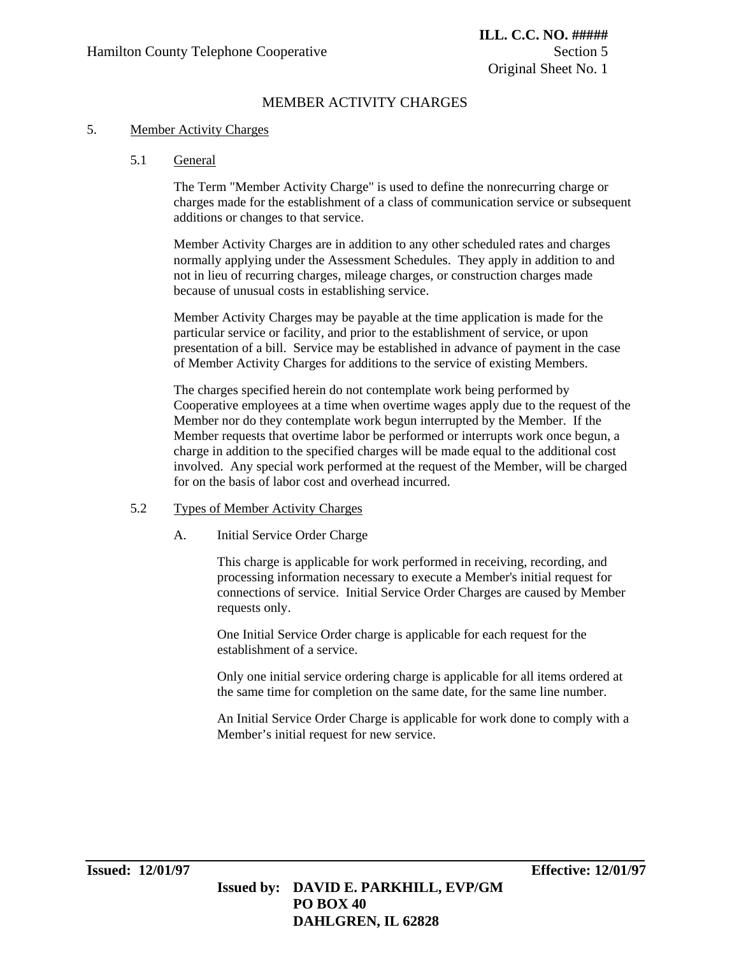## MEMBER ACTIVITY CHARGES

#### 5. Member Activity Charges

#### 5.1 General

The Term "Member Activity Charge" is used to define the nonrecurring charge or charges made for the establishment of a class of communication service or subsequent additions or changes to that service.

Member Activity Charges are in addition to any other scheduled rates and charges normally applying under the Assessment Schedules. They apply in addition to and not in lieu of recurring charges, mileage charges, or construction charges made because of unusual costs in establishing service.

Member Activity Charges may be payable at the time application is made for the particular service or facility, and prior to the establishment of service, or upon presentation of a bill. Service may be established in advance of payment in the case of Member Activity Charges for additions to the service of existing Members.

The charges specified herein do not contemplate work being performed by Cooperative employees at a time when overtime wages apply due to the request of the Member nor do they contemplate work begun interrupted by the Member. If the Member requests that overtime labor be performed or interrupts work once begun, a charge in addition to the specified charges will be made equal to the additional cost involved. Any special work performed at the request of the Member, will be charged for on the basis of labor cost and overhead incurred.

#### 5.2 Types of Member Activity Charges

#### A. Initial Service Order Charge

This charge is applicable for work performed in receiving, recording, and processing information necessary to execute a Member's initial request for connections of service. Initial Service Order Charges are caused by Member requests only.

One Initial Service Order charge is applicable for each request for the establishment of a service.

Only one initial service ordering charge is applicable for all items ordered at the same time for completion on the same date, for the same line number.

An Initial Service Order Charge is applicable for work done to comply with a Member's initial request for new service.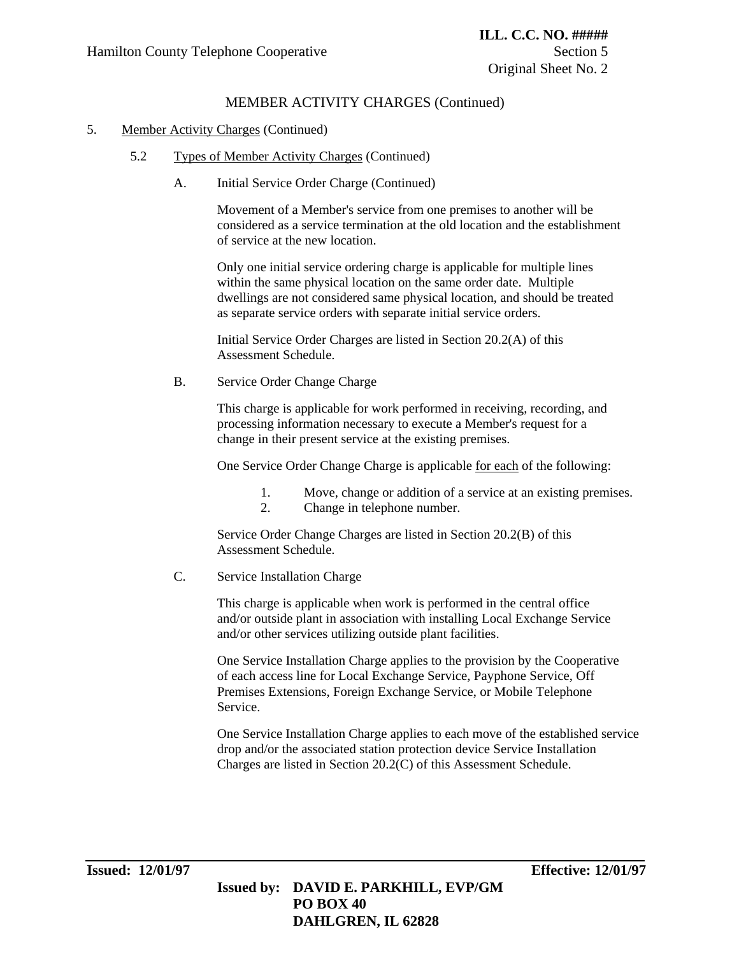## MEMBER ACTIVITY CHARGES (Continued)

#### 5. Member Activity Charges (Continued)

- 5.2 Types of Member Activity Charges (Continued)
	- A. Initial Service Order Charge (Continued)

Movement of a Member's service from one premises to another will be considered as a service termination at the old location and the establishment of service at the new location.

Only one initial service ordering charge is applicable for multiple lines within the same physical location on the same order date. Multiple dwellings are not considered same physical location, and should be treated as separate service orders with separate initial service orders.

Initial Service Order Charges are listed in Section 20.2(A) of this Assessment Schedule.

B. Service Order Change Charge

This charge is applicable for work performed in receiving, recording, and processing information necessary to execute a Member's request for a change in their present service at the existing premises.

One Service Order Change Charge is applicable for each of the following:

- 1. Move, change or addition of a service at an existing premises.
- 2. Change in telephone number.

Service Order Change Charges are listed in Section 20.2(B) of this Assessment Schedule.

C. Service Installation Charge

This charge is applicable when work is performed in the central office and/or outside plant in association with installing Local Exchange Service and/or other services utilizing outside plant facilities.

One Service Installation Charge applies to the provision by the Cooperative of each access line for Local Exchange Service, Payphone Service, Off Premises Extensions, Foreign Exchange Service, or Mobile Telephone Service.

One Service Installation Charge applies to each move of the established service drop and/or the associated station protection device Service Installation Charges are listed in Section 20.2(C) of this Assessment Schedule.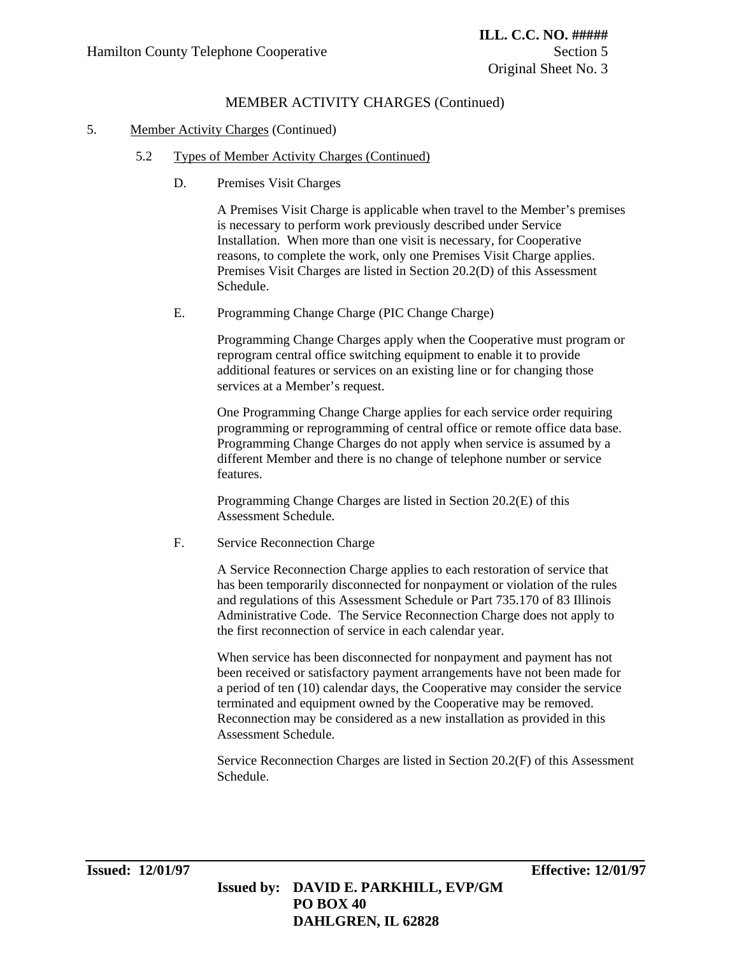## MEMBER ACTIVITY CHARGES (Continued)

#### 5. Member Activity Charges (Continued)

- 5.2 Types of Member Activity Charges (Continued)
	- D. Premises Visit Charges

A Premises Visit Charge is applicable when travel to the Member's premises is necessary to perform work previously described under Service Installation. When more than one visit is necessary, for Cooperative reasons, to complete the work, only one Premises Visit Charge applies. Premises Visit Charges are listed in Section 20.2(D) of this Assessment Schedule.

E. Programming Change Charge (PIC Change Charge)

Programming Change Charges apply when the Cooperative must program or reprogram central office switching equipment to enable it to provide additional features or services on an existing line or for changing those services at a Member's request.

One Programming Change Charge applies for each service order requiring programming or reprogramming of central office or remote office data base. Programming Change Charges do not apply when service is assumed by a different Member and there is no change of telephone number or service features.

Programming Change Charges are listed in Section 20.2(E) of this Assessment Schedule.

F. Service Reconnection Charge

A Service Reconnection Charge applies to each restoration of service that has been temporarily disconnected for nonpayment or violation of the rules and regulations of this Assessment Schedule or Part 735.170 of 83 Illinois Administrative Code. The Service Reconnection Charge does not apply to the first reconnection of service in each calendar year.

When service has been disconnected for nonpayment and payment has not been received or satisfactory payment arrangements have not been made for a period of ten (10) calendar days, the Cooperative may consider the service terminated and equipment owned by the Cooperative may be removed. Reconnection may be considered as a new installation as provided in this Assessment Schedule.

Service Reconnection Charges are listed in Section 20.2(F) of this Assessment Schedule.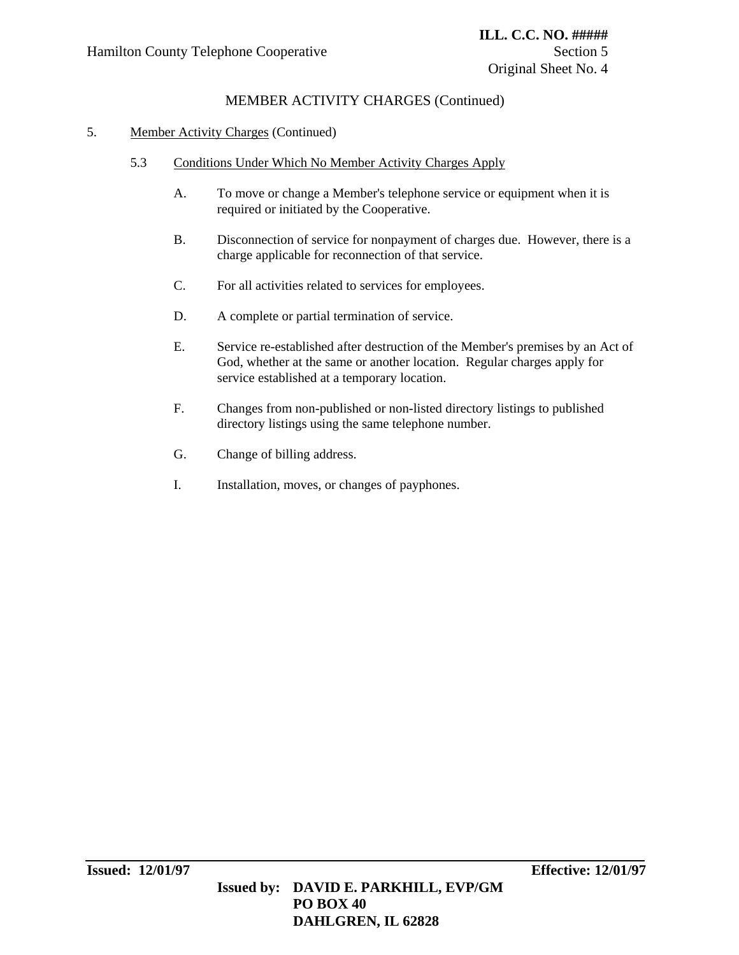## MEMBER ACTIVITY CHARGES (Continued)

### 5. Member Activity Charges (Continued)

- 5.3 Conditions Under Which No Member Activity Charges Apply
	- A. To move or change a Member's telephone service or equipment when it is required or initiated by the Cooperative.
	- B. Disconnection of service for nonpayment of charges due. However, there is a charge applicable for reconnection of that service.
	- C. For all activities related to services for employees.
	- D. A complete or partial termination of service.
	- E. Service re-established after destruction of the Member's premises by an Act of God, whether at the same or another location. Regular charges apply for service established at a temporary location.
	- F. Changes from non-published or non-listed directory listings to published directory listings using the same telephone number.
	- G. Change of billing address.
	- I. Installation, moves, or changes of payphones.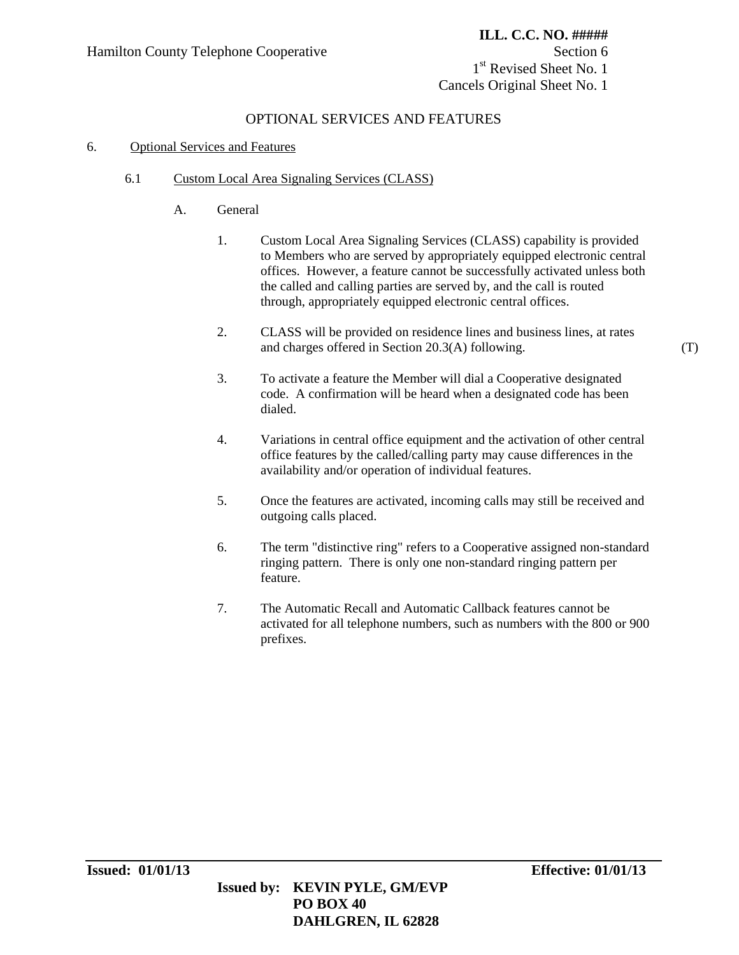1<sup>st</sup> Revised Sheet No. 1 Cancels Original Sheet No. 1

## OPTIONAL SERVICES AND FEATURES

### 6. Optional Services and Features

### 6.1 Custom Local Area Signaling Services (CLASS)

- A. General
	- 1. Custom Local Area Signaling Services (CLASS) capability is provided to Members who are served by appropriately equipped electronic central offices. However, a feature cannot be successfully activated unless both the called and calling parties are served by, and the call is routed through, appropriately equipped electronic central offices.
	- 2. CLASS will be provided on residence lines and business lines, at rates and charges offered in Section 20.3(A) following.
	- 3. To activate a feature the Member will dial a Cooperative designated code. A confirmation will be heard when a designated code has been dialed.
	- 4. Variations in central office equipment and the activation of other central office features by the called/calling party may cause differences in the availability and/or operation of individual features.
	- 5. Once the features are activated, incoming calls may still be received and outgoing calls placed.
	- 6. The term "distinctive ring" refers to a Cooperative assigned non-standard ringing pattern. There is only one non-standard ringing pattern per feature.
	- 7. The Automatic Recall and Automatic Callback features cannot be activated for all telephone numbers, such as numbers with the 800 or 900 prefixes.

(T)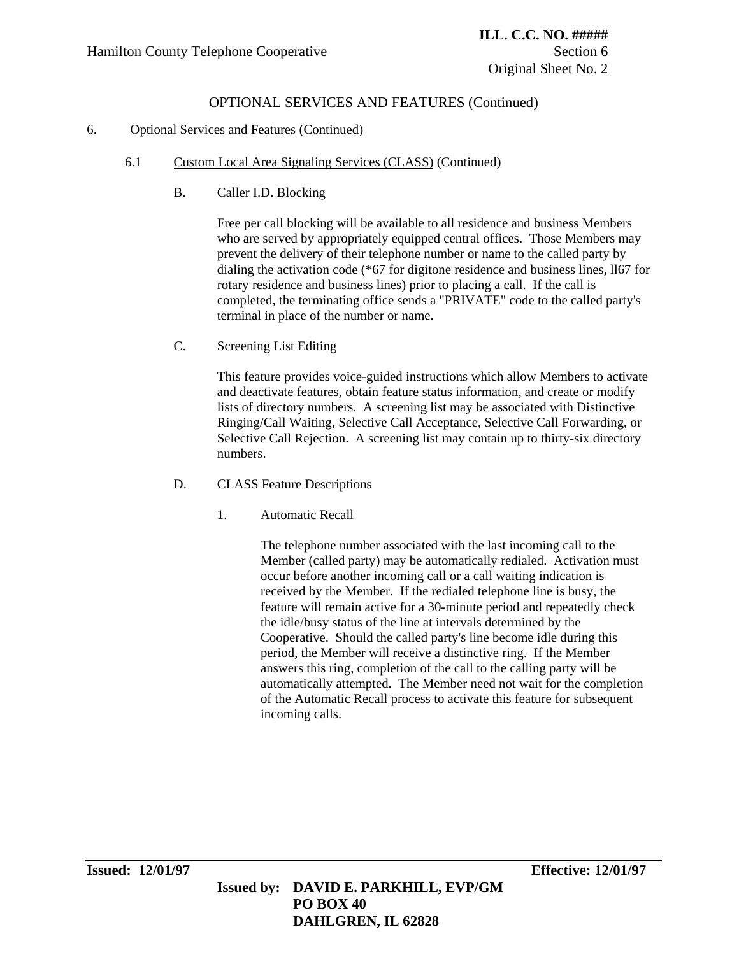### 6. Optional Services and Features (Continued)

- 6.1 Custom Local Area Signaling Services (CLASS) (Continued)
	- B. Caller I.D. Blocking

Free per call blocking will be available to all residence and business Members who are served by appropriately equipped central offices. Those Members may prevent the delivery of their telephone number or name to the called party by dialing the activation code (\*67 for digitone residence and business lines, ll67 for rotary residence and business lines) prior to placing a call. If the call is completed, the terminating office sends a "PRIVATE" code to the called party's terminal in place of the number or name.

C. Screening List Editing

This feature provides voice-guided instructions which allow Members to activate and deactivate features, obtain feature status information, and create or modify lists of directory numbers. A screening list may be associated with Distinctive Ringing/Call Waiting, Selective Call Acceptance, Selective Call Forwarding, or Selective Call Rejection. A screening list may contain up to thirty-six directory numbers.

- D. CLASS Feature Descriptions
	- 1. Automatic Recall

The telephone number associated with the last incoming call to the Member (called party) may be automatically redialed. Activation must occur before another incoming call or a call waiting indication is received by the Member. If the redialed telephone line is busy, the feature will remain active for a 30-minute period and repeatedly check the idle/busy status of the line at intervals determined by the Cooperative. Should the called party's line become idle during this period, the Member will receive a distinctive ring. If the Member answers this ring, completion of the call to the calling party will be automatically attempted. The Member need not wait for the completion of the Automatic Recall process to activate this feature for subsequent incoming calls.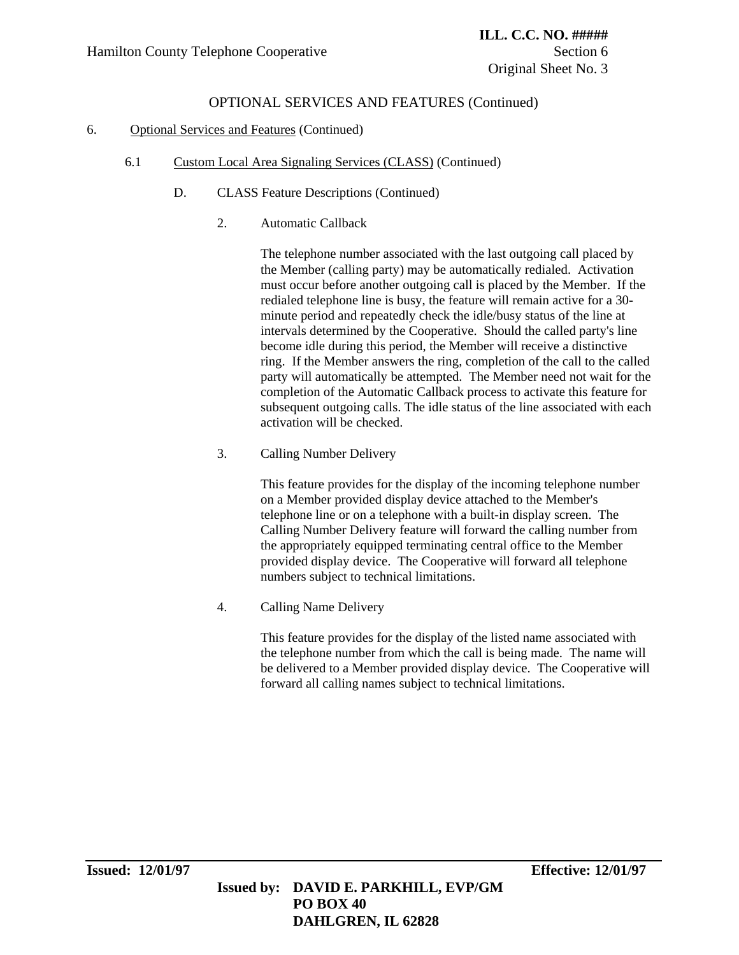## 6. Optional Services and Features (Continued)

- 6.1 Custom Local Area Signaling Services (CLASS) (Continued)
	- D. CLASS Feature Descriptions (Continued)
		- 2. Automatic Callback

The telephone number associated with the last outgoing call placed by the Member (calling party) may be automatically redialed. Activation must occur before another outgoing call is placed by the Member. If the redialed telephone line is busy, the feature will remain active for a 30 minute period and repeatedly check the idle/busy status of the line at intervals determined by the Cooperative. Should the called party's line become idle during this period, the Member will receive a distinctive ring. If the Member answers the ring, completion of the call to the called party will automatically be attempted. The Member need not wait for the completion of the Automatic Callback process to activate this feature for subsequent outgoing calls. The idle status of the line associated with each activation will be checked.

3. Calling Number Delivery

This feature provides for the display of the incoming telephone number on a Member provided display device attached to the Member's telephone line or on a telephone with a built-in display screen. The Calling Number Delivery feature will forward the calling number from the appropriately equipped terminating central office to the Member provided display device. The Cooperative will forward all telephone numbers subject to technical limitations.

4. Calling Name Delivery

This feature provides for the display of the listed name associated with the telephone number from which the call is being made. The name will be delivered to a Member provided display device. The Cooperative will forward all calling names subject to technical limitations.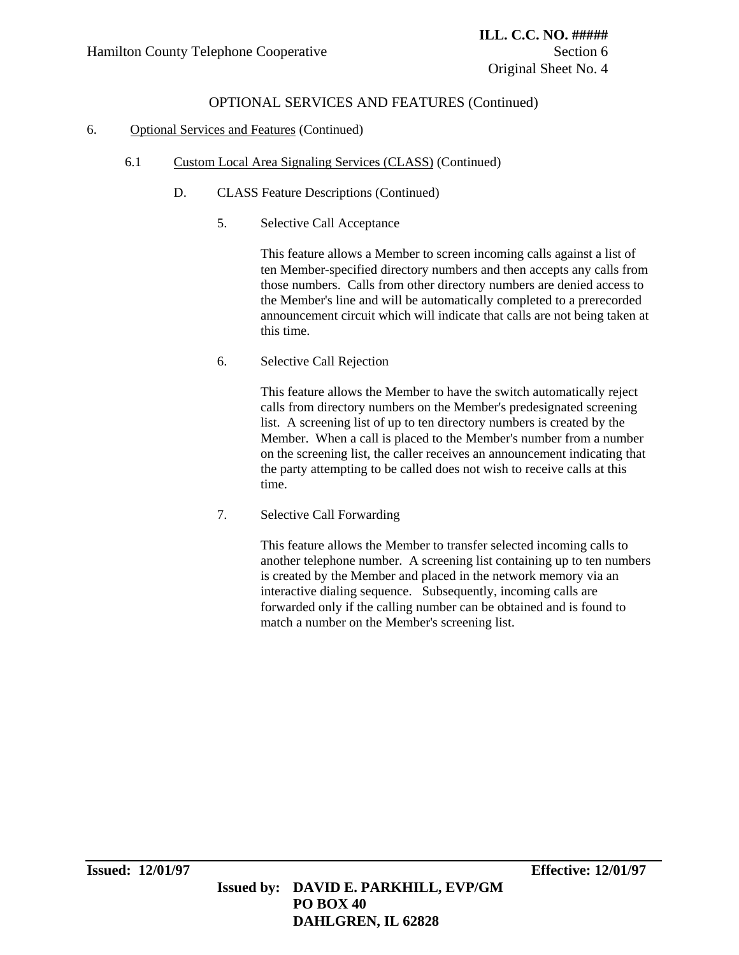### 6. Optional Services and Features (Continued)

- 6.1 Custom Local Area Signaling Services (CLASS) (Continued)
	- D. CLASS Feature Descriptions (Continued)
		- 5. Selective Call Acceptance

This feature allows a Member to screen incoming calls against a list of ten Member-specified directory numbers and then accepts any calls from those numbers. Calls from other directory numbers are denied access to the Member's line and will be automatically completed to a prerecorded announcement circuit which will indicate that calls are not being taken at this time.

6. Selective Call Rejection

This feature allows the Member to have the switch automatically reject calls from directory numbers on the Member's predesignated screening list. A screening list of up to ten directory numbers is created by the Member. When a call is placed to the Member's number from a number on the screening list, the caller receives an announcement indicating that the party attempting to be called does not wish to receive calls at this time.

7. Selective Call Forwarding

This feature allows the Member to transfer selected incoming calls to another telephone number. A screening list containing up to ten numbers is created by the Member and placed in the network memory via an interactive dialing sequence. Subsequently, incoming calls are forwarded only if the calling number can be obtained and is found to match a number on the Member's screening list.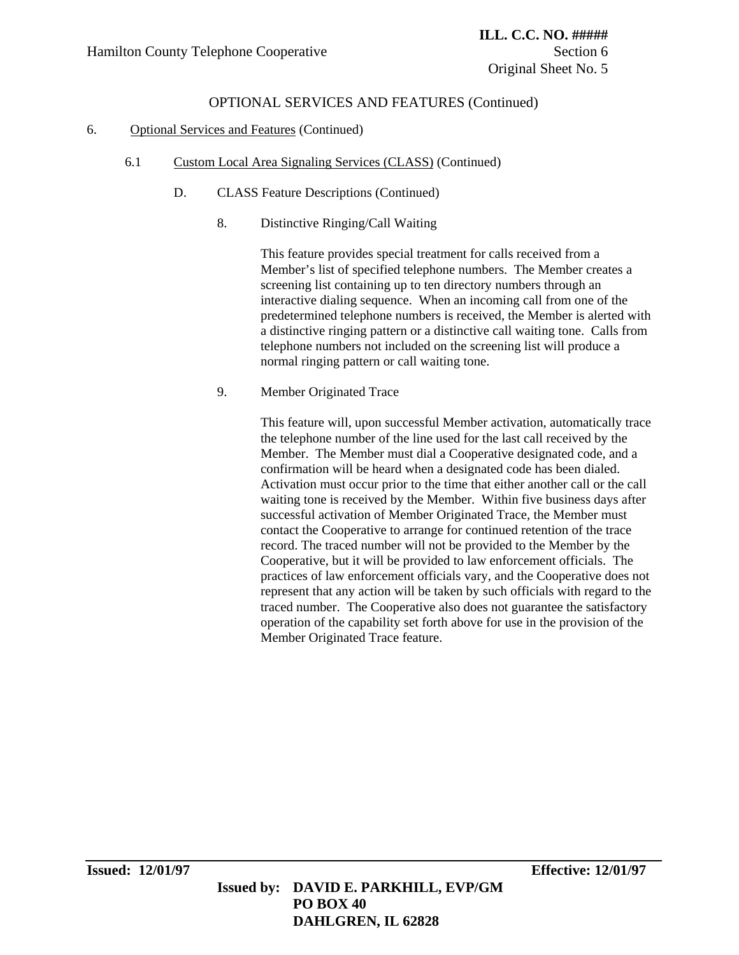## 6. Optional Services and Features (Continued)

- 6.1 Custom Local Area Signaling Services (CLASS) (Continued)
	- D. CLASS Feature Descriptions (Continued)
		- 8. Distinctive Ringing/Call Waiting

This feature provides special treatment for calls received from a Member's list of specified telephone numbers. The Member creates a screening list containing up to ten directory numbers through an interactive dialing sequence. When an incoming call from one of the predetermined telephone numbers is received, the Member is alerted with a distinctive ringing pattern or a distinctive call waiting tone. Calls from telephone numbers not included on the screening list will produce a normal ringing pattern or call waiting tone.

9. Member Originated Trace

This feature will, upon successful Member activation, automatically trace the telephone number of the line used for the last call received by the Member. The Member must dial a Cooperative designated code, and a confirmation will be heard when a designated code has been dialed. Activation must occur prior to the time that either another call or the call waiting tone is received by the Member. Within five business days after successful activation of Member Originated Trace, the Member must contact the Cooperative to arrange for continued retention of the trace record. The traced number will not be provided to the Member by the Cooperative, but it will be provided to law enforcement officials. The practices of law enforcement officials vary, and the Cooperative does not represent that any action will be taken by such officials with regard to the traced number. The Cooperative also does not guarantee the satisfactory operation of the capability set forth above for use in the provision of the Member Originated Trace feature.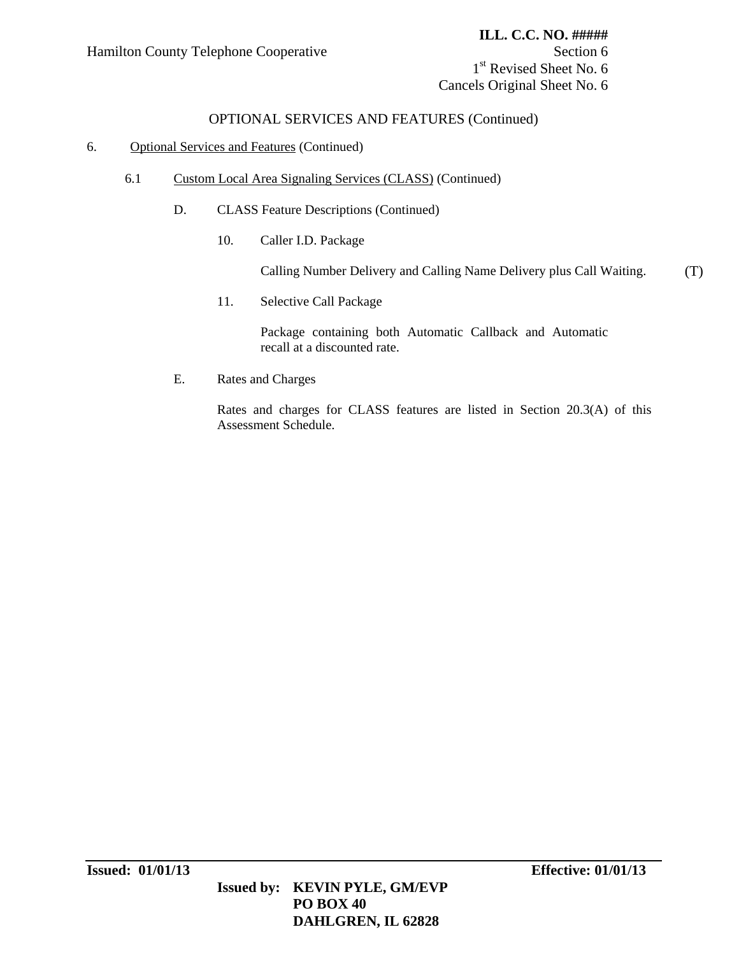1<sup>st</sup> Revised Sheet No. 6 Cancels Original Sheet No. 6

## OPTIONAL SERVICES AND FEATURES (Continued)

### 6. Optional Services and Features (Continued)

- 6.1 Custom Local Area Signaling Services (CLASS) (Continued)
	- D. CLASS Feature Descriptions (Continued)
		- 10. Caller I.D. Package

Calling Number Delivery and Calling Name Delivery plus Call Waiting. (T)

11. Selective Call Package

Package containing both Automatic Callback and Automatic recall at a discounted rate.

E. Rates and Charges

Rates and charges for CLASS features are listed in Section 20.3(A) of this Assessment Schedule.

 **DAHLGREN, IL 62828**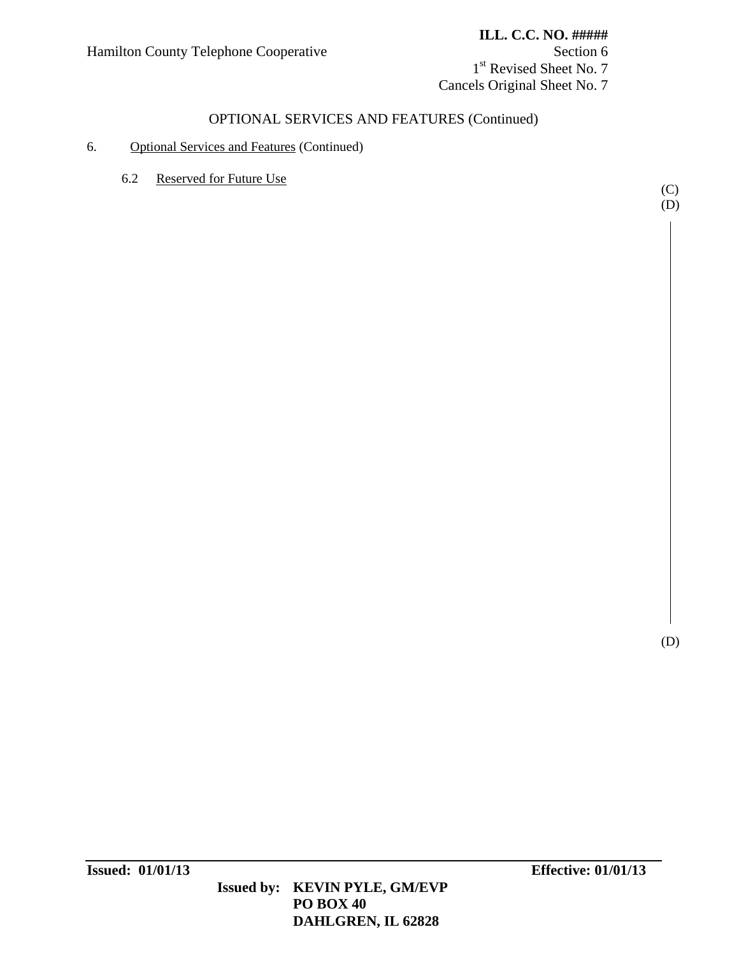1<sup>st</sup> Revised Sheet No. 7 Cancels Original Sheet No. 7

# OPTIONAL SERVICES AND FEATURES (Continued)

## 6. Optional Services and Features (Continued)

6.2 Reserved for Future Use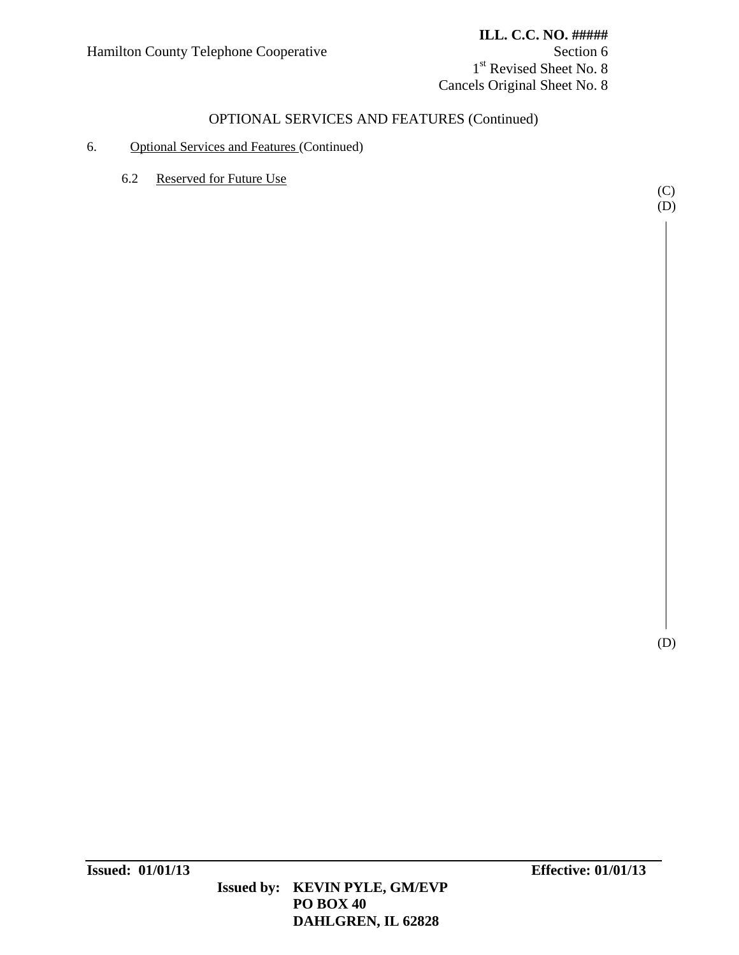1<sup>st</sup> Revised Sheet No. 8 Cancels Original Sheet No. 8

# OPTIONAL SERVICES AND FEATURES (Continued)

## 6. Optional Services and Features (Continued)

6.2 Reserved for Future Use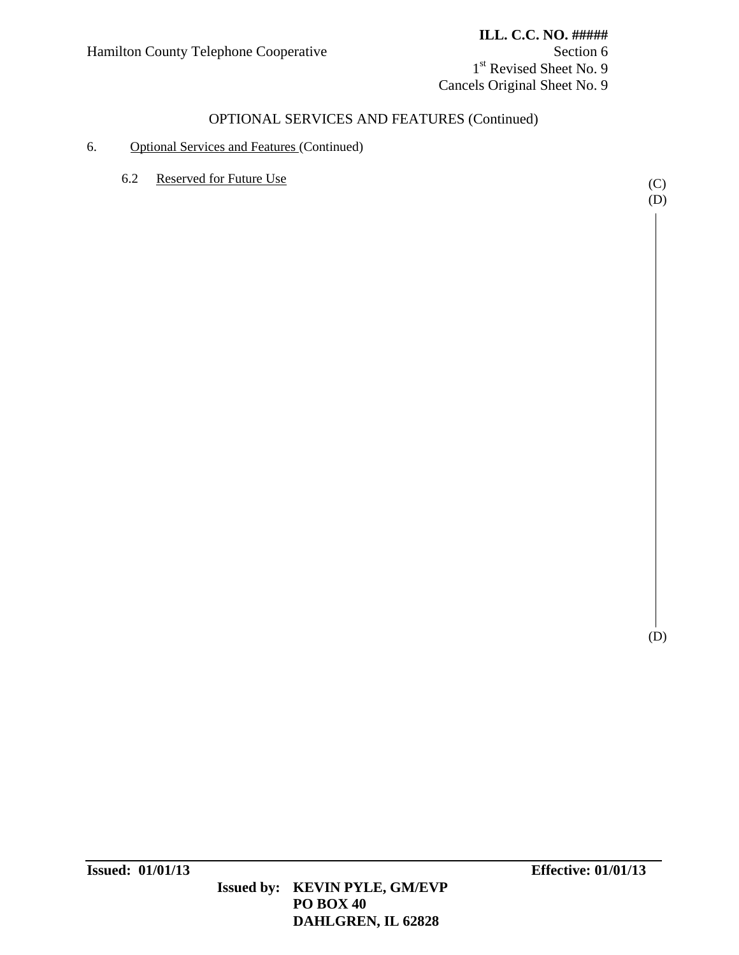1<sup>st</sup> Revised Sheet No. 9 Cancels Original Sheet No. 9

# OPTIONAL SERVICES AND FEATURES (Continued)

## 6. Optional Services and Features (Continued)

6.2 Reserved for Future Use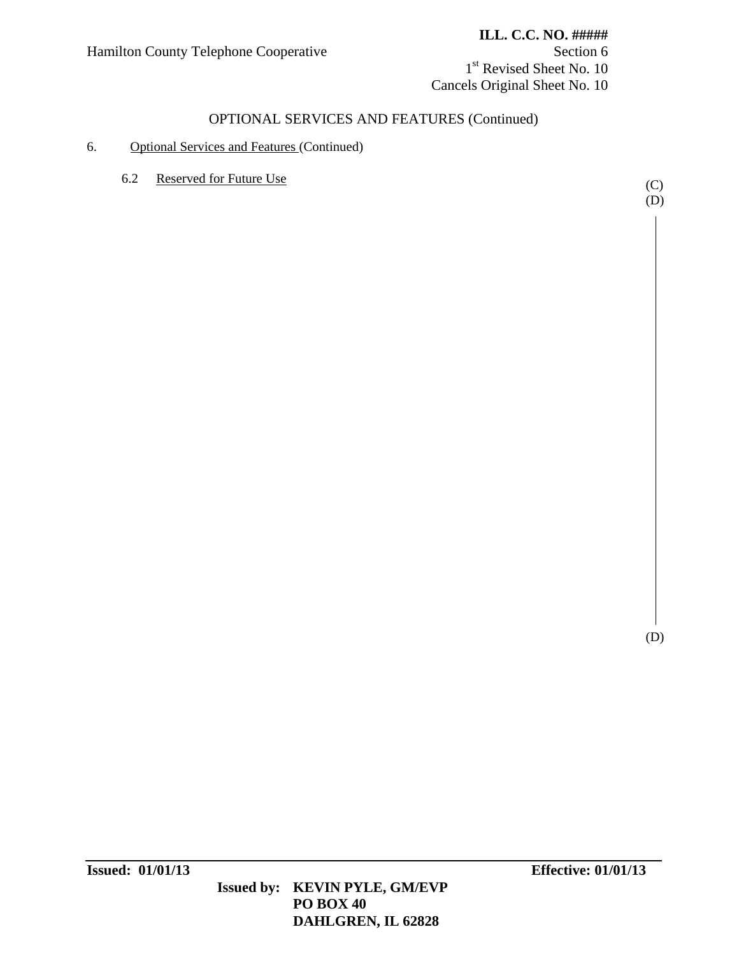## **ILL. C.C. NO. #####**

1st Revised Sheet No. 10 Cancels Original Sheet No. 10

## OPTIONAL SERVICES AND FEATURES (Continued)

## 6. Optional Services and Features (Continued)

6.2 Reserved for Future Use (C)

 $(D)$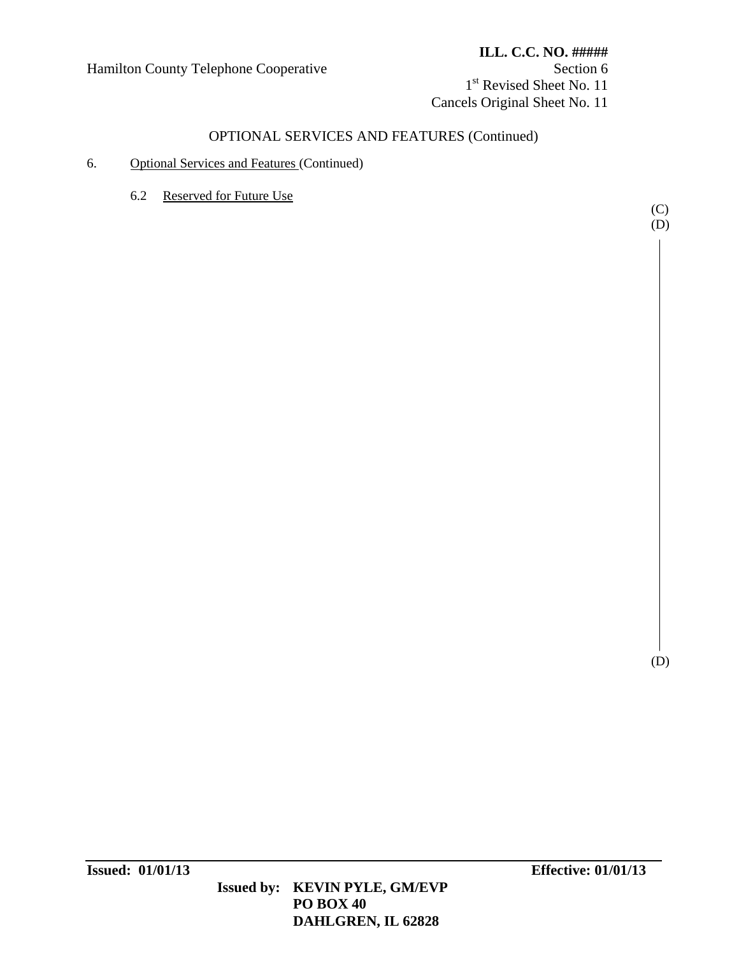# OPTIONAL SERVICES AND FEATURES (Continued)

- 6. Optional Services and Features (Continued)
	- 6.2 Reserved for Future Use

(C) (D)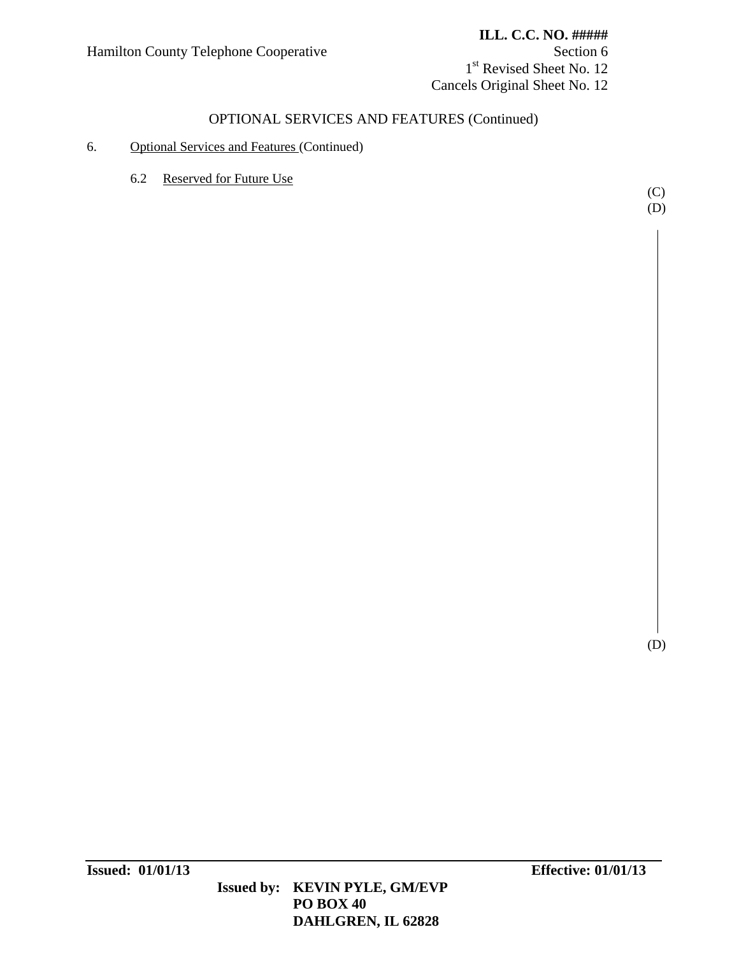### **ILL. C.C. NO. #####**

1<sup>st</sup> Revised Sheet No. 12 Cancels Original Sheet No. 12

## OPTIONAL SERVICES AND FEATURES (Continued)

## 6. Optional Services and Features (Continued)

6.2 Reserved for Future Use

(C)  $(D)$ 

(D)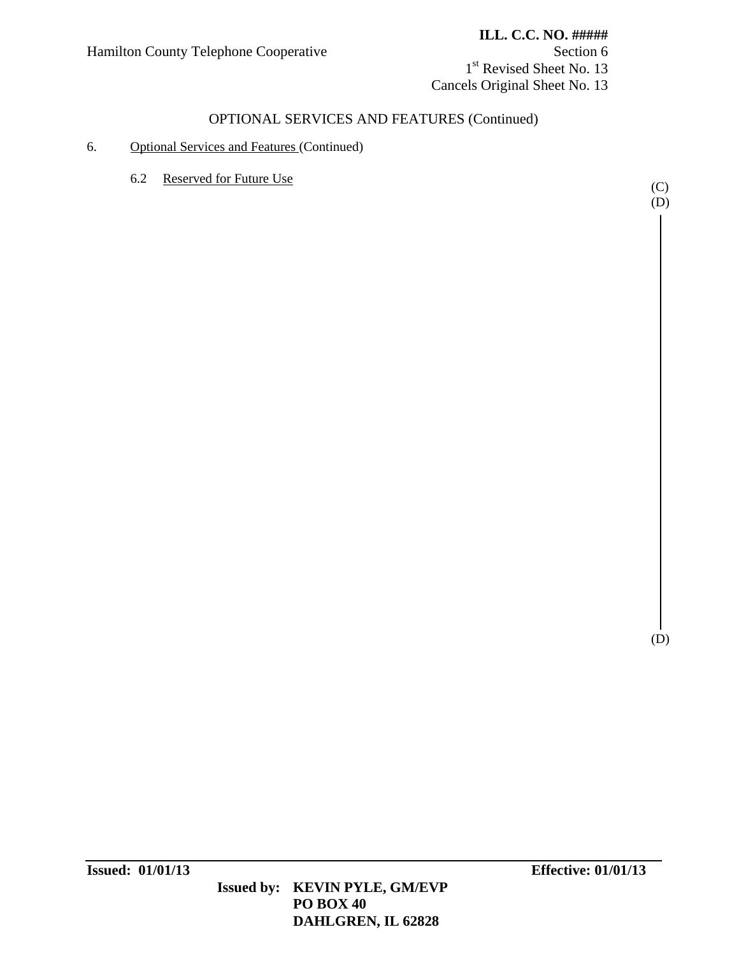### **ILL. C.C. NO. #####**

1<sup>st</sup> Revised Sheet No. 13 Cancels Original Sheet No. 13

## OPTIONAL SERVICES AND FEATURES (Continued)

### 6. Optional Services and Features (Continued)

6.2 Reserved for Future Use (C)

(D)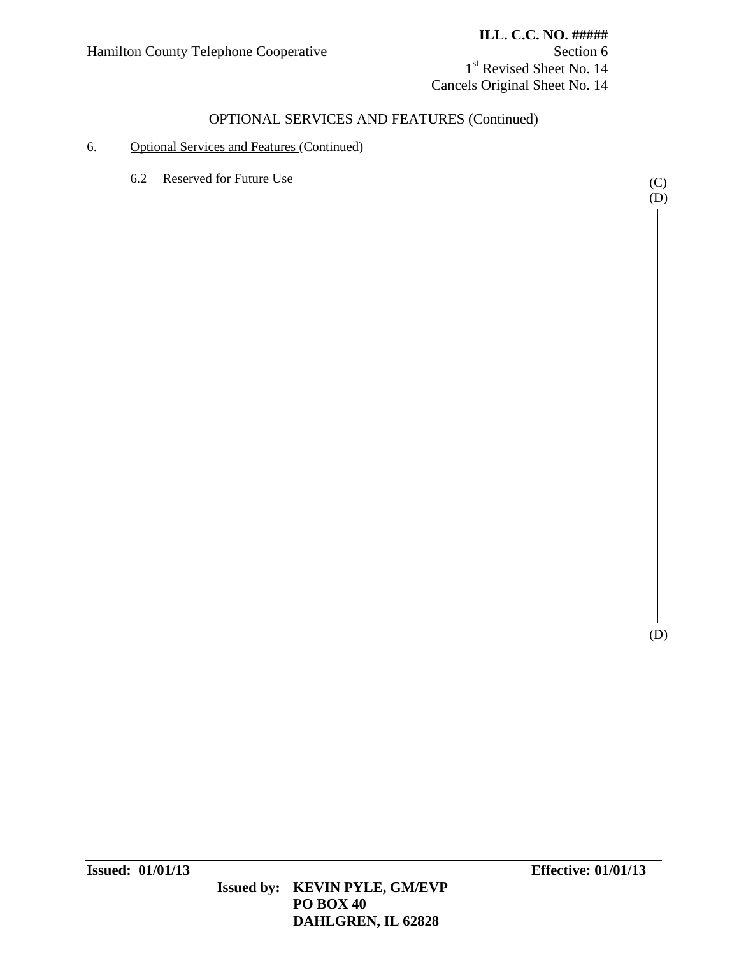### **ILL. C.C. NO. #####**

1<sup>st</sup> Revised Sheet No. 14 Cancels Original Sheet No. 14

## OPTIONAL SERVICES AND FEATURES (Continued)

### 6. Optional Services and Features (Continued)

6.2 Reserved for Future Use (C)

(D)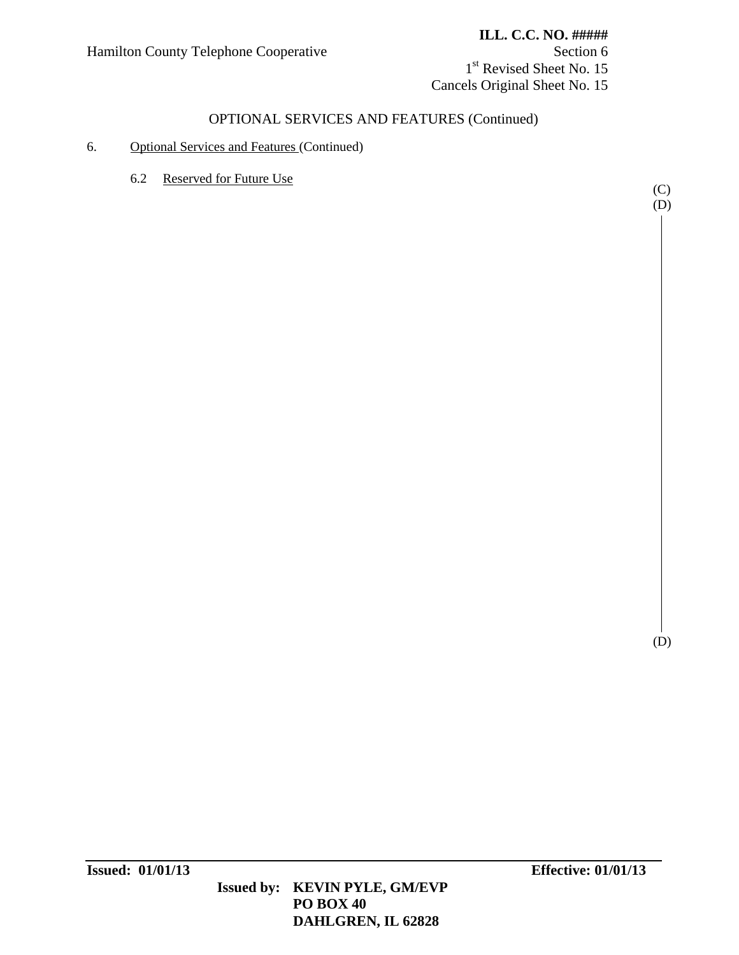### **ILL. C.C. NO. #####**

1<sup>st</sup> Revised Sheet No. 15 Cancels Original Sheet No. 15

## OPTIONAL SERVICES AND FEATURES (Continued)

## 6. Optional Services and Features (Continued)

6.2 Reserved for Future Use

(D)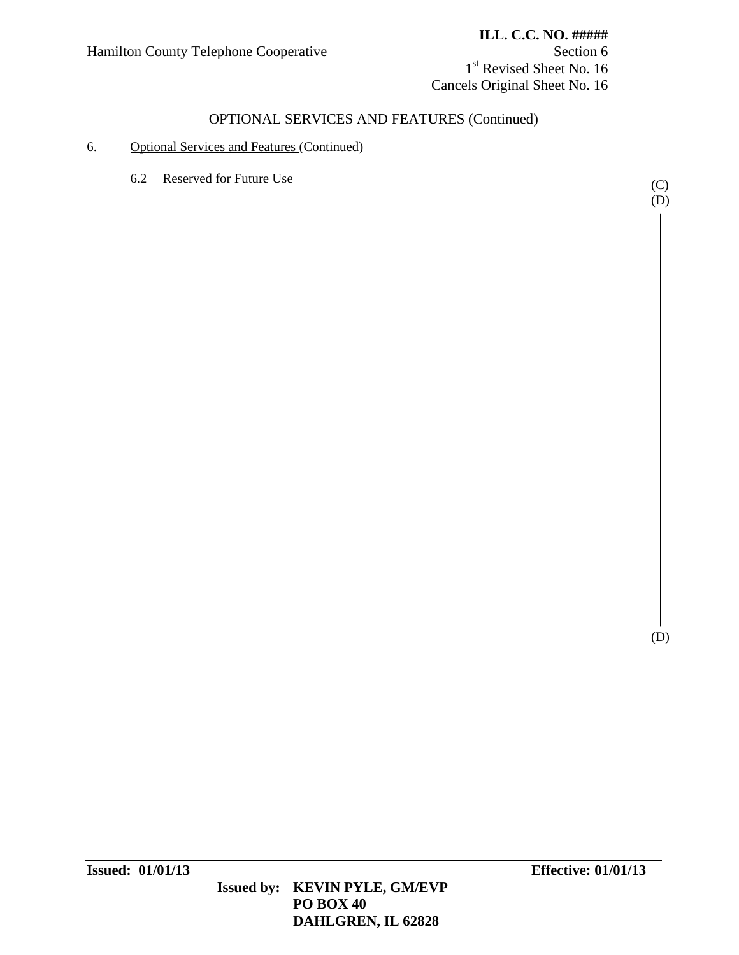## **ILL. C.C. NO. #####**

1<sup>st</sup> Revised Sheet No. 16 Cancels Original Sheet No. 16

## OPTIONAL SERVICES AND FEATURES (Continued)

### 6. Optional Services and Features (Continued)

6.2 Reserved for Future Use (C)

 $(D)$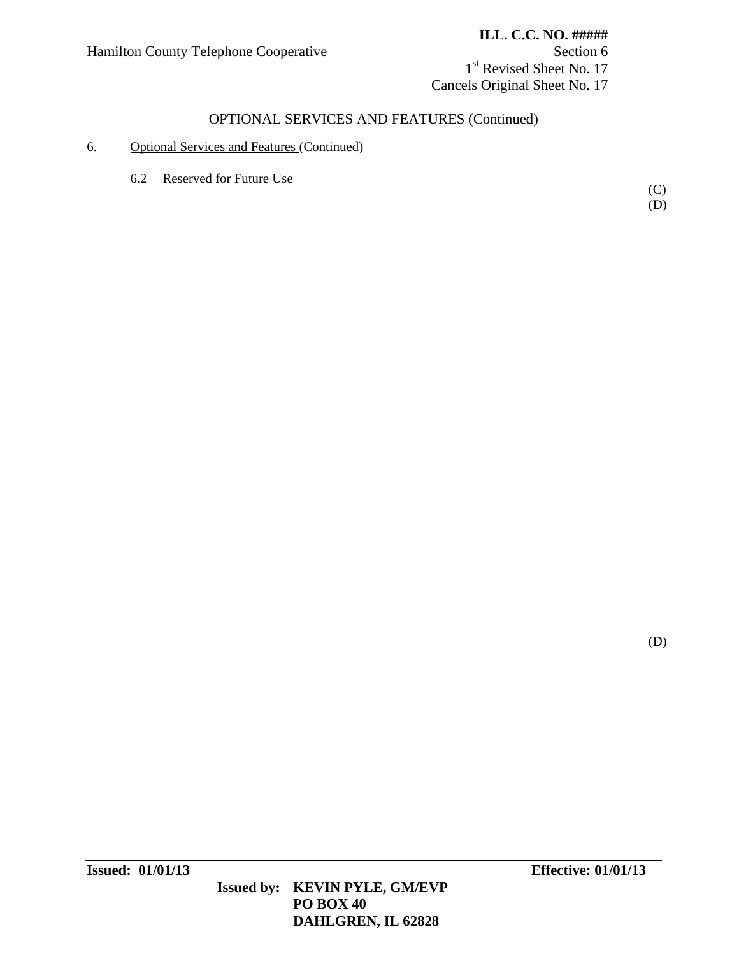### **ILL. C.C. NO. #####**

1<sup>st</sup> Revised Sheet No. 17 Cancels Original Sheet No. 17

## OPTIONAL SERVICES AND FEATURES (Continued)

### 6. Optional Services and Features (Continued)

6.2 Reserved for Future Use

(C) (D)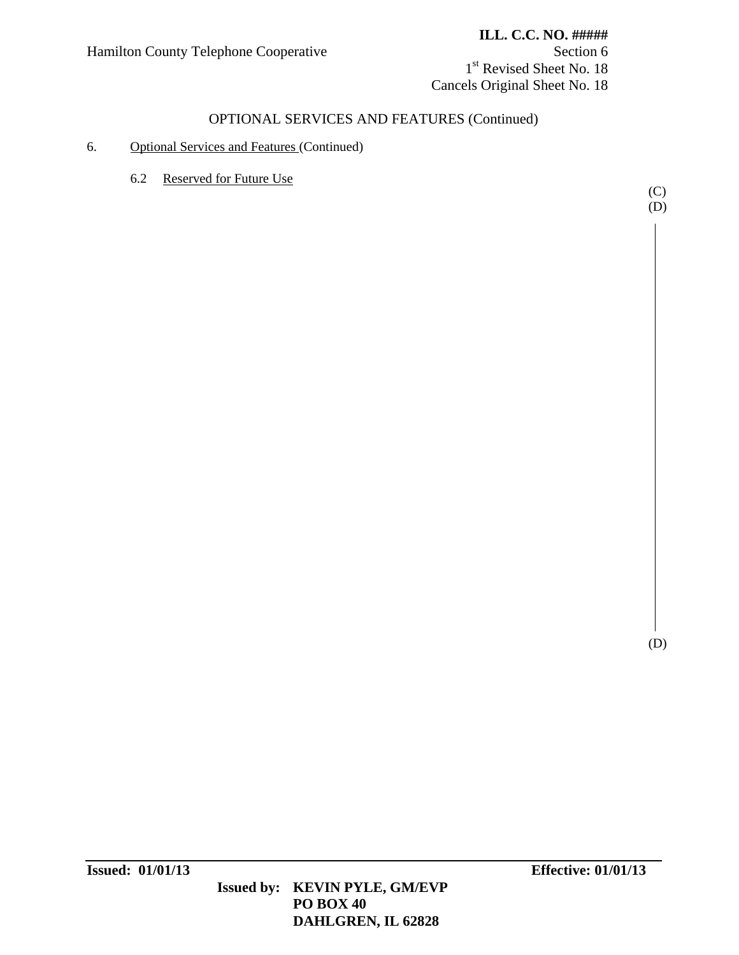## **ILL. C.C. NO. #####**

1<sup>st</sup> Revised Sheet No. 18 Cancels Original Sheet No. 18

## OPTIONAL SERVICES AND FEATURES (Continued)

### 6. Optional Services and Features (Continued)

6.2 Reserved for Future Use

(C) (D)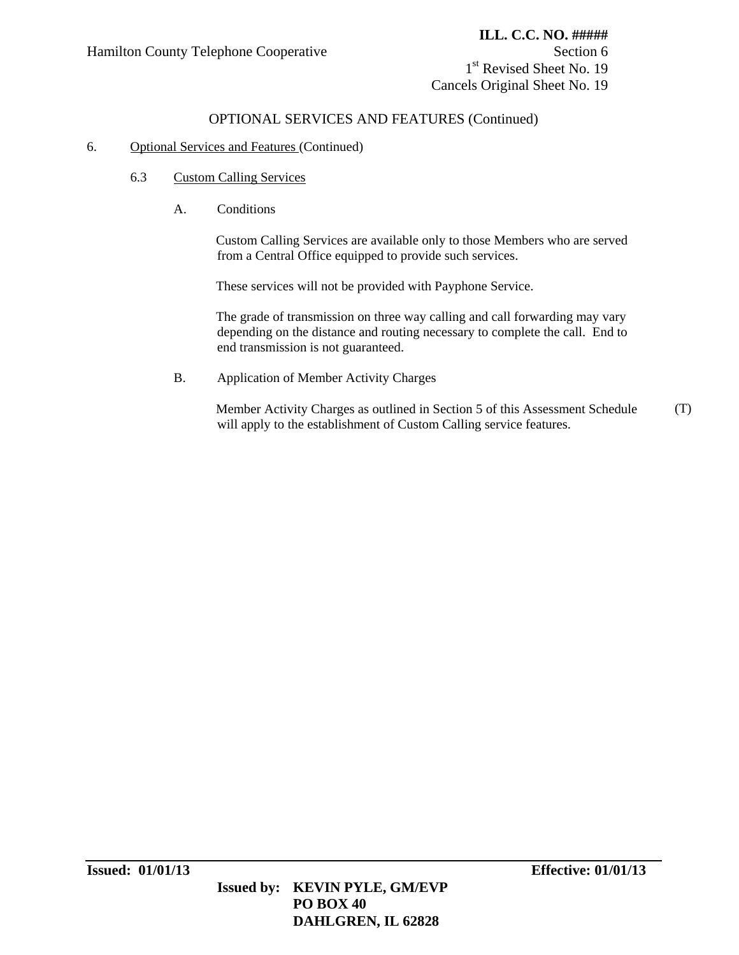1<sup>st</sup> Revised Sheet No. 19 Cancels Original Sheet No. 19

## OPTIONAL SERVICES AND FEATURES (Continued)

### 6. Optional Services and Features (Continued)

- 6.3 Custom Calling Services
	- A. Conditions

Custom Calling Services are available only to those Members who are served from a Central Office equipped to provide such services.

These services will not be provided with Payphone Service.

The grade of transmission on three way calling and call forwarding may vary depending on the distance and routing necessary to complete the call. End to end transmission is not guaranteed.

B. Application of Member Activity Charges

Member Activity Charges as outlined in Section 5 of this Assessment Schedule will apply to the establishment of Custom Calling service features. (T)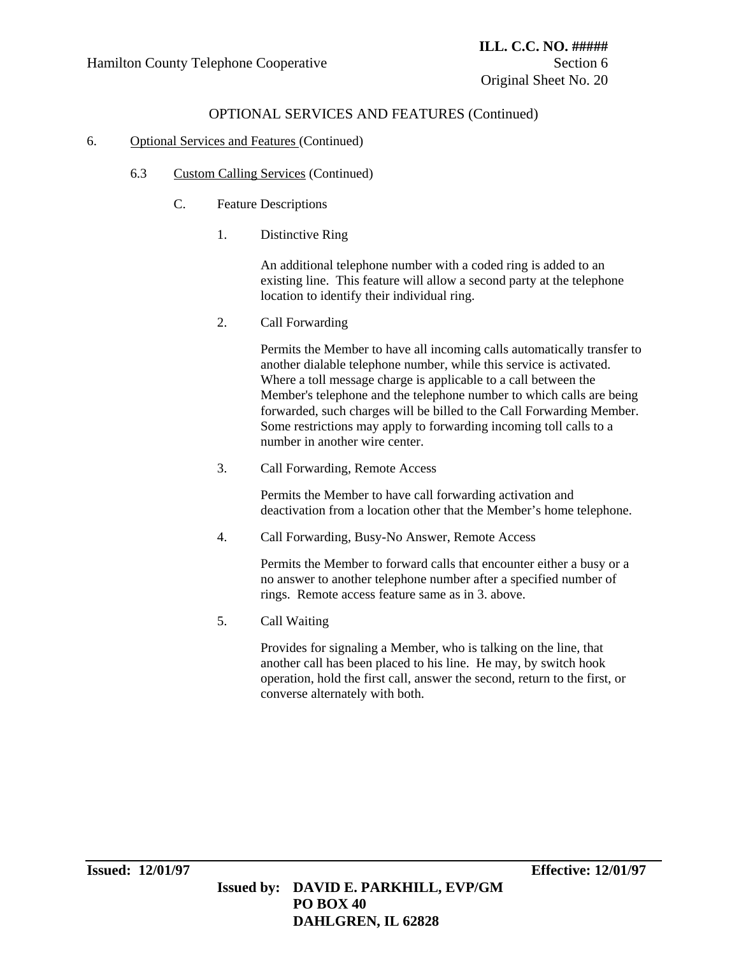### 6. Optional Services and Features (Continued)

- 6.3 Custom Calling Services (Continued)
	- C. Feature Descriptions
		- 1. Distinctive Ring

An additional telephone number with a coded ring is added to an existing line. This feature will allow a second party at the telephone location to identify their individual ring.

2. Call Forwarding

Permits the Member to have all incoming calls automatically transfer to another dialable telephone number, while this service is activated. Where a toll message charge is applicable to a call between the Member's telephone and the telephone number to which calls are being forwarded, such charges will be billed to the Call Forwarding Member. Some restrictions may apply to forwarding incoming toll calls to a number in another wire center.

3. Call Forwarding, Remote Access

Permits the Member to have call forwarding activation and deactivation from a location other that the Member's home telephone.

4. Call Forwarding, Busy-No Answer, Remote Access

Permits the Member to forward calls that encounter either a busy or a no answer to another telephone number after a specified number of rings. Remote access feature same as in 3. above.

5. Call Waiting

Provides for signaling a Member, who is talking on the line, that another call has been placed to his line. He may, by switch hook operation, hold the first call, answer the second, return to the first, or converse alternately with both.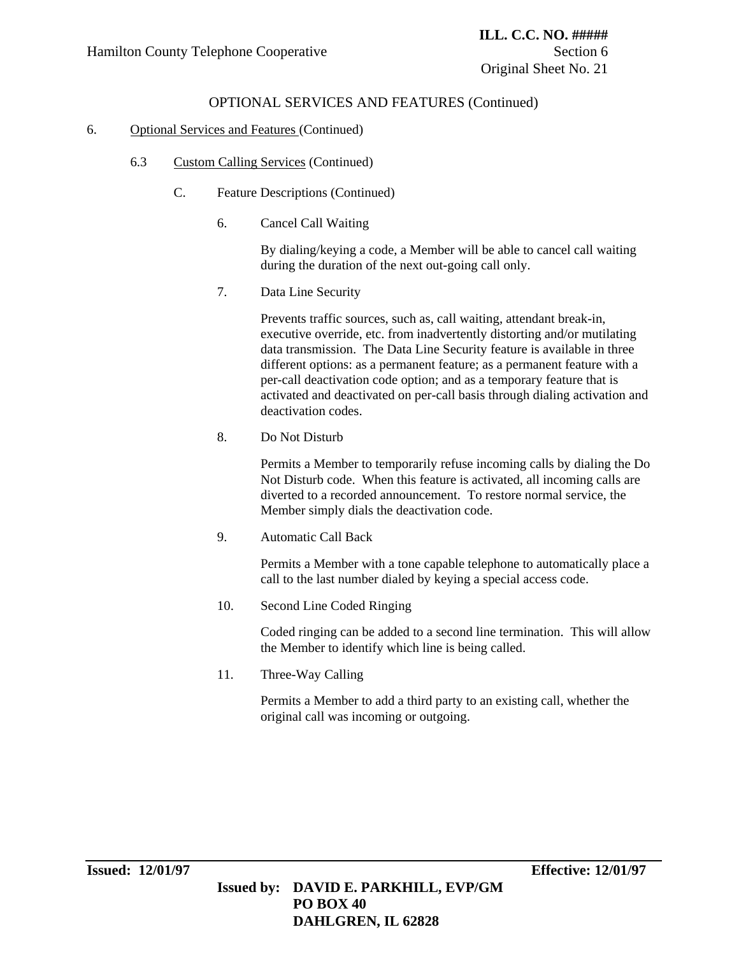### 6. Optional Services and Features (Continued)

- 6.3 Custom Calling Services (Continued)
	- C. Feature Descriptions (Continued)
		- 6. Cancel Call Waiting

By dialing/keying a code, a Member will be able to cancel call waiting during the duration of the next out-going call only.

7. Data Line Security

Prevents traffic sources, such as, call waiting, attendant break-in, executive override, etc. from inadvertently distorting and/or mutilating data transmission. The Data Line Security feature is available in three different options: as a permanent feature; as a permanent feature with a per-call deactivation code option; and as a temporary feature that is activated and deactivated on per-call basis through dialing activation and deactivation codes.

8. Do Not Disturb

Permits a Member to temporarily refuse incoming calls by dialing the Do Not Disturb code. When this feature is activated, all incoming calls are diverted to a recorded announcement. To restore normal service, the Member simply dials the deactivation code.

9. Automatic Call Back

Permits a Member with a tone capable telephone to automatically place a call to the last number dialed by keying a special access code.

10. Second Line Coded Ringing

Coded ringing can be added to a second line termination. This will allow the Member to identify which line is being called.

11. Three-Way Calling

Permits a Member to add a third party to an existing call, whether the original call was incoming or outgoing.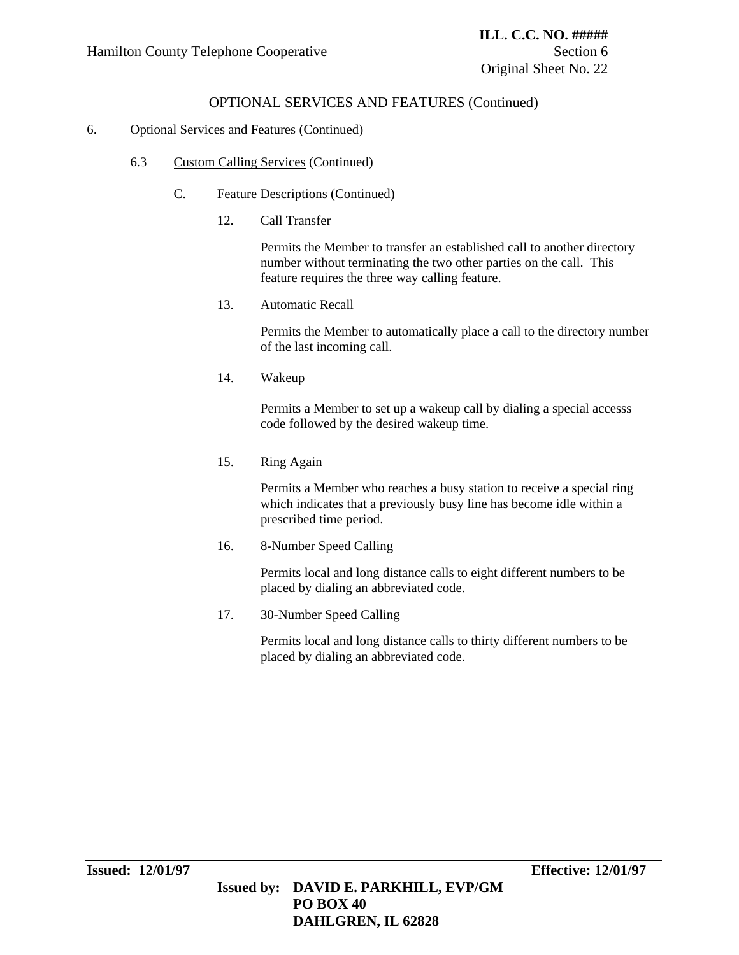### 6. Optional Services and Features (Continued)

- 6.3 Custom Calling Services (Continued)
	- C. Feature Descriptions (Continued)
		- 12. Call Transfer

Permits the Member to transfer an established call to another directory number without terminating the two other parties on the call. This feature requires the three way calling feature.

13. Automatic Recall

Permits the Member to automatically place a call to the directory number of the last incoming call.

14. Wakeup

Permits a Member to set up a wakeup call by dialing a special accesss code followed by the desired wakeup time.

15. Ring Again

Permits a Member who reaches a busy station to receive a special ring which indicates that a previously busy line has become idle within a prescribed time period.

16. 8-Number Speed Calling

Permits local and long distance calls to eight different numbers to be placed by dialing an abbreviated code.

17. 30-Number Speed Calling

Permits local and long distance calls to thirty different numbers to be placed by dialing an abbreviated code.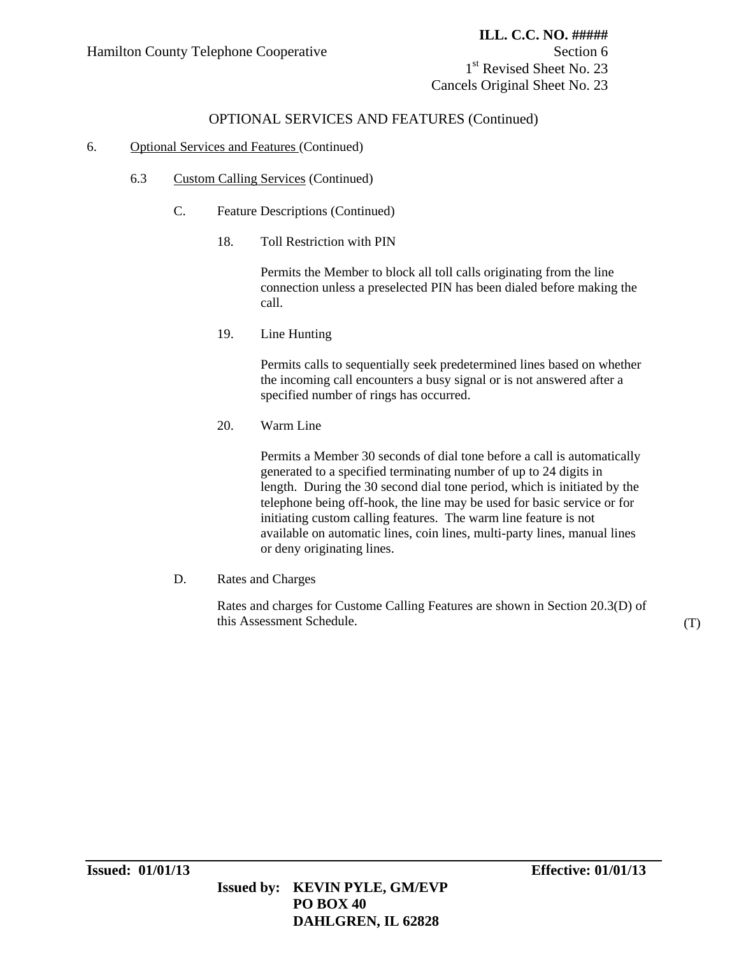1<sup>st</sup> Revised Sheet No. 23 Cancels Original Sheet No. 23

## OPTIONAL SERVICES AND FEATURES (Continued)

### 6. Optional Services and Features (Continued)

- 6.3 Custom Calling Services (Continued)
	- C. Feature Descriptions (Continued)
		- 18. Toll Restriction with PIN

 Permits the Member to block all toll calls originating from the line connection unless a preselected PIN has been dialed before making the call.

19. Line Hunting

Permits calls to sequentially seek predetermined lines based on whether the incoming call encounters a busy signal or is not answered after a specified number of rings has occurred.

20. Warm Line

Permits a Member 30 seconds of dial tone before a call is automatically generated to a specified terminating number of up to 24 digits in length. During the 30 second dial tone period, which is initiated by the telephone being off-hook, the line may be used for basic service or for initiating custom calling features. The warm line feature is not available on automatic lines, coin lines, multi-party lines, manual lines or deny originating lines.

D. Rates and Charges

Rates and charges for Custome Calling Features are shown in Section 20.3(D) of this Assessment Schedule. (T)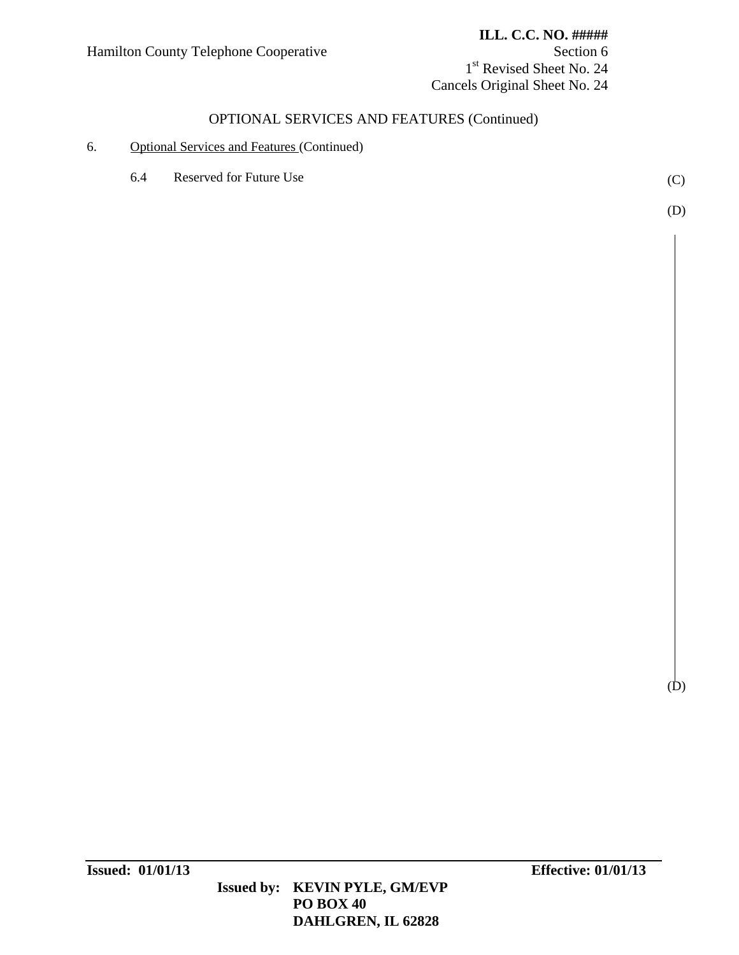### **ILL. C.C. NO. #####**

1<sup>st</sup> Revised Sheet No. 24 Cancels Original Sheet No. 24

# OPTIONAL SERVICES AND FEATURES (Continued)

### 6. Optional Services and Features (Continued)

6.4 Reserved for Future Use (C)

(D)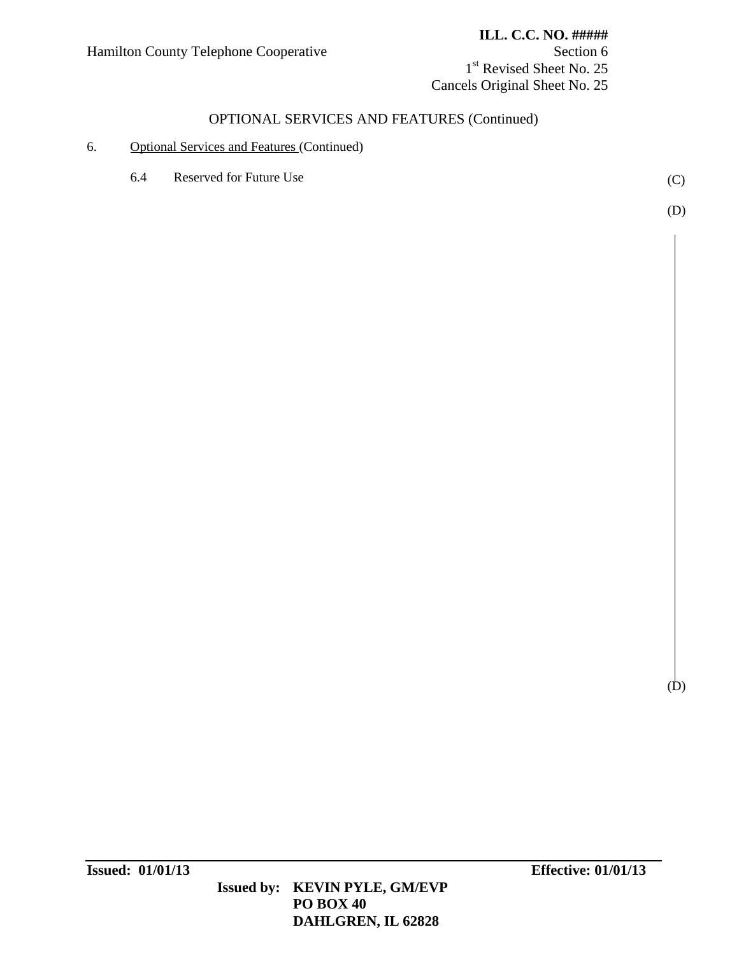### Hamilton County Telephone Cooperative Section 6

#### **ILL. C.C. NO. #####**

1<sup>st</sup> Revised Sheet No. 25 Cancels Original Sheet No. 25

# OPTIONAL SERVICES AND FEATURES (Continued)

### 6. Optional Services and Features (Continued)

6.4 Reserved for Future Use (C)

(D)

 **Issued by: KEVIN PYLE, GM/EVP PO BOX 40 DAHLGREN, IL 62828**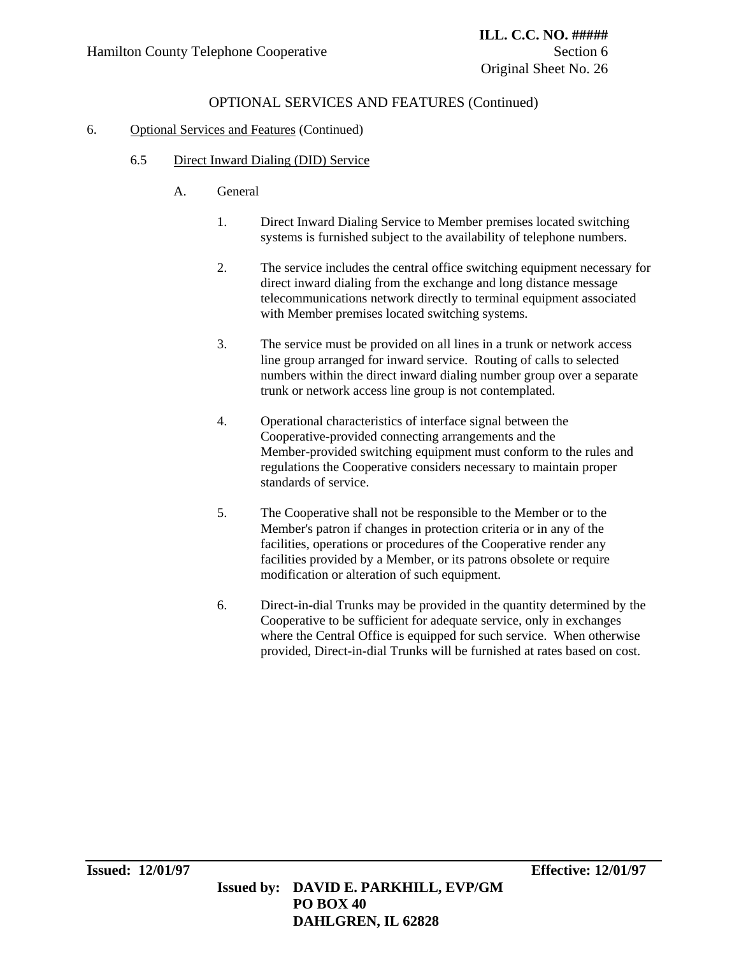# OPTIONAL SERVICES AND FEATURES (Continued)

### 6. Optional Services and Features (Continued)

- 6.5 Direct Inward Dialing (DID) Service
	- A. General
		- 1. Direct Inward Dialing Service to Member premises located switching systems is furnished subject to the availability of telephone numbers.
		- 2. The service includes the central office switching equipment necessary for direct inward dialing from the exchange and long distance message telecommunications network directly to terminal equipment associated with Member premises located switching systems.
		- 3. The service must be provided on all lines in a trunk or network access line group arranged for inward service. Routing of calls to selected numbers within the direct inward dialing number group over a separate trunk or network access line group is not contemplated.
		- 4. Operational characteristics of interface signal between the Cooperative-provided connecting arrangements and the Member-provided switching equipment must conform to the rules and regulations the Cooperative considers necessary to maintain proper standards of service.
		- 5. The Cooperative shall not be responsible to the Member or to the Member's patron if changes in protection criteria or in any of the facilities, operations or procedures of the Cooperative render any facilities provided by a Member, or its patrons obsolete or require modification or alteration of such equipment.
		- 6. Direct-in-dial Trunks may be provided in the quantity determined by the Cooperative to be sufficient for adequate service, only in exchanges where the Central Office is equipped for such service. When otherwise provided, Direct-in-dial Trunks will be furnished at rates based on cost.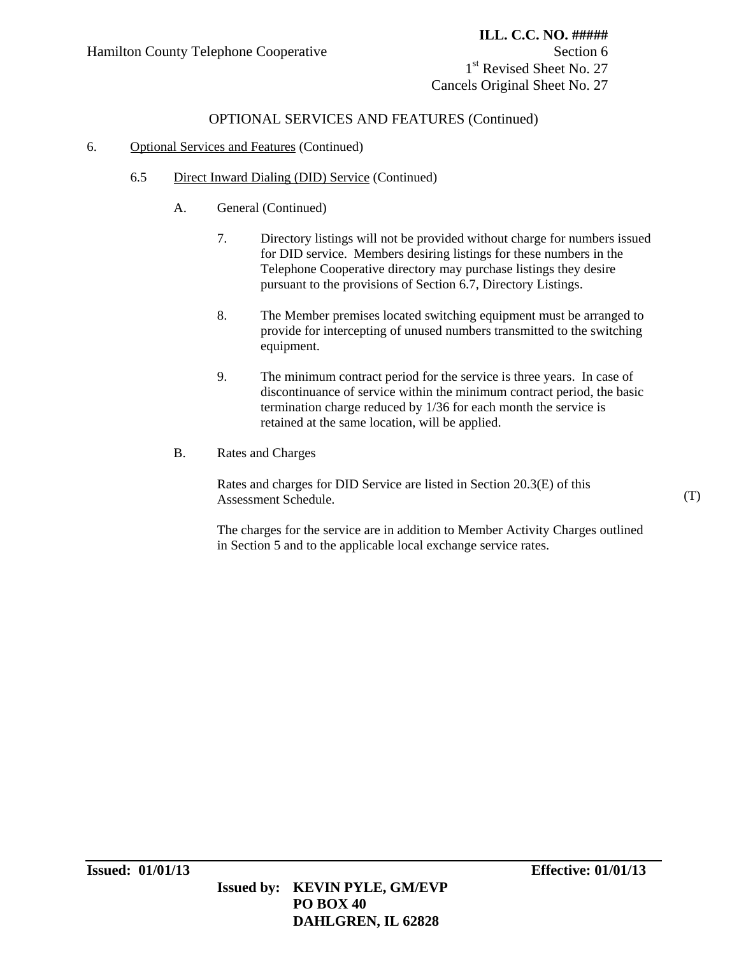1<sup>st</sup> Revised Sheet No. 27 Cancels Original Sheet No. 27

# OPTIONAL SERVICES AND FEATURES (Continued)

#### 6. Optional Services and Features (Continued)

- 6.5 Direct Inward Dialing (DID) Service (Continued)
	- A. General (Continued)
		- 7. Directory listings will not be provided without charge for numbers issued for DID service. Members desiring listings for these numbers in the Telephone Cooperative directory may purchase listings they desire pursuant to the provisions of Section 6.7, Directory Listings.
		- 8. The Member premises located switching equipment must be arranged to provide for intercepting of unused numbers transmitted to the switching equipment.
		- 9. The minimum contract period for the service is three years. In case of discontinuance of service within the minimum contract period, the basic termination charge reduced by 1/36 for each month the service is retained at the same location, will be applied.
	- B. Rates and Charges

Rates and charges for DID Service are listed in Section 20.3(E) of this Assessment Schedule.

The charges for the service are in addition to Member Activity Charges outlined in Section 5 and to the applicable local exchange service rates.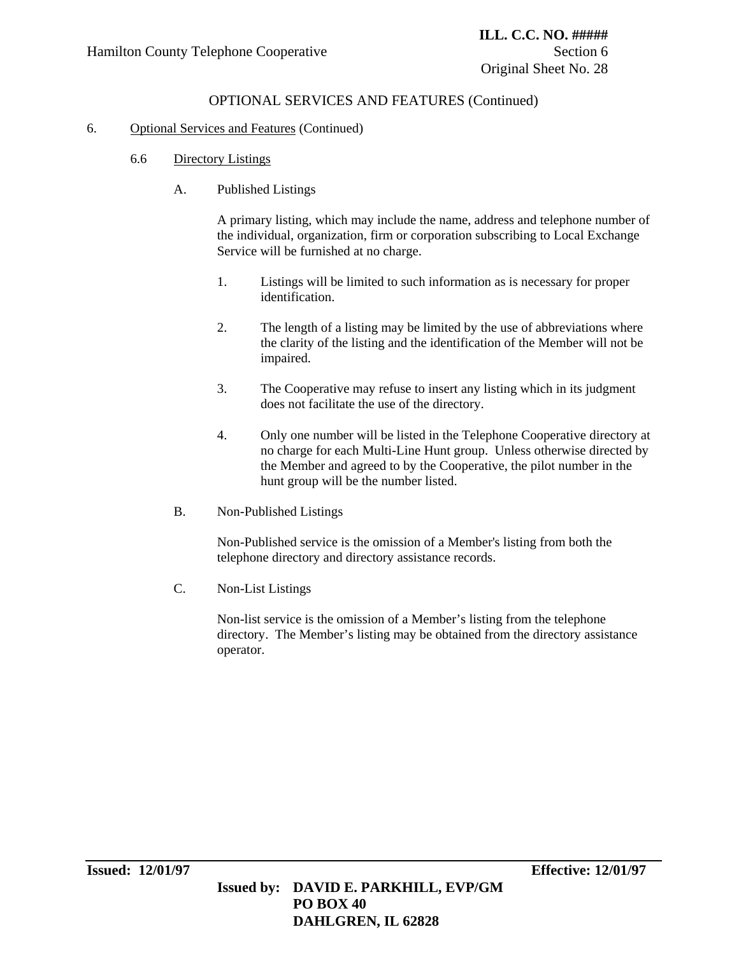### OPTIONAL SERVICES AND FEATURES (Continued)

#### 6. Optional Services and Features (Continued)

- 6.6 Directory Listings
	- A. Published Listings

A primary listing, which may include the name, address and telephone number of the individual, organization, firm or corporation subscribing to Local Exchange Service will be furnished at no charge.

- 1. Listings will be limited to such information as is necessary for proper identification.
- 2. The length of a listing may be limited by the use of abbreviations where the clarity of the listing and the identification of the Member will not be impaired.
- 3. The Cooperative may refuse to insert any listing which in its judgment does not facilitate the use of the directory.
- 4. Only one number will be listed in the Telephone Cooperative directory at no charge for each Multi-Line Hunt group. Unless otherwise directed by the Member and agreed to by the Cooperative, the pilot number in the hunt group will be the number listed.
- B. Non-Published Listings

Non-Published service is the omission of a Member's listing from both the telephone directory and directory assistance records.

C. Non-List Listings

 Non-list service is the omission of a Member's listing from the telephone directory. The Member's listing may be obtained from the directory assistance operator.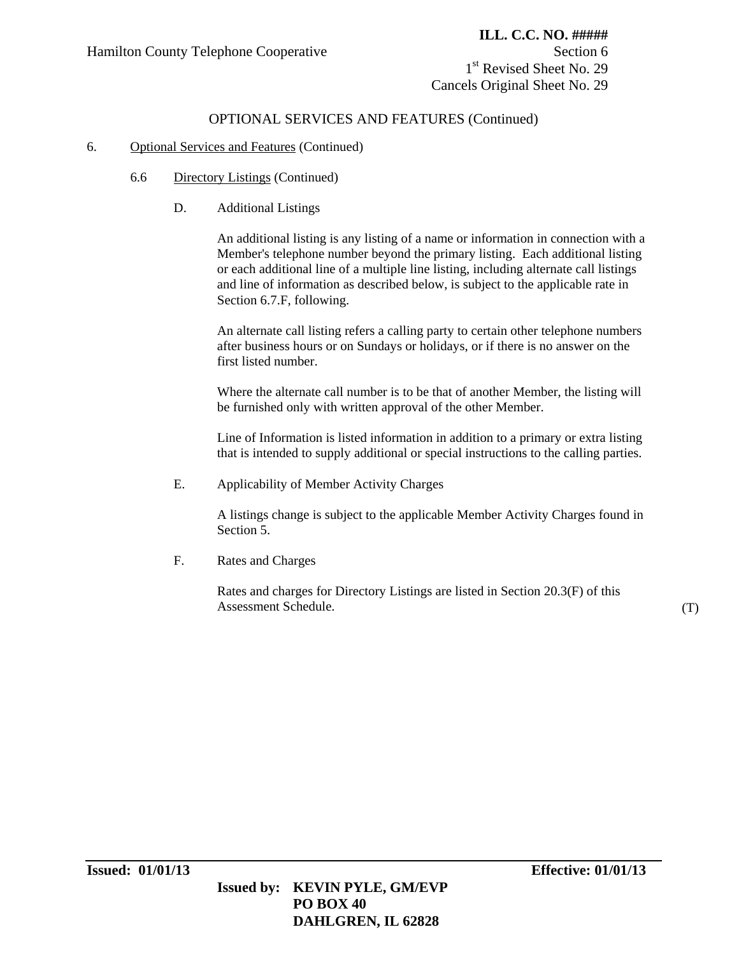1<sup>st</sup> Revised Sheet No. 29 Cancels Original Sheet No. 29

# OPTIONAL SERVICES AND FEATURES (Continued)

#### 6. Optional Services and Features (Continued)

- 6.6 Directory Listings (Continued)
	- D. Additional Listings

An additional listing is any listing of a name or information in connection with a Member's telephone number beyond the primary listing. Each additional listing or each additional line of a multiple line listing, including alternate call listings and line of information as described below, is subject to the applicable rate in Section 6.7.F, following.

An alternate call listing refers a calling party to certain other telephone numbers after business hours or on Sundays or holidays, or if there is no answer on the first listed number.

Where the alternate call number is to be that of another Member, the listing will be furnished only with written approval of the other Member.

Line of Information is listed information in addition to a primary or extra listing that is intended to supply additional or special instructions to the calling parties.

E. Applicability of Member Activity Charges

A listings change is subject to the applicable Member Activity Charges found in Section 5.

F. Rates and Charges

Rates and charges for Directory Listings are listed in Section 20.3(F) of this Assessment Schedule. (T)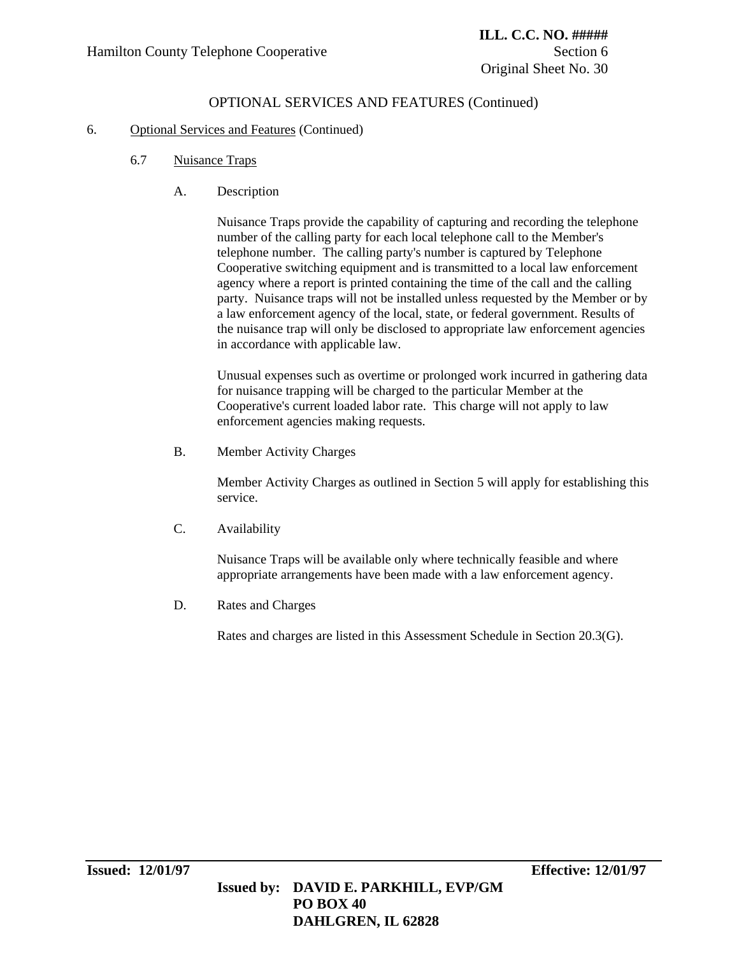# OPTIONAL SERVICES AND FEATURES (Continued)

#### 6. Optional Services and Features (Continued)

- 6.7 Nuisance Traps
	- A. Description

Nuisance Traps provide the capability of capturing and recording the telephone number of the calling party for each local telephone call to the Member's telephone number. The calling party's number is captured by Telephone Cooperative switching equipment and is transmitted to a local law enforcement agency where a report is printed containing the time of the call and the calling party. Nuisance traps will not be installed unless requested by the Member or by a law enforcement agency of the local, state, or federal government. Results of the nuisance trap will only be disclosed to appropriate law enforcement agencies in accordance with applicable law.

Unusual expenses such as overtime or prolonged work incurred in gathering data for nuisance trapping will be charged to the particular Member at the Cooperative's current loaded labor rate. This charge will not apply to law enforcement agencies making requests.

B. Member Activity Charges

Member Activity Charges as outlined in Section 5 will apply for establishing this service.

C. Availability

Nuisance Traps will be available only where technically feasible and where appropriate arrangements have been made with a law enforcement agency.

D. Rates and Charges

Rates and charges are listed in this Assessment Schedule in Section 20.3(G).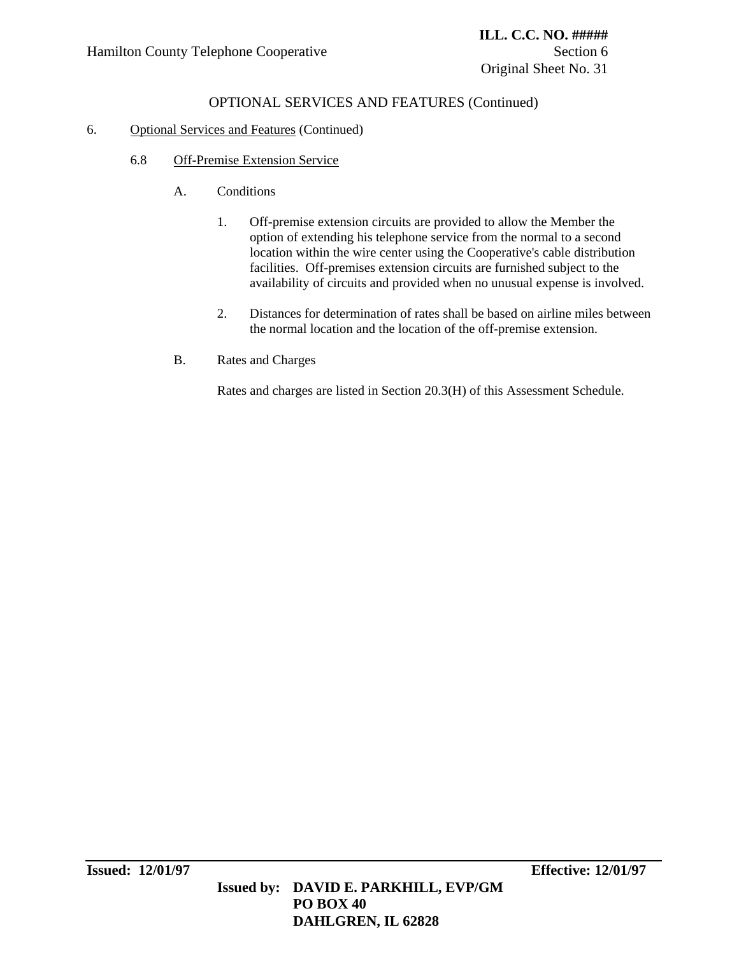# OPTIONAL SERVICES AND FEATURES (Continued)

### 6. Optional Services and Features (Continued)

- 6.8 Off-Premise Extension Service
	- A. Conditions
		- 1. Off-premise extension circuits are provided to allow the Member the option of extending his telephone service from the normal to a second location within the wire center using the Cooperative's cable distribution facilities. Off-premises extension circuits are furnished subject to the availability of circuits and provided when no unusual expense is involved.
		- 2. Distances for determination of rates shall be based on airline miles between the normal location and the location of the off-premise extension.
	- B. Rates and Charges

Rates and charges are listed in Section 20.3(H) of this Assessment Schedule.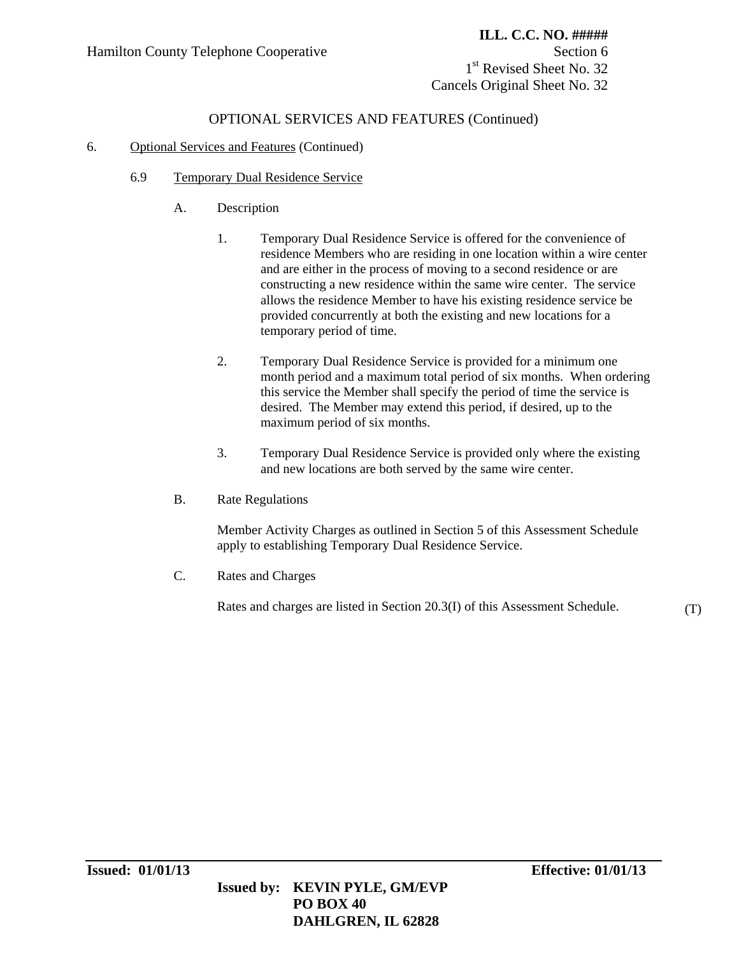1<sup>st</sup> Revised Sheet No. 32 Cancels Original Sheet No. 32

# OPTIONAL SERVICES AND FEATURES (Continued)

### 6. Optional Services and Features (Continued)

- 6.9 Temporary Dual Residence Service
	- A. Description
		- 1. Temporary Dual Residence Service is offered for the convenience of residence Members who are residing in one location within a wire center and are either in the process of moving to a second residence or are constructing a new residence within the same wire center. The service allows the residence Member to have his existing residence service be provided concurrently at both the existing and new locations for a temporary period of time.
		- 2. Temporary Dual Residence Service is provided for a minimum one month period and a maximum total period of six months. When ordering this service the Member shall specify the period of time the service is desired. The Member may extend this period, if desired, up to the maximum period of six months.
		- 3. Temporary Dual Residence Service is provided only where the existing and new locations are both served by the same wire center.
	- B. Rate Regulations

Member Activity Charges as outlined in Section 5 of this Assessment Schedule apply to establishing Temporary Dual Residence Service.

C. Rates and Charges

Rates and charges are listed in Section 20.3(I) of this Assessment Schedule. (T)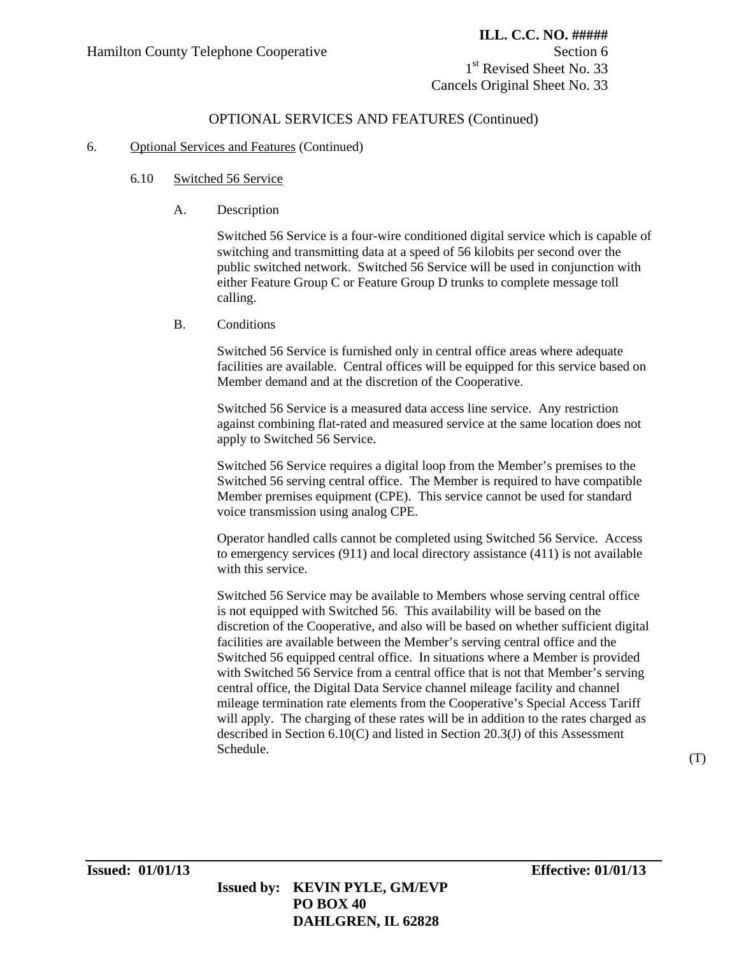1<sup>st</sup> Revised Sheet No. 33 Cancels Original Sheet No. 33

### OPTIONAL SERVICES AND FEATURES (Continued)

#### 6. Optional Services and Features (Continued)

#### 6.10 Switched 56 Service

A. Description

Switched 56 Service is a four-wire conditioned digital service which is capable of switching and transmitting data at a speed of 56 kilobits per second over the public switched network. Switched 56 Service will be used in conjunction with either Feature Group C or Feature Group D trunks to complete message toll calling.

B. Conditions

Switched 56 Service is furnished only in central office areas where adequate facilities are available. Central offices will be equipped for this service based on Member demand and at the discretion of the Cooperative.

Switched 56 Service is a measured data access line service. Any restriction against combining flat-rated and measured service at the same location does not apply to Switched 56 Service.

Switched 56 Service requires a digital loop from the Member's premises to the Switched 56 serving central office. The Member is required to have compatible Member premises equipment (CPE). This service cannot be used for standard voice transmission using analog CPE.

Operator handled calls cannot be completed using Switched 56 Service. Access to emergency services (911) and local directory assistance (411) is not available with this service.

Switched 56 Service may be available to Members whose serving central office is not equipped with Switched 56. This availability will be based on the discretion of the Cooperative, and also will be based on whether sufficient digital facilities are available between the Member's serving central office and the Switched 56 equipped central office. In situations where a Member is provided with Switched 56 Service from a central office that is not that Member's serving central office, the Digital Data Service channel mileage facility and channel mileage termination rate elements from the Cooperative's Special Access Tariff will apply. The charging of these rates will be in addition to the rates charged as described in Section 6.10(C) and listed in Section 20.3(J) of this Assessment Schedule. (T) (T)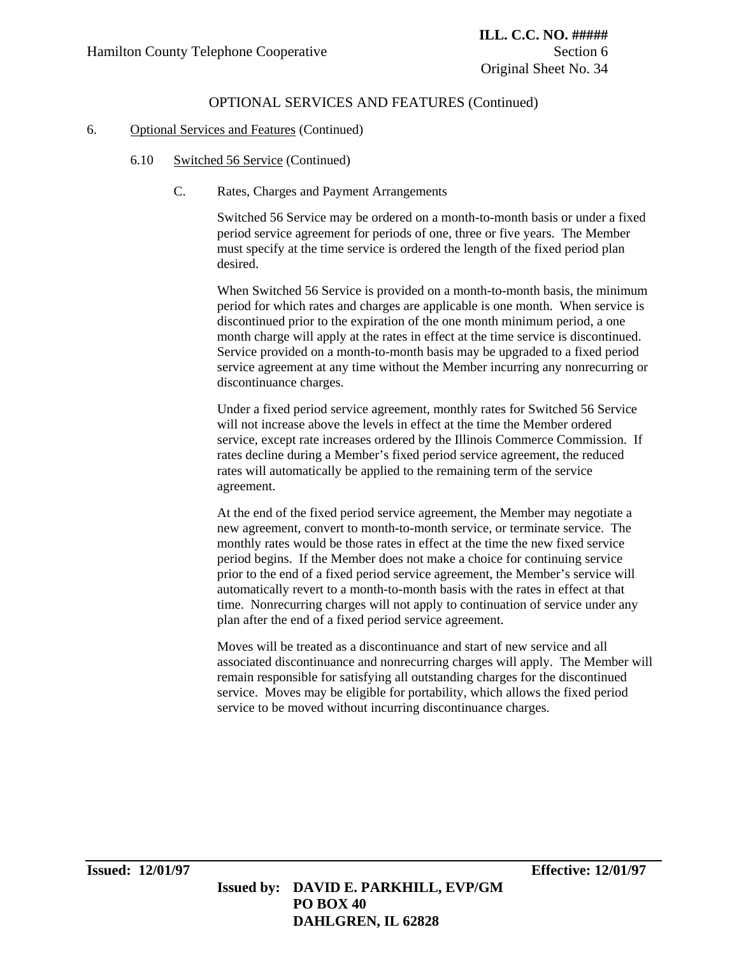# OPTIONAL SERVICES AND FEATURES (Continued)

#### 6. Optional Services and Features (Continued)

- 6.10 Switched 56 Service (Continued)
	- C. Rates, Charges and Payment Arrangements

Switched 56 Service may be ordered on a month-to-month basis or under a fixed period service agreement for periods of one, three or five years. The Member must specify at the time service is ordered the length of the fixed period plan desired.

When Switched 56 Service is provided on a month-to-month basis, the minimum period for which rates and charges are applicable is one month. When service is discontinued prior to the expiration of the one month minimum period, a one month charge will apply at the rates in effect at the time service is discontinued. Service provided on a month-to-month basis may be upgraded to a fixed period service agreement at any time without the Member incurring any nonrecurring or discontinuance charges.

Under a fixed period service agreement, monthly rates for Switched 56 Service will not increase above the levels in effect at the time the Member ordered service, except rate increases ordered by the Illinois Commerce Commission. If rates decline during a Member's fixed period service agreement, the reduced rates will automatically be applied to the remaining term of the service agreement.

At the end of the fixed period service agreement, the Member may negotiate a new agreement, convert to month-to-month service, or terminate service. The monthly rates would be those rates in effect at the time the new fixed service period begins. If the Member does not make a choice for continuing service prior to the end of a fixed period service agreement, the Member's service will automatically revert to a month-to-month basis with the rates in effect at that time. Nonrecurring charges will not apply to continuation of service under any plan after the end of a fixed period service agreement.

Moves will be treated as a discontinuance and start of new service and all associated discontinuance and nonrecurring charges will apply. The Member will remain responsible for satisfying all outstanding charges for the discontinued service. Moves may be eligible for portability, which allows the fixed period service to be moved without incurring discontinuance charges.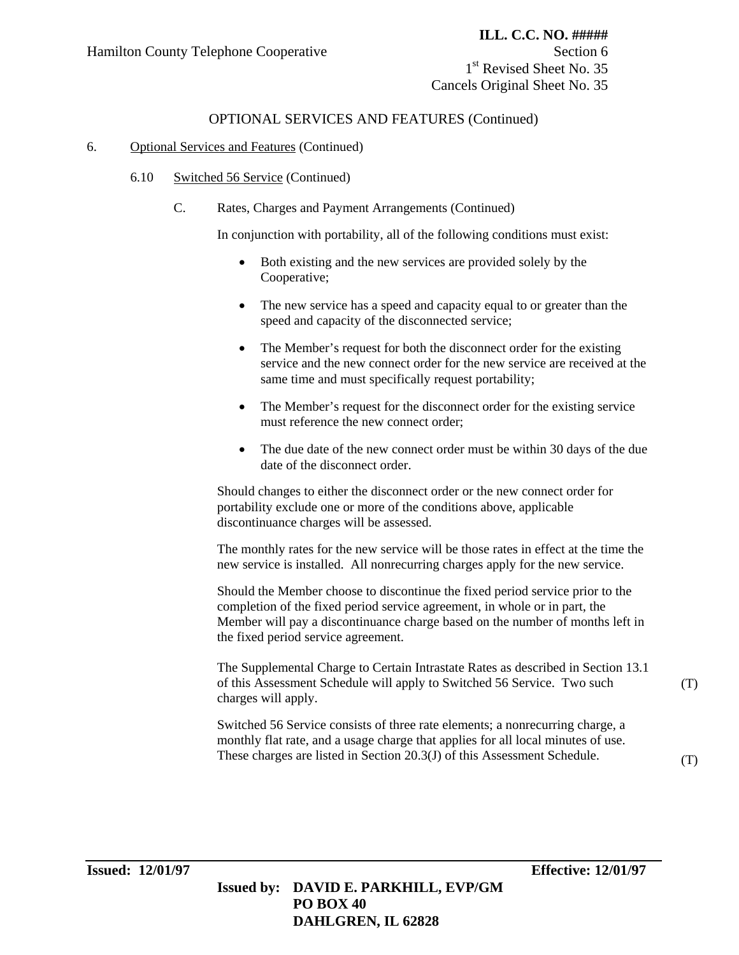1<sup>st</sup> Revised Sheet No. 35 Cancels Original Sheet No. 35

### OPTIONAL SERVICES AND FEATURES (Continued)

#### 6. Optional Services and Features (Continued)

- 6.10 Switched 56 Service (Continued)
	- C. Rates, Charges and Payment Arrangements (Continued)

In conjunction with portability, all of the following conditions must exist:

- Both existing and the new services are provided solely by the Cooperative;
- The new service has a speed and capacity equal to or greater than the speed and capacity of the disconnected service;
- The Member's request for both the disconnect order for the existing service and the new connect order for the new service are received at the same time and must specifically request portability;
- The Member's request for the disconnect order for the existing service must reference the new connect order;
- The due date of the new connect order must be within 30 days of the due date of the disconnect order.

Should changes to either the disconnect order or the new connect order for portability exclude one or more of the conditions above, applicable discontinuance charges will be assessed.

The monthly rates for the new service will be those rates in effect at the time the new service is installed. All nonrecurring charges apply for the new service.

Should the Member choose to discontinue the fixed period service prior to the completion of the fixed period service agreement, in whole or in part, the Member will pay a discontinuance charge based on the number of months left in the fixed period service agreement.

The Supplemental Charge to Certain Intrastate Rates as described in Section 13.1 of this Assessment Schedule will apply to Switched 56 Service. Two such charges will apply.

Switched 56 Service consists of three rate elements; a nonrecurring charge, a monthly flat rate, and a usage charge that applies for all local minutes of use. These charges are listed in Section 20.3(J) of this Assessment Schedule.

(T)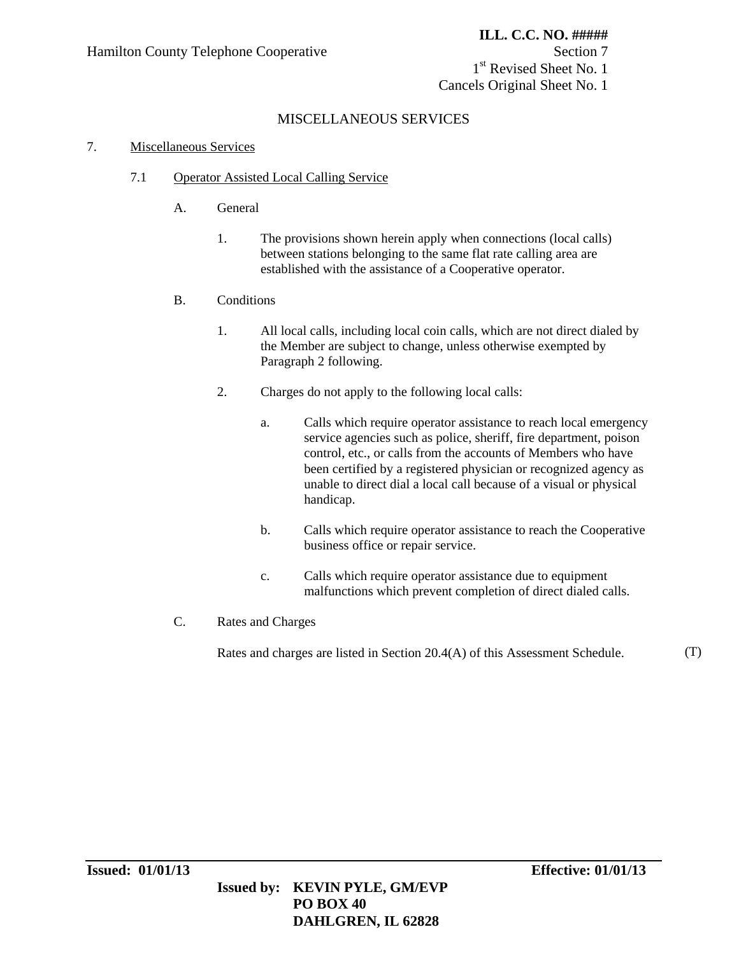1<sup>st</sup> Revised Sheet No. 1 Cancels Original Sheet No. 1

# MISCELLANEOUS SERVICES

### 7. Miscellaneous Services

- 7.1 Operator Assisted Local Calling Service
	- A. General
		- 1. The provisions shown herein apply when connections (local calls) between stations belonging to the same flat rate calling area are established with the assistance of a Cooperative operator.
	- B. Conditions
		- 1. All local calls, including local coin calls, which are not direct dialed by the Member are subject to change, unless otherwise exempted by Paragraph 2 following.
		- 2. Charges do not apply to the following local calls:
			- a. Calls which require operator assistance to reach local emergency service agencies such as police, sheriff, fire department, poison control, etc., or calls from the accounts of Members who have been certified by a registered physician or recognized agency as unable to direct dial a local call because of a visual or physical handicap.
			- b. Calls which require operator assistance to reach the Cooperative business office or repair service.
			- c. Calls which require operator assistance due to equipment malfunctions which prevent completion of direct dialed calls.
	- C. Rates and Charges

Rates and charges are listed in Section 20.4(A) of this Assessment Schedule. (T)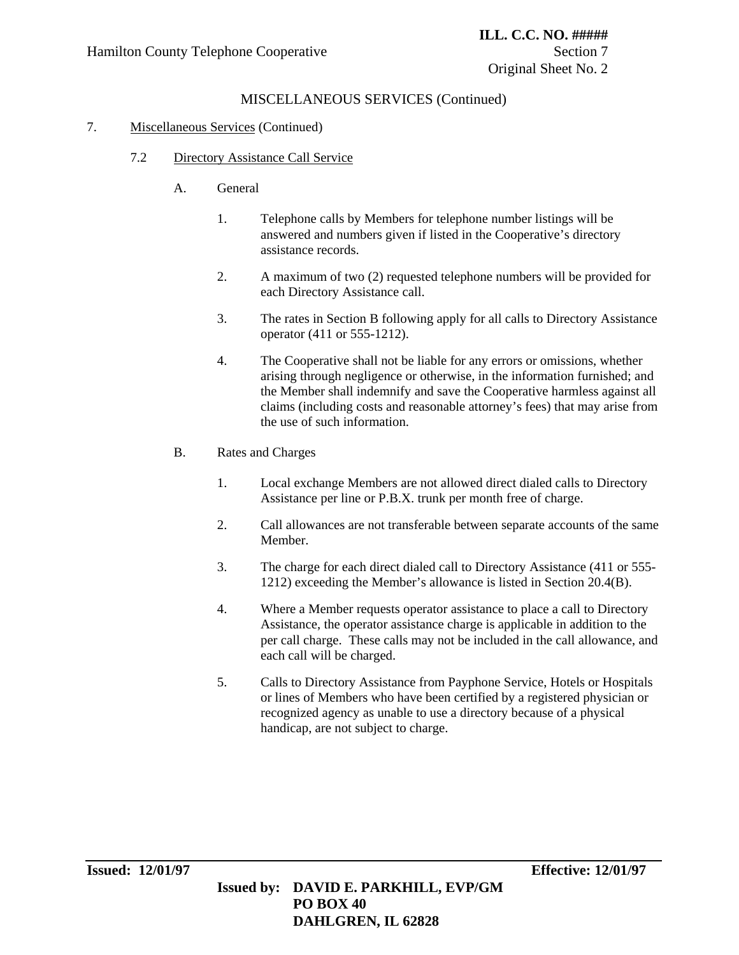# MISCELLANEOUS SERVICES (Continued)

### 7. Miscellaneous Services (Continued)

- 7.2 Directory Assistance Call Service
	- A. General
		- 1. Telephone calls by Members for telephone number listings will be answered and numbers given if listed in the Cooperative's directory assistance records.
		- 2. A maximum of two (2) requested telephone numbers will be provided for each Directory Assistance call.
		- 3. The rates in Section B following apply for all calls to Directory Assistance operator (411 or 555-1212).
		- 4. The Cooperative shall not be liable for any errors or omissions, whether arising through negligence or otherwise, in the information furnished; and the Member shall indemnify and save the Cooperative harmless against all claims (including costs and reasonable attorney's fees) that may arise from the use of such information.
	- B. Rates and Charges
		- 1. Local exchange Members are not allowed direct dialed calls to Directory Assistance per line or P.B.X. trunk per month free of charge.
		- 2. Call allowances are not transferable between separate accounts of the same Member.
		- 3. The charge for each direct dialed call to Directory Assistance (411 or 555- 1212) exceeding the Member's allowance is listed in Section 20.4(B).
		- 4. Where a Member requests operator assistance to place a call to Directory Assistance, the operator assistance charge is applicable in addition to the per call charge. These calls may not be included in the call allowance, and each call will be charged.
		- 5. Calls to Directory Assistance from Payphone Service, Hotels or Hospitals or lines of Members who have been certified by a registered physician or recognized agency as unable to use a directory because of a physical handicap, are not subject to charge.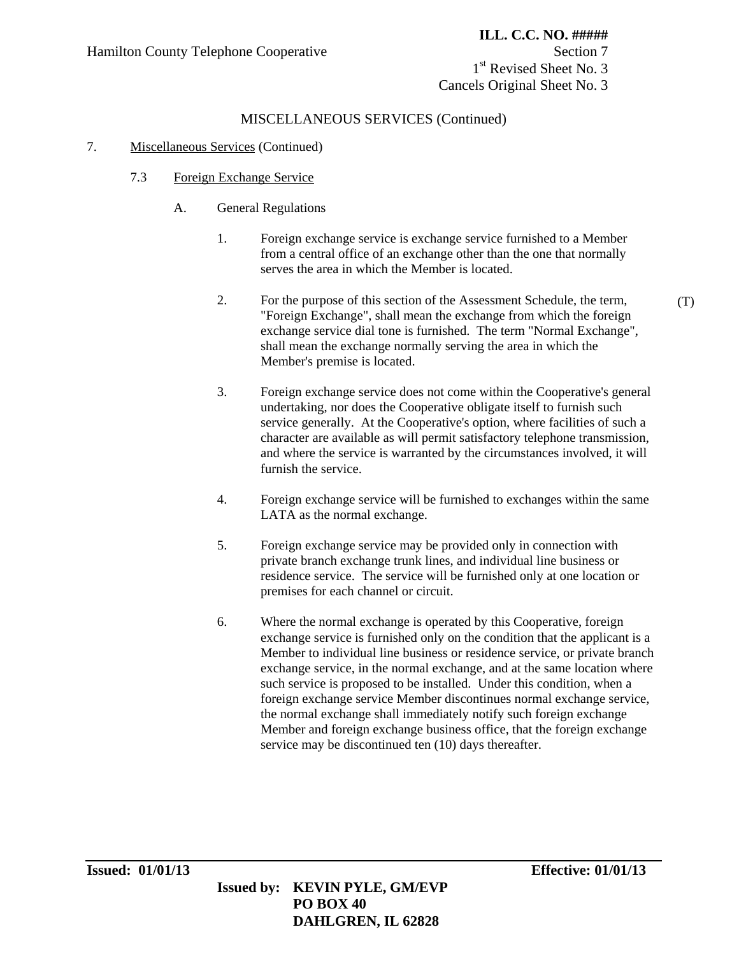1<sup>st</sup> Revised Sheet No. 3 Cancels Original Sheet No. 3

# MISCELLANEOUS SERVICES (Continued)

### 7. Miscellaneous Services (Continued)

- 7.3 Foreign Exchange Service
	- A. General Regulations
		- 1. Foreign exchange service is exchange service furnished to a Member from a central office of an exchange other than the one that normally serves the area in which the Member is located.
		- 2. For the purpose of this section of the Assessment Schedule, the term, "Foreign Exchange", shall mean the exchange from which the foreign exchange service dial tone is furnished. The term "Normal Exchange", shall mean the exchange normally serving the area in which the Member's premise is located.
		- 3. Foreign exchange service does not come within the Cooperative's general undertaking, nor does the Cooperative obligate itself to furnish such service generally. At the Cooperative's option, where facilities of such a character are available as will permit satisfactory telephone transmission, and where the service is warranted by the circumstances involved, it will furnish the service.
		- 4. Foreign exchange service will be furnished to exchanges within the same LATA as the normal exchange.
		- 5. Foreign exchange service may be provided only in connection with private branch exchange trunk lines, and individual line business or residence service. The service will be furnished only at one location or premises for each channel or circuit.
		- 6. Where the normal exchange is operated by this Cooperative, foreign exchange service is furnished only on the condition that the applicant is a Member to individual line business or residence service, or private branch exchange service, in the normal exchange, and at the same location where such service is proposed to be installed. Under this condition, when a foreign exchange service Member discontinues normal exchange service, the normal exchange shall immediately notify such foreign exchange Member and foreign exchange business office, that the foreign exchange service may be discontinued ten (10) days thereafter.

(T)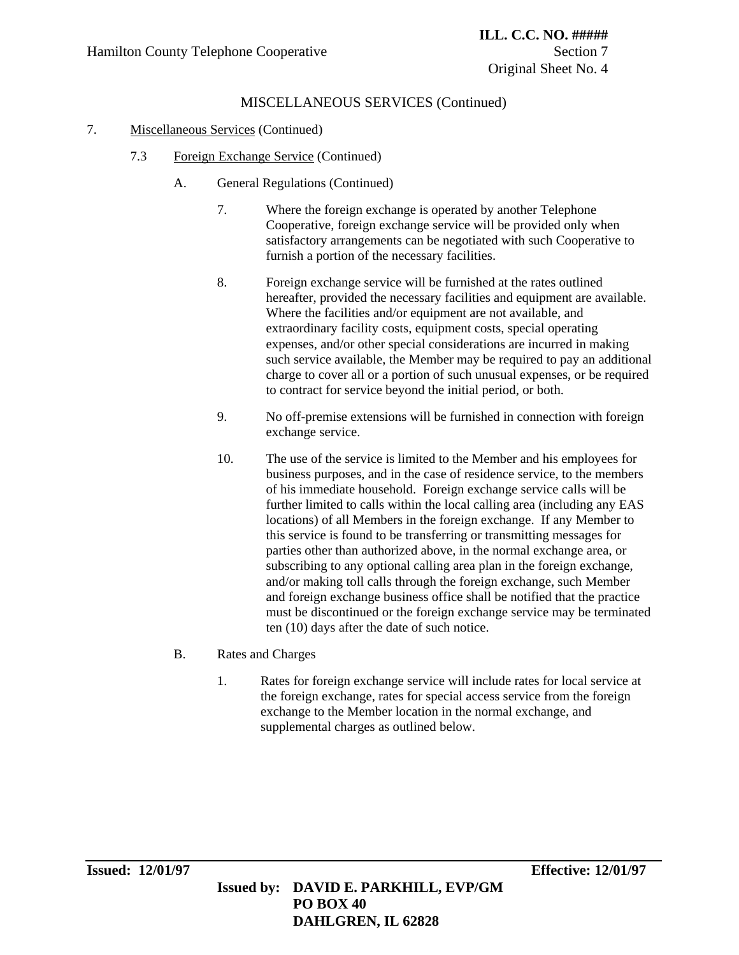# MISCELLANEOUS SERVICES (Continued)

### 7. Miscellaneous Services (Continued)

- 7.3 Foreign Exchange Service (Continued)
	- A. General Regulations (Continued)
		- 7. Where the foreign exchange is operated by another Telephone Cooperative, foreign exchange service will be provided only when satisfactory arrangements can be negotiated with such Cooperative to furnish a portion of the necessary facilities.
		- 8. Foreign exchange service will be furnished at the rates outlined hereafter, provided the necessary facilities and equipment are available. Where the facilities and/or equipment are not available, and extraordinary facility costs, equipment costs, special operating expenses, and/or other special considerations are incurred in making such service available, the Member may be required to pay an additional charge to cover all or a portion of such unusual expenses, or be required to contract for service beyond the initial period, or both.
		- 9. No off-premise extensions will be furnished in connection with foreign exchange service.
		- 10. The use of the service is limited to the Member and his employees for business purposes, and in the case of residence service, to the members of his immediate household. Foreign exchange service calls will be further limited to calls within the local calling area (including any EAS locations) of all Members in the foreign exchange. If any Member to this service is found to be transferring or transmitting messages for parties other than authorized above, in the normal exchange area, or subscribing to any optional calling area plan in the foreign exchange, and/or making toll calls through the foreign exchange, such Member and foreign exchange business office shall be notified that the practice must be discontinued or the foreign exchange service may be terminated ten (10) days after the date of such notice.
	- B. Rates and Charges
		- 1. Rates for foreign exchange service will include rates for local service at the foreign exchange, rates for special access service from the foreign exchange to the Member location in the normal exchange, and supplemental charges as outlined below.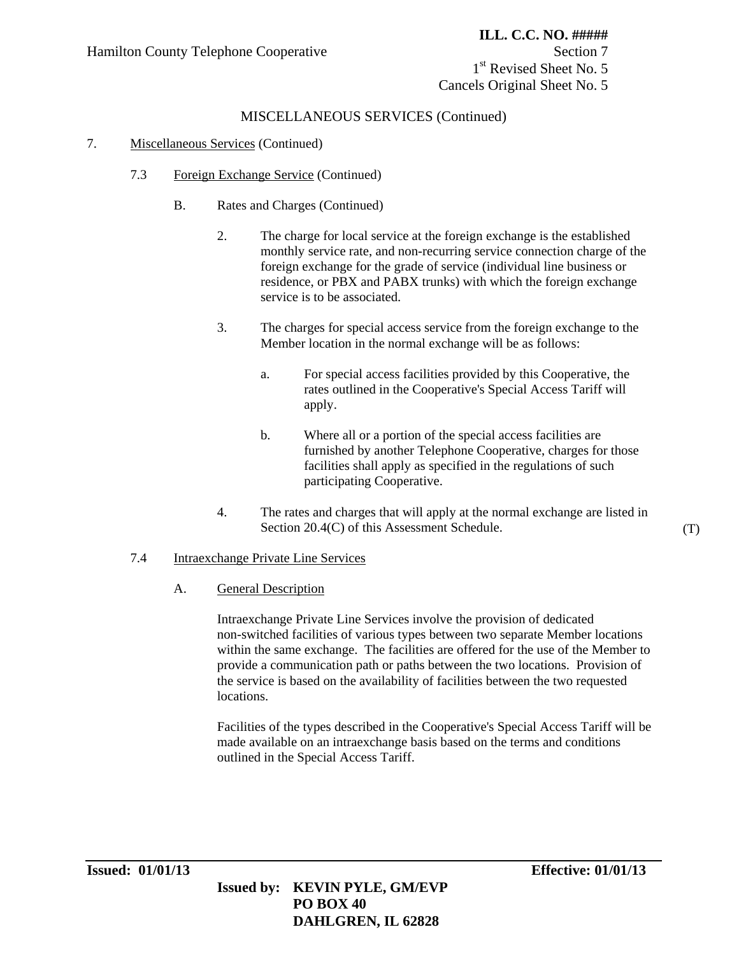1<sup>st</sup> Revised Sheet No. 5 Cancels Original Sheet No. 5

### MISCELLANEOUS SERVICES (Continued)

#### 7. Miscellaneous Services (Continued)

- 7.3 Foreign Exchange Service (Continued)
	- B. Rates and Charges (Continued)
		- 2. The charge for local service at the foreign exchange is the established monthly service rate, and non-recurring service connection charge of the foreign exchange for the grade of service (individual line business or residence, or PBX and PABX trunks) with which the foreign exchange service is to be associated.
		- 3. The charges for special access service from the foreign exchange to the Member location in the normal exchange will be as follows:
			- a. For special access facilities provided by this Cooperative, the rates outlined in the Cooperative's Special Access Tariff will apply.
			- b. Where all or a portion of the special access facilities are furnished by another Telephone Cooperative, charges for those facilities shall apply as specified in the regulations of such participating Cooperative.
		- 4. The rates and charges that will apply at the normal exchange are listed in Section 20.4(C) of this Assessment Schedule.

#### 7.4 Intraexchange Private Line Services

A. General Description

Intraexchange Private Line Services involve the provision of dedicated non-switched facilities of various types between two separate Member locations within the same exchange. The facilities are offered for the use of the Member to provide a communication path or paths between the two locations. Provision of the service is based on the availability of facilities between the two requested locations.

Facilities of the types described in the Cooperative's Special Access Tariff will be made available on an intraexchange basis based on the terms and conditions outlined in the Special Access Tariff.

(T)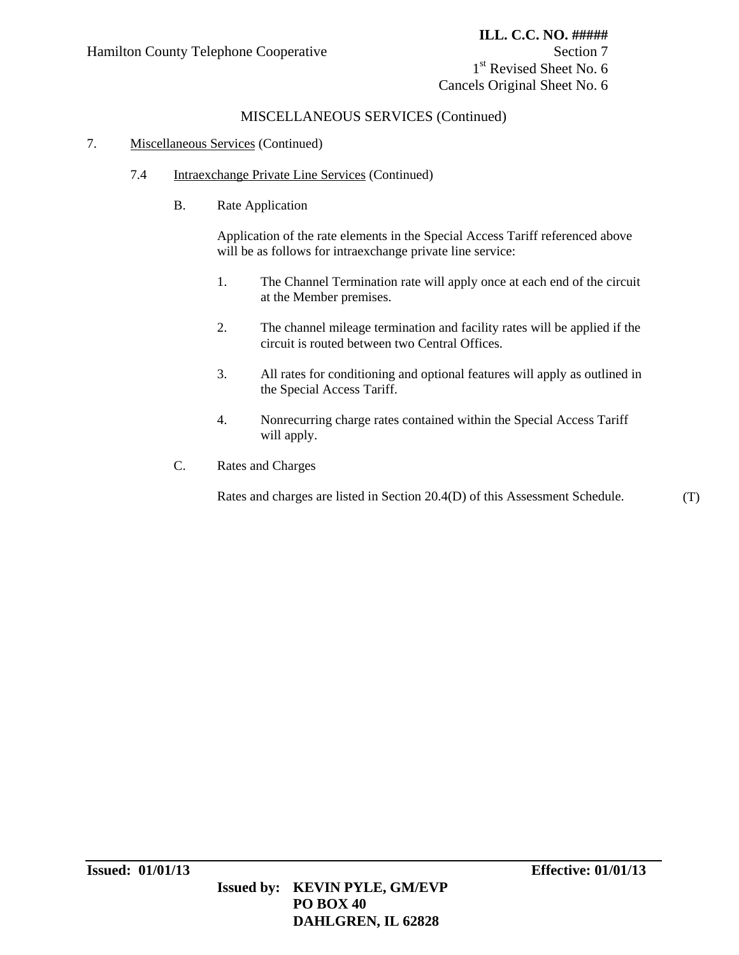1<sup>st</sup> Revised Sheet No. 6 Cancels Original Sheet No. 6

### MISCELLANEOUS SERVICES (Continued)

#### 7. Miscellaneous Services (Continued)

- 7.4 Intraexchange Private Line Services (Continued)
	- B. Rate Application

Application of the rate elements in the Special Access Tariff referenced above will be as follows for intraexchange private line service:

- 1. The Channel Termination rate will apply once at each end of the circuit at the Member premises.
- 2. The channel mileage termination and facility rates will be applied if the circuit is routed between two Central Offices.
- 3. All rates for conditioning and optional features will apply as outlined in the Special Access Tariff.
- 4. Nonrecurring charge rates contained within the Special Access Tariff will apply.

 **DAHLGREN, IL 62828**

C. Rates and Charges

Rates and charges are listed in Section 20.4(D) of this Assessment Schedule. (T)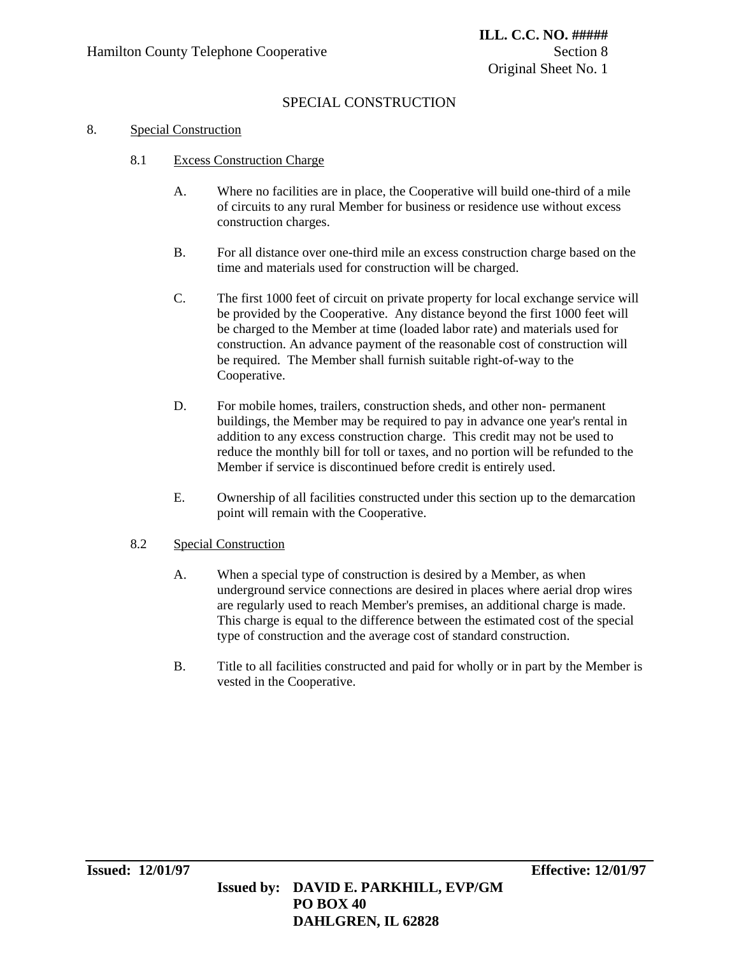# SPECIAL CONSTRUCTION

#### 8. Special Construction

- 8.1 Excess Construction Charge
	- A. Where no facilities are in place, the Cooperative will build one-third of a mile of circuits to any rural Member for business or residence use without excess construction charges.
	- B. For all distance over one-third mile an excess construction charge based on the time and materials used for construction will be charged.
	- C. The first 1000 feet of circuit on private property for local exchange service will be provided by the Cooperative. Any distance beyond the first 1000 feet will be charged to the Member at time (loaded labor rate) and materials used for construction. An advance payment of the reasonable cost of construction will be required. The Member shall furnish suitable right-of-way to the Cooperative.
	- D. For mobile homes, trailers, construction sheds, and other non- permanent buildings, the Member may be required to pay in advance one year's rental in addition to any excess construction charge. This credit may not be used to reduce the monthly bill for toll or taxes, and no portion will be refunded to the Member if service is discontinued before credit is entirely used.
	- E. Ownership of all facilities constructed under this section up to the demarcation point will remain with the Cooperative.

### 8.2 Special Construction

- A. When a special type of construction is desired by a Member, as when underground service connections are desired in places where aerial drop wires are regularly used to reach Member's premises, an additional charge is made. This charge is equal to the difference between the estimated cost of the special type of construction and the average cost of standard construction.
- B. Title to all facilities constructed and paid for wholly or in part by the Member is vested in the Cooperative.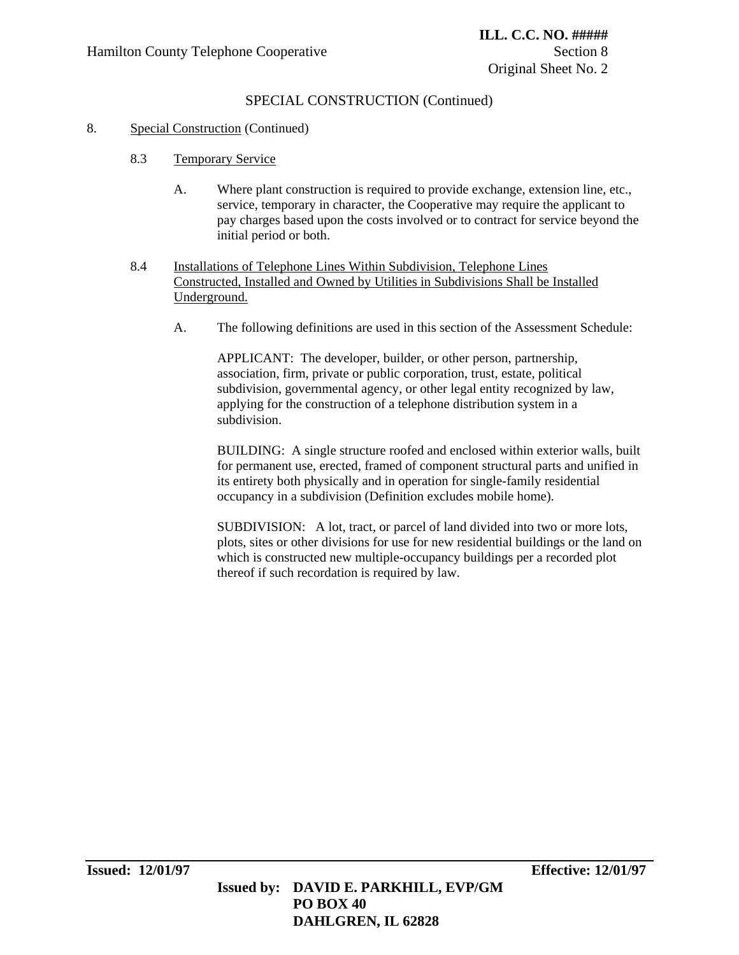# SPECIAL CONSTRUCTION (Continued)

#### 8. Special Construction (Continued)

- 8.3 Temporary Service
	- A. Where plant construction is required to provide exchange, extension line, etc., service, temporary in character, the Cooperative may require the applicant to pay charges based upon the costs involved or to contract for service beyond the initial period or both.
- 8.4 Installations of Telephone Lines Within Subdivision, Telephone Lines Constructed, Installed and Owned by Utilities in Subdivisions Shall be Installed Underground.
	- A. The following definitions are used in this section of the Assessment Schedule:

APPLICANT: The developer, builder, or other person, partnership, association, firm, private or public corporation, trust, estate, political subdivision, governmental agency, or other legal entity recognized by law, applying for the construction of a telephone distribution system in a subdivision.

BUILDING: A single structure roofed and enclosed within exterior walls, built for permanent use, erected, framed of component structural parts and unified in its entirety both physically and in operation for single-family residential occupancy in a subdivision (Definition excludes mobile home).

SUBDIVISION: A lot, tract, or parcel of land divided into two or more lots, plots, sites or other divisions for use for new residential buildings or the land on which is constructed new multiple-occupancy buildings per a recorded plot thereof if such recordation is required by law.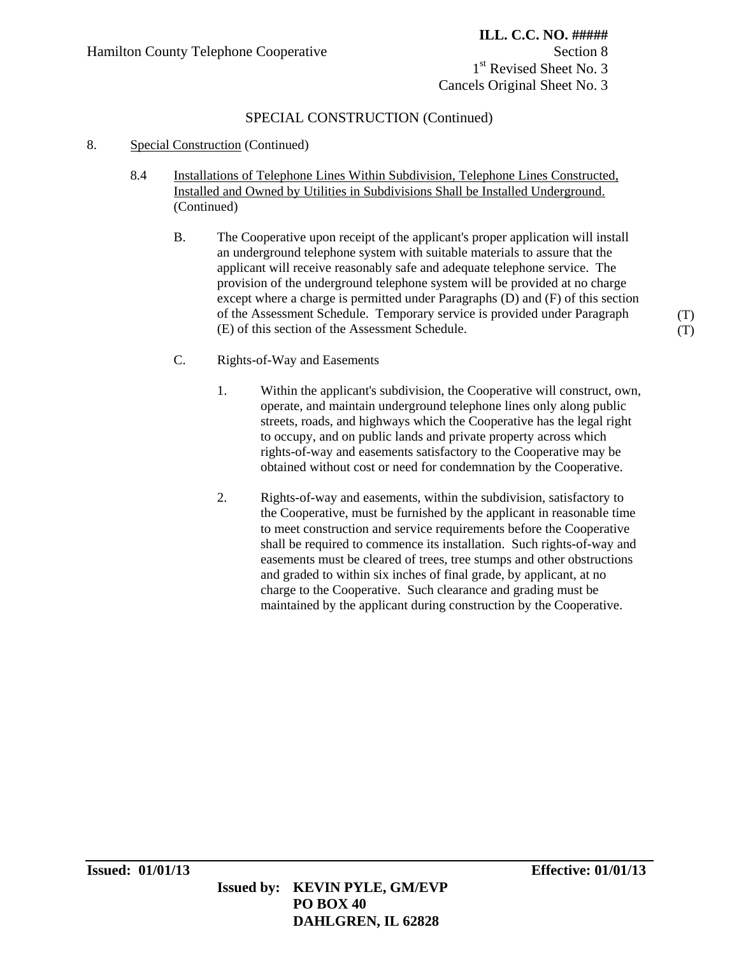# **ILL. C.C. NO. #####** 1<sup>st</sup> Revised Sheet No. 3 Cancels Original Sheet No. 3

# SPECIAL CONSTRUCTION (Continued)

- 8. Special Construction (Continued)
	- 8.4 Installations of Telephone Lines Within Subdivision, Telephone Lines Constructed, Installed and Owned by Utilities in Subdivisions Shall be Installed Underground. (Continued)
		- B. The Cooperative upon receipt of the applicant's proper application will install an underground telephone system with suitable materials to assure that the applicant will receive reasonably safe and adequate telephone service. The provision of the underground telephone system will be provided at no charge except where a charge is permitted under Paragraphs (D) and (F) of this section of the Assessment Schedule. Temporary service is provided under Paragraph (E) of this section of the Assessment Schedule.
		- C. Rights-of-Way and Easements
			- 1. Within the applicant's subdivision, the Cooperative will construct, own, operate, and maintain underground telephone lines only along public streets, roads, and highways which the Cooperative has the legal right to occupy, and on public lands and private property across which rights-of-way and easements satisfactory to the Cooperative may be obtained without cost or need for condemnation by the Cooperative.
			- 2. Rights-of-way and easements, within the subdivision, satisfactory to the Cooperative, must be furnished by the applicant in reasonable time to meet construction and service requirements before the Cooperative shall be required to commence its installation. Such rights-of-way and easements must be cleared of trees, tree stumps and other obstructions and graded to within six inches of final grade, by applicant, at no charge to the Cooperative. Such clearance and grading must be maintained by the applicant during construction by the Cooperative.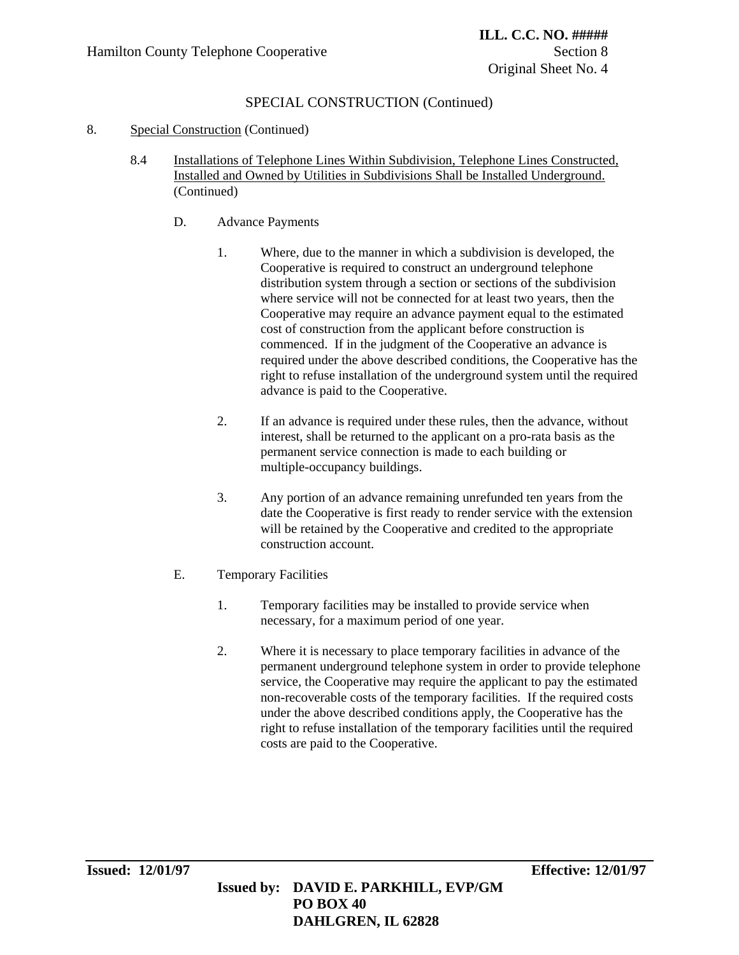# SPECIAL CONSTRUCTION (Continued)

### 8. Special Construction (Continued)

- 8.4 Installations of Telephone Lines Within Subdivision, Telephone Lines Constructed, Installed and Owned by Utilities in Subdivisions Shall be Installed Underground. (Continued)
	- D. Advance Payments
		- 1. Where, due to the manner in which a subdivision is developed, the Cooperative is required to construct an underground telephone distribution system through a section or sections of the subdivision where service will not be connected for at least two years, then the Cooperative may require an advance payment equal to the estimated cost of construction from the applicant before construction is commenced. If in the judgment of the Cooperative an advance is required under the above described conditions, the Cooperative has the right to refuse installation of the underground system until the required advance is paid to the Cooperative.
		- 2. If an advance is required under these rules, then the advance, without interest, shall be returned to the applicant on a pro-rata basis as the permanent service connection is made to each building or multiple-occupancy buildings.
		- 3. Any portion of an advance remaining unrefunded ten years from the date the Cooperative is first ready to render service with the extension will be retained by the Cooperative and credited to the appropriate construction account.
	- E. Temporary Facilities
		- 1. Temporary facilities may be installed to provide service when necessary, for a maximum period of one year.
		- 2. Where it is necessary to place temporary facilities in advance of the permanent underground telephone system in order to provide telephone service, the Cooperative may require the applicant to pay the estimated non-recoverable costs of the temporary facilities. If the required costs under the above described conditions apply, the Cooperative has the right to refuse installation of the temporary facilities until the required costs are paid to the Cooperative.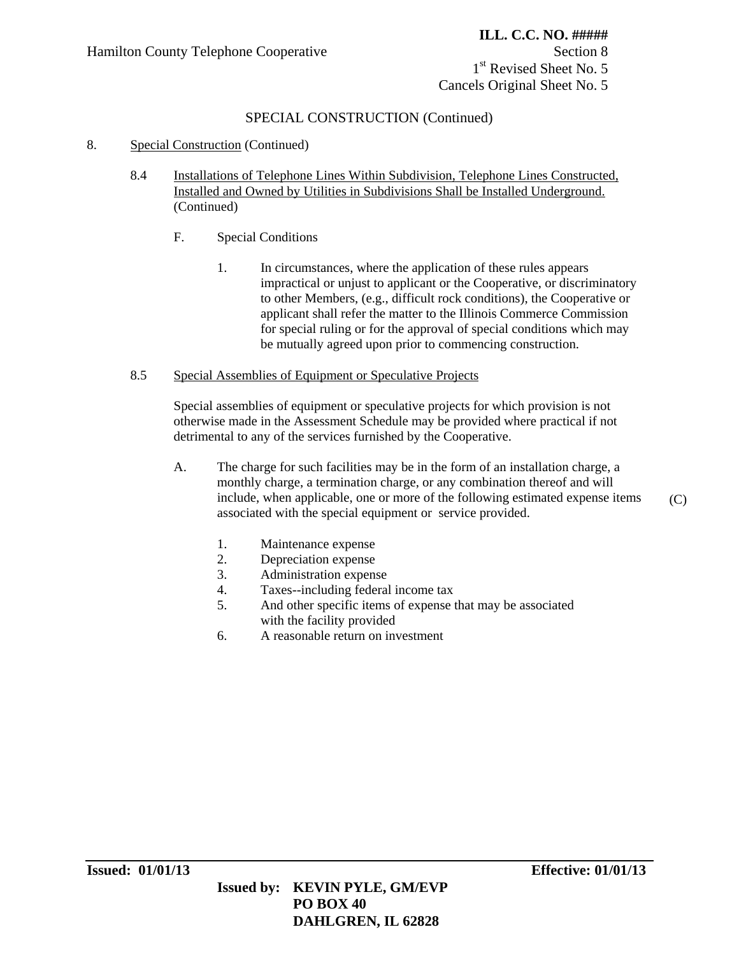1<sup>st</sup> Revised Sheet No. 5 Cancels Original Sheet No. 5

# SPECIAL CONSTRUCTION (Continued)

### 8. Special Construction (Continued)

- 8.4 Installations of Telephone Lines Within Subdivision, Telephone Lines Constructed, Installed and Owned by Utilities in Subdivisions Shall be Installed Underground. (Continued)
	- F. Special Conditions
		- 1. In circumstances, where the application of these rules appears impractical or unjust to applicant or the Cooperative, or discriminatory to other Members, (e.g., difficult rock conditions), the Cooperative or applicant shall refer the matter to the Illinois Commerce Commission for special ruling or for the approval of special conditions which may be mutually agreed upon prior to commencing construction.

#### 8.5 Special Assemblies of Equipment or Speculative Projects

Special assemblies of equipment or speculative projects for which provision is not otherwise made in the Assessment Schedule may be provided where practical if not detrimental to any of the services furnished by the Cooperative.

- A. The charge for such facilities may be in the form of an installation charge, a monthly charge, a termination charge, or any combination thereof and will include, when applicable, one or more of the following estimated expense items associated with the special equipment or service provided. (C)
	- 1. Maintenance expense
	- 2. Depreciation expense
	- 3. Administration expense
	- 4. Taxes--including federal income tax
	- 5. And other specific items of expense that may be associated with the facility provided
	- 6. A reasonable return on investment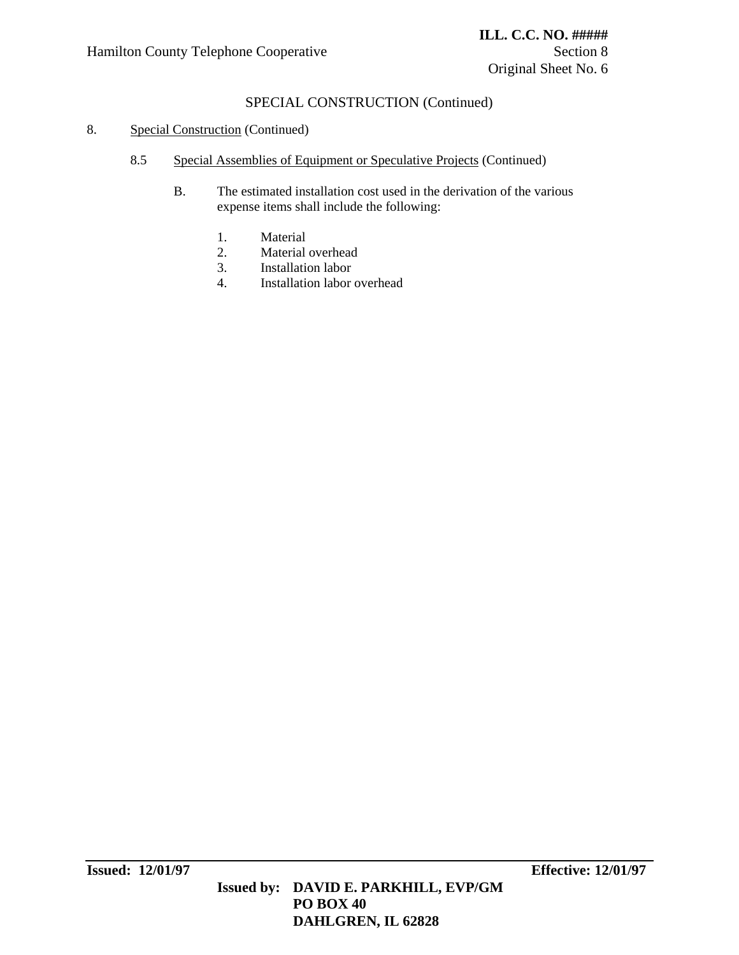# SPECIAL CONSTRUCTION (Continued)

#### 8. Special Construction (Continued)

- 8.5 Special Assemblies of Equipment or Speculative Projects (Continued)
	- B. The estimated installation cost used in the derivation of the various expense items shall include the following:
		- 1. Material
		- 2. Material overhead
		- 3. Installation labor
		- 4. Installation labor overhead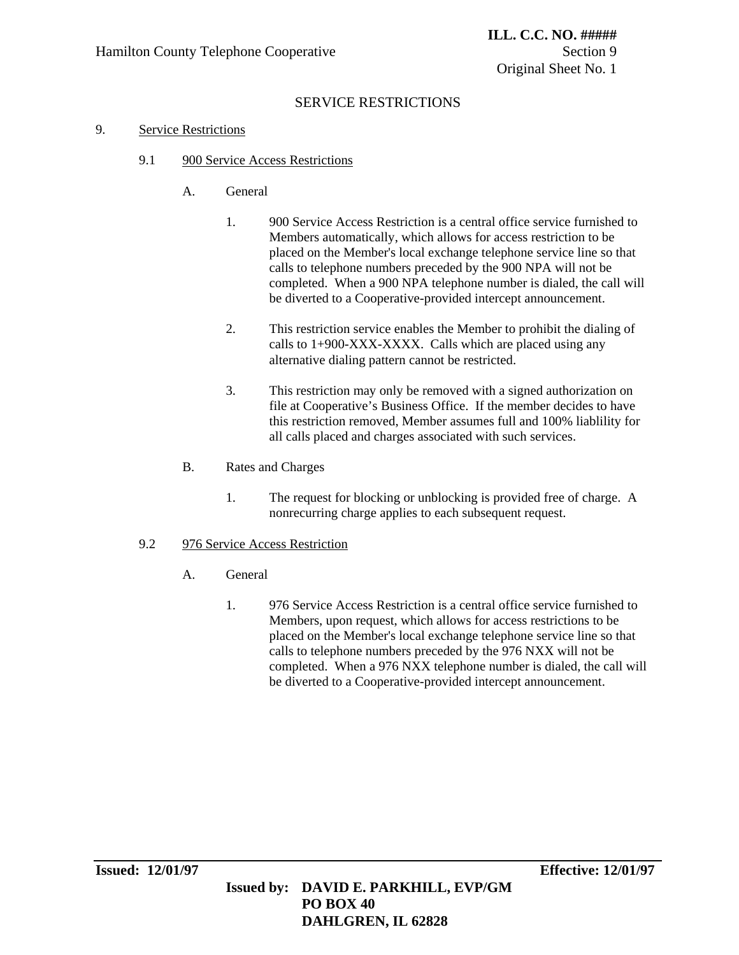# SERVICE RESTRICTIONS

### 9. Service Restrictions

- 9.1 900 Service Access Restrictions
	- A. General
		- 1. 900 Service Access Restriction is a central office service furnished to Members automatically, which allows for access restriction to be placed on the Member's local exchange telephone service line so that calls to telephone numbers preceded by the 900 NPA will not be completed. When a 900 NPA telephone number is dialed, the call will be diverted to a Cooperative-provided intercept announcement.
		- 2. This restriction service enables the Member to prohibit the dialing of calls to 1+900-XXX-XXXX. Calls which are placed using any alternative dialing pattern cannot be restricted.
		- 3. This restriction may only be removed with a signed authorization on file at Cooperative's Business Office. If the member decides to have this restriction removed, Member assumes full and 100% liablility for all calls placed and charges associated with such services.
	- B. Rates and Charges
		- 1. The request for blocking or unblocking is provided free of charge. A nonrecurring charge applies to each subsequent request.

### 9.2 976 Service Access Restriction

- A. General
	- 1. 976 Service Access Restriction is a central office service furnished to Members, upon request, which allows for access restrictions to be placed on the Member's local exchange telephone service line so that calls to telephone numbers preceded by the 976 NXX will not be completed. When a 976 NXX telephone number is dialed, the call will be diverted to a Cooperative-provided intercept announcement.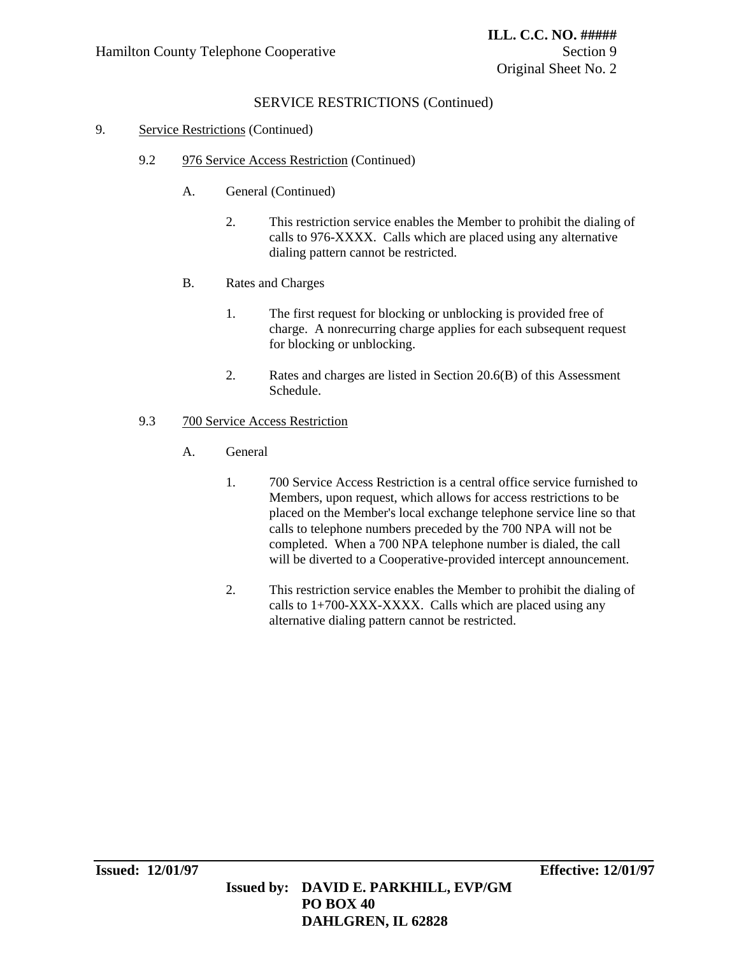# SERVICE RESTRICTIONS (Continued)

#### 9. Service Restrictions (Continued)

- 9.2 976 Service Access Restriction (Continued)
	- A. General (Continued)
		- 2. This restriction service enables the Member to prohibit the dialing of calls to 976-XXXX. Calls which are placed using any alternative dialing pattern cannot be restricted.
	- B. Rates and Charges
		- 1. The first request for blocking or unblocking is provided free of charge. A nonrecurring charge applies for each subsequent request for blocking or unblocking.
		- 2. Rates and charges are listed in Section 20.6(B) of this Assessment Schedule.

#### 9.3 700 Service Access Restriction

- A. General
	- 1. 700 Service Access Restriction is a central office service furnished to Members, upon request, which allows for access restrictions to be placed on the Member's local exchange telephone service line so that calls to telephone numbers preceded by the 700 NPA will not be completed. When a 700 NPA telephone number is dialed, the call will be diverted to a Cooperative-provided intercept announcement.
	- 2. This restriction service enables the Member to prohibit the dialing of calls to  $1+700-XXX-XXXX$ . Calls which are placed using any alternative dialing pattern cannot be restricted.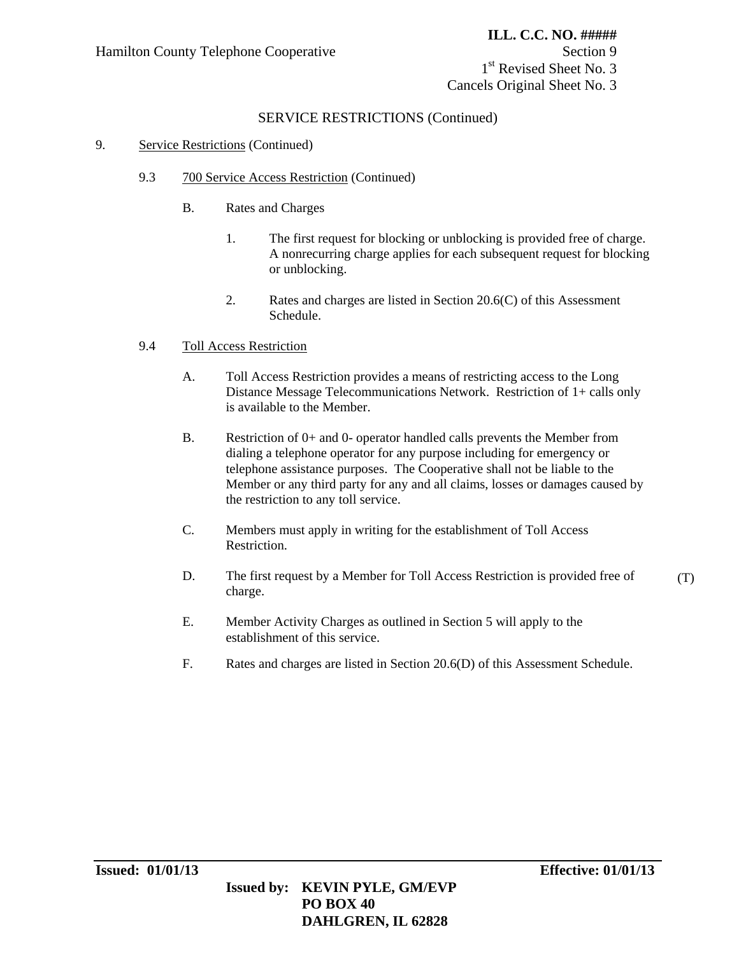1<sup>st</sup> Revised Sheet No. 3 Cancels Original Sheet No. 3

### SERVICE RESTRICTIONS (Continued)

#### 9. Service Restrictions (Continued)

- 9.3 700 Service Access Restriction (Continued)
	- B. Rates and Charges
		- 1. The first request for blocking or unblocking is provided free of charge. A nonrecurring charge applies for each subsequent request for blocking or unblocking.
		- 2. Rates and charges are listed in Section 20.6(C) of this Assessment Schedule.

### 9.4 Toll Access Restriction

- A. Toll Access Restriction provides a means of restricting access to the Long Distance Message Telecommunications Network. Restriction of 1+ calls only is available to the Member.
- B. Restriction of 0+ and 0- operator handled calls prevents the Member from dialing a telephone operator for any purpose including for emergency or telephone assistance purposes. The Cooperative shall not be liable to the Member or any third party for any and all claims, losses or damages caused by the restriction to any toll service.
- C. Members must apply in writing for the establishment of Toll Access Restriction.
- D. The first request by a Member for Toll Access Restriction is provided free of charge. (T)
- E. Member Activity Charges as outlined in Section 5 will apply to the establishment of this service.
- F. Rates and charges are listed in Section 20.6(D) of this Assessment Schedule.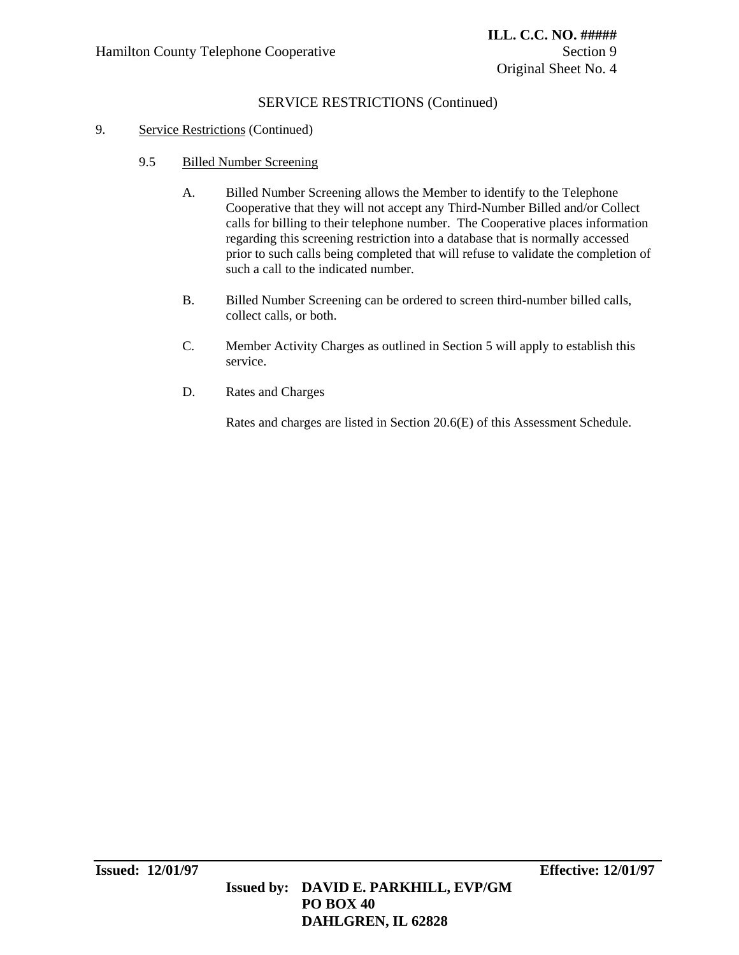# SERVICE RESTRICTIONS (Continued)

### 9. Service Restrictions (Continued)

- 9.5 Billed Number Screening
	- A. Billed Number Screening allows the Member to identify to the Telephone Cooperative that they will not accept any Third-Number Billed and/or Collect calls for billing to their telephone number. The Cooperative places information regarding this screening restriction into a database that is normally accessed prior to such calls being completed that will refuse to validate the completion of such a call to the indicated number.
	- B. Billed Number Screening can be ordered to screen third-number billed calls, collect calls, or both.
	- C. Member Activity Charges as outlined in Section 5 will apply to establish this service.
	- D. Rates and Charges

Rates and charges are listed in Section 20.6(E) of this Assessment Schedule.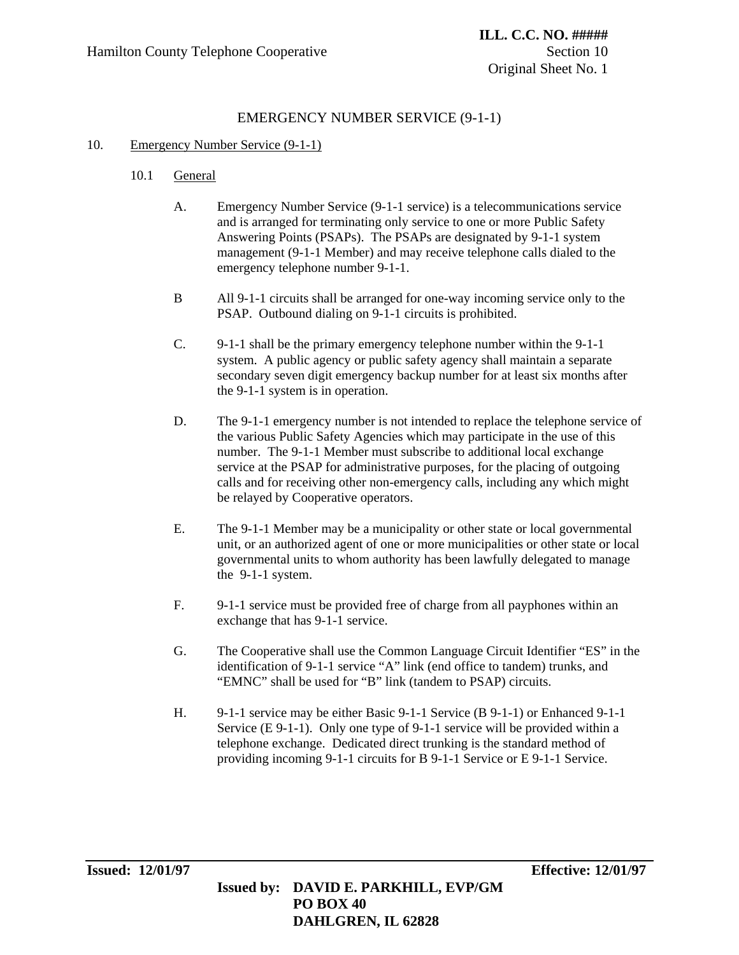# EMERGENCY NUMBER SERVICE (9-1-1)

### 10. Emergency Number Service (9-1-1)

- 10.1 General
	- A. Emergency Number Service (9-1-1 service) is a telecommunications service and is arranged for terminating only service to one or more Public Safety Answering Points (PSAPs). The PSAPs are designated by 9-1-1 system management (9-1-1 Member) and may receive telephone calls dialed to the emergency telephone number 9-1-1.
	- B All 9-1-1 circuits shall be arranged for one-way incoming service only to the PSAP. Outbound dialing on 9-1-1 circuits is prohibited.
	- C. 9-1-1 shall be the primary emergency telephone number within the 9-1-1 system. A public agency or public safety agency shall maintain a separate secondary seven digit emergency backup number for at least six months after the 9-1-1 system is in operation.
	- D. The 9-1-1 emergency number is not intended to replace the telephone service of the various Public Safety Agencies which may participate in the use of this number. The 9-1-1 Member must subscribe to additional local exchange service at the PSAP for administrative purposes, for the placing of outgoing calls and for receiving other non-emergency calls, including any which might be relayed by Cooperative operators.
	- E. The 9-1-1 Member may be a municipality or other state or local governmental unit, or an authorized agent of one or more municipalities or other state or local governmental units to whom authority has been lawfully delegated to manage the 9-1-1 system.
	- F. 9-1-1 service must be provided free of charge from all payphones within an exchange that has 9-1-1 service.
	- G. The Cooperative shall use the Common Language Circuit Identifier "ES" in the identification of 9-1-1 service "A" link (end office to tandem) trunks, and "EMNC" shall be used for "B" link (tandem to PSAP) circuits.
	- H. 9-1-1 service may be either Basic 9-1-1 Service (B 9-1-1) or Enhanced 9-1-1 Service (E 9-1-1). Only one type of 9-1-1 service will be provided within a telephone exchange. Dedicated direct trunking is the standard method of providing incoming 9-1-1 circuits for B 9-1-1 Service or E 9-1-1 Service.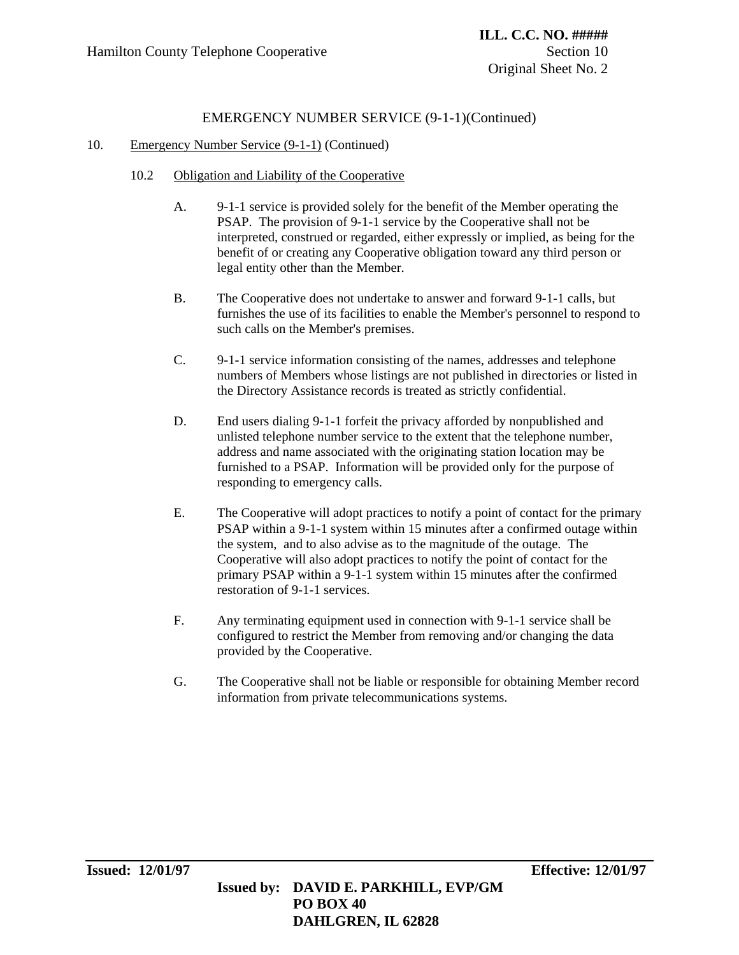- 10.2 Obligation and Liability of the Cooperative
	- A. 9-1-1 service is provided solely for the benefit of the Member operating the PSAP. The provision of 9-1-1 service by the Cooperative shall not be interpreted, construed or regarded, either expressly or implied, as being for the benefit of or creating any Cooperative obligation toward any third person or legal entity other than the Member.
	- B. The Cooperative does not undertake to answer and forward 9-1-1 calls, but furnishes the use of its facilities to enable the Member's personnel to respond to such calls on the Member's premises.
	- C. 9-1-1 service information consisting of the names, addresses and telephone numbers of Members whose listings are not published in directories or listed in the Directory Assistance records is treated as strictly confidential.
	- D. End users dialing 9-1-1 forfeit the privacy afforded by nonpublished and unlisted telephone number service to the extent that the telephone number, address and name associated with the originating station location may be furnished to a PSAP. Information will be provided only for the purpose of responding to emergency calls.
	- E. The Cooperative will adopt practices to notify a point of contact for the primary PSAP within a 9-1-1 system within 15 minutes after a confirmed outage within the system, and to also advise as to the magnitude of the outage. The Cooperative will also adopt practices to notify the point of contact for the primary PSAP within a 9-1-1 system within 15 minutes after the confirmed restoration of 9-1-1 services.
	- F. Any terminating equipment used in connection with 9-1-1 service shall be configured to restrict the Member from removing and/or changing the data provided by the Cooperative.
	- G. The Cooperative shall not be liable or responsible for obtaining Member record information from private telecommunications systems.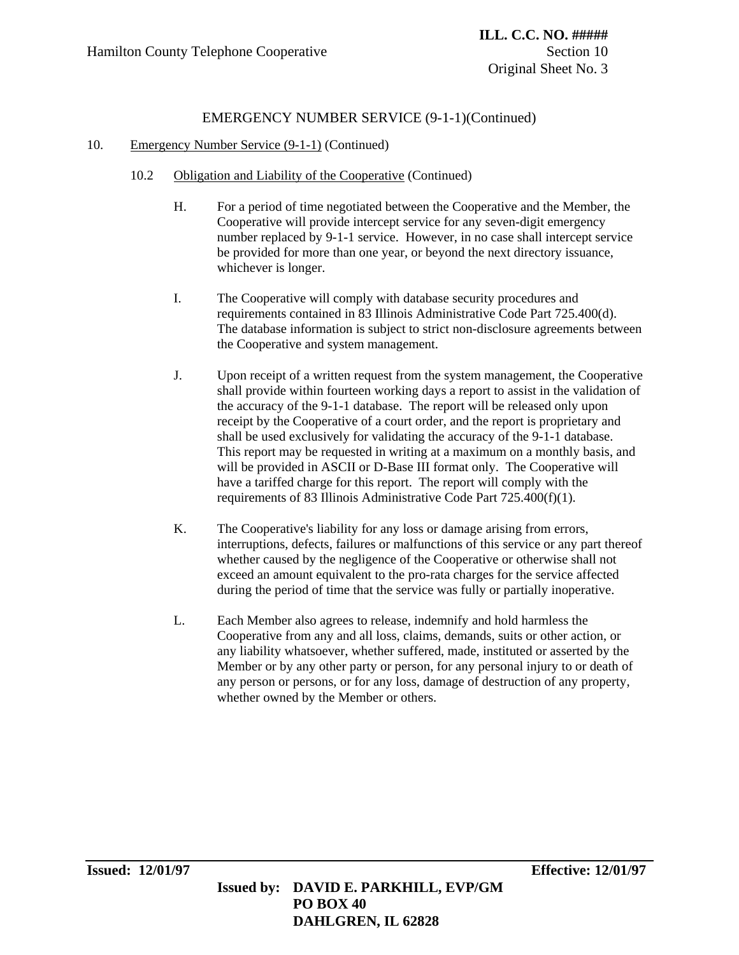- 10.2 Obligation and Liability of the Cooperative (Continued)
	- H. For a period of time negotiated between the Cooperative and the Member, the Cooperative will provide intercept service for any seven-digit emergency number replaced by 9-1-1 service. However, in no case shall intercept service be provided for more than one year, or beyond the next directory issuance, whichever is longer.
	- I. The Cooperative will comply with database security procedures and requirements contained in 83 Illinois Administrative Code Part 725.400(d). The database information is subject to strict non-disclosure agreements between the Cooperative and system management.
	- J. Upon receipt of a written request from the system management, the Cooperative shall provide within fourteen working days a report to assist in the validation of the accuracy of the 9-1-1 database. The report will be released only upon receipt by the Cooperative of a court order, and the report is proprietary and shall be used exclusively for validating the accuracy of the 9-1-1 database. This report may be requested in writing at a maximum on a monthly basis, and will be provided in ASCII or D-Base III format only. The Cooperative will have a tariffed charge for this report. The report will comply with the requirements of 83 Illinois Administrative Code Part 725.400(f)(1).
	- K. The Cooperative's liability for any loss or damage arising from errors, interruptions, defects, failures or malfunctions of this service or any part thereof whether caused by the negligence of the Cooperative or otherwise shall not exceed an amount equivalent to the pro-rata charges for the service affected during the period of time that the service was fully or partially inoperative.
	- L. Each Member also agrees to release, indemnify and hold harmless the Cooperative from any and all loss, claims, demands, suits or other action, or any liability whatsoever, whether suffered, made, instituted or asserted by the Member or by any other party or person, for any personal injury to or death of any person or persons, or for any loss, damage of destruction of any property, whether owned by the Member or others.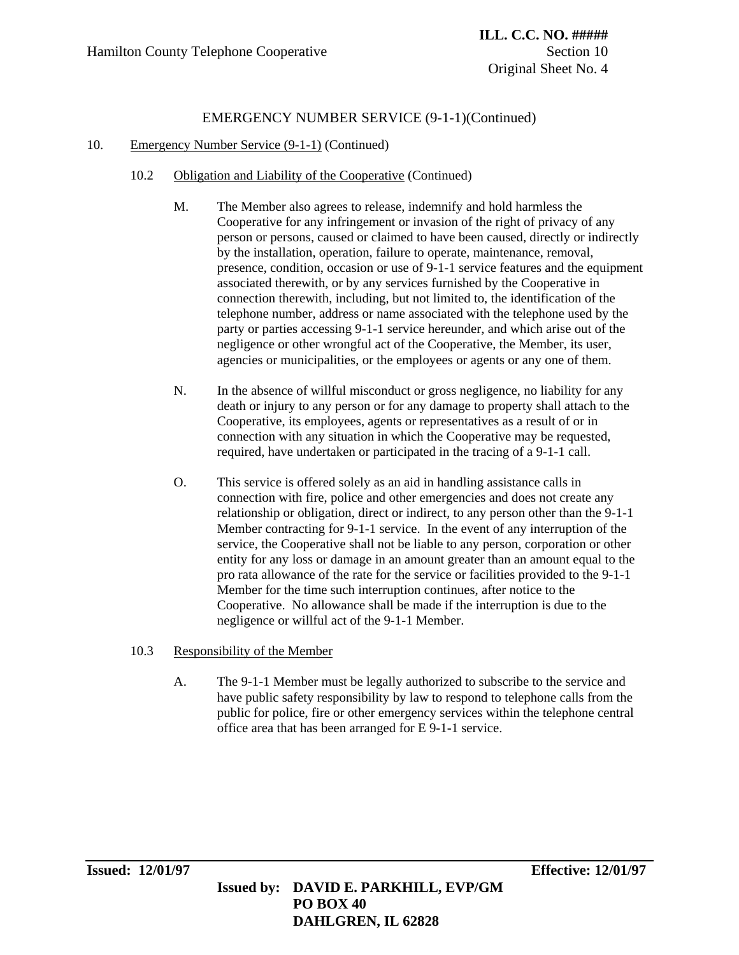#### 10. Emergency Number Service (9-1-1) (Continued)

- 10.2 Obligation and Liability of the Cooperative (Continued)
	- M. The Member also agrees to release, indemnify and hold harmless the Cooperative for any infringement or invasion of the right of privacy of any person or persons, caused or claimed to have been caused, directly or indirectly by the installation, operation, failure to operate, maintenance, removal, presence, condition, occasion or use of 9-1-1 service features and the equipment associated therewith, or by any services furnished by the Cooperative in connection therewith, including, but not limited to, the identification of the telephone number, address or name associated with the telephone used by the party or parties accessing 9-1-1 service hereunder, and which arise out of the negligence or other wrongful act of the Cooperative, the Member, its user, agencies or municipalities, or the employees or agents or any one of them.
	- N. In the absence of willful misconduct or gross negligence, no liability for any death or injury to any person or for any damage to property shall attach to the Cooperative, its employees, agents or representatives as a result of or in connection with any situation in which the Cooperative may be requested, required, have undertaken or participated in the tracing of a 9-1-1 call.
	- O. This service is offered solely as an aid in handling assistance calls in connection with fire, police and other emergencies and does not create any relationship or obligation, direct or indirect, to any person other than the 9-1-1 Member contracting for 9-1-1 service. In the event of any interruption of the service, the Cooperative shall not be liable to any person, corporation or other entity for any loss or damage in an amount greater than an amount equal to the pro rata allowance of the rate for the service or facilities provided to the 9-1-1 Member for the time such interruption continues, after notice to the Cooperative. No allowance shall be made if the interruption is due to the negligence or willful act of the 9-1-1 Member.

### 10.3 Responsibility of the Member

A. The 9-1-1 Member must be legally authorized to subscribe to the service and have public safety responsibility by law to respond to telephone calls from the public for police, fire or other emergency services within the telephone central office area that has been arranged for E 9-1-1 service.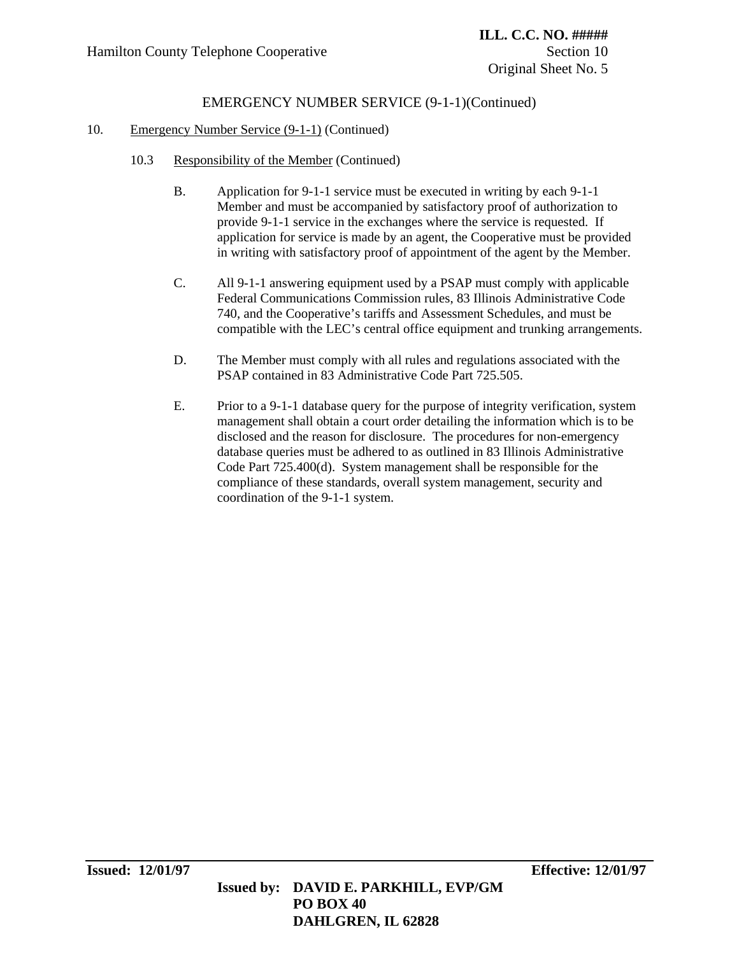- 10.3 Responsibility of the Member (Continued)
	- B. Application for 9-1-1 service must be executed in writing by each 9-1-1 Member and must be accompanied by satisfactory proof of authorization to provide 9-1-1 service in the exchanges where the service is requested. If application for service is made by an agent, the Cooperative must be provided in writing with satisfactory proof of appointment of the agent by the Member.
	- C. All 9-1-1 answering equipment used by a PSAP must comply with applicable Federal Communications Commission rules, 83 Illinois Administrative Code 740, and the Cooperative's tariffs and Assessment Schedules, and must be compatible with the LEC's central office equipment and trunking arrangements.
	- D. The Member must comply with all rules and regulations associated with the PSAP contained in 83 Administrative Code Part 725.505.
	- E. Prior to a 9-1-1 database query for the purpose of integrity verification, system management shall obtain a court order detailing the information which is to be disclosed and the reason for disclosure. The procedures for non-emergency database queries must be adhered to as outlined in 83 Illinois Administrative Code Part 725.400(d). System management shall be responsible for the compliance of these standards, overall system management, security and coordination of the 9-1-1 system.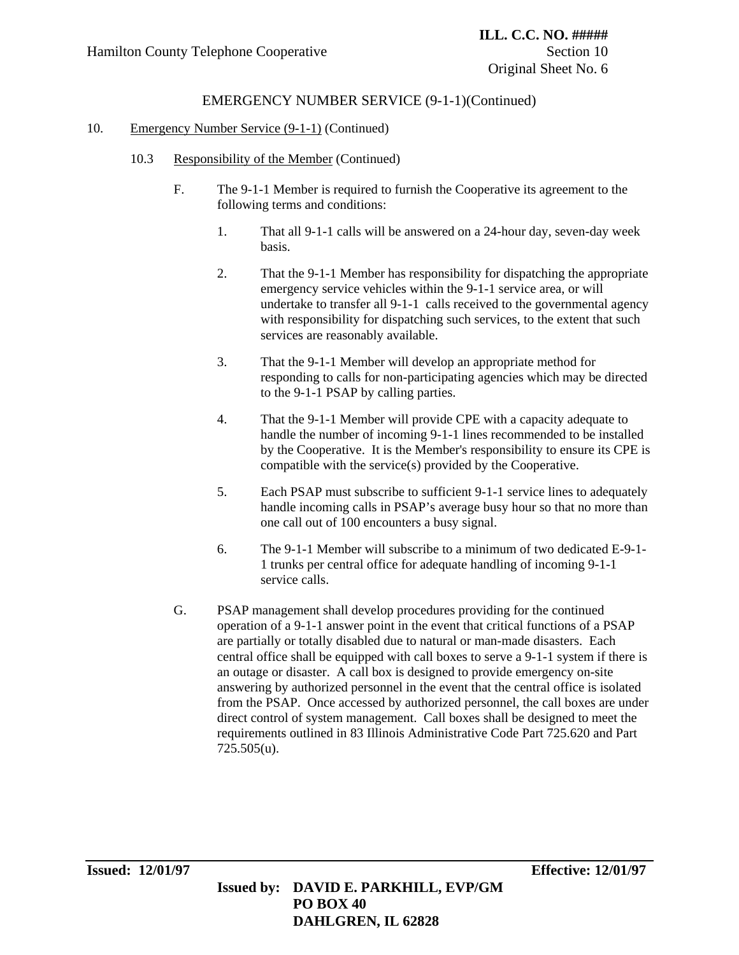- 10.3 Responsibility of the Member (Continued)
	- F. The 9-1-1 Member is required to furnish the Cooperative its agreement to the following terms and conditions:
		- 1. That all 9-1-1 calls will be answered on a 24-hour day, seven-day week basis.
		- 2. That the 9-1-1 Member has responsibility for dispatching the appropriate emergency service vehicles within the 9-1-1 service area, or will undertake to transfer all 9-1-1 calls received to the governmental agency with responsibility for dispatching such services, to the extent that such services are reasonably available.
		- 3. That the 9-1-1 Member will develop an appropriate method for responding to calls for non-participating agencies which may be directed to the 9-1-1 PSAP by calling parties.
		- 4. That the 9-1-1 Member will provide CPE with a capacity adequate to handle the number of incoming 9-1-1 lines recommended to be installed by the Cooperative. It is the Member's responsibility to ensure its CPE is compatible with the service(s) provided by the Cooperative.
		- 5. Each PSAP must subscribe to sufficient 9-1-1 service lines to adequately handle incoming calls in PSAP's average busy hour so that no more than one call out of 100 encounters a busy signal.
		- 6. The 9-1-1 Member will subscribe to a minimum of two dedicated E-9-1- 1 trunks per central office for adequate handling of incoming 9-1-1 service calls.
	- G. PSAP management shall develop procedures providing for the continued operation of a 9-1-1 answer point in the event that critical functions of a PSAP are partially or totally disabled due to natural or man-made disasters. Each central office shall be equipped with call boxes to serve a 9-1-1 system if there is an outage or disaster. A call box is designed to provide emergency on-site answering by authorized personnel in the event that the central office is isolated from the PSAP. Once accessed by authorized personnel, the call boxes are under direct control of system management. Call boxes shall be designed to meet the requirements outlined in 83 Illinois Administrative Code Part 725.620 and Part 725.505(u).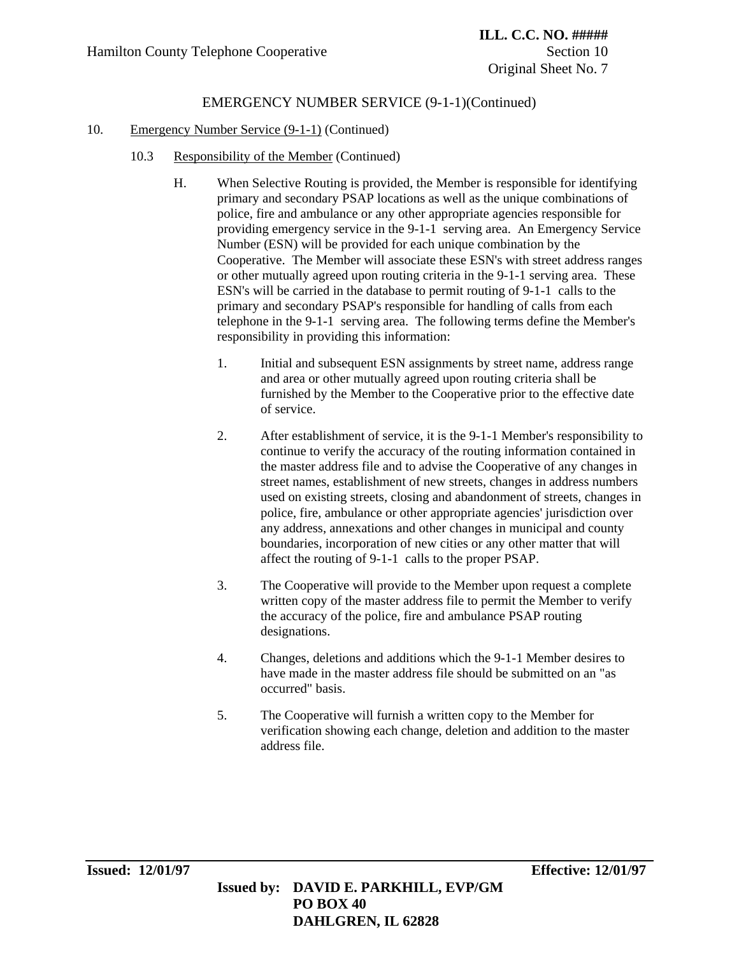- 10.3 Responsibility of the Member (Continued)
	- H. When Selective Routing is provided, the Member is responsible for identifying primary and secondary PSAP locations as well as the unique combinations of police, fire and ambulance or any other appropriate agencies responsible for providing emergency service in the 9-1-1 serving area. An Emergency Service Number (ESN) will be provided for each unique combination by the Cooperative. The Member will associate these ESN's with street address ranges or other mutually agreed upon routing criteria in the 9-1-1 serving area. These ESN's will be carried in the database to permit routing of 9-1-1 calls to the primary and secondary PSAP's responsible for handling of calls from each telephone in the 9-1-1 serving area. The following terms define the Member's responsibility in providing this information:
		- 1. Initial and subsequent ESN assignments by street name, address range and area or other mutually agreed upon routing criteria shall be furnished by the Member to the Cooperative prior to the effective date of service.
		- 2. After establishment of service, it is the 9-1-1 Member's responsibility to continue to verify the accuracy of the routing information contained in the master address file and to advise the Cooperative of any changes in street names, establishment of new streets, changes in address numbers used on existing streets, closing and abandonment of streets, changes in police, fire, ambulance or other appropriate agencies' jurisdiction over any address, annexations and other changes in municipal and county boundaries, incorporation of new cities or any other matter that will affect the routing of 9-1-1 calls to the proper PSAP.
		- 3. The Cooperative will provide to the Member upon request a complete written copy of the master address file to permit the Member to verify the accuracy of the police, fire and ambulance PSAP routing designations.
		- 4. Changes, deletions and additions which the 9-1-1 Member desires to have made in the master address file should be submitted on an "as occurred" basis.
		- 5. The Cooperative will furnish a written copy to the Member for verification showing each change, deletion and addition to the master address file.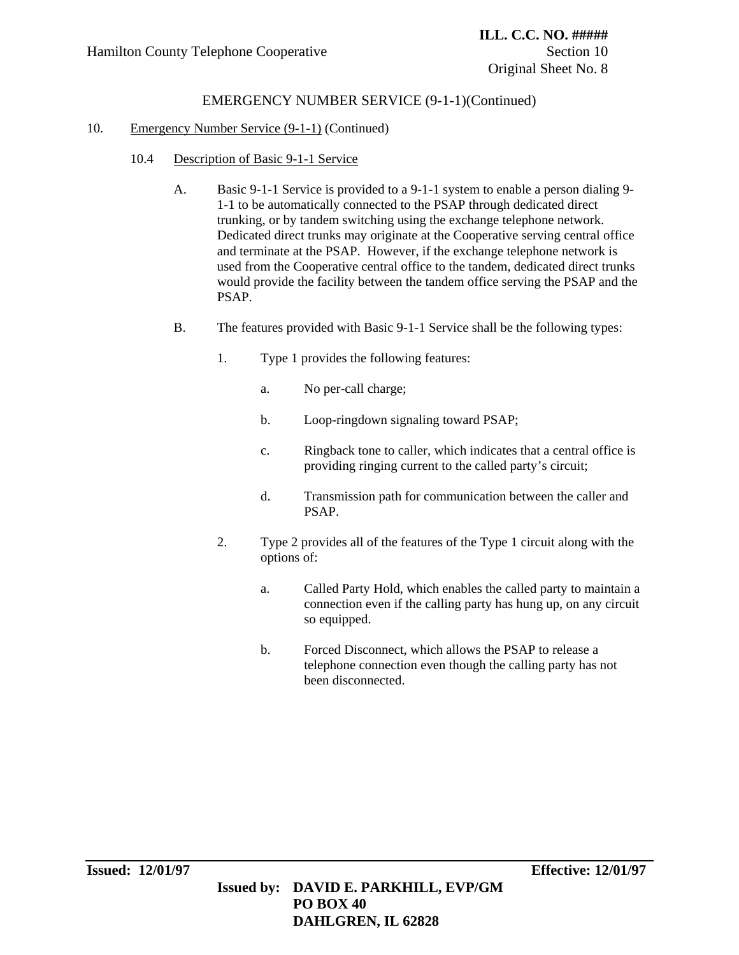- 10.4 Description of Basic 9-1-1 Service
	- A. Basic 9-1-1 Service is provided to a 9-1-1 system to enable a person dialing 9- 1-1 to be automatically connected to the PSAP through dedicated direct trunking, or by tandem switching using the exchange telephone network. Dedicated direct trunks may originate at the Cooperative serving central office and terminate at the PSAP. However, if the exchange telephone network is used from the Cooperative central office to the tandem, dedicated direct trunks would provide the facility between the tandem office serving the PSAP and the PSAP.
	- B. The features provided with Basic 9-1-1 Service shall be the following types:
		- 1. Type 1 provides the following features:
			- a. No per-call charge;
			- b. Loop-ringdown signaling toward PSAP;
			- c. Ringback tone to caller, which indicates that a central office is providing ringing current to the called party's circuit;
			- d. Transmission path for communication between the caller and PSAP.
		- 2. Type 2 provides all of the features of the Type 1 circuit along with the options of:
			- a. Called Party Hold, which enables the called party to maintain a connection even if the calling party has hung up, on any circuit so equipped.
			- b. Forced Disconnect, which allows the PSAP to release a telephone connection even though the calling party has not been disconnected.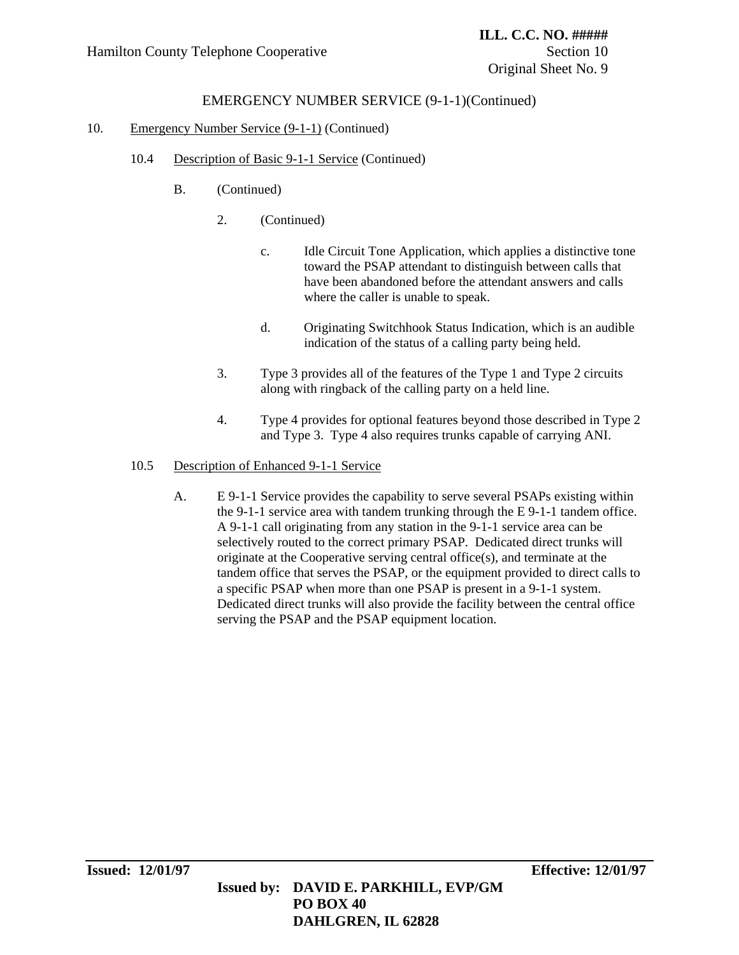### 10. Emergency Number Service (9-1-1) (Continued)

- 10.4 Description of Basic 9-1-1 Service (Continued)
	- B. (Continued)
		- 2. (Continued)
			- c. Idle Circuit Tone Application, which applies a distinctive tone toward the PSAP attendant to distinguish between calls that have been abandoned before the attendant answers and calls where the caller is unable to speak.
			- d. Originating Switchhook Status Indication, which is an audible indication of the status of a calling party being held.
		- 3. Type 3 provides all of the features of the Type 1 and Type 2 circuits along with ringback of the calling party on a held line.
		- 4. Type 4 provides for optional features beyond those described in Type 2 and Type 3. Type 4 also requires trunks capable of carrying ANI.

#### 10.5 Description of Enhanced 9-1-1 Service

A. E 9-1-1 Service provides the capability to serve several PSAPs existing within the 9-1-1 service area with tandem trunking through the E 9-1-1 tandem office. A 9-1-1 call originating from any station in the 9-1-1 service area can be selectively routed to the correct primary PSAP. Dedicated direct trunks will originate at the Cooperative serving central office(s), and terminate at the tandem office that serves the PSAP, or the equipment provided to direct calls to a specific PSAP when more than one PSAP is present in a 9-1-1 system. Dedicated direct trunks will also provide the facility between the central office serving the PSAP and the PSAP equipment location.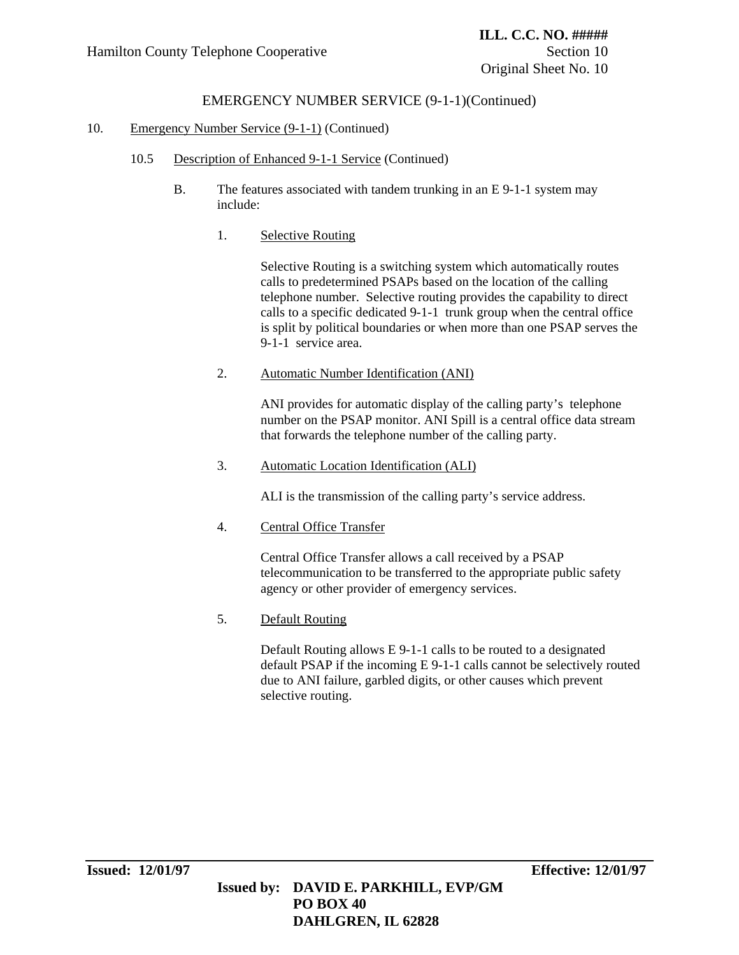## EMERGENCY NUMBER SERVICE (9-1-1)(Continued)

#### 10. Emergency Number Service (9-1-1) (Continued)

- 10.5 Description of Enhanced 9-1-1 Service (Continued)
	- B. The features associated with tandem trunking in an E 9-1-1 system may include:
		- 1. Selective Routing

Selective Routing is a switching system which automatically routes calls to predetermined PSAPs based on the location of the calling telephone number. Selective routing provides the capability to direct calls to a specific dedicated 9-1-1 trunk group when the central office is split by political boundaries or when more than one PSAP serves the 9-1-1 service area.

2. Automatic Number Identification (ANI)

ANI provides for automatic display of the calling party's telephone number on the PSAP monitor. ANI Spill is a central office data stream that forwards the telephone number of the calling party.

3. Automatic Location Identification (ALI)

ALI is the transmission of the calling party's service address.

4. Central Office Transfer

Central Office Transfer allows a call received by a PSAP telecommunication to be transferred to the appropriate public safety agency or other provider of emergency services.

5. Default Routing

Default Routing allows E 9-1-1 calls to be routed to a designated default PSAP if the incoming E 9-1-1 calls cannot be selectively routed due to ANI failure, garbled digits, or other causes which prevent selective routing.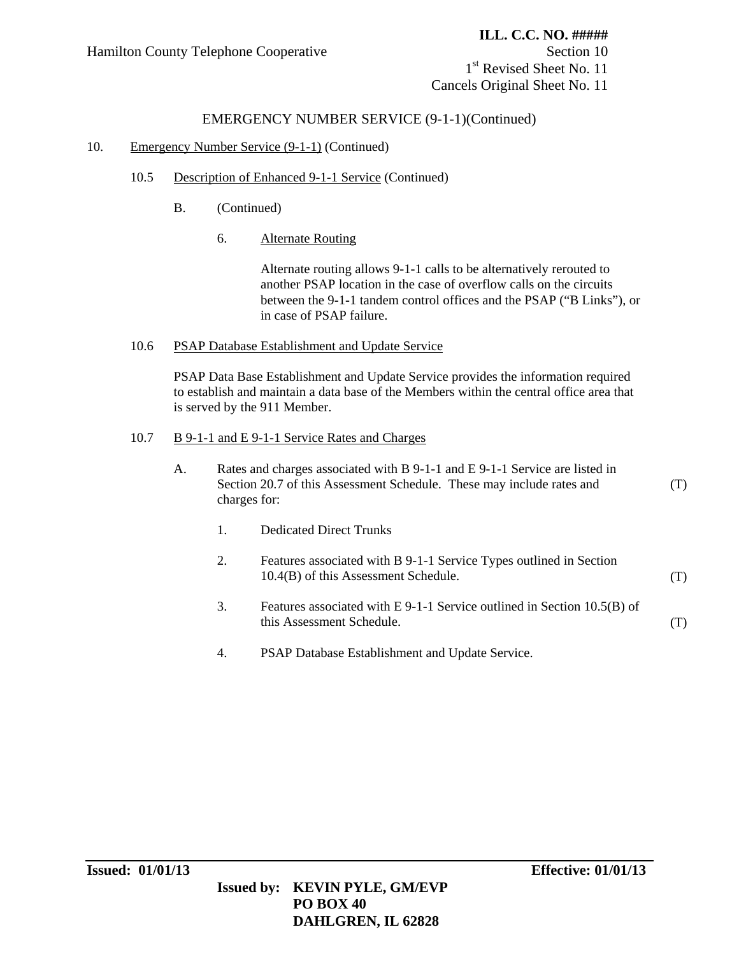1<sup>st</sup> Revised Sheet No. 11 Cancels Original Sheet No. 11

### EMERGENCY NUMBER SERVICE (9-1-1)(Continued)

#### 10. Emergency Number Service (9-1-1) (Continued)

- 10.5 Description of Enhanced 9-1-1 Service (Continued)
	- B. (Continued)
		- 6. Alternate Routing

Alternate routing allows 9-1-1 calls to be alternatively rerouted to another PSAP location in the case of overflow calls on the circuits between the 9-1-1 tandem control offices and the PSAP ("B Links"), or in case of PSAP failure.

#### 10.6 PSAP Database Establishment and Update Service

PSAP Data Base Establishment and Update Service provides the information required to establish and maintain a data base of the Members within the central office area that is served by the 911 Member.

#### 10.7 B 9-1-1 and E 9-1-1 Service Rates and Charges

- A. Rates and charges associated with B 9-1-1 and E 9-1-1 Service are listed in Section 20.7 of this Assessment Schedule. These may include rates and charges for: (T)
	- 1. Dedicated Direct Trunks
	- 2. Features associated with B 9-1-1 Service Types outlined in Section 10.4(B) of this Assessment Schedule. (T)
	- 3. Features associated with E 9-1-1 Service outlined in Section 10.5(B) of this Assessment Schedule. (T)
	- 4. PSAP Database Establishment and Update Service.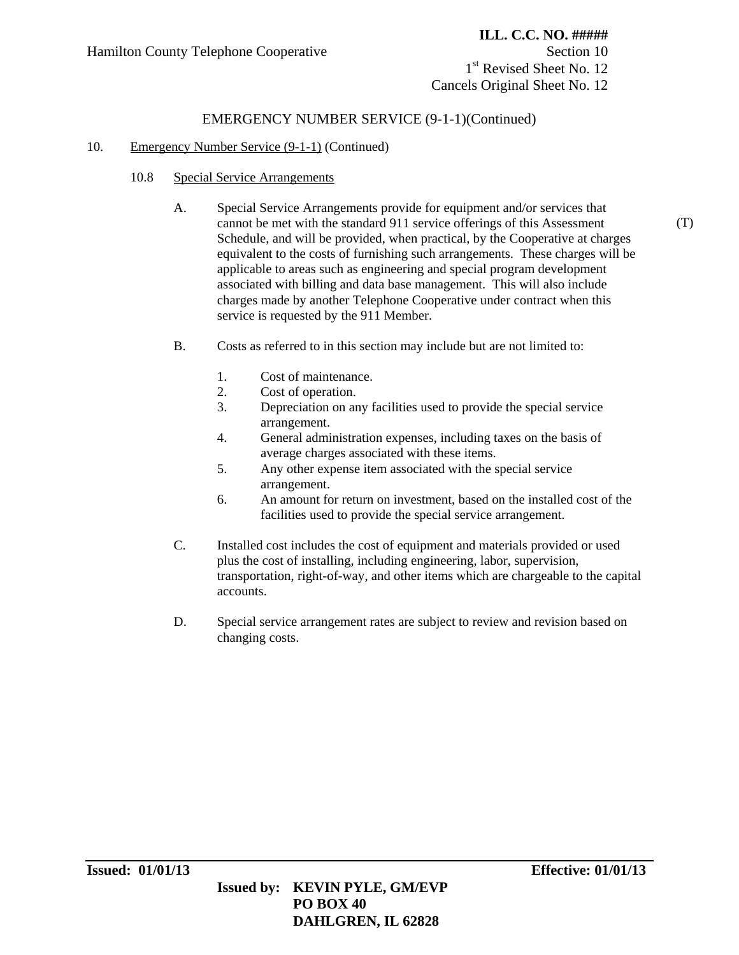1<sup>st</sup> Revised Sheet No. 12 Cancels Original Sheet No. 12

### EMERGENCY NUMBER SERVICE (9-1-1)(Continued)

#### 10. Emergency Number Service (9-1-1) (Continued)

- 10.8 Special Service Arrangements
	- A. Special Service Arrangements provide for equipment and/or services that cannot be met with the standard 911 service offerings of this Assessment Schedule, and will be provided, when practical, by the Cooperative at charges equivalent to the costs of furnishing such arrangements. These charges will be applicable to areas such as engineering and special program development associated with billing and data base management. This will also include charges made by another Telephone Cooperative under contract when this service is requested by the 911 Member.
	- B. Costs as referred to in this section may include but are not limited to:
		- 1. Cost of maintenance.
		- 2. Cost of operation.
		- 3. Depreciation on any facilities used to provide the special service arrangement.
		- 4. General administration expenses, including taxes on the basis of average charges associated with these items.
		- 5. Any other expense item associated with the special service arrangement.
		- 6. An amount for return on investment, based on the installed cost of the facilities used to provide the special service arrangement.
	- C. Installed cost includes the cost of equipment and materials provided or used plus the cost of installing, including engineering, labor, supervision, transportation, right-of-way, and other items which are chargeable to the capital accounts.
	- D. Special service arrangement rates are subject to review and revision based on changing costs.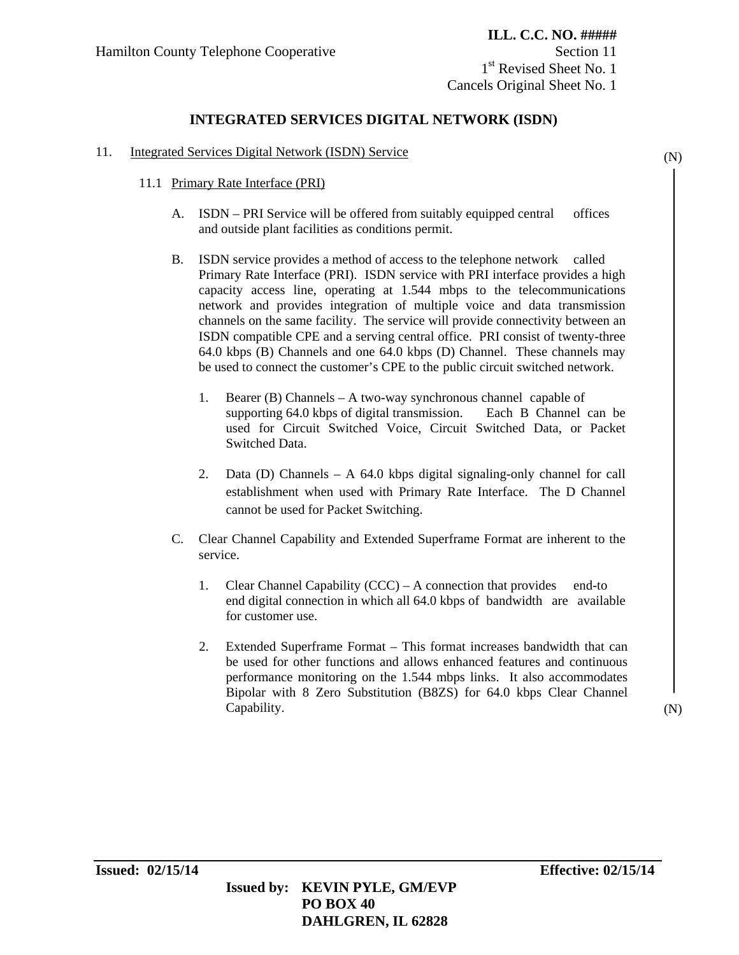1<sup>st</sup> Revised Sheet No. 1 Cancels Original Sheet No. 1

## **INTEGRATED SERVICES DIGITAL NETWORK (ISDN)**

- 11. Integrated Services Digital Network (ISDN) Service
	- 11.1 Primary Rate Interface (PRI)
		- A. ISDN PRI Service will be offered from suitably equipped central offices and outside plant facilities as conditions permit.
		- B. ISDN service provides a method of access to the telephone network called Primary Rate Interface (PRI). ISDN service with PRI interface provides a high capacity access line, operating at 1.544 mbps to the telecommunications network and provides integration of multiple voice and data transmission channels on the same facility. The service will provide connectivity between an ISDN compatible CPE and a serving central office. PRI consist of twenty-three 64.0 kbps (B) Channels and one 64.0 kbps (D) Channel. These channels may be used to connect the customer's CPE to the public circuit switched network.
			- 1. Bearer (B) Channels A two-way synchronous channel capable of supporting 64.0 kbps of digital transmission. Each B Channel can be used for Circuit Switched Voice, Circuit Switched Data, or Packet Switched Data.
			- 2. Data (D) Channels A 64.0 kbps digital signaling-only channel for call establishment when used with Primary Rate Interface. The D Channel cannot be used for Packet Switching.
		- C. Clear Channel Capability and Extended Superframe Format are inherent to the service.
			- 1. Clear Channel Capability (CCC) A connection that provides end-to end digital connection in which all 64.0 kbps of bandwidth are available for customer use.
			- 2. Extended Superframe Format This format increases bandwidth that can be used for other functions and allows enhanced features and continuous performance monitoring on the 1.544 mbps links. It also accommodates Bipolar with 8 Zero Substitution (B8ZS) for 64.0 kbps Clear Channel Capability.

(N)

 **Issued by: KEVIN PYLE, GM/EVP PO BOX 40 DAHLGREN, IL 62828**

(N)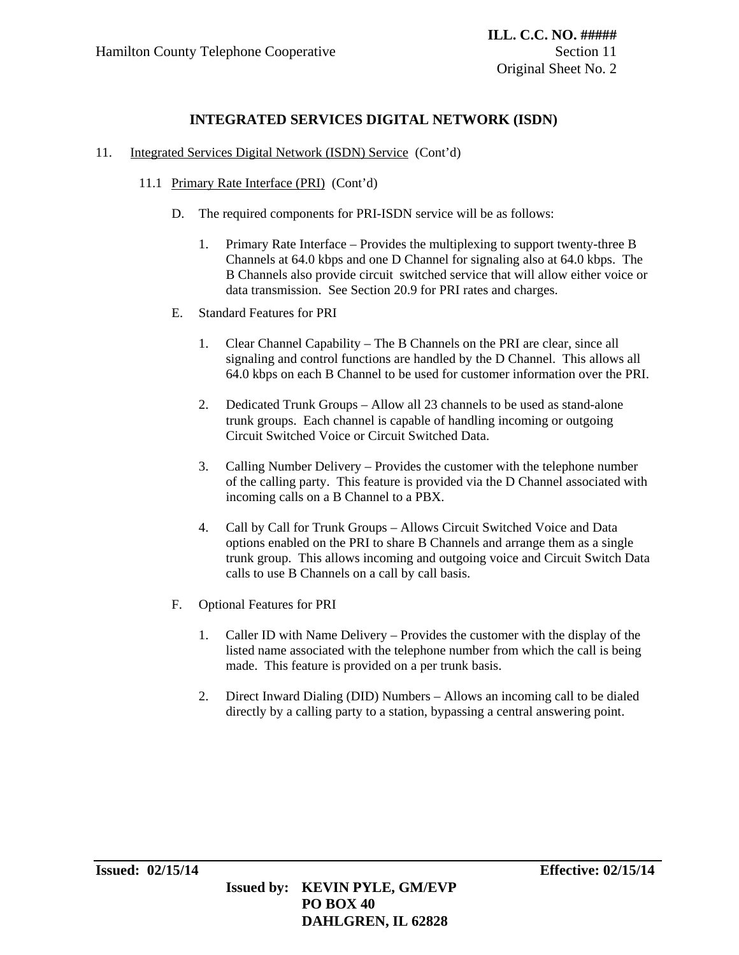## **INTEGRATED SERVICES DIGITAL NETWORK (ISDN)**

- 11. Integrated Services Digital Network (ISDN) Service (Cont'd)
	- 11.1 Primary Rate Interface (PRI) (Cont'd)
		- D. The required components for PRI-ISDN service will be as follows:
			- 1. Primary Rate Interface Provides the multiplexing to support twenty-three B Channels at 64.0 kbps and one D Channel for signaling also at 64.0 kbps. The B Channels also provide circuit switched service that will allow either voice or data transmission. See Section 20.9 for PRI rates and charges.
		- E. Standard Features for PRI
			- 1. Clear Channel Capability The B Channels on the PRI are clear, since all signaling and control functions are handled by the D Channel. This allows all 64.0 kbps on each B Channel to be used for customer information over the PRI.
			- 2. Dedicated Trunk Groups Allow all 23 channels to be used as stand-alone trunk groups. Each channel is capable of handling incoming or outgoing Circuit Switched Voice or Circuit Switched Data.
			- 3. Calling Number Delivery Provides the customer with the telephone number of the calling party. This feature is provided via the D Channel associated with incoming calls on a B Channel to a PBX.
			- 4. Call by Call for Trunk Groups Allows Circuit Switched Voice and Data options enabled on the PRI to share B Channels and arrange them as a single trunk group. This allows incoming and outgoing voice and Circuit Switch Data calls to use B Channels on a call by call basis.
		- F. Optional Features for PRI
			- 1. Caller ID with Name Delivery Provides the customer with the display of the listed name associated with the telephone number from which the call is being made. This feature is provided on a per trunk basis.
			- 2. Direct Inward Dialing (DID) Numbers Allows an incoming call to be dialed directly by a calling party to a station, bypassing a central answering point.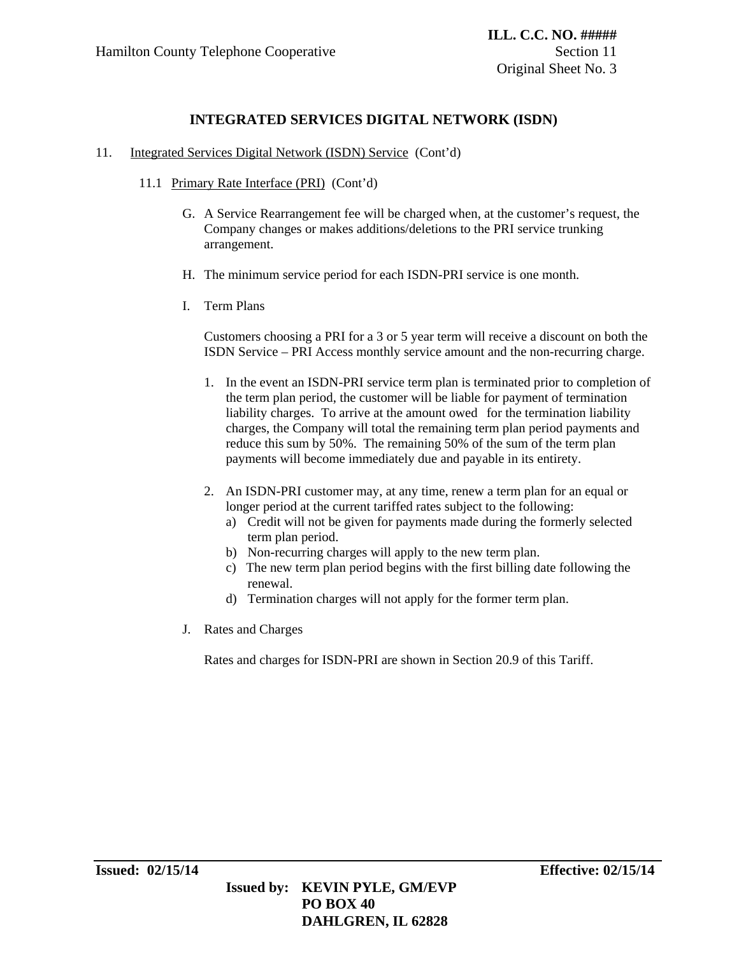## **INTEGRATED SERVICES DIGITAL NETWORK (ISDN)**

- 11. Integrated Services Digital Network (ISDN) Service (Cont'd)
	- 11.1 Primary Rate Interface (PRI) (Cont'd)
		- G. A Service Rearrangement fee will be charged when, at the customer's request, the Company changes or makes additions/deletions to the PRI service trunking arrangement.
		- H. The minimum service period for each ISDN-PRI service is one month.
		- I. Term Plans

Customers choosing a PRI for a 3 or 5 year term will receive a discount on both the ISDN Service – PRI Access monthly service amount and the non-recurring charge.

- 1. In the event an ISDN-PRI service term plan is terminated prior to completion of the term plan period, the customer will be liable for payment of termination liability charges. To arrive at the amount owed for the termination liability charges, the Company will total the remaining term plan period payments and reduce this sum by 50%. The remaining 50% of the sum of the term plan payments will become immediately due and payable in its entirety.
- 2. An ISDN-PRI customer may, at any time, renew a term plan for an equal or longer period at the current tariffed rates subject to the following:
	- a) Credit will not be given for payments made during the formerly selected term plan period.
	- b) Non-recurring charges will apply to the new term plan.
	- c) The new term plan period begins with the first billing date following the renewal.
	- d) Termination charges will not apply for the former term plan.
- J. Rates and Charges

Rates and charges for ISDN-PRI are shown in Section 20.9 of this Tariff.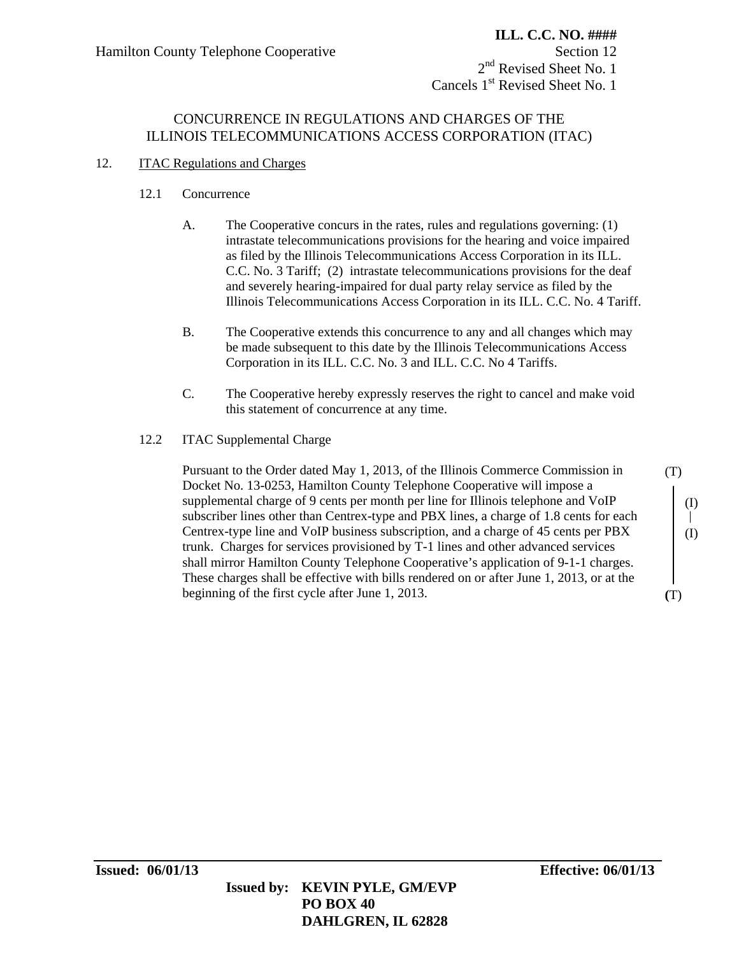## CONCURRENCE IN REGULATIONS AND CHARGES OF THE ILLINOIS TELECOMMUNICATIONS ACCESS CORPORATION (ITAC)

### 12. **ITAC Regulations and Charges**

### 12.1 Concurrence

- A. The Cooperative concurs in the rates, rules and regulations governing: (1) intrastate telecommunications provisions for the hearing and voice impaired as filed by the Illinois Telecommunications Access Corporation in its ILL. C.C. No. 3 Tariff; (2) intrastate telecommunications provisions for the deaf and severely hearing-impaired for dual party relay service as filed by the Illinois Telecommunications Access Corporation in its ILL. C.C. No. 4 Tariff.
- B. The Cooperative extends this concurrence to any and all changes which may be made subsequent to this date by the Illinois Telecommunications Access Corporation in its ILL. C.C. No. 3 and ILL. C.C. No 4 Tariffs.
- C. The Cooperative hereby expressly reserves the right to cancel and make void this statement of concurrence at any time.
- 12.2 ITAC Supplemental Charge

 Pursuant to the Order dated May 1, 2013, of the Illinois Commerce Commission in Docket No. 13-0253, Hamilton County Telephone Cooperative will impose a supplemental charge of 9 cents per month per line for Illinois telephone and VoIP subscriber lines other than Centrex-type and PBX lines, a charge of 1.8 cents for each Centrex-type line and VoIP business subscription, and a charge of 45 cents per PBX trunk. Charges for services provisioned by T-1 lines and other advanced services shall mirror Hamilton County Telephone Cooperative's application of 9-1-1 charges. These charges shall be effective with bills rendered on or after June 1, 2013, or at the beginning of the first cycle after June 1, 2013.

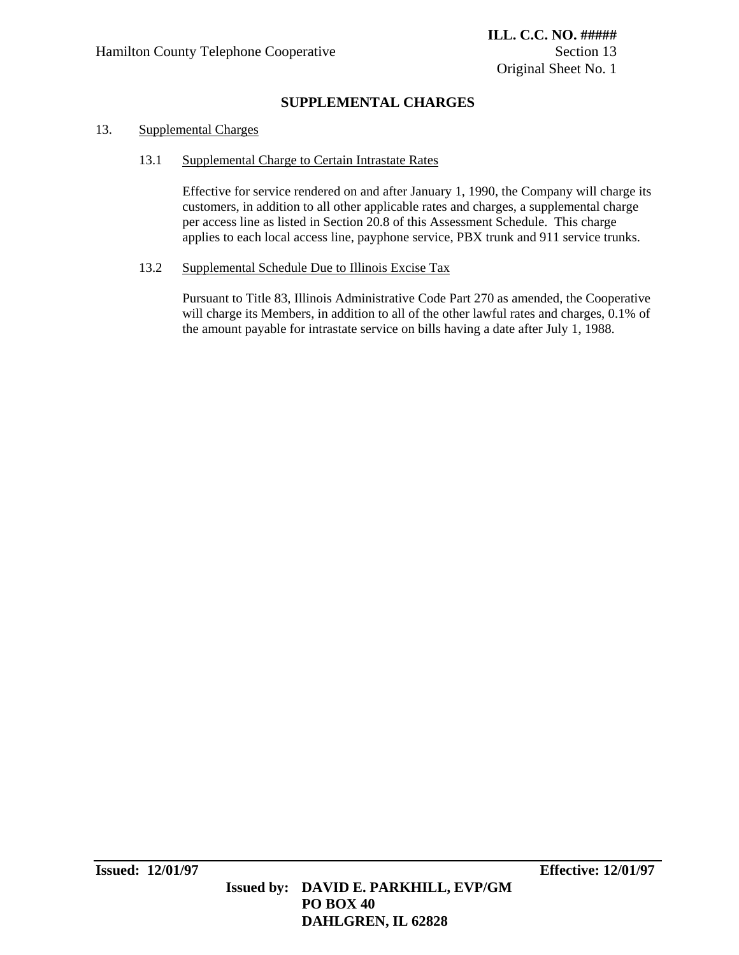## **SUPPLEMENTAL CHARGES**

### 13. Supplemental Charges

#### 13.1 Supplemental Charge to Certain Intrastate Rates

 Effective for service rendered on and after January 1, 1990, the Company will charge its customers, in addition to all other applicable rates and charges, a supplemental charge per access line as listed in Section 20.8 of this Assessment Schedule. This charge applies to each local access line, payphone service, PBX trunk and 911 service trunks.

#### 13.2 Supplemental Schedule Due to Illinois Excise Tax

Pursuant to Title 83, Illinois Administrative Code Part 270 as amended, the Cooperative will charge its Members, in addition to all of the other lawful rates and charges, 0.1% of the amount payable for intrastate service on bills having a date after July 1, 1988.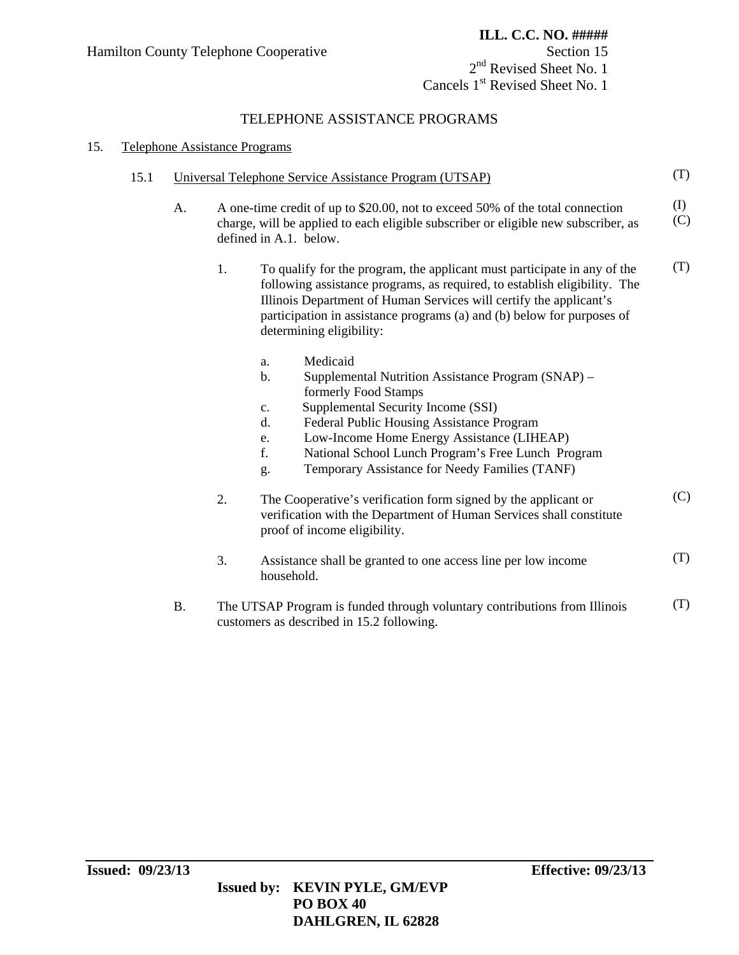### TELEPHONE ASSISTANCE PROGRAMS

### 15. Telephone Assistance Programs

| 15.1 |           | Universal Telephone Service Assistance Program (UTSAP)                                                                                                                                                                                                                                                                                                                                           |            |  |  |  |
|------|-----------|--------------------------------------------------------------------------------------------------------------------------------------------------------------------------------------------------------------------------------------------------------------------------------------------------------------------------------------------------------------------------------------------------|------------|--|--|--|
|      | A.        | A one-time credit of up to \$20.00, not to exceed 50% of the total connection<br>charge, will be applied to each eligible subscriber or eligible new subscriber, as<br>defined in A.1. below.                                                                                                                                                                                                    | (I)<br>(C) |  |  |  |
|      |           | 1.<br>To qualify for the program, the applicant must participate in any of the<br>following assistance programs, as required, to establish eligibility. The<br>Illinois Department of Human Services will certify the applicant's<br>participation in assistance programs (a) and (b) below for purposes of<br>determining eligibility:                                                          | (T)        |  |  |  |
|      |           | Medicaid<br>a.<br>Supplemental Nutrition Assistance Program (SNAP) -<br>$\mathbf b$ .<br>formerly Food Stamps<br>Supplemental Security Income (SSI)<br>C <sub>1</sub><br>d.<br>Federal Public Housing Assistance Program<br>Low-Income Home Energy Assistance (LIHEAP)<br>e.<br>f.<br>National School Lunch Program's Free Lunch Program<br>Temporary Assistance for Needy Families (TANF)<br>g. |            |  |  |  |
|      |           | 2.<br>The Cooperative's verification form signed by the applicant or<br>verification with the Department of Human Services shall constitute<br>proof of income eligibility.                                                                                                                                                                                                                      | (C)        |  |  |  |
|      |           | 3.<br>Assistance shall be granted to one access line per low income<br>household.                                                                                                                                                                                                                                                                                                                | (T)        |  |  |  |
|      | <b>B.</b> | The UTSAP Program is funded through voluntary contributions from Illinois<br>customers as described in 15.2 following.                                                                                                                                                                                                                                                                           | (T)        |  |  |  |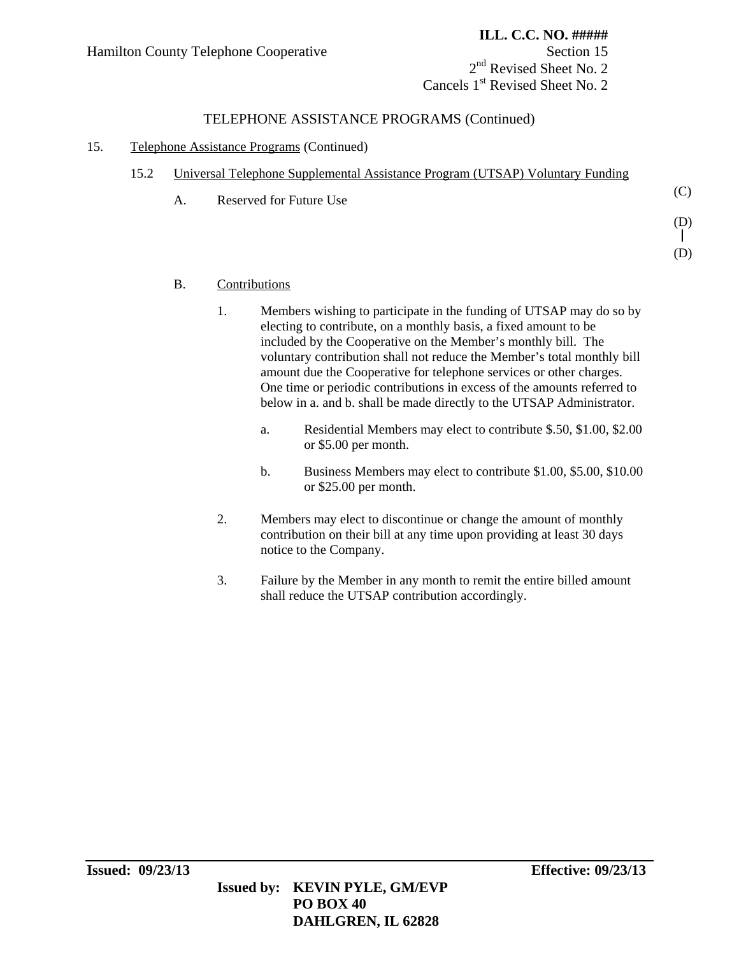(C)

(D)

(D)

2<sup>nd</sup> Revised Sheet No. 2 Cancels 1<sup>st</sup> Revised Sheet No. 2

### TELEPHONE ASSISTANCE PROGRAMS (Continued)

### 15. Telephone Assistance Programs (Continued)

| 15.2 |  | Universal Telephone Supplemental Assistance Program (UTSAP) Voluntary Funding |
|------|--|-------------------------------------------------------------------------------|
|      |  |                                                                               |

A. Reserved for Future Use

#### B. Contributions

- 1. Members wishing to participate in the funding of UTSAP may do so by electing to contribute, on a monthly basis, a fixed amount to be included by the Cooperative on the Member's monthly bill. The voluntary contribution shall not reduce the Member's total monthly bill amount due the Cooperative for telephone services or other charges. One time or periodic contributions in excess of the amounts referred to below in a. and b. shall be made directly to the UTSAP Administrator.
	- a. Residential Members may elect to contribute \$.50, \$1.00, \$2.00 or \$5.00 per month.
	- b. Business Members may elect to contribute \$1.00, \$5.00, \$10.00 or \$25.00 per month.
- 2. Members may elect to discontinue or change the amount of monthly contribution on their bill at any time upon providing at least 30 days notice to the Company.
- 3. Failure by the Member in any month to remit the entire billed amount shall reduce the UTSAP contribution accordingly.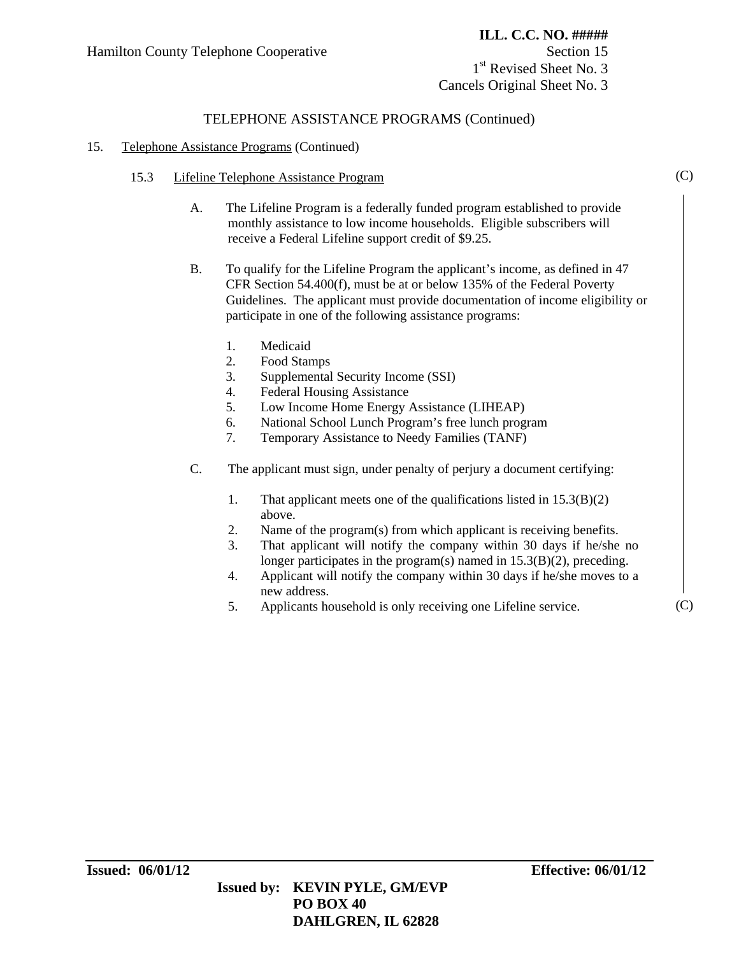1<sup>st</sup> Revised Sheet No. 3 Cancels Original Sheet No. 3

### TELEPHONE ASSISTANCE PROGRAMS (Continued)

#### 15. Telephone Assistance Programs (Continued)

- 15.3 Lifeline Telephone Assistance Program
	- A. The Lifeline Program is a federally funded program established to provide monthly assistance to low income households. Eligible subscribers will receive a Federal Lifeline support credit of \$9.25.
	- B. To qualify for the Lifeline Program the applicant's income, as defined in 47 CFR Section 54.400(f), must be at or below 135% of the Federal Poverty Guidelines. The applicant must provide documentation of income eligibility or participate in one of the following assistance programs:
		- 1. Medicaid
		- 2. Food Stamps
		- 3. Supplemental Security Income (SSI)
		- 4. Federal Housing Assistance
		- 5. Low Income Home Energy Assistance (LIHEAP)
		- 6. National School Lunch Program's free lunch program
		- 7. Temporary Assistance to Needy Families (TANF)
	- C. The applicant must sign, under penalty of perjury a document certifying:
		- 1. That applicant meets one of the qualifications listed in 15.3(B)(2) above.
		- 2. Name of the program(s) from which applicant is receiving benefits.
		- 3. That applicant will notify the company within 30 days if he/she no longer participates in the program(s) named in  $15.3(B)(2)$ , preceding.
		- 4. Applicant will notify the company within 30 days if he/she moves to a new address.
		- 5. Applicants household is only receiving one Lifeline service.

(C)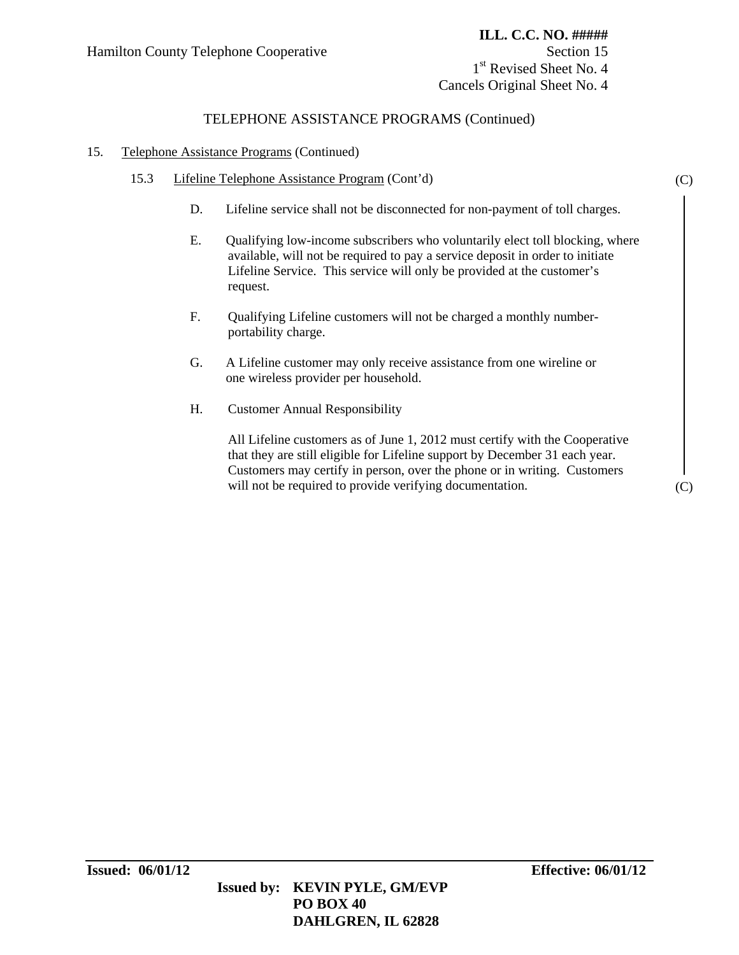(C)

(C)

1<sup>st</sup> Revised Sheet No. 4 Cancels Original Sheet No. 4

### TELEPHONE ASSISTANCE PROGRAMS (Continued)

#### 15. Telephone Assistance Programs (Continued)

- 15.3 Lifeline Telephone Assistance Program (Cont'd)
	- D. Lifeline service shall not be disconnected for non-payment of toll charges.
	- E. Qualifying low-income subscribers who voluntarily elect toll blocking, where available, will not be required to pay a service deposit in order to initiate Lifeline Service. This service will only be provided at the customer's request.
	- F. Qualifying Lifeline customers will not be charged a monthly number portability charge.
	- G. A Lifeline customer may only receive assistance from one wireline or one wireless provider per household.
	- H. Customer Annual Responsibility

 All Lifeline customers as of June 1, 2012 must certify with the Cooperative that they are still eligible for Lifeline support by December 31 each year. Customers may certify in person, over the phone or in writing. Customers will not be required to provide verifying documentation.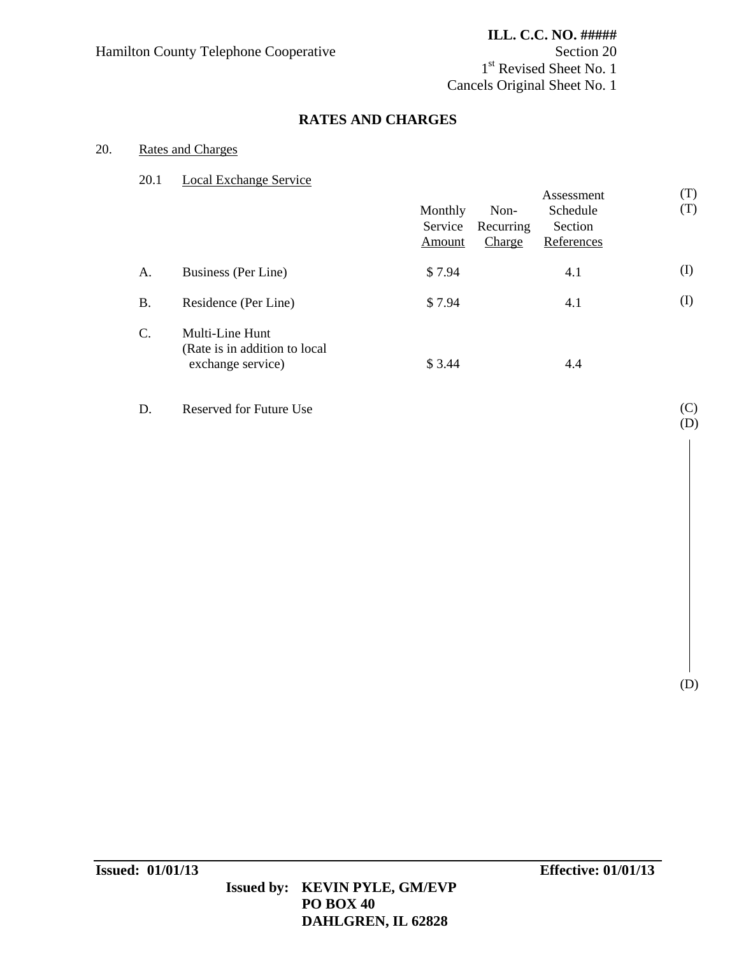1<sup>st</sup> Revised Sheet No. 1 Cancels Original Sheet No. 1

# **RATES AND CHARGES**

### 20. Rates and Charges

### 20.1 Local Exchange Service

|           |                                                                       | Monthly<br>Service<br>Amount | Non-<br>Recurring<br>Charge | Assessment<br>Schedule<br>Section<br>References | (T)<br>(T) |
|-----------|-----------------------------------------------------------------------|------------------------------|-----------------------------|-------------------------------------------------|------------|
| A.        | Business (Per Line)                                                   | \$7.94                       |                             | 4.1                                             | $\rm (I)$  |
| <b>B.</b> | Residence (Per Line)                                                  | \$7.94                       |                             | 4.1                                             | $\rm (I)$  |
| C.        | Multi-Line Hunt<br>(Rate is in addition to local<br>exchange service) | \$3.44                       |                             | 4.4                                             |            |

D. Reserved for Future Use

(C) (D)

(D)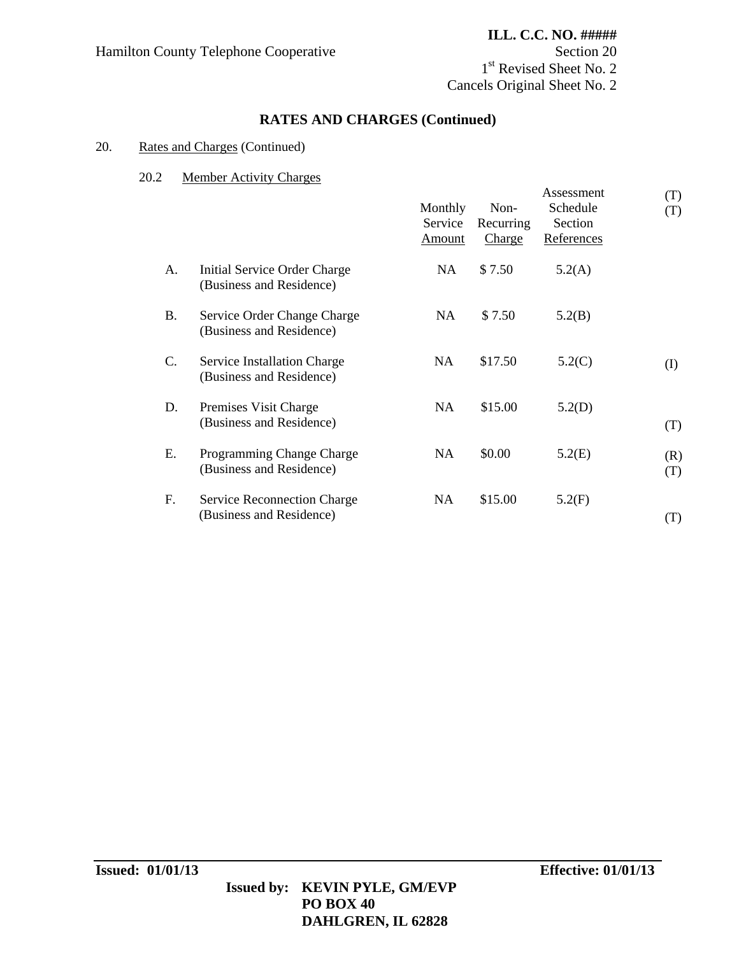1<sup>st</sup> Revised Sheet No. 2 Cancels Original Sheet No. 2

# **RATES AND CHARGES (Continued)**

### 20. Rates and Charges (Continued)

#### 20.2 Member Activity Charges

|                 |                                                                | Monthly<br>Service<br>Amount | Non-<br>Recurring<br>Charge | Assessment<br>Schedule<br>Section<br>References | (T)<br>(T) |
|-----------------|----------------------------------------------------------------|------------------------------|-----------------------------|-------------------------------------------------|------------|
| А.              | Initial Service Order Charge<br>(Business and Residence)       | <b>NA</b>                    | \$7.50                      | 5.2(A)                                          |            |
| <b>B.</b>       | Service Order Change Charge<br>(Business and Residence)        | NA                           | \$7.50                      | 5.2(B)                                          |            |
| $\mathcal{C}$ . | Service Installation Charge<br>(Business and Residence)        | NA                           | \$17.50                     | 5.2(C)                                          | (I)        |
| D.              | Premises Visit Charge<br>(Business and Residence)              | NA                           | \$15.00                     | 5.2(D)                                          | (T)        |
| Ε.              | Programming Change Charge<br>(Business and Residence)          | NA                           | \$0.00                      | 5.2(E)                                          | (R)<br>(T) |
| F.              | <b>Service Reconnection Charge</b><br>(Business and Residence) | NA                           | \$15.00                     | 5.2(F)                                          | (T)        |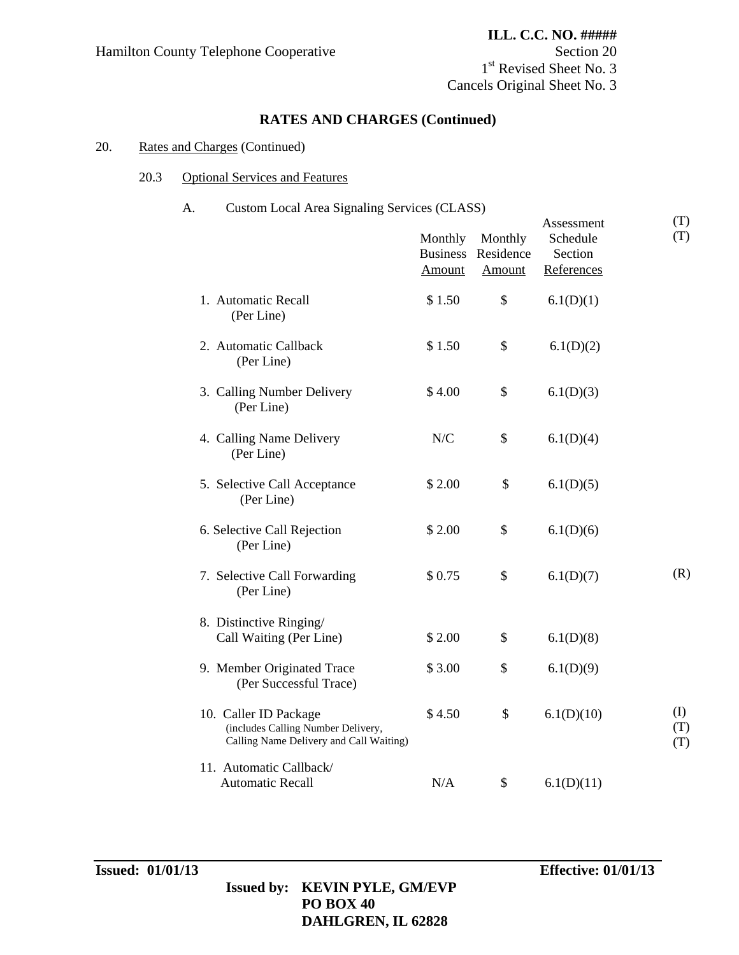# **RATES AND CHARGES (Continued)**

#### 20. Rates and Charges (Continued)

#### 20.3 Optional Services and Features

### A. Custom Local Area Signaling Services (CLASS)

|                                                                                                        | Monthly<br><b>Business</b><br>Amount | Monthly<br>Residence<br>Amount | Assessment<br>Schedule<br>Section<br>References | (T)<br>(T)        |
|--------------------------------------------------------------------------------------------------------|--------------------------------------|--------------------------------|-------------------------------------------------|-------------------|
| 1. Automatic Recall<br>(Per Line)                                                                      | \$1.50                               | \$                             | 6.1(D)(1)                                       |                   |
| 2. Automatic Callback<br>(Per Line)                                                                    | \$1.50                               | \$                             | 6.1(D)(2)                                       |                   |
| 3. Calling Number Delivery<br>(Per Line)                                                               | \$4.00                               | \$                             | 6.1(D)(3)                                       |                   |
| 4. Calling Name Delivery<br>(Per Line)                                                                 | N/C                                  | \$                             | 6.1(D)(4)                                       |                   |
| 5. Selective Call Acceptance<br>(Per Line)                                                             | \$2.00                               | \$                             | 6.1(D)(5)                                       |                   |
| 6. Selective Call Rejection<br>(Per Line)                                                              | \$2.00                               | \$                             | 6.1(D)(6)                                       |                   |
| 7. Selective Call Forwarding<br>(Per Line)                                                             | \$0.75                               | \$                             | 6.1(D)(7)                                       | (R)               |
| 8. Distinctive Ringing/<br>Call Waiting (Per Line)                                                     | \$2.00                               | \$                             | 6.1(D)(8)                                       |                   |
| 9. Member Originated Trace<br>(Per Successful Trace)                                                   | \$3.00                               | \$                             | 6.1(D)(9)                                       |                   |
| 10. Caller ID Package<br>(includes Calling Number Delivery,<br>Calling Name Delivery and Call Waiting) | \$4.50                               | \$                             | 6.1(D)(10)                                      | (I)<br>(T)<br>(T) |
| 11. Automatic Callback/<br><b>Automatic Recall</b>                                                     | N/A                                  | \$                             | 6.1(D)(11)                                      |                   |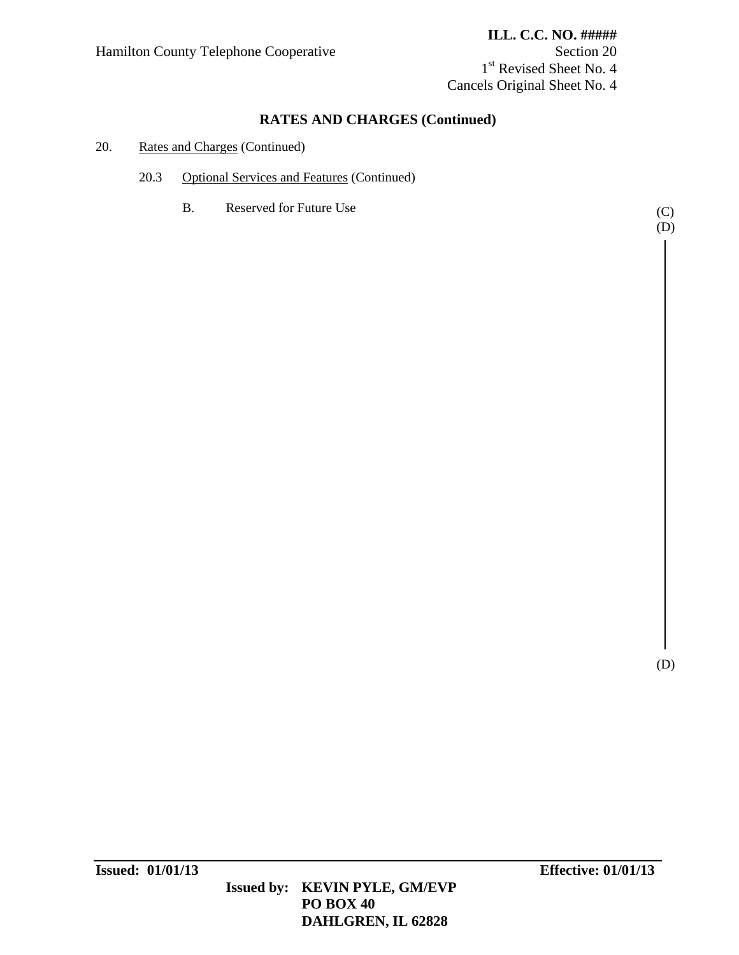1<sup>st</sup> Revised Sheet No. 4 Cancels Original Sheet No. 4

# **RATES AND CHARGES (Continued)**

### 20. Rates and Charges (Continued)

- 20.3 Optional Services and Features (Continued)
	- B. Reserved for Future Use

(C) (D)

(D)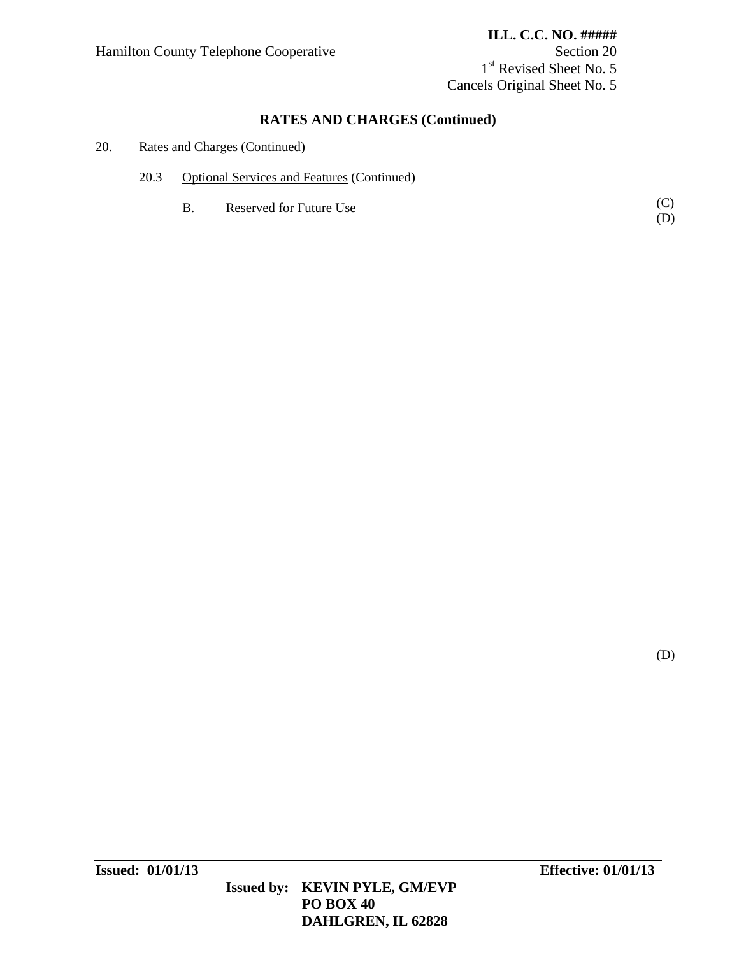1<sup>st</sup> Revised Sheet No. 5 Cancels Original Sheet No. 5

# **RATES AND CHARGES (Continued)**

#### 20. Rates and Charges (Continued)

- 20.3 Optional Services and Features (Continued)
	- B. Reserved for Future Use

(C) (D)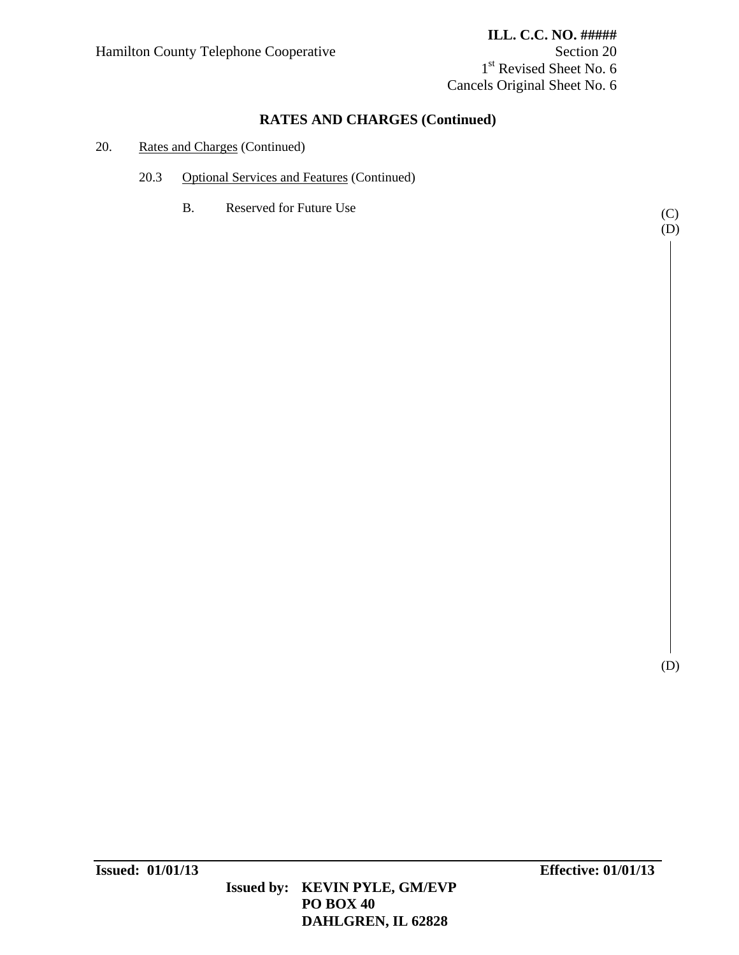1<sup>st</sup> Revised Sheet No. 6 Cancels Original Sheet No. 6

# **RATES AND CHARGES (Continued)**

### 20. Rates and Charges (Continued)

- 20.3 Optional Services and Features (Continued)
	- B. Reserved for Future Use (C)

(D)

(D)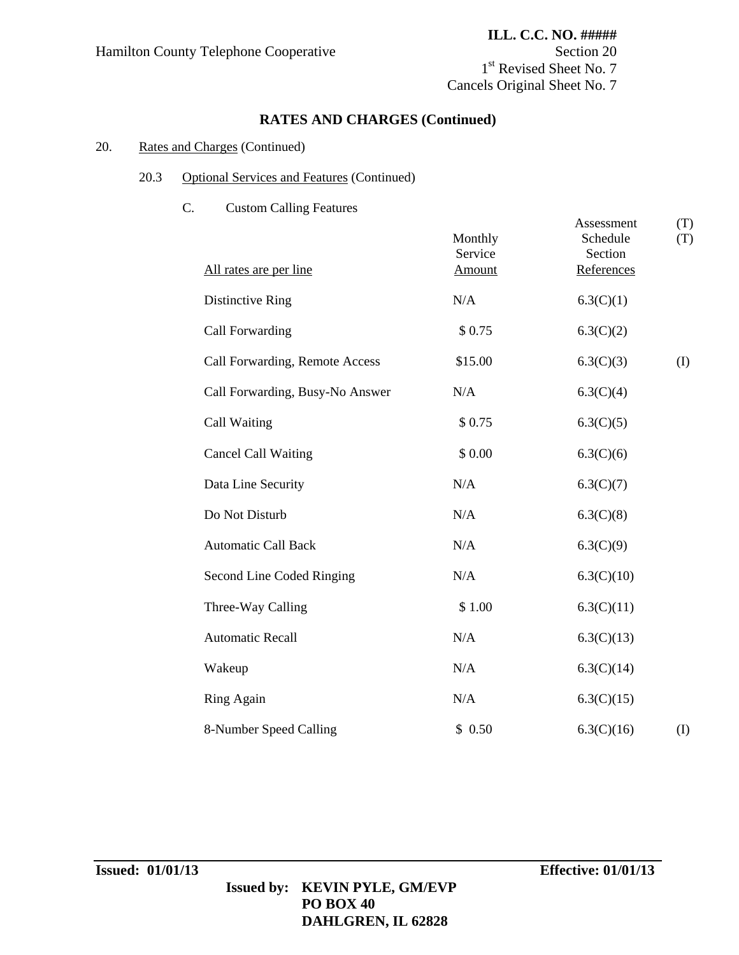1<sup>st</sup> Revised Sheet No. 7 Cancels Original Sheet No. 7

# **RATES AND CHARGES (Continued)**

### 20. Rates and Charges (Continued)

### 20.3 Optional Services and Features (Continued)

C. Custom Calling Features

| All rates are per line          | Monthly<br>Service<br>Amount | Assessment<br>Schedule<br>Section<br>References | (T)<br>(T) |
|---------------------------------|------------------------------|-------------------------------------------------|------------|
| Distinctive Ring                | N/A                          | 6.3(C)(1)                                       |            |
| Call Forwarding                 | \$0.75                       | 6.3(C)(2)                                       |            |
| Call Forwarding, Remote Access  | \$15.00                      | 6.3(C)(3)                                       | (I)        |
| Call Forwarding, Busy-No Answer | N/A                          | 6.3(C)(4)                                       |            |
| Call Waiting                    | \$0.75                       | 6.3(C)(5)                                       |            |
| <b>Cancel Call Waiting</b>      | \$0.00                       | 6.3(C)(6)                                       |            |
| Data Line Security              | N/A                          | 6.3(C)(7)                                       |            |
| Do Not Disturb                  | N/A                          | 6.3(C)(8)                                       |            |
| <b>Automatic Call Back</b>      | N/A                          | 6.3(C)(9)                                       |            |
| Second Line Coded Ringing       | N/A                          | 6.3(C)(10)                                      |            |
| Three-Way Calling               | \$1.00                       | 6.3(C)(11)                                      |            |
| <b>Automatic Recall</b>         | $\rm N/A$                    | 6.3(C)(13)                                      |            |
| Wakeup                          | $\rm N/A$                    | 6.3(C)(14)                                      |            |
| Ring Again                      | N/A                          | 6.3(C)(15)                                      |            |
| 8-Number Speed Calling          | \$0.50                       | 6.3(C)(16)                                      | (I)        |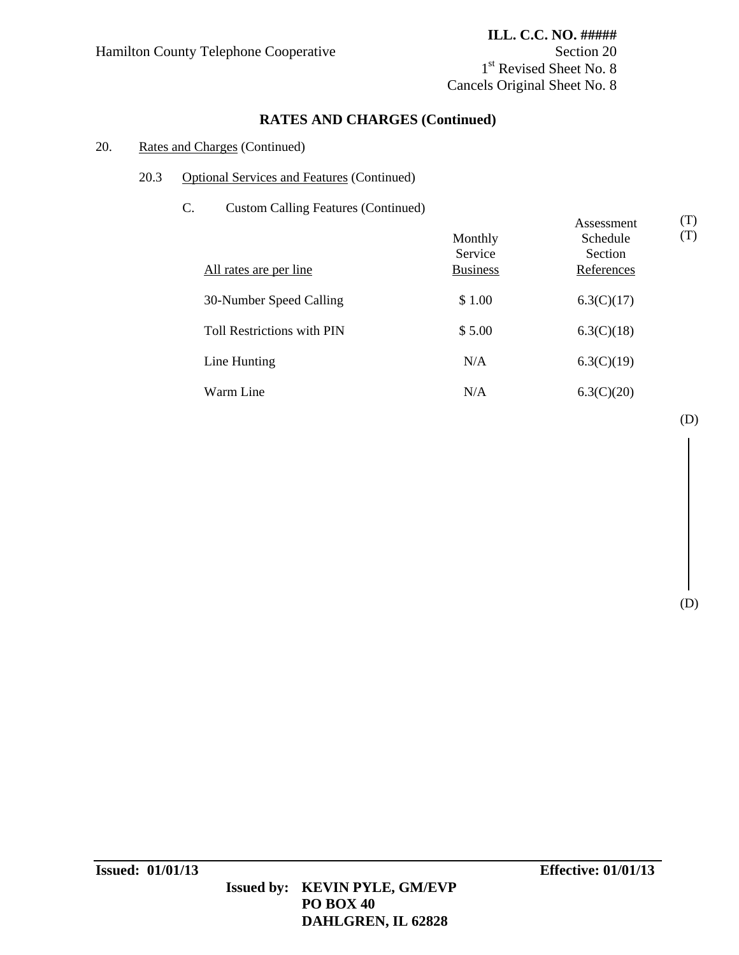# **ILL. C.C. NO. #####** 1<sup>st</sup> Revised Sheet No. 8 Cancels Original Sheet No. 8

# **RATES AND CHARGES (Continued)**

### 20. Rates and Charges (Continued)

- 20.3 Optional Services and Features (Continued)
	- C. Custom Calling Features (Continued)

| $\ddotsc$<br>$\alpha$ cannot cannot require $\alpha$ (commutation)<br>All rates are per line | Monthly<br>Service<br><b>Business</b> | Assessment<br>Schedule<br>Section<br>References | (T)<br>(T) |
|----------------------------------------------------------------------------------------------|---------------------------------------|-------------------------------------------------|------------|
| 30-Number Speed Calling                                                                      | \$1.00                                | 6.3(C)(17)                                      |            |
| Toll Restrictions with PIN                                                                   | \$5.00                                | 6.3(C)(18)                                      |            |
| Line Hunting                                                                                 | N/A                                   | 6.3(C)(19)                                      |            |
| Warm Line                                                                                    | N/A                                   | 6.3(C)(20)                                      |            |

(D)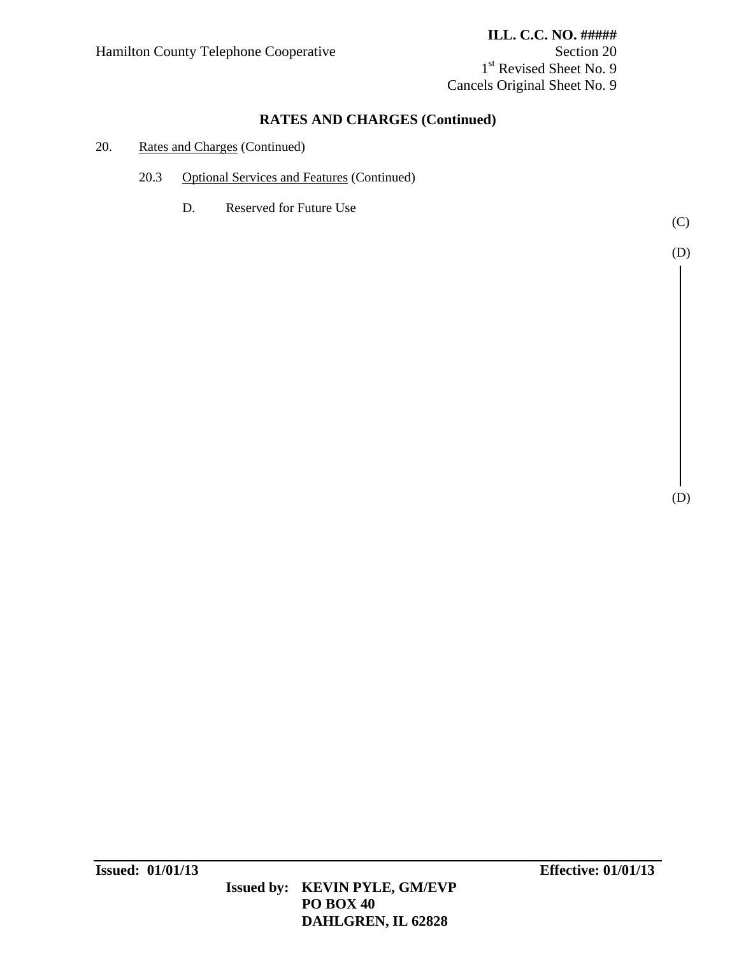1<sup>st</sup> Revised Sheet No. 9 Cancels Original Sheet No. 9

# **RATES AND CHARGES (Continued)**

### 20. Rates and Charges (Continued)

- 20.3 Optional Services and Features (Continued)
	- D. Reserved for Future Use

(C)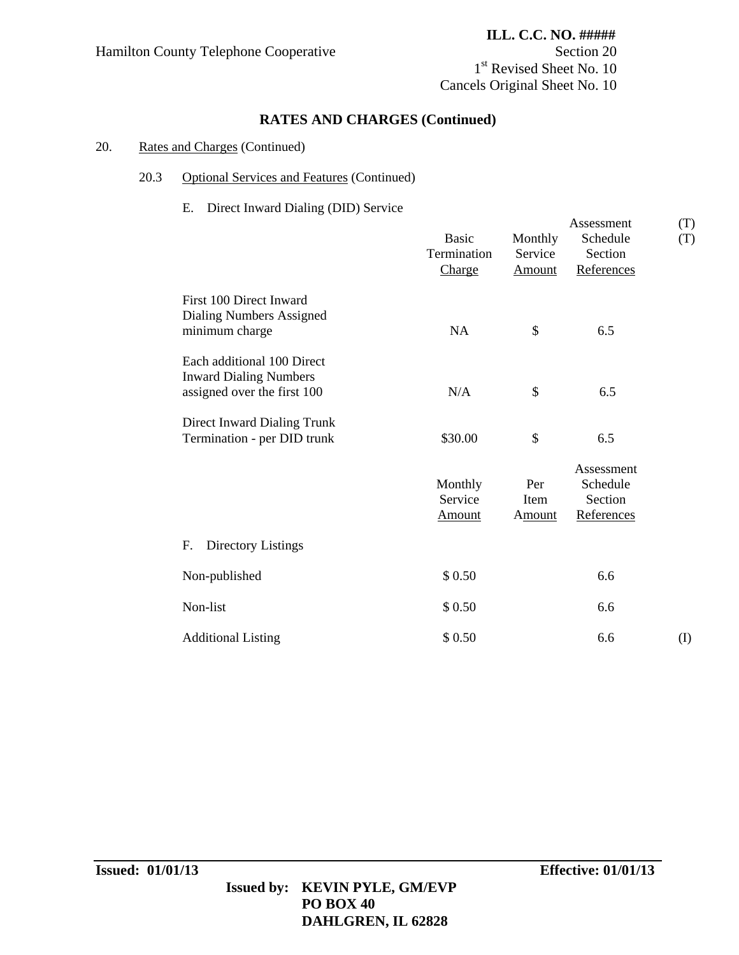# **ILL. C.C. NO. #####** 1st Revised Sheet No. 10 Cancels Original Sheet No. 10

# **RATES AND CHARGES (Continued)**

### 20. Rates and Charges (Continued)

### 20.3 Optional Services and Features (Continued)

### E. Direct Inward Dialing (DID) Service

|                                                                                            | <b>Basic</b><br>Termination<br>Charge | Monthly<br>Service<br>Amount | Assessment<br>Schedule<br>Section<br>References | (T)<br>(T) |
|--------------------------------------------------------------------------------------------|---------------------------------------|------------------------------|-------------------------------------------------|------------|
| First 100 Direct Inward<br>Dialing Numbers Assigned<br>minimum charge                      | NA                                    | \$                           | 6.5                                             |            |
| Each additional 100 Direct<br><b>Inward Dialing Numbers</b><br>assigned over the first 100 | N/A                                   | \$                           | 6.5                                             |            |
| Direct Inward Dialing Trunk<br>Termination - per DID trunk                                 | \$30.00                               | \$                           | 6.5                                             |            |
|                                                                                            | Monthly<br>Service<br><b>Amount</b>   | Per<br>Item<br><b>Amount</b> | Assessment<br>Schedule<br>Section<br>References |            |
| Directory Listings<br>F.                                                                   |                                       |                              |                                                 |            |
| Non-published                                                                              | \$0.50                                |                              | 6.6                                             |            |
| Non-list                                                                                   | \$ 0.50                               |                              | 6.6                                             |            |
| <b>Additional Listing</b>                                                                  | \$0.50                                |                              | 6.6                                             | (I)        |

# **Issued by: KEVIN PYLE, GM/EVP PO BOX 40 DAHLGREN, IL 62828**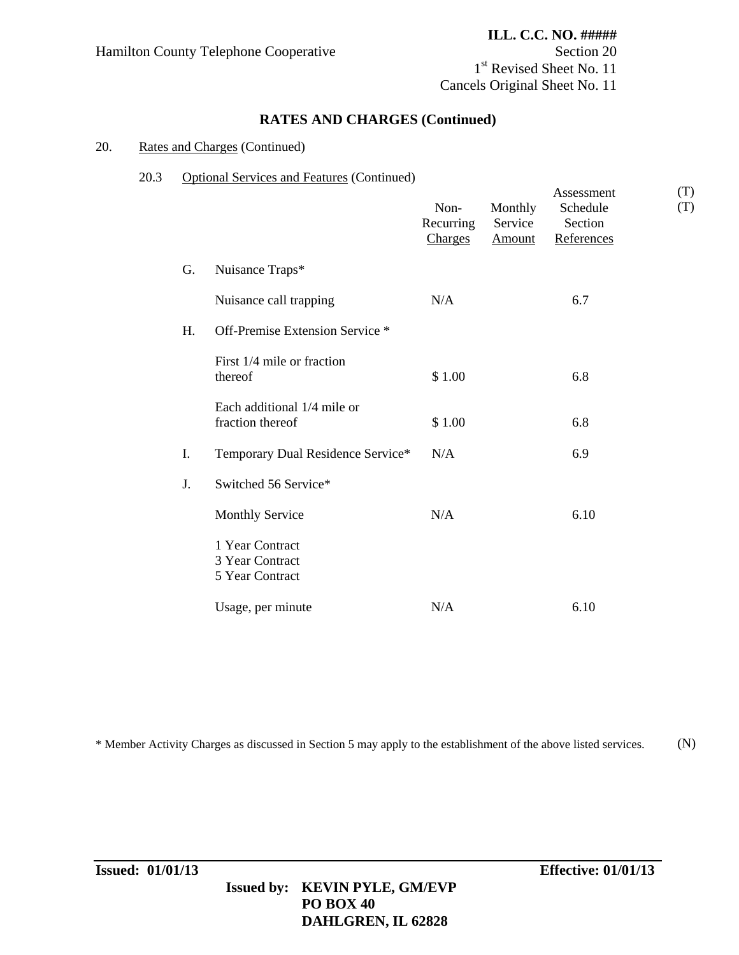1<sup>st</sup> Revised Sheet No. 11 Cancels Original Sheet No. 11

### **RATES AND CHARGES (Continued)**

#### 20. Rates and Charges (Continued)

#### 20.3 Optional Services and Features (Continued)

|    |                                                       | Non-<br>Recurring<br>Charges | Monthly<br>Service<br>Amount | Assessment<br>Schedule<br>Section<br>References | (T)<br>(T) |
|----|-------------------------------------------------------|------------------------------|------------------------------|-------------------------------------------------|------------|
| G. | Nuisance Traps*                                       |                              |                              |                                                 |            |
|    | Nuisance call trapping                                | N/A                          |                              | 6.7                                             |            |
| H. | Off-Premise Extension Service *                       |                              |                              |                                                 |            |
|    | First 1/4 mile or fraction<br>thereof                 | \$1.00                       |                              | 6.8                                             |            |
|    | Each additional 1/4 mile or<br>fraction thereof       | \$1.00                       |                              | 6.8                                             |            |
| I. | Temporary Dual Residence Service*                     | N/A                          |                              | 6.9                                             |            |
| J. | Switched 56 Service*                                  |                              |                              |                                                 |            |
|    | <b>Monthly Service</b>                                | N/A                          |                              | 6.10                                            |            |
|    | 1 Year Contract<br>3 Year Contract<br>5 Year Contract |                              |                              |                                                 |            |
|    | Usage, per minute                                     | N/A                          |                              | 6.10                                            |            |

\* Member Activity Charges as discussed in Section 5 may apply to the establishment of the above listed services. (N)

# **Issued by: KEVIN PYLE, GM/EVP PO BOX 40 DAHLGREN, IL 62828**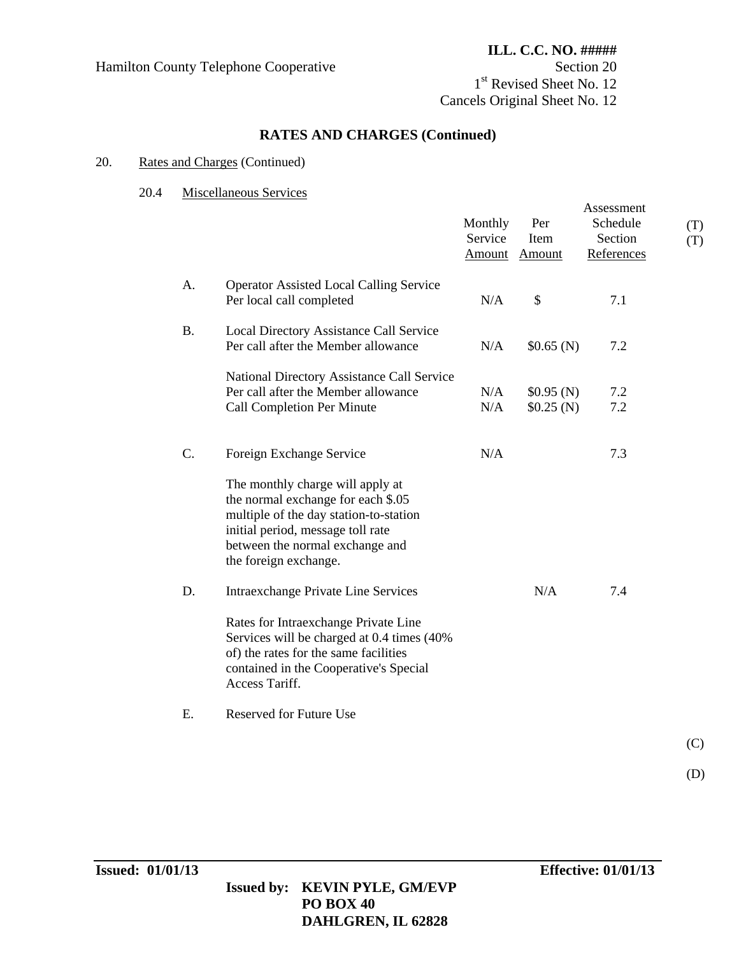Hamilton County Telephone Cooperative Section 20

# **RATES AND CHARGES (Continued)**

### 20. Rates and Charges (Continued)

#### 20.4 Miscellaneous Services

|           |                                                                                                                                                                                                                   | Monthly<br>Service<br><b>Amount</b> | Per<br>Item<br>Amount  | Assessment<br>Schedule<br>Section<br>References | (T)<br>(T) |
|-----------|-------------------------------------------------------------------------------------------------------------------------------------------------------------------------------------------------------------------|-------------------------------------|------------------------|-------------------------------------------------|------------|
| A.        | <b>Operator Assisted Local Calling Service</b><br>Per local call completed                                                                                                                                        | N/A                                 | $\$$                   | 7.1                                             |            |
| <b>B.</b> | Local Directory Assistance Call Service<br>Per call after the Member allowance                                                                                                                                    | N/A                                 | \$0.65(N)              | 7.2                                             |            |
|           | National Directory Assistance Call Service<br>Per call after the Member allowance<br><b>Call Completion Per Minute</b>                                                                                            | N/A<br>N/A                          | \$0.95(N)<br>\$0.25(N) | 7.2<br>$7.2\,$                                  |            |
| C.        | Foreign Exchange Service                                                                                                                                                                                          | N/A                                 |                        | 7.3                                             |            |
|           | The monthly charge will apply at<br>the normal exchange for each \$.05<br>multiple of the day station-to-station<br>initial period, message toll rate<br>between the normal exchange and<br>the foreign exchange. |                                     |                        |                                                 |            |
| D.        | <b>Intraexchange Private Line Services</b>                                                                                                                                                                        |                                     | N/A                    | 7.4                                             |            |
|           | Rates for Intraexchange Private Line<br>Services will be charged at 0.4 times (40%)<br>of) the rates for the same facilities<br>contained in the Cooperative's Special<br>Access Tariff.                          |                                     |                        |                                                 |            |
| E.        | <b>Reserved for Future Use</b>                                                                                                                                                                                    |                                     |                        |                                                 |            |
|           |                                                                                                                                                                                                                   |                                     |                        |                                                 | (C)        |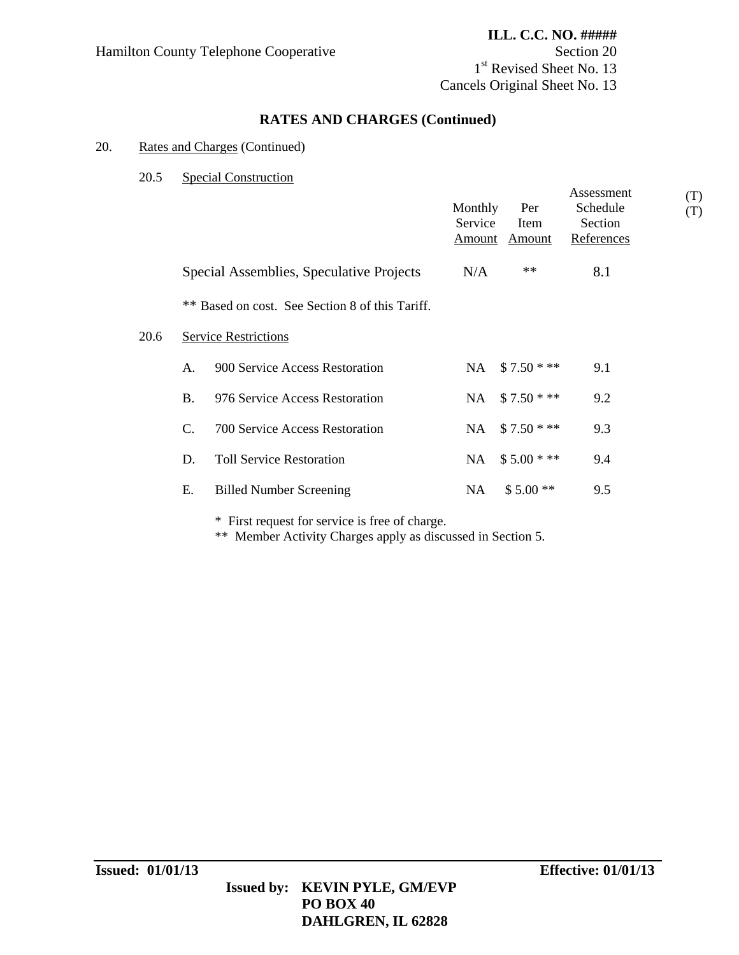# **ILL. C.C. NO. #####** 1<sup>st</sup> Revised Sheet No. 13

Cancels Original Sheet No. 13

# **RATES AND CHARGES (Continued)**

### 20. Rates and Charges (Continued)

20.5 Special Construction

|      |           |                                                 | Monthly<br>Service<br><b>Amount</b> | Per<br>Item<br>Amount | Assessment<br>Schedule<br>Section<br>References | (T)<br>(T) |
|------|-----------|-------------------------------------------------|-------------------------------------|-----------------------|-------------------------------------------------|------------|
|      |           | Special Assemblies, Speculative Projects        | N/A                                 | **                    | 8.1                                             |            |
|      |           | ** Based on cost. See Section 8 of this Tariff. |                                     |                       |                                                 |            |
| 20.6 |           | <b>Service Restrictions</b>                     |                                     |                       |                                                 |            |
|      | A.        | 900 Service Access Restoration                  | NA .                                | $$7.50$ * **          | 9.1                                             |            |
|      | <b>B.</b> | 976 Service Access Restoration                  | NA                                  | $$7.50$ * **          | 9.2                                             |            |
|      | C.        | 700 Service Access Restoration                  | NA                                  | $$7.50$ * **          | 9.3                                             |            |
|      | D.        | <b>Toll Service Restoration</b>                 | NA                                  | $$5.00$ * **          | 9.4                                             |            |
|      | Ε.        | <b>Billed Number Screening</b>                  | NA.                                 | $$5.00**$             | 9.5                                             |            |
|      |           |                                                 |                                     |                       |                                                 |            |

\* First request for service is free of charge.

\*\* Member Activity Charges apply as discussed in Section 5.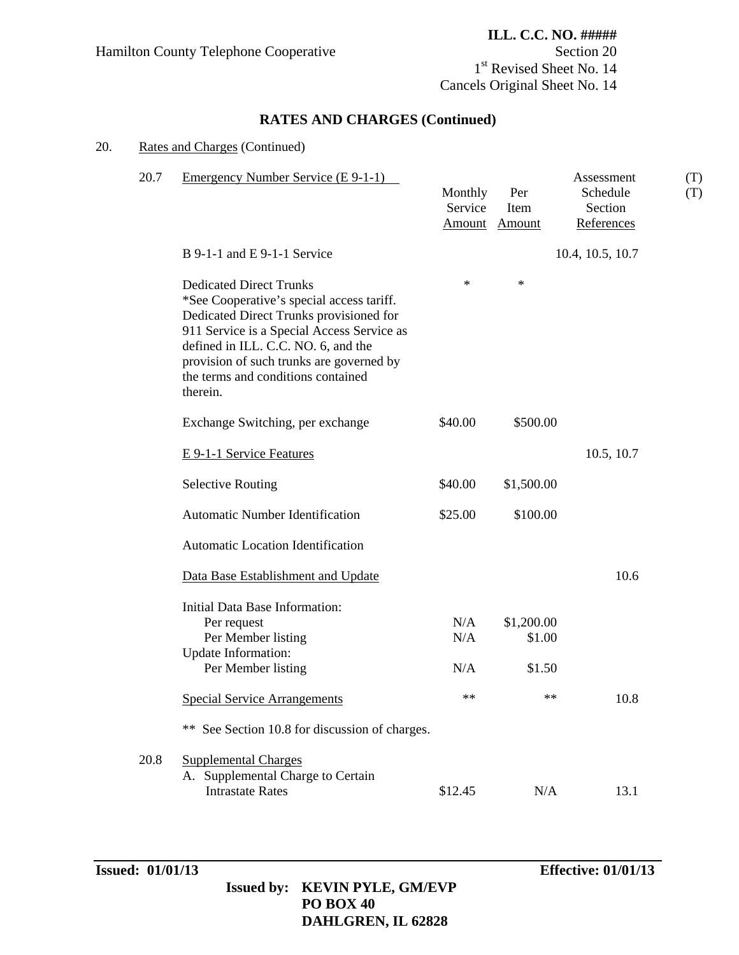1<sup>st</sup> Revised Sheet No. 14 Cancels Original Sheet No. 14

# **RATES AND CHARGES (Continued)**

## 20. Rates and Charges (Continued)

| 20.7 | Emergency Number Service (E 9-1-1)                                                                                                                                                                                                                                                                        | Monthly<br>Service<br>Amount | Per<br>Item<br><b>Amount</b>   | Assessment<br>Schedule<br>Section<br>References | (T)<br>(T) |
|------|-----------------------------------------------------------------------------------------------------------------------------------------------------------------------------------------------------------------------------------------------------------------------------------------------------------|------------------------------|--------------------------------|-------------------------------------------------|------------|
|      | $B$ 9-1-1 and E 9-1-1 Service                                                                                                                                                                                                                                                                             |                              |                                | 10.4, 10.5, 10.7                                |            |
|      | <b>Dedicated Direct Trunks</b><br>*See Cooperative's special access tariff.<br>Dedicated Direct Trunks provisioned for<br>911 Service is a Special Access Service as<br>defined in ILL. C.C. NO. 6, and the<br>provision of such trunks are governed by<br>the terms and conditions contained<br>therein. | $\ast$                       | ∗                              |                                                 |            |
|      | Exchange Switching, per exchange                                                                                                                                                                                                                                                                          | \$40.00                      | \$500.00                       |                                                 |            |
|      | E 9-1-1 Service Features                                                                                                                                                                                                                                                                                  |                              |                                | 10.5, 10.7                                      |            |
|      | <b>Selective Routing</b>                                                                                                                                                                                                                                                                                  | \$40.00                      | \$1,500.00                     |                                                 |            |
|      | <b>Automatic Number Identification</b>                                                                                                                                                                                                                                                                    | \$25.00                      | \$100.00                       |                                                 |            |
|      | Automatic Location Identification                                                                                                                                                                                                                                                                         |                              |                                |                                                 |            |
|      | Data Base Establishment and Update                                                                                                                                                                                                                                                                        |                              |                                | 10.6                                            |            |
|      | Initial Data Base Information:<br>Per request<br>Per Member listing<br>Update Information:<br>Per Member listing                                                                                                                                                                                          | N/A<br>N/A<br>N/A            | \$1,200.00<br>\$1.00<br>\$1.50 |                                                 |            |
|      | <b>Special Service Arrangements</b>                                                                                                                                                                                                                                                                       | $**$                         | $**$                           | 10.8                                            |            |
|      | ** See Section 10.8 for discussion of charges.                                                                                                                                                                                                                                                            |                              |                                |                                                 |            |
| 20.8 | <b>Supplemental Charges</b><br>A. Supplemental Charge to Certain<br><b>Intrastate Rates</b>                                                                                                                                                                                                               | \$12.45                      | N/A                            | 13.1                                            |            |

# **Issued by: KEVIN PYLE, GM/EVP PO BOX 40 DAHLGREN, IL 62828**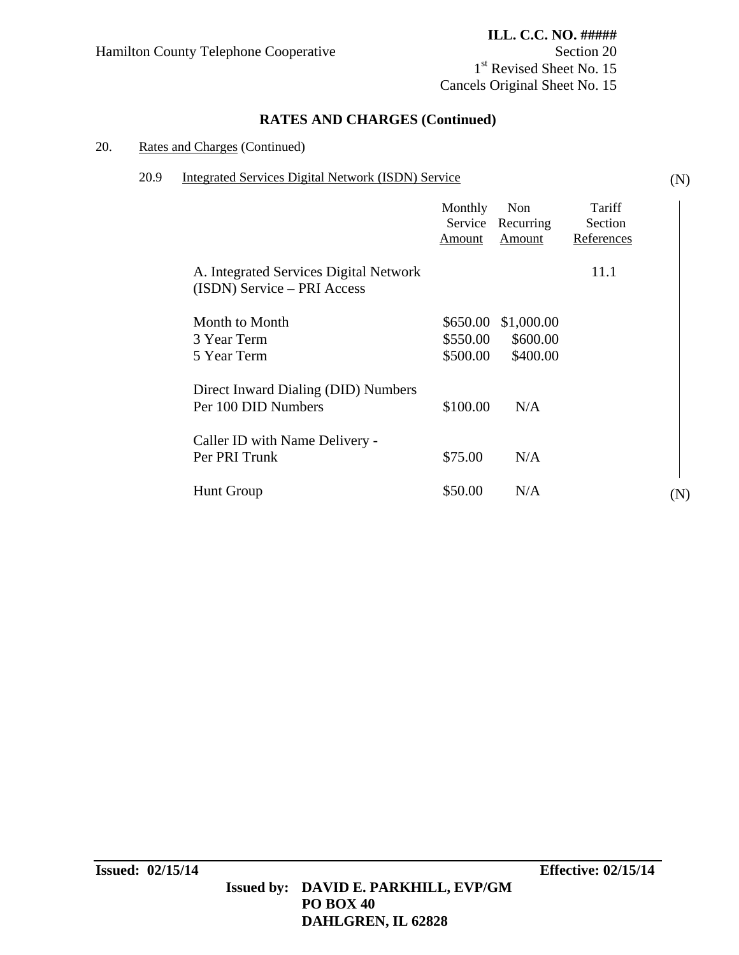# **ILL. C.C. NO. #####** 1<sup>st</sup> Revised Sheet No. 15

(N)

Cancels Original Sheet No. 15

# **RATES AND CHARGES (Continued)**

### 20. Rates and Charges (Continued)

### 20.9 Integrated Services Digital Network (ISDN) Service

|                                              |                                                                       | Monthly<br>Service<br>Amount     | Non<br>Recurring<br>Amount         | Tariff<br>Section<br>References |     |
|----------------------------------------------|-----------------------------------------------------------------------|----------------------------------|------------------------------------|---------------------------------|-----|
|                                              | A. Integrated Services Digital Network<br>(ISDN) Service - PRI Access |                                  |                                    | 11.1                            |     |
| Month to Month<br>3 Year Term<br>5 Year Term |                                                                       | \$650.00<br>\$550.00<br>\$500.00 | \$1,000.00<br>\$600.00<br>\$400.00 |                                 |     |
| Per 100 DID Numbers                          | Direct Inward Dialing (DID) Numbers                                   | \$100.00                         | N/A                                |                                 |     |
| Per PRI Trunk                                | Caller ID with Name Delivery -                                        | \$75.00                          | N/A                                |                                 |     |
| <b>Hunt Group</b>                            |                                                                       | \$50.00                          | N/A                                |                                 | (N) |